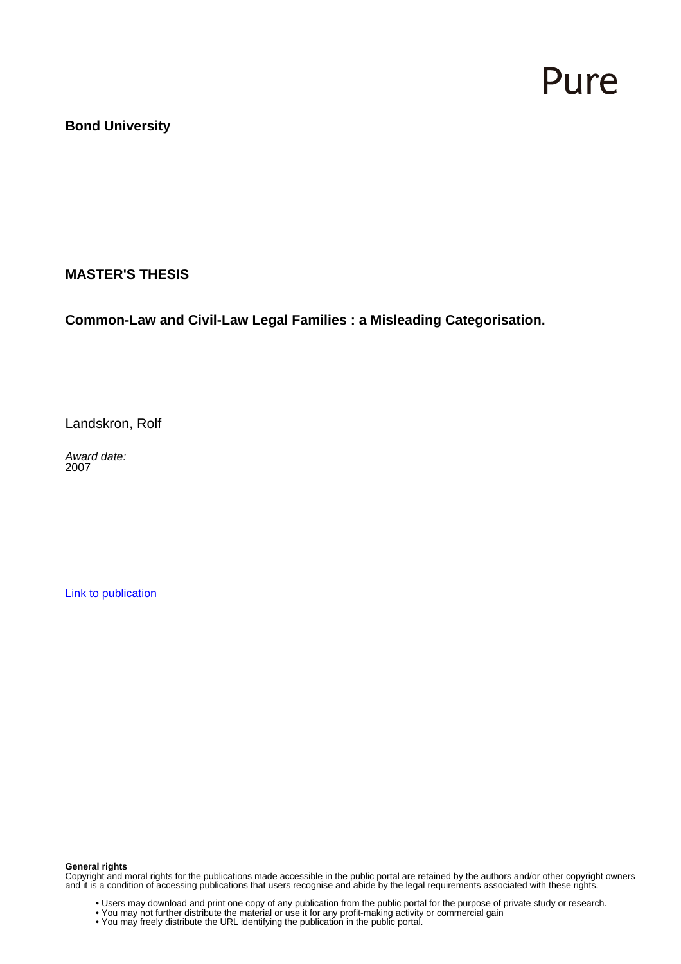# Pure

# **Bond University**

## **MASTER'S THESIS**

**Common-Law and Civil-Law Legal Families : a Misleading Categorisation.**

Landskron, Rolf

Award date: 2007

[Link to publication](https://research.bond.edu.au/en/studentTheses/1816c4f2-e78c-4b61-91aa-d3375bc92d9f)

#### **General rights**

Copyright and moral rights for the publications made accessible in the public portal are retained by the authors and/or other copyright owners and it is a condition of accessing publications that users recognise and abide by the legal requirements associated with these rights.

- Users may download and print one copy of any publication from the public portal for the purpose of private study or research.
- You may not further distribute the material or use it for any profit-making activity or commercial gain
- You may freely distribute the URL identifying the publication in the public portal.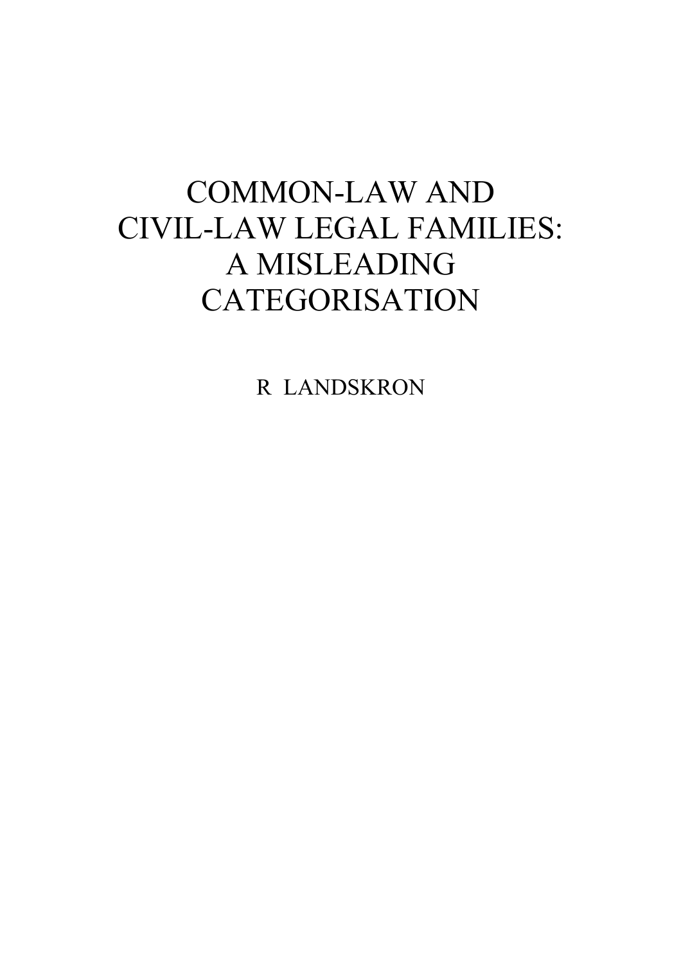# COMMON-LAW AND CIVIL-LAW LEGAL FAMILIES: A MISLEADING CATEGORISATION

R LANDSKRON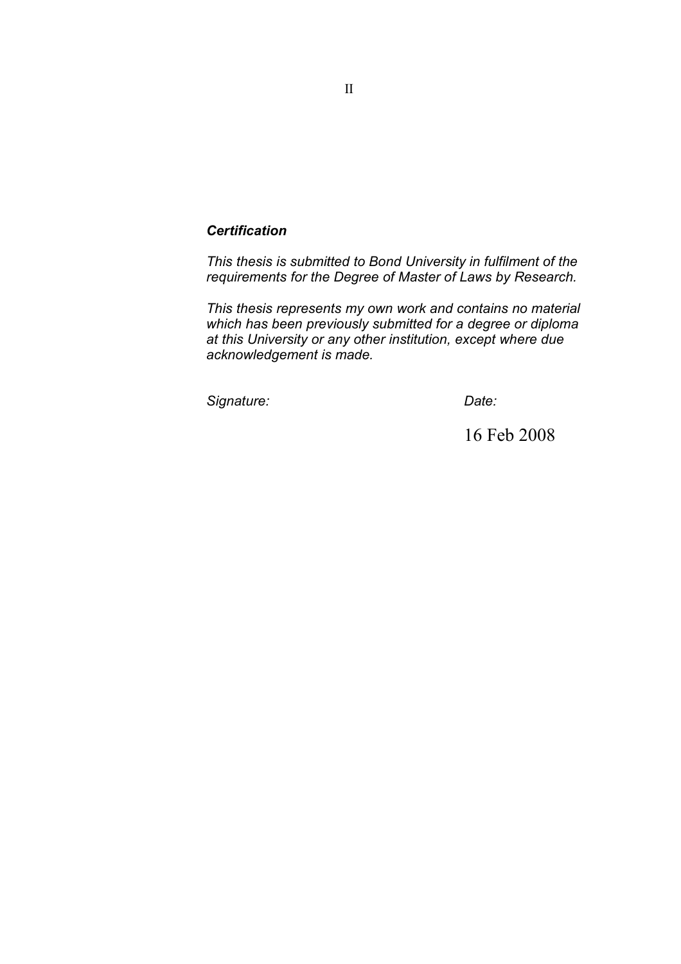# *Certification*

*This thesis is submitted to Bond University in fulfilment of the requirements for the Degree of Master of Laws by Research.*

*This thesis represents my own work and contains no material which has been previously submitted for a degree or diploma at this University or any other institution, except where due acknowledgement is made.*

*Signature: Date:*

16 Feb 2008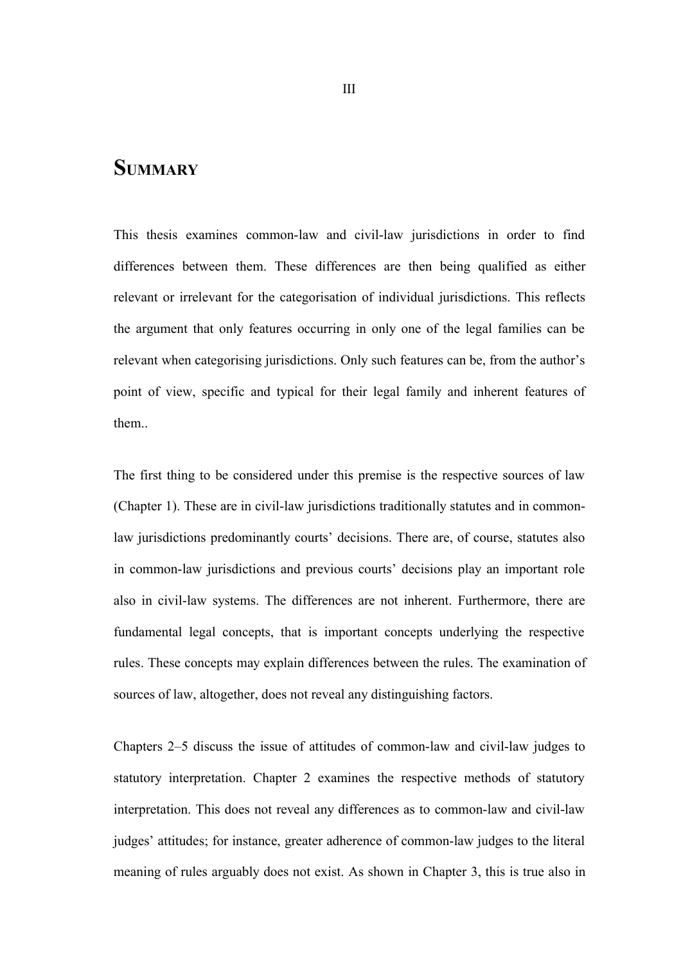# **SUMMARY**

This thesis examines common-law and civil-law jurisdictions in order to find differences between them. These differences are then being qualified as either relevant or irrelevant for the categorisation of individual jurisdictions. This reflects the argument that only features occurring in only one of the legal families can be relevant when categorising jurisdictions. Only such features can be, from the author's point of view, specific and typical for their legal family and inherent features of them..

The first thing to be considered under this premise is the respective sources of law (Chapter 1). These are in civil-law jurisdictions traditionally statutes and in commonlaw jurisdictions predominantly courts' decisions. There are, of course, statutes also in common-law jurisdictions and previous courts' decisions play an important role also in civil-law systems. The differences are not inherent. Furthermore, there are fundamental legal concepts, that is important concepts underlying the respective rules. These concepts may explain differences between the rules. The examination of sources of law, altogether, does not reveal any distinguishing factors.

Chapters 2–5 discuss the issue of attitudes of common-law and civil-law judges to statutory interpretation. Chapter 2 examines the respective methods of statutory interpretation. This does not reveal any differences as to common-law and civil-law judges' attitudes; for instance, greater adherence of common-law judges to the literal meaning of rules arguably does not exist. As shown in Chapter 3, this is true also in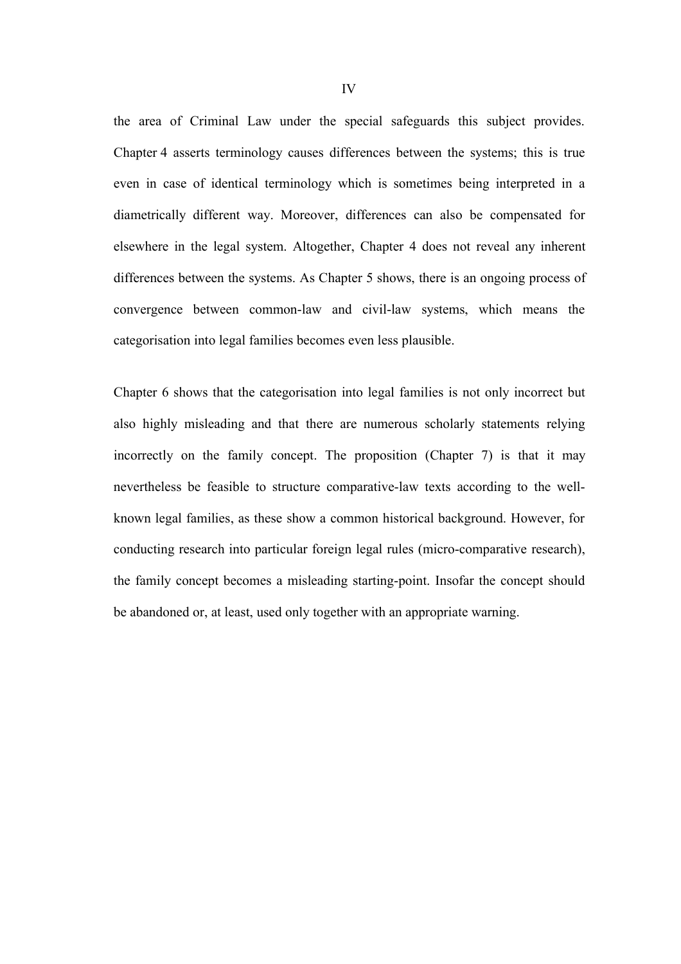the area of Criminal Law under the special safeguards this subject provides. Chapter 4 asserts terminology causes differences between the systems; this is true even in case of identical terminology which is sometimes being interpreted in a diametrically different way. Moreover, differences can also be compensated for elsewhere in the legal system. Altogether, Chapter 4 does not reveal any inherent differences between the systems. As Chapter 5 shows, there is an ongoing process of convergence between common-law and civil-law systems, which means the categorisation into legal families becomes even less plausible.

Chapter 6 shows that the categorisation into legal families is not only incorrect but also highly misleading and that there are numerous scholarly statements relying incorrectly on the family concept. The proposition (Chapter 7) is that it may nevertheless be feasible to structure comparative-law texts according to the wellknown legal families, as these show a common historical background. However, for conducting research into particular foreign legal rules (micro-comparative research), the family concept becomes a misleading starting-point. Insofar the concept should be abandoned or, at least, used only together with an appropriate warning.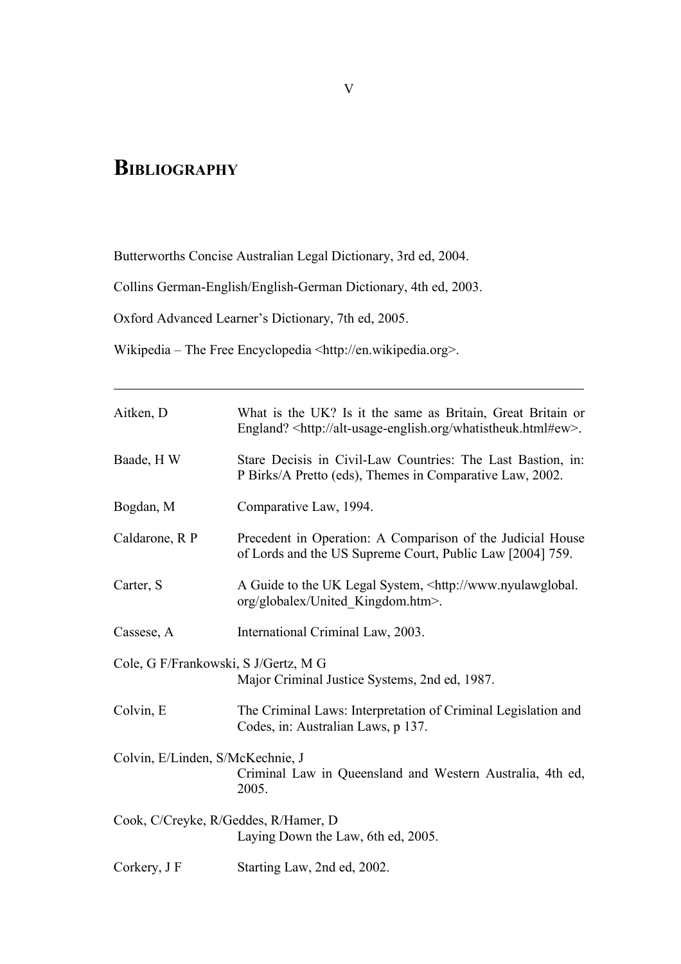# **BIBLIOGRAPHY**

Butterworths Concise Australian Legal Dictionary, 3rd ed, 2004.

Collins German-English/English-German Dictionary, 4th ed, 2003.

Oxford Advanced Learner's Dictionary, 7th ed, 2005.

Wikipedia – The Free Encyclopedia <http://en.wikipedia.org>.

| Aitken, D                                                                             | What is the UK? Is it the same as Britain, Great Britain or<br>England? <http: alt-usage-english.org="" whatistheuk.html#ew="">.</http:> |
|---------------------------------------------------------------------------------------|------------------------------------------------------------------------------------------------------------------------------------------|
| Baade, HW                                                                             | Stare Decisis in Civil-Law Countries: The Last Bastion, in:<br>P Birks/A Pretto (eds), Themes in Comparative Law, 2002.                  |
| Bogdan, M                                                                             | Comparative Law, 1994.                                                                                                                   |
| Caldarone, R P                                                                        | Precedent in Operation: A Comparison of the Judicial House<br>of Lords and the US Supreme Court, Public Law [2004] 759.                  |
| Carter, S                                                                             | A Guide to the UK Legal System, <http: www.nyulawglobal.<br="">org/globalex/United Kingdom.htm&gt;.</http:>                              |
| Cassese, A                                                                            | International Criminal Law, 2003.                                                                                                        |
| Cole, G F/Frankowski, S J/Gertz, M G<br>Major Criminal Justice Systems, 2nd ed, 1987. |                                                                                                                                          |
| Colvin, E                                                                             | The Criminal Laws: Interpretation of Criminal Legislation and<br>Codes, in: Australian Laws, p 137.                                      |
| Colvin, E/Linden, S/McKechnie, J                                                      | Criminal Law in Queensland and Western Australia, 4th ed,<br>2005.                                                                       |
| Cook, C/Creyke, R/Geddes, R/Hamer, D<br>Laying Down the Law, 6th ed, 2005.            |                                                                                                                                          |
| Corkery, J F                                                                          | Starting Law, 2nd ed, 2002.                                                                                                              |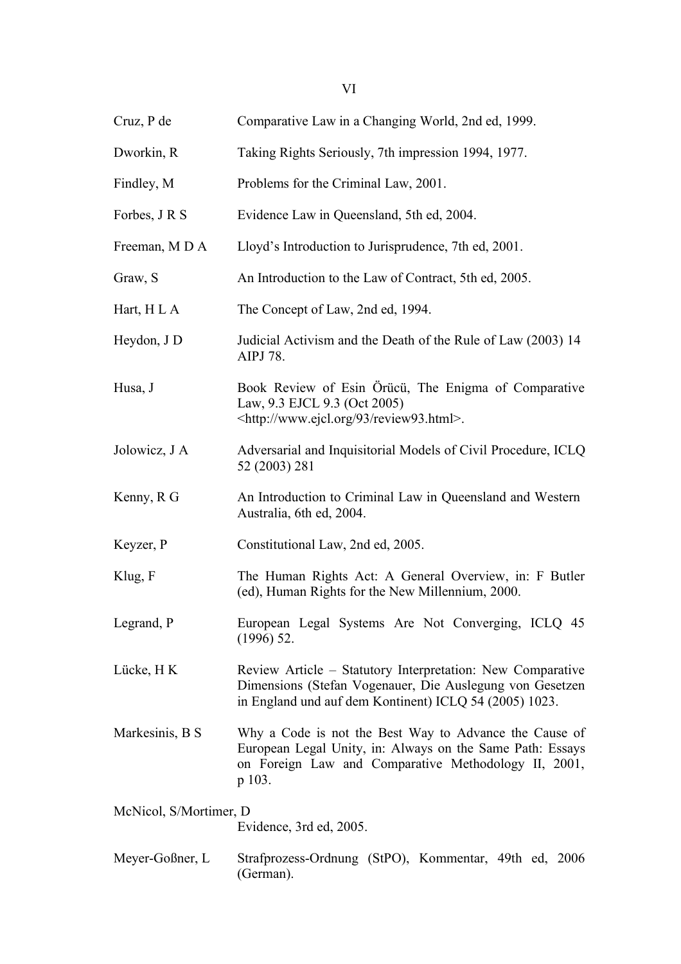| Cruz, P de             | Comparative Law in a Changing World, 2nd ed, 1999.                                                                                                                                    |
|------------------------|---------------------------------------------------------------------------------------------------------------------------------------------------------------------------------------|
| Dworkin, R             | Taking Rights Seriously, 7th impression 1994, 1977.                                                                                                                                   |
| Findley, M             | Problems for the Criminal Law, 2001.                                                                                                                                                  |
| Forbes, J R S          | Evidence Law in Queensland, 5th ed, 2004.                                                                                                                                             |
| Freeman, MDA           | Lloyd's Introduction to Jurisprudence, 7th ed, 2001.                                                                                                                                  |
| Graw, S                | An Introduction to the Law of Contract, 5th ed, 2005.                                                                                                                                 |
| Hart, H L A            | The Concept of Law, 2nd ed, 1994.                                                                                                                                                     |
| Heydon, J D            | Judicial Activism and the Death of the Rule of Law (2003) 14<br>AIPJ 78.                                                                                                              |
| Husa, J                | Book Review of Esin Örücü, The Enigma of Comparative<br>Law, 9.3 EJCL 9.3 (Oct 2005)<br><http: 93="" review93.html="" www.ejcl.org="">.</http:>                                       |
| Jolowicz, J A          | Adversarial and Inquisitorial Models of Civil Procedure, ICLQ<br>52 (2003) 281                                                                                                        |
| Kenny, R G             | An Introduction to Criminal Law in Queensland and Western<br>Australia, 6th ed, 2004.                                                                                                 |
| Keyzer, P              | Constitutional Law, 2nd ed, 2005.                                                                                                                                                     |
| Klug, F                | The Human Rights Act: A General Overview, in: F Butler<br>(ed), Human Rights for the New Millennium, 2000.                                                                            |
| Legrand, P             | European Legal Systems Are Not Converging, ICLQ 45<br>$(1996)$ 52.                                                                                                                    |
| Lücke, H K             | Review Article – Statutory Interpretation: New Comparative<br>Dimensions (Stefan Vogenauer, Die Auslegung von Gesetzen<br>in England und auf dem Kontinent) ICLQ 54 (2005) 1023.      |
| Markesinis, B S        | Why a Code is not the Best Way to Advance the Cause of<br>European Legal Unity, in: Always on the Same Path: Essays<br>on Foreign Law and Comparative Methodology II, 2001,<br>p 103. |
| McNicol, S/Mortimer, D | Evidence, 3rd ed, 2005.                                                                                                                                                               |
| Meyer-Goßner, L        | Strafprozess-Ordnung (StPO), Kommentar, 49th ed, 2006<br>(German).                                                                                                                    |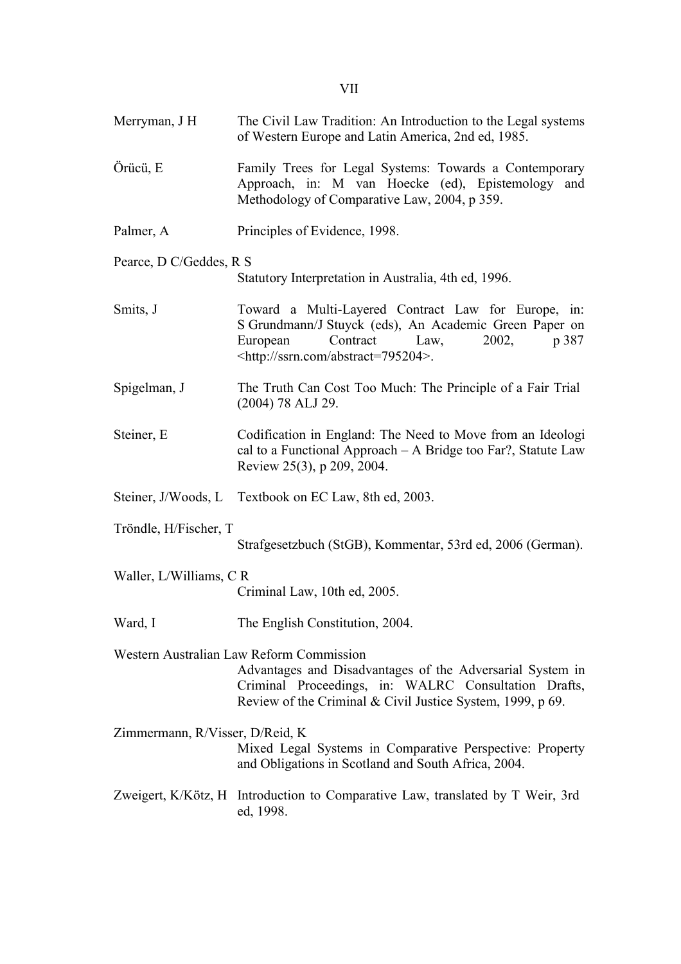- Merryman, J H The Civil Law Tradition: An Introduction to the Legal systems of Western Europe and Latin America, 2nd ed, 1985.
- Örücü, E Family Trees for Legal Systems: Towards a Contemporary Approach, in: M van Hoecke (ed), Epistemology and Methodology of Comparative Law, 2004, p 359.
- Palmer, A Principles of Evidence, 1998.

### Pearce, D C/Geddes, R S

Statutory Interpretation in Australia, 4th ed, 1996.

- Smits, J Toward a Multi-Layered Contract Law for Europe, in: S Grundmann/J Stuyck (eds), An Academic Green Paper on European Contract Law, 2002, p 387 <http://ssrn.com/abstract=795204>.
- Spigelman, J The Truth Can Cost Too Much: The Principle of a Fair Trial (2004) 78 ALJ 29.
- Steiner, E Codification in England: The Need to Move from an Ideologi cal to a Functional Approach – A Bridge too Far?, Statute Law Review 25(3), p 209, 2004.
- Steiner, J/Woods, L Textbook on EC Law, 8th ed, 2003.

Tröndle, H/Fischer, T

Strafgesetzbuch (StGB), Kommentar, 53rd ed, 2006 (German).

- Waller, L/Williams, C R Criminal Law, 10th ed, 2005.
- Ward, I The English Constitution, 2004.
- Western Australian Law Reform Commission

Advantages and Disadvantages of the Adversarial System in Criminal Proceedings, in: WALRC Consultation Drafts, Review of the Criminal & Civil Justice System, 1999, p 69.

Zimmermann, R/Visser, D/Reid, K

Mixed Legal Systems in Comparative Perspective: Property and Obligations in Scotland and South Africa, 2004.

Zweigert, K/Kötz, H Introduction to Comparative Law, translated by T Weir, 3rd ed, 1998.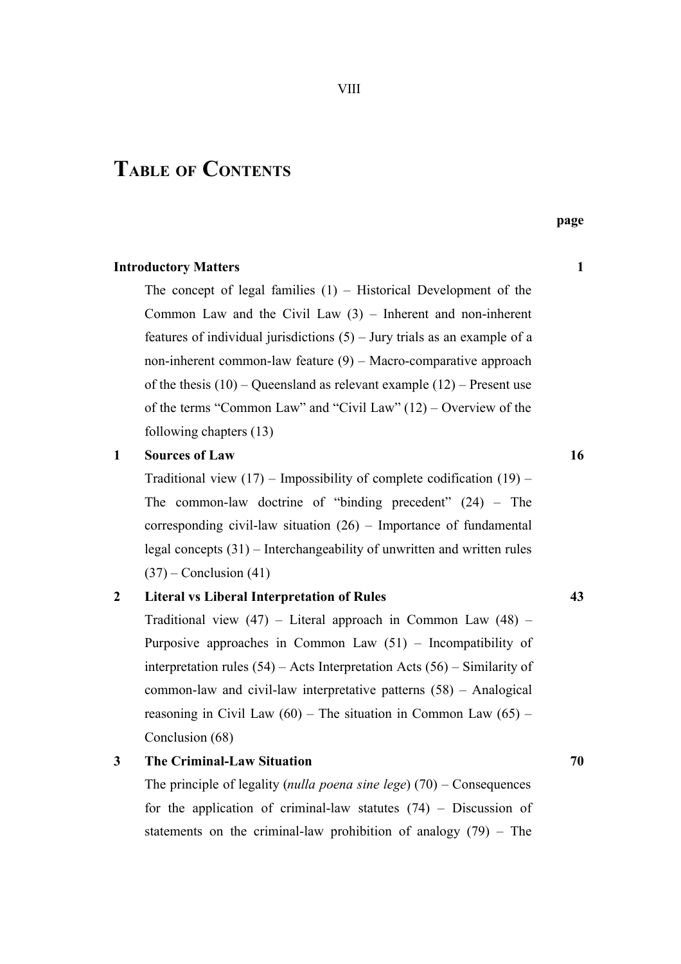# **TABLE OF CONTENTS**

The concept of legal families  $(1)$  – Historical Development of the Common Law and the Civil Law (3) – Inherent and non-inherent features of individual jurisdictions  $(5)$  – Jury trials as an example of a non-inherent common-law feature (9) – Macro-comparative approach of the thesis  $(10)$  – Queensland as relevant example  $(12)$  – Present use of the terms "Common Law" and "Civil Law" (12) – Overview of the following chapters (13)

#### **1 Sources of Law 16**

Traditional view  $(17)$  – Impossibility of complete codification  $(19)$  – The common-law doctrine of "binding precedent" (24) – The corresponding civil-law situation (26) – Importance of fundamental legal concepts (31) – Interchangeability of unwritten and written rules  $(37)$  – Conclusion  $(41)$ 

# **2 Literal vs Liberal Interpretation of Rules 43**

Traditional view  $(47)$  – Literal approach in Common Law  $(48)$  – Purposive approaches in Common Law (51) – Incompatibility of interpretation rules (54) – Acts Interpretation Acts (56) – Similarity of common-law and civil-law interpretative patterns (58) – Analogical reasoning in Civil Law  $(60)$  – The situation in Common Law  $(65)$  – Conclusion (68)

# **3 The Criminal-Law Situation 70**

The principle of legality (*nulla poena sine lege*) (70) – Consequences for the application of criminal-law statutes  $(74)$  – Discussion of statements on the criminal-law prohibition of analogy (79) – The

**page**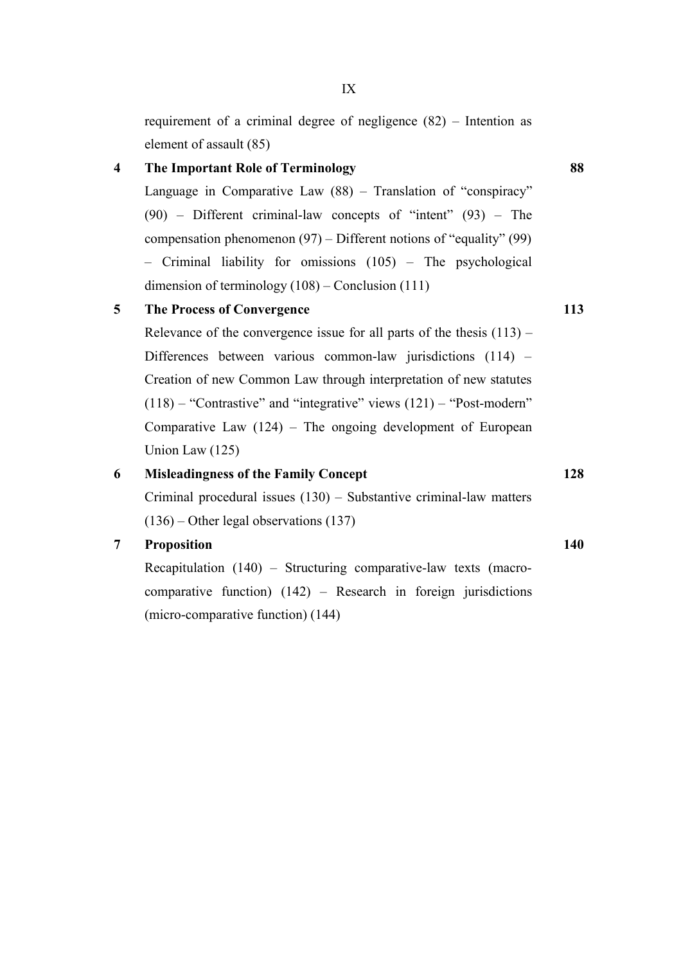requirement of a criminal degree of negligence (82) – Intention as element of assault (85)

# **4 The Important Role of Terminology 88**

Language in Comparative Law (88) – Translation of "conspiracy" (90) – Different criminal-law concepts of "intent" (93) – The compensation phenomenon (97) – Different notions of "equality" (99) – Criminal liability for omissions (105) – The psychological dimension of terminology (108) – Conclusion (111)

# **5 The Process of Convergence 113**

Relevance of the convergence issue for all parts of the thesis  $(113)$  – Differences between various common-law jurisdictions (114) – Creation of new Common Law through interpretation of new statutes  $(118)$  – "Contrastive" and "integrative" views  $(121)$  – "Post-modern" Comparative Law  $(124)$  – The ongoing development of European Union Law (125)

# **6 Misleadingness of the Family Concept 128**

Criminal procedural issues (130) – Substantive criminal-law matters (136) – Other legal observations (137)

# **7 Proposition 140**

Recapitulation (140) – Structuring comparative-law texts (macrocomparative function) (142) – Research in foreign jurisdictions (micro-comparative function) (144)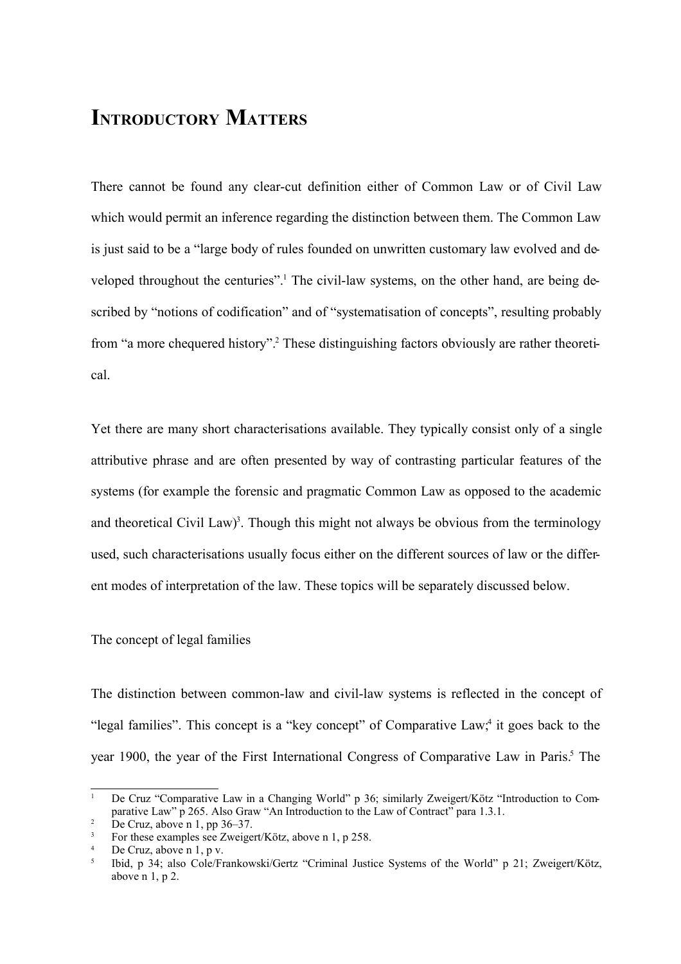# **INTRODUCTORY MATTERS**

There cannot be found any clear-cut definition either of Common Law or of Civil Law which would permit an inference regarding the distinction between them. The Common Law is just said to be a "large body of rules founded on unwritten customary law evolved and developed throughout the centuries".<sup>1</sup> The civil-law systems, on the other hand, are being described by "notions of codification" and of "systematisation of concepts", resulting probably from "a more chequered history". <sup>2</sup> These distinguishing factors obviously are rather theoretical.

Yet there are many short characterisations available. They typically consist only of a single attributive phrase and are often presented by way of contrasting particular features of the systems (for example the forensic and pragmatic Common Law as opposed to the academic and theoretical Civil Law)<sup>3</sup>. Though this might not always be obvious from the terminology used, such characterisations usually focus either on the different sources of law or the different modes of interpretation of the law. These topics will be separately discussed below.

### The concept of legal families

The distinction between common-law and civil-law systems is reflected in the concept of "legal families". This concept is a "key concept" of Comparative Law,<sup>4</sup> it goes back to the year 1900, the year of the First International Congress of Comparative Law in Paris. <sup>5</sup> The

<sup>1</sup> De Cruz "Comparative Law in a Changing World" p 36; similarly Zweigert/Kötz "Introduction to Comparative Law" p 265. Also Graw "An Introduction to the Law of Contract" para 1.3.1.

De Cruz, above n 1, pp 36–37.

For these examples see Zweigert/Kötz, above n 1, p 258.

De Cruz, above n 1, p v.

<sup>5</sup> Ibid, p 34; also Cole/Frankowski/Gertz "Criminal Justice Systems of the World" p 21; Zweigert/Kötz, above n 1, p 2.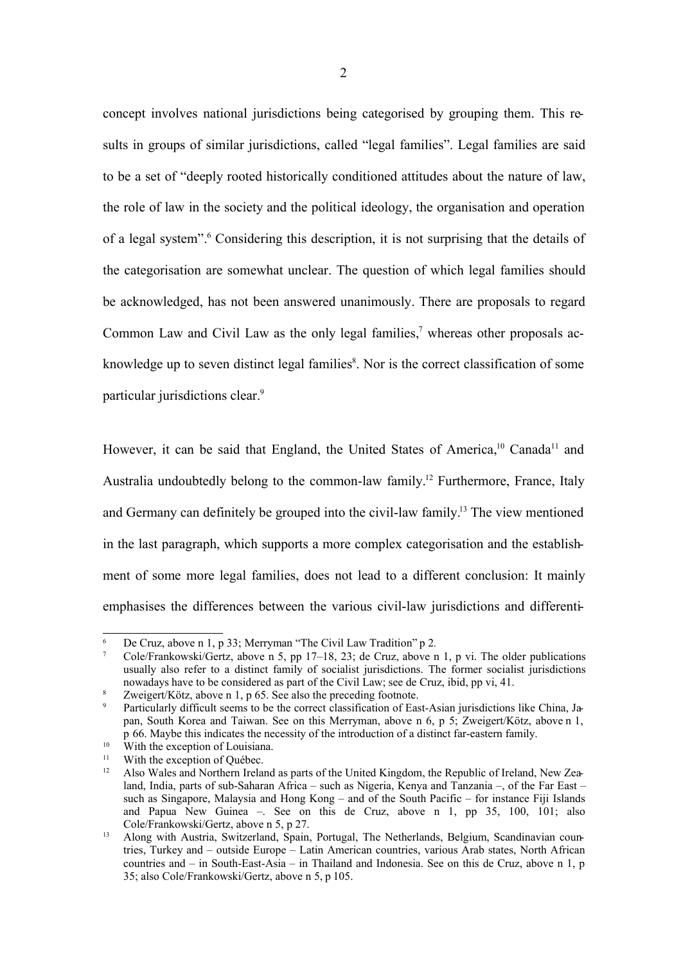concept involves national jurisdictions being categorised by grouping them. This results in groups of similar jurisdictions, called "legal families". Legal families are said to be a set of "deeply rooted historically conditioned attitudes about the nature of law, the role of law in the society and the political ideology, the organisation and operation of a legal system". <sup>6</sup> Considering this description, it is not surprising that the details of the categorisation are somewhat unclear. The question of which legal families should be acknowledged, has not been answered unanimously. There are proposals to regard Common Law and Civil Law as the only legal families,<sup>7</sup> whereas other proposals acknowledge up to seven distinct legal families<sup>8</sup>. Nor is the correct classification of some particular jurisdictions clear. 9

However, it can be said that England, the United States of America,<sup>10</sup> Canada<sup>11</sup> and Australia undoubtedly belong to the common-law family. <sup>12</sup> Furthermore, France, Italy and Germany can definitely be grouped into the civil-law family.<sup>13</sup> The view mentioned in the last paragraph, which supports a more complex categorisation and the establishment of some more legal families, does not lead to a different conclusion: It mainly emphasises the differences between the various civil-law jurisdictions and differenti-

<sup>6</sup> De Cruz, above n 1, p 33; Merryman "The Civil Law Tradition" p 2*.*

<sup>7</sup> Cole/Frankowski/Gertz, above n 5, pp 17–18, 23; de Cruz, above n 1, p vi. The older publications usually also refer to a distinct family of socialist jurisdictions. The former socialist jurisdictions nowadays have to be considered as part of the Civil Law; see de Cruz, ibid, pp vi, 41.

<sup>8</sup> Zweigert/Kötz, above n 1, p 65. See also the preceding footnote.

Particularly difficult seems to be the correct classification of East-Asian jurisdictions like China, Japan, South Korea and Taiwan. See on this Merryman, above n 6, p 5; Zweigert/Kötz, above n 1, p 66. Maybe this indicates the necessity of the introduction of a distinct far-eastern family.

<sup>&</sup>lt;sup>10</sup> With the exception of Louisiana.

<sup>&</sup>lt;sup>11</sup> With the exception of Québec.<br><sup>12</sup> Also Wales and Northern Irela:

<sup>12</sup> Also Wales and Northern Ireland as parts of the United Kingdom, the Republic of Ireland, New Zealand, India, parts of sub-Saharan Africa – such as Nigeria, Kenya and Tanzania –, of the Far East – such as Singapore, Malaysia and Hong Kong – and of the South Pacific – for instance Fiji Islands and Papua New Guinea –. See on this de Cruz, above n 1, pp 35, 100, 101; also Cole/Frankowski/Gertz, above n 5, p 27.

<sup>&</sup>lt;sup>13</sup> Along with Austria, Switzerland, Spain, Portugal, The Netherlands, Belgium, Scandinavian countries, Turkey and – outside Europe – Latin American countries, various Arab states, North African countries and – in South-East-Asia – in Thailand and Indonesia. See on this de Cruz, above n 1, p 35; also Cole/Frankowski/Gertz, above n 5, p 105.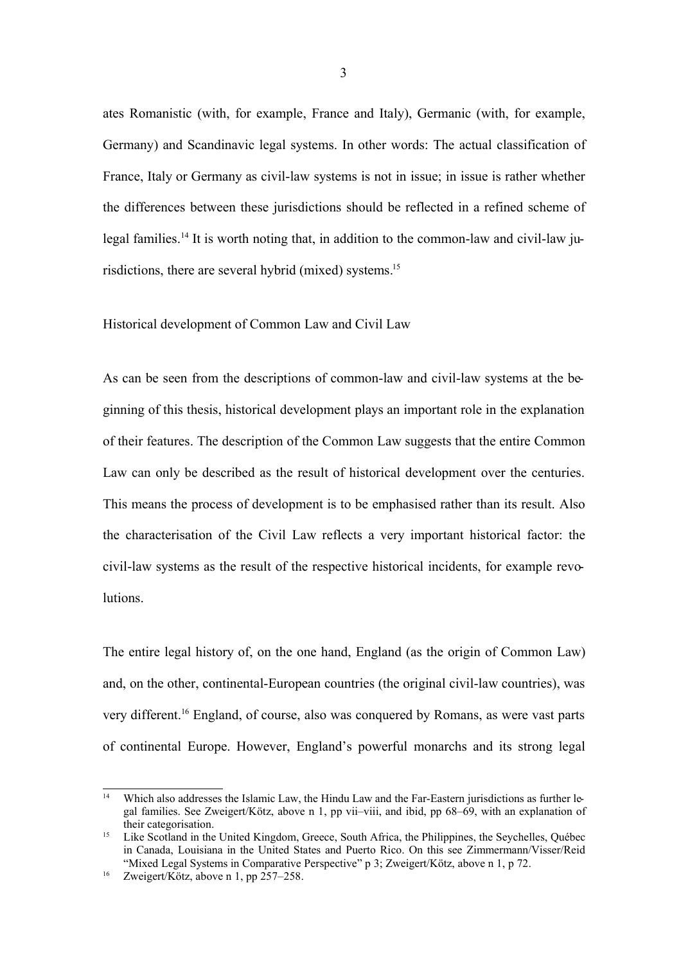ates Romanistic (with, for example, France and Italy), Germanic (with, for example, Germany) and Scandinavic legal systems. In other words: The actual classification of France, Italy or Germany as civil-law systems is not in issue; in issue is rather whether the differences between these jurisdictions should be reflected in a refined scheme of legal families.<sup>14</sup> It is worth noting that, in addition to the common-law and civil-law jurisdictions, there are several hybrid (mixed) systems. 15

### Historical development of Common Law and Civil Law

As can be seen from the descriptions of common-law and civil-law systems at the beginning of this thesis, historical development plays an important role in the explanation of their features. The description of the Common Law suggests that the entire Common Law can only be described as the result of historical development over the centuries. This means the process of development is to be emphasised rather than its result. Also the characterisation of the Civil Law reflects a very important historical factor: the civil-law systems as the result of the respective historical incidents, for example revolutions.

The entire legal history of, on the one hand, England (as the origin of Common Law) and, on the other, continental-European countries (the original civil-law countries), was very different.<sup>16</sup> England, of course, also was conquered by Romans, as were vast parts of continental Europe. However, England's powerful monarchs and its strong legal

<sup>14</sup> Which also addresses the Islamic Law, the Hindu Law and the Far-Eastern jurisdictions as further legal families. See Zweigert/Kötz, above n 1, pp vii–viii, and ibid, pp 68–69, with an explanation of their categorisation.

<sup>&</sup>lt;sup>15</sup> Like Scotland in the United Kingdom, Greece, South Africa, the Philippines, the Seychelles, Québec in Canada, Louisiana in the United States and Puerto Rico. On this see Zimmermann/Visser/Reid "Mixed Legal Systems in Comparative Perspective" p 3; Zweigert/Kötz, above n 1, p 72.

<sup>&</sup>lt;sup>16</sup> Zweigert/Kötz, above n 1, pp  $257-258$ .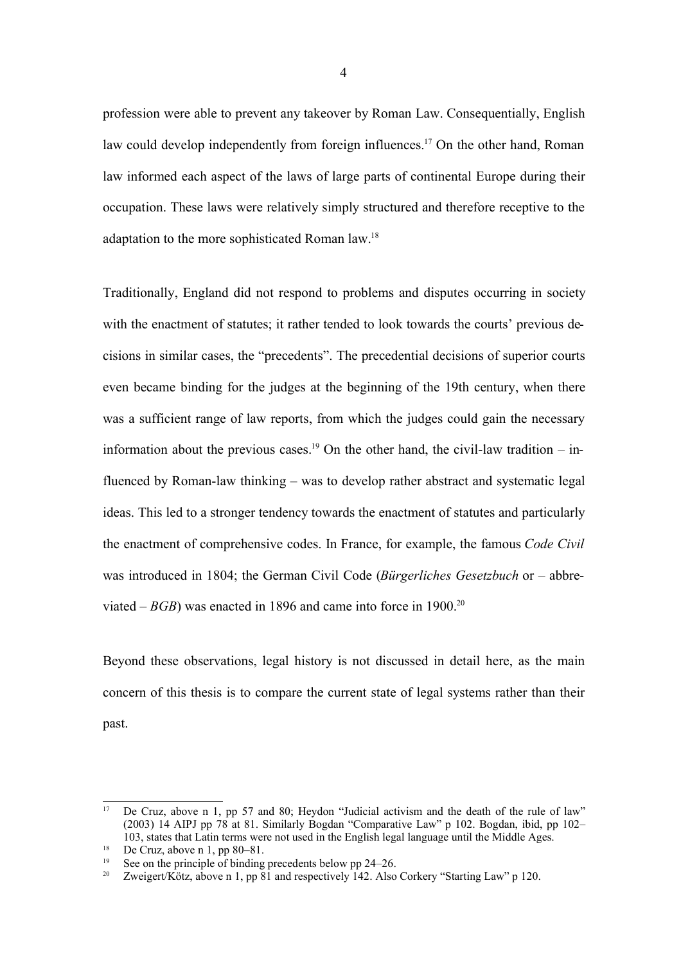profession were able to prevent any takeover by Roman Law. Consequentially, English law could develop independently from foreign influences.<sup>17</sup> On the other hand, Roman law informed each aspect of the laws of large parts of continental Europe during their occupation. These laws were relatively simply structured and therefore receptive to the adaptation to the more sophisticated Roman law.<sup>18</sup>

Traditionally, England did not respond to problems and disputes occurring in society with the enactment of statutes; it rather tended to look towards the courts' previous decisions in similar cases, the "precedents". The precedential decisions of superior courts even became binding for the judges at the beginning of the 19th century, when there was a sufficient range of law reports, from which the judges could gain the necessary information about the previous cases.<sup>19</sup> On the other hand, the civil-law tradition  $-$  influenced by Roman-law thinking – was to develop rather abstract and systematic legal ideas. This led to a stronger tendency towards the enactment of statutes and particularly the enactment of comprehensive codes. In France, for example, the famous *Code Civil* was introduced in 1804; the German Civil Code (*Bürgerliches Gesetzbuch* or – abbreviated – *BGB*) was enacted in 1896 and came into force in 1900.<sup>20</sup>

Beyond these observations, legal history is not discussed in detail here, as the main concern of this thesis is to compare the current state of legal systems rather than their past.

<sup>&</sup>lt;sup>17</sup> De Cruz, above n 1, pp 57 and 80; Heydon "Judicial activism and the death of the rule of law" (2003) 14 AIPJ pp 78 at 81. Similarly Bogdan "Comparative Law" p 102. Bogdan, ibid, pp 102– 103, states that Latin terms were not used in the English legal language until the Middle Ages.

<sup>&</sup>lt;sup>18</sup> De Cruz, above n 1, pp 80–81.

<sup>&</sup>lt;sup>19</sup> See on the principle of binding precedents below pp 24–26.<br><sup>20</sup> Zweigert/Kötz above n 1 pp 81 and respectively 142. Also

Zweigert/Kötz, above n 1, pp 81 and respectively 142. Also Corkery "Starting Law" p 120.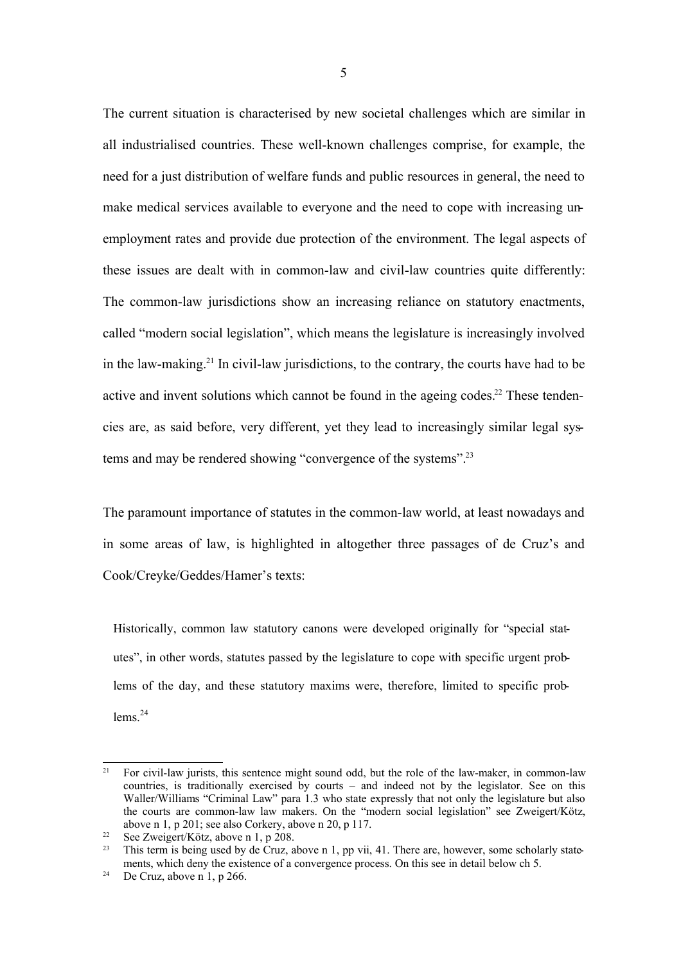The current situation is characterised by new societal challenges which are similar in all industrialised countries. These well-known challenges comprise, for example, the need for a just distribution of welfare funds and public resources in general, the need to make medical services available to everyone and the need to cope with increasing unemployment rates and provide due protection of the environment. The legal aspects of these issues are dealt with in common-law and civil-law countries quite differently: The common-law jurisdictions show an increasing reliance on statutory enactments, called "modern social legislation", which means the legislature is increasingly involved in the law-making. <sup>21</sup> In civil-law jurisdictions, to the contrary, the courts have had to be active and invent solutions which cannot be found in the ageing codes.<sup>22</sup> These tendencies are, as said before, very different, yet they lead to increasingly similar legal systems and may be rendered showing "convergence of the systems".<sup>23</sup>

The paramount importance of statutes in the common-law world, at least nowadays and in some areas of law, is highlighted in altogether three passages of de Cruz's and Cook/Creyke/Geddes/Hamer's texts:

Historically, common law statutory canons were developed originally for "special statutes", in other words, statutes passed by the legislature to cope with specific urgent problems of the day, and these statutory maxims were, therefore, limited to specific problems $^{24}$ 

<sup>&</sup>lt;sup>21</sup> For civil-law jurists, this sentence might sound odd, but the role of the law-maker, in common-law countries, is traditionally exercised by courts – and indeed not by the legislator. See on this Waller/Williams "Criminal Law" para 1.3 who state expressly that not only the legislature but also the courts are common-law law makers. On the "modern social legislation" see Zweigert/Kötz, above n 1, p 201; see also Corkery, above n 20, p 117.

<sup>&</sup>lt;sup>22</sup> See Zweigert/Kötz, above n 1, p 208.<br><sup>23</sup> This term is being used by de Cruz

This term is being used by de Cruz, above n 1, pp vii, 41. There are, however, some scholarly statements, which deny the existence of a convergence process. On this see in detail below ch 5.

<sup>&</sup>lt;sup>24</sup> De Cruz, above n 1, p 266.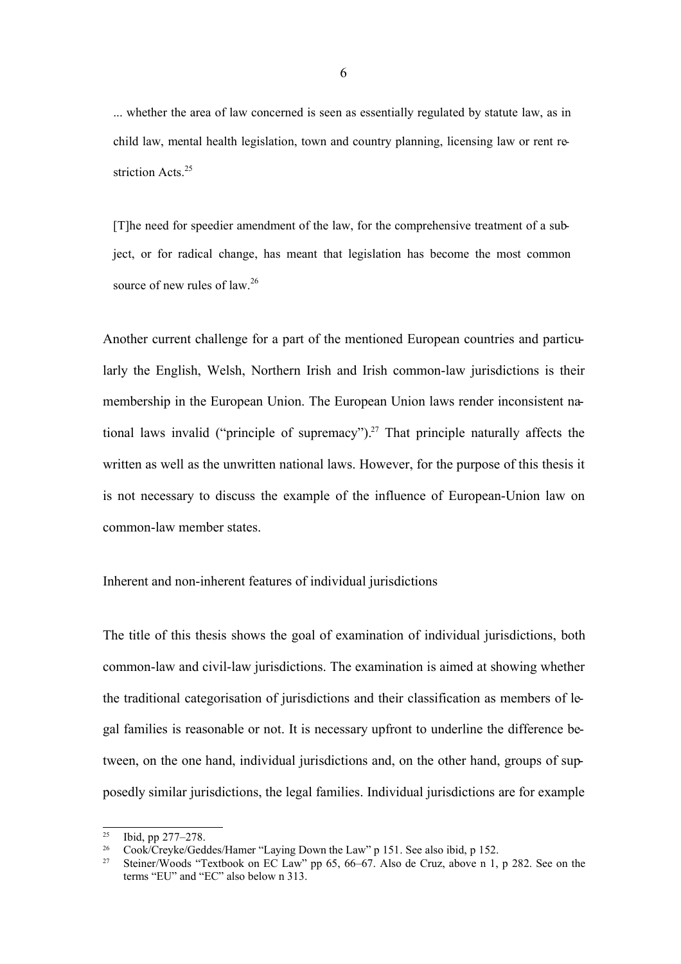... whether the area of law concerned is seen as essentially regulated by statute law, as in child law, mental health legislation, town and country planning, licensing law or rent restriction Acts.<sup>25</sup>

[T]he need for speedier amendment of the law, for the comprehensive treatment of a subject, or for radical change, has meant that legislation has become the most common source of new rules of law.<sup>26</sup>

Another current challenge for a part of the mentioned European countries and particularly the English, Welsh, Northern Irish and Irish common-law jurisdictions is their membership in the European Union. The European Union laws render inconsistent national laws invalid ("principle of supremacy").<sup>27</sup> That principle naturally affects the written as well as the unwritten national laws. However, for the purpose of this thesis it is not necessary to discuss the example of the influence of European-Union law on common-law member states.

## Inherent and non-inherent features of individual jurisdictions

The title of this thesis shows the goal of examination of individual jurisdictions, both common-law and civil-law jurisdictions. The examination is aimed at showing whether the traditional categorisation of jurisdictions and their classification as members of legal families is reasonable or not. It is necessary upfront to underline the difference between, on the one hand, individual jurisdictions and, on the other hand, groups of supposedly similar jurisdictions, the legal families. Individual jurisdictions are for example

<sup>25</sup> Ibid, pp 277–278.

<sup>&</sup>lt;sup>26</sup> Cook/Creyke/Geddes/Hamer "Laying Down the Law" p 151. See also ibid, p 152.

<sup>27</sup> Steiner/Woods "Textbook on EC Law" pp 65, 66–67. Also de Cruz, above n 1, p 282. See on the terms "EU" and "EC" also below n 313.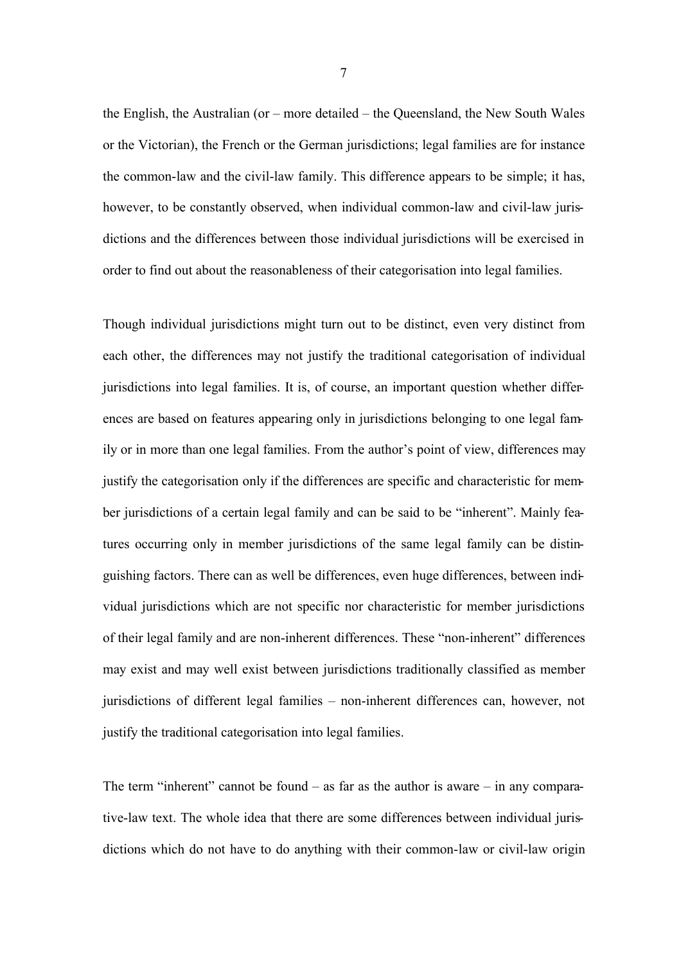the English, the Australian (or – more detailed – the Queensland, the New South Wales or the Victorian), the French or the German jurisdictions; legal families are for instance the common-law and the civil-law family. This difference appears to be simple; it has, however, to be constantly observed, when individual common-law and civil-law jurisdictions and the differences between those individual jurisdictions will be exercised in order to find out about the reasonableness of their categorisation into legal families.

Though individual jurisdictions might turn out to be distinct, even very distinct from each other, the differences may not justify the traditional categorisation of individual jurisdictions into legal families. It is, of course, an important question whether differences are based on features appearing only in jurisdictions belonging to one legal family or in more than one legal families. From the author's point of view, differences may justify the categorisation only if the differences are specific and characteristic for member jurisdictions of a certain legal family and can be said to be "inherent". Mainly features occurring only in member jurisdictions of the same legal family can be distinguishing factors. There can as well be differences, even huge differences, between individual jurisdictions which are not specific nor characteristic for member jurisdictions of their legal family and are non-inherent differences. These "non-inherent" differences may exist and may well exist between jurisdictions traditionally classified as member jurisdictions of different legal families – non-inherent differences can, however, not justify the traditional categorisation into legal families.

The term "inherent" cannot be found  $-$  as far as the author is aware  $-$  in any comparative-law text. The whole idea that there are some differences between individual jurisdictions which do not have to do anything with their common-law or civil-law origin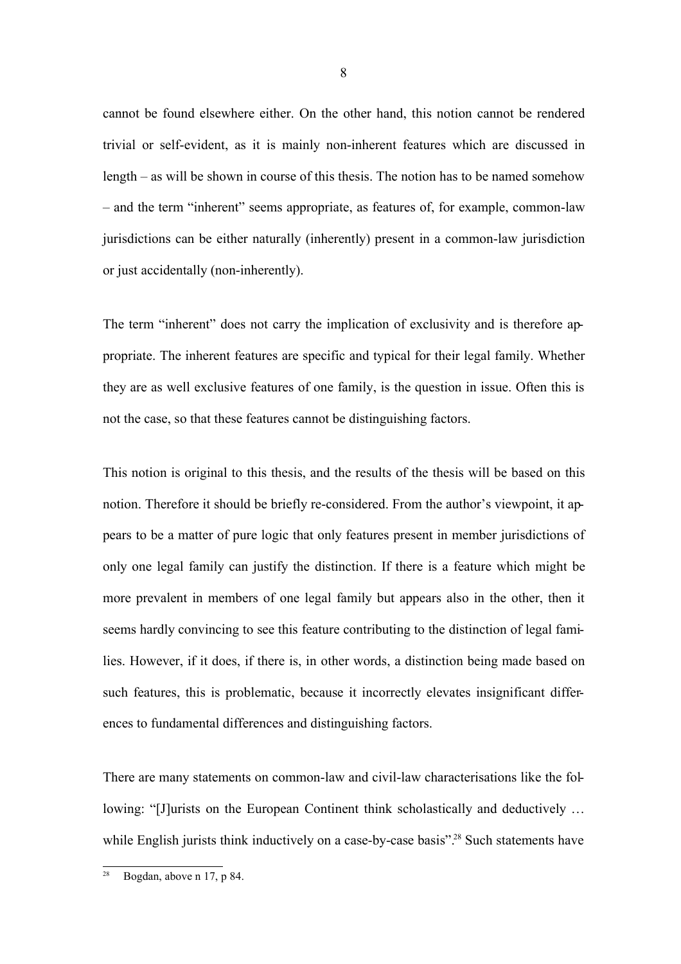cannot be found elsewhere either. On the other hand, this notion cannot be rendered trivial or self-evident, as it is mainly non-inherent features which are discussed in length – as will be shown in course of this thesis. The notion has to be named somehow – and the term "inherent" seems appropriate, as features of, for example, common-law jurisdictions can be either naturally (inherently) present in a common-law jurisdiction or just accidentally (non-inherently).

The term "inherent" does not carry the implication of exclusivity and is therefore appropriate. The inherent features are specific and typical for their legal family. Whether they are as well exclusive features of one family, is the question in issue. Often this is not the case, so that these features cannot be distinguishing factors.

This notion is original to this thesis, and the results of the thesis will be based on this notion. Therefore it should be briefly re-considered. From the author's viewpoint, it appears to be a matter of pure logic that only features present in member jurisdictions of only one legal family can justify the distinction. If there is a feature which might be more prevalent in members of one legal family but appears also in the other, then it seems hardly convincing to see this feature contributing to the distinction of legal families. However, if it does, if there is, in other words, a distinction being made based on such features, this is problematic, because it incorrectly elevates insignificant differences to fundamental differences and distinguishing factors.

There are many statements on common-law and civil-law characterisations like the following: "[J]urists on the European Continent think scholastically and deductively … while English jurists think inductively on a case-by-case basis".<sup>28</sup> Such statements have

 $28$  Bogdan, above n 17, p 84.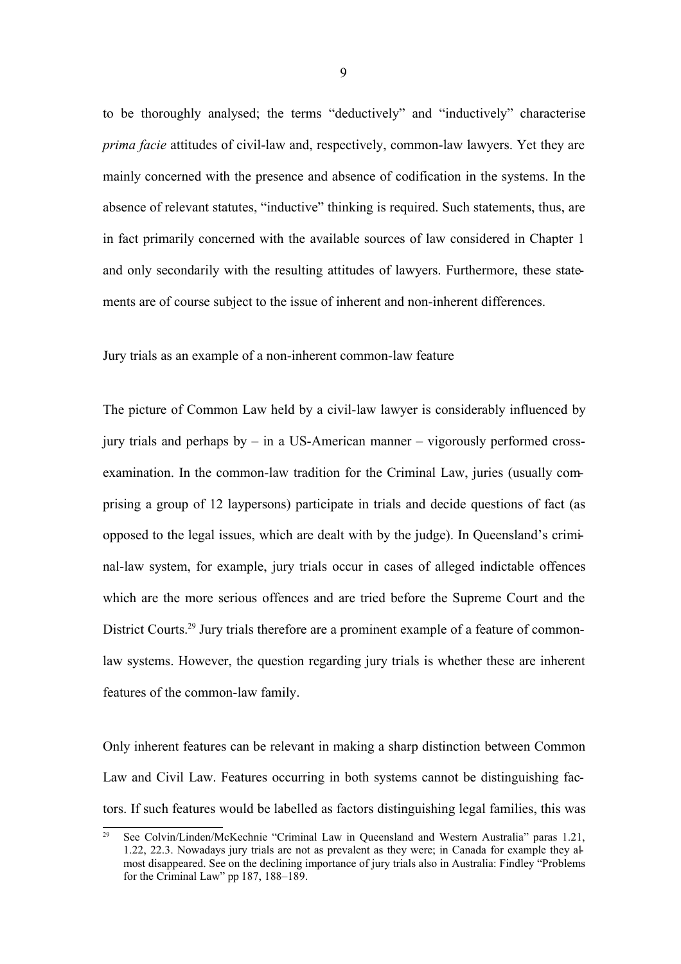to be thoroughly analysed; the terms "deductively" and "inductively" characterise *prima facie* attitudes of civil-law and, respectively, common-law lawyers. Yet they are mainly concerned with the presence and absence of codification in the systems. In the absence of relevant statutes, "inductive" thinking is required. Such statements, thus, are in fact primarily concerned with the available sources of law considered in Chapter 1 and only secondarily with the resulting attitudes of lawyers. Furthermore, these statements are of course subject to the issue of inherent and non-inherent differences.

Jury trials as an example of a non-inherent common-law feature

The picture of Common Law held by a civil-law lawyer is considerably influenced by jury trials and perhaps by – in a US-American manner – vigorously performed crossexamination. In the common-law tradition for the Criminal Law, juries (usually comprising a group of 12 laypersons) participate in trials and decide questions of fact (as opposed to the legal issues, which are dealt with by the judge). In Queensland's criminal-law system, for example, jury trials occur in cases of alleged indictable offences which are the more serious offences and are tried before the Supreme Court and the District Courts.<sup>29</sup> Jury trials therefore are a prominent example of a feature of commonlaw systems. However, the question regarding jury trials is whether these are inherent features of the common-law family.

Only inherent features can be relevant in making a sharp distinction between Common Law and Civil Law. Features occurring in both systems cannot be distinguishing factors. If such features would be labelled as factors distinguishing legal families, this was

<sup>29</sup> See Colvin/Linden/McKechnie "Criminal Law in Queensland and Western Australia" paras 1.21, 1.22, 22.3. Nowadays jury trials are not as prevalent as they were; in Canada for example they almost disappeared. See on the declining importance of jury trials also in Australia: Findley "Problems for the Criminal Law" pp 187, 188–189.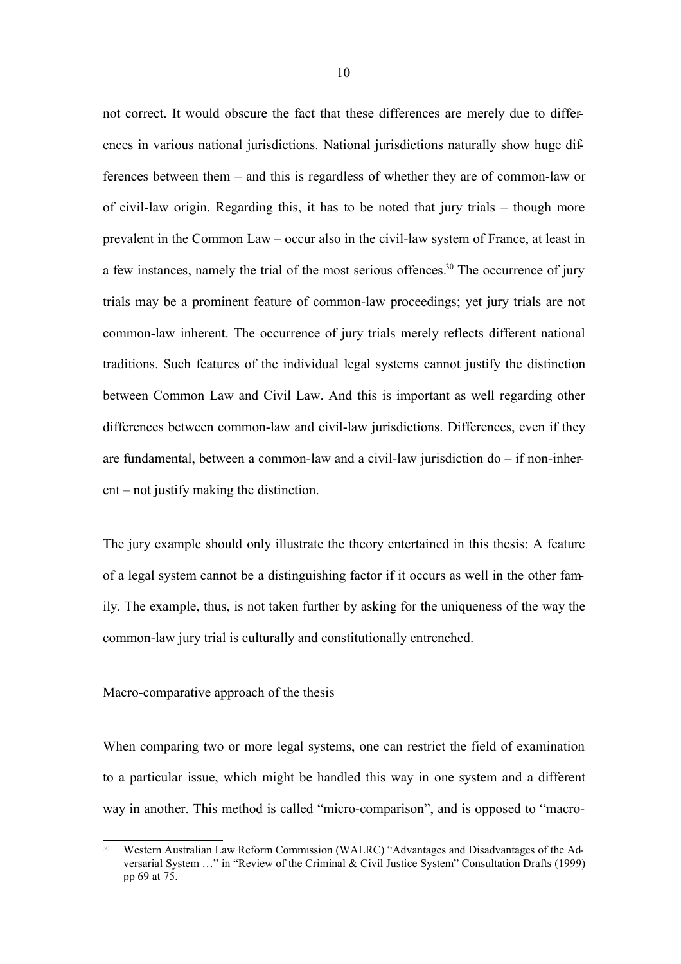not correct. It would obscure the fact that these differences are merely due to differences in various national jurisdictions. National jurisdictions naturally show huge differences between them – and this is regardless of whether they are of common-law or of civil-law origin. Regarding this, it has to be noted that jury trials – though more prevalent in the Common Law – occur also in the civil-law system of France, at least in a few instances, namely the trial of the most serious offences.<sup>30</sup> The occurrence of jury trials may be a prominent feature of common-law proceedings; yet jury trials are not common-law inherent. The occurrence of jury trials merely reflects different national traditions. Such features of the individual legal systems cannot justify the distinction between Common Law and Civil Law. And this is important as well regarding other differences between common-law and civil-law jurisdictions. Differences, even if they are fundamental, between a common-law and a civil-law jurisdiction do – if non-inherent – not justify making the distinction.

The jury example should only illustrate the theory entertained in this thesis: A feature of a legal system cannot be a distinguishing factor if it occurs as well in the other family. The example, thus, is not taken further by asking for the uniqueness of the way the common-law jury trial is culturally and constitutionally entrenched.

### Macro-comparative approach of the thesis

When comparing two or more legal systems, one can restrict the field of examination to a particular issue, which might be handled this way in one system and a different way in another. This method is called "micro-comparison", and is opposed to "macro-

<sup>&</sup>lt;sup>30</sup> Western Australian Law Reform Commission (WALRC) "Advantages and Disadvantages of the Adversarial System …" in "Review of the Criminal & Civil Justice System" Consultation Drafts (1999) pp 69 at 75.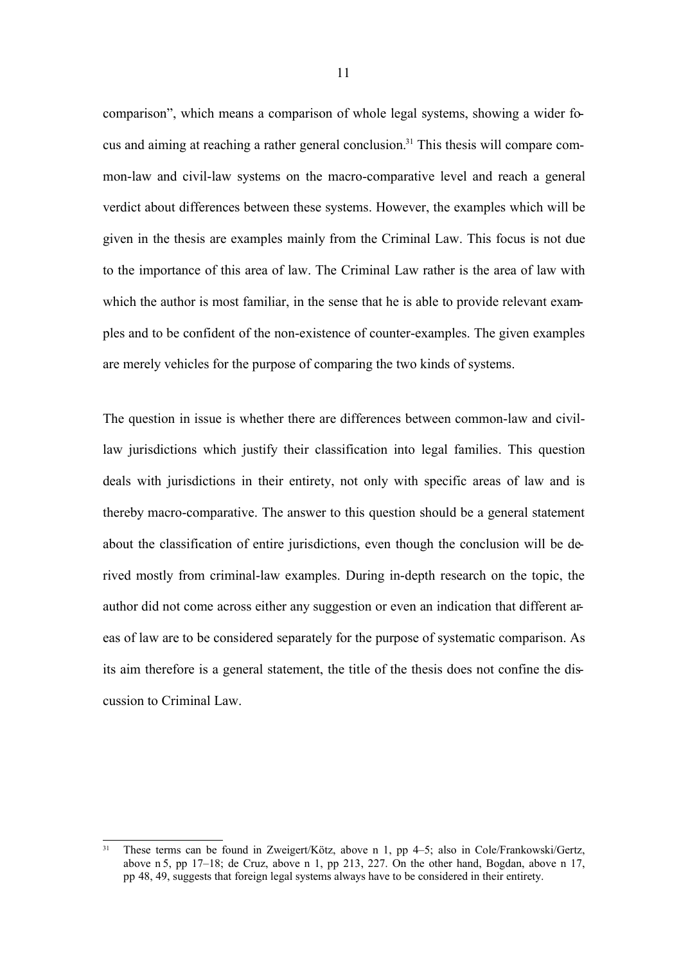comparison", which means a comparison of whole legal systems, showing a wider focus and aiming at reaching a rather general conclusion.<sup>31</sup> This thesis will compare common-law and civil-law systems on the macro-comparative level and reach a general verdict about differences between these systems. However, the examples which will be given in the thesis are examples mainly from the Criminal Law. This focus is not due to the importance of this area of law. The Criminal Law rather is the area of law with which the author is most familiar, in the sense that he is able to provide relevant examples and to be confident of the non-existence of counter-examples. The given examples are merely vehicles for the purpose of comparing the two kinds of systems.

The question in issue is whether there are differences between common-law and civillaw jurisdictions which justify their classification into legal families. This question deals with jurisdictions in their entirety, not only with specific areas of law and is thereby macro-comparative. The answer to this question should be a general statement about the classification of entire jurisdictions, even though the conclusion will be derived mostly from criminal-law examples. During in-depth research on the topic, the author did not come across either any suggestion or even an indication that different areas of law are to be considered separately for the purpose of systematic comparison. As its aim therefore is a general statement, the title of the thesis does not confine the discussion to Criminal Law.

<sup>&</sup>lt;sup>31</sup> These terms can be found in Zweigert/Kötz, above n 1, pp 4–5; also in Cole/Frankowski/Gertz, above n 5, pp 17–18; de Cruz, above n 1, pp 213, 227. On the other hand, Bogdan, above n 17, pp 48, 49, suggests that foreign legal systems always have to be considered in their entirety.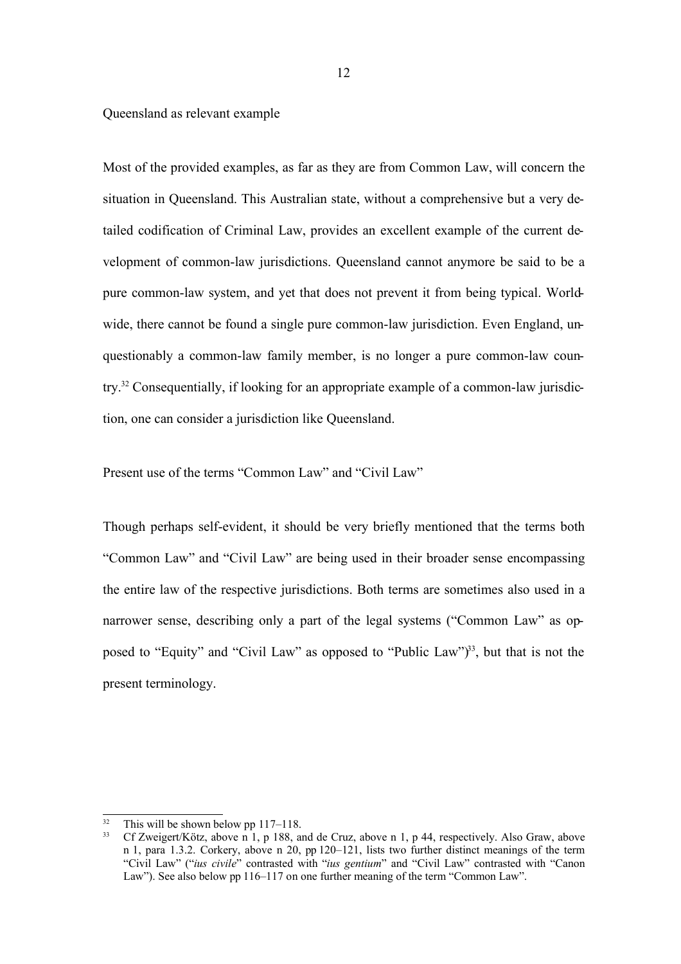Queensland as relevant example

Most of the provided examples, as far as they are from Common Law, will concern the situation in Queensland. This Australian state, without a comprehensive but a very detailed codification of Criminal Law, provides an excellent example of the current development of common-law jurisdictions. Queensland cannot anymore be said to be a pure common-law system, and yet that does not prevent it from being typical. Worldwide, there cannot be found a single pure common-law jurisdiction. Even England, unquestionably a common-law family member, is no longer a pure common-law country. <sup>32</sup> Consequentially, if looking for an appropriate example of a common-law jurisdiction, one can consider a jurisdiction like Queensland.

Present use of the terms "Common Law" and "Civil Law"

Though perhaps self-evident, it should be very briefly mentioned that the terms both "Common Law" and "Civil Law" are being used in their broader sense encompassing the entire law of the respective jurisdictions. Both terms are sometimes also used in a narrower sense, describing only a part of the legal systems ("Common Law" as opposed to "Equity" and "Civil Law" as opposed to "Public Law")<sup>33</sup>, but that is not the present terminology.

<sup>&</sup>lt;sup>32</sup> This will be shown below pp 117–118.<br><sup>33</sup> Cf Zweigert/Kötz, above n 1, n 188, at

<sup>33</sup> Cf Zweigert/Kötz, above n 1, p 188, and de Cruz, above n 1, p 44, respectively. Also Graw, above n 1, para 1.3.2. Corkery, above n 20, pp 120–121, lists two further distinct meanings of the term "Civil Law" ("*ius civile*" contrasted with "*ius gentium*" and "Civil Law" contrasted with "Canon Law"). See also below pp 116–117 on one further meaning of the term "Common Law".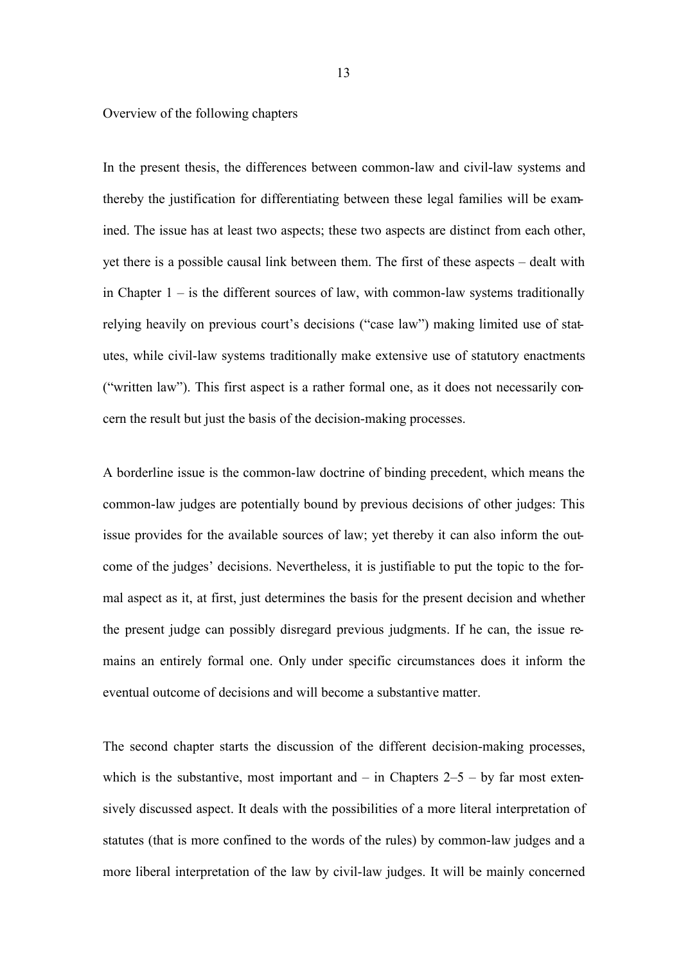Overview of the following chapters

In the present thesis, the differences between common-law and civil-law systems and thereby the justification for differentiating between these legal families will be examined. The issue has at least two aspects; these two aspects are distinct from each other, yet there is a possible causal link between them. The first of these aspects – dealt with in Chapter  $1 -$  is the different sources of law, with common-law systems traditionally relying heavily on previous court's decisions ("case law") making limited use of statutes, while civil-law systems traditionally make extensive use of statutory enactments ("written law"). This first aspect is a rather formal one, as it does not necessarily concern the result but just the basis of the decision-making processes.

A borderline issue is the common-law doctrine of binding precedent, which means the common-law judges are potentially bound by previous decisions of other judges: This issue provides for the available sources of law; yet thereby it can also inform the outcome of the judges' decisions. Nevertheless, it is justifiable to put the topic to the formal aspect as it, at first, just determines the basis for the present decision and whether the present judge can possibly disregard previous judgments. If he can, the issue remains an entirely formal one. Only under specific circumstances does it inform the eventual outcome of decisions and will become a substantive matter.

The second chapter starts the discussion of the different decision-making processes, which is the substantive, most important and  $-$  in Chapters 2–5  $-$  by far most extensively discussed aspect. It deals with the possibilities of a more literal interpretation of statutes (that is more confined to the words of the rules) by common-law judges and a more liberal interpretation of the law by civil-law judges. It will be mainly concerned

13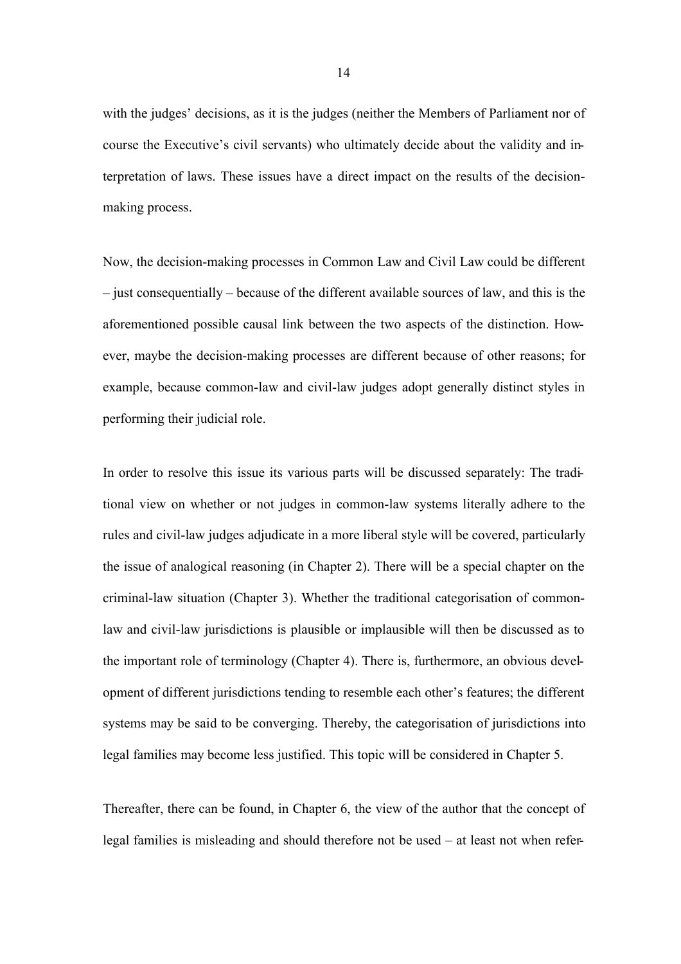with the judges' decisions, as it is the judges (neither the Members of Parliament nor of course the Executive's civil servants) who ultimately decide about the validity and interpretation of laws. These issues have a direct impact on the results of the decisionmaking process.

Now, the decision-making processes in Common Law and Civil Law could be different – just consequentially – because of the different available sources of law, and this is the aforementioned possible causal link between the two aspects of the distinction. However, maybe the decision-making processes are different because of other reasons; for example, because common-law and civil-law judges adopt generally distinct styles in performing their judicial role.

In order to resolve this issue its various parts will be discussed separately: The traditional view on whether or not judges in common-law systems literally adhere to the rules and civil-law judges adjudicate in a more liberal style will be covered, particularly the issue of analogical reasoning (in Chapter 2). There will be a special chapter on the criminal-law situation (Chapter 3). Whether the traditional categorisation of commonlaw and civil-law jurisdictions is plausible or implausible will then be discussed as to the important role of terminology (Chapter 4). There is, furthermore, an obvious development of different jurisdictions tending to resemble each other's features; the different systems may be said to be converging. Thereby, the categorisation of jurisdictions into legal families may become less justified. This topic will be considered in Chapter 5.

Thereafter, there can be found, in Chapter 6, the view of the author that the concept of legal families is misleading and should therefore not be used – at least not when refer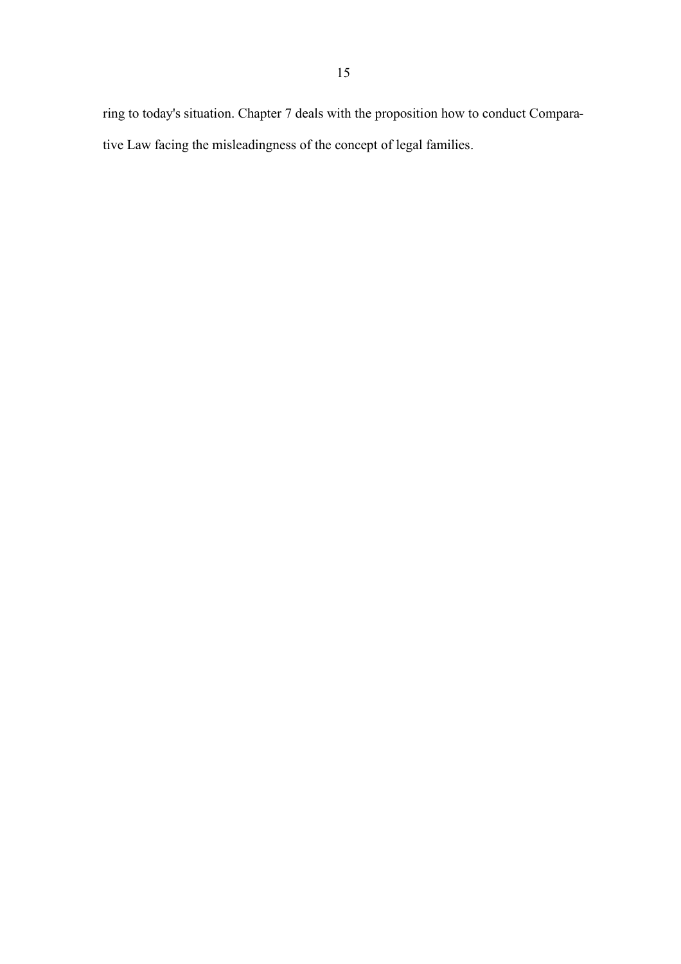ring to today's situation. Chapter 7 deals with the proposition how to conduct Comparative Law facing the misleadingness of the concept of legal families.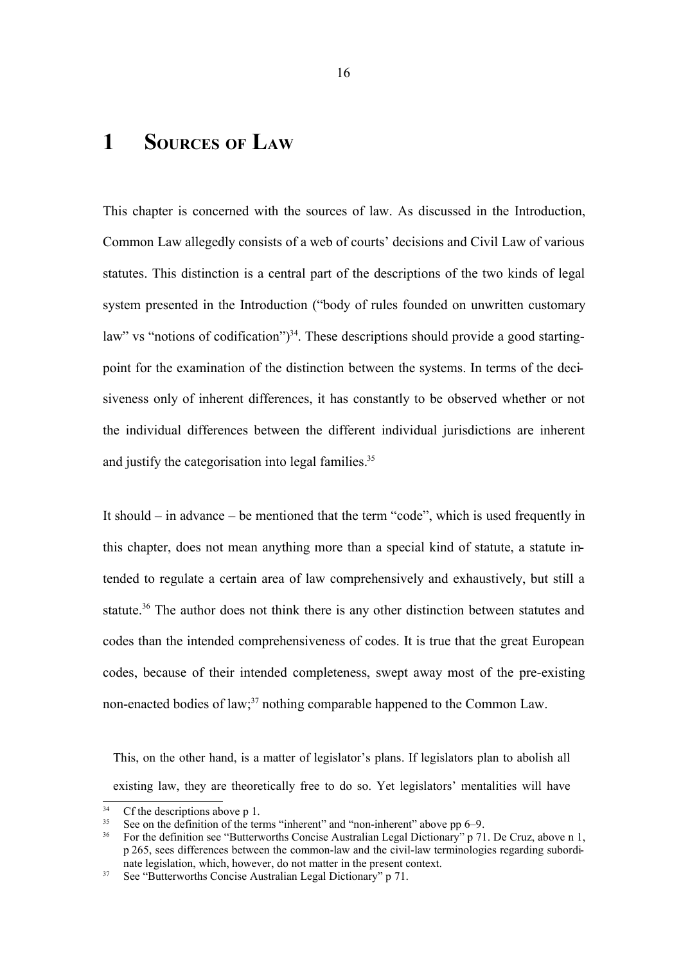# **1 SOURCES OF LAW**

This chapter is concerned with the sources of law. As discussed in the Introduction, Common Law allegedly consists of a web of courts' decisions and Civil Law of various statutes. This distinction is a central part of the descriptions of the two kinds of legal system presented in the Introduction ("body of rules founded on unwritten customary law" vs "notions of codification")<sup>34</sup>. These descriptions should provide a good startingpoint for the examination of the distinction between the systems. In terms of the decisiveness only of inherent differences, it has constantly to be observed whether or not the individual differences between the different individual jurisdictions are inherent and justify the categorisation into legal families. 35

It should – in advance – be mentioned that the term "code", which is used frequently in this chapter, does not mean anything more than a special kind of statute, a statute intended to regulate a certain area of law comprehensively and exhaustively, but still a statute.<sup>36</sup> The author does not think there is any other distinction between statutes and codes than the intended comprehensiveness of codes. It is true that the great European codes, because of their intended completeness, swept away most of the pre-existing non-enacted bodies of law; <sup>37</sup> nothing comparable happened to the Common Law.

This, on the other hand, is a matter of legislator's plans. If legislators plan to abolish all existing law, they are theoretically free to do so. Yet legislators' mentalities will have

<sup>&</sup>lt;sup>34</sup> Cf the descriptions above p 1.<br><sup>35</sup> See on the definition of the ter-

<sup>&</sup>lt;sup>35</sup> See on the definition of the terms "inherent" and "non-inherent" above pp 6–9.<br><sup>36</sup> For the definition see "Butterworths Concise Australian Legal Dictionary" n 71

<sup>36</sup> For the definition see "Butterworths Concise Australian Legal Dictionary" p 71. De Cruz, above n 1, p 265, sees differences between the common-law and the civil-law terminologies regarding subordinate legislation, which, however, do not matter in the present context.

<sup>&</sup>lt;sup>37</sup> See "Butterworths Concise Australian Legal Dictionary" p 71.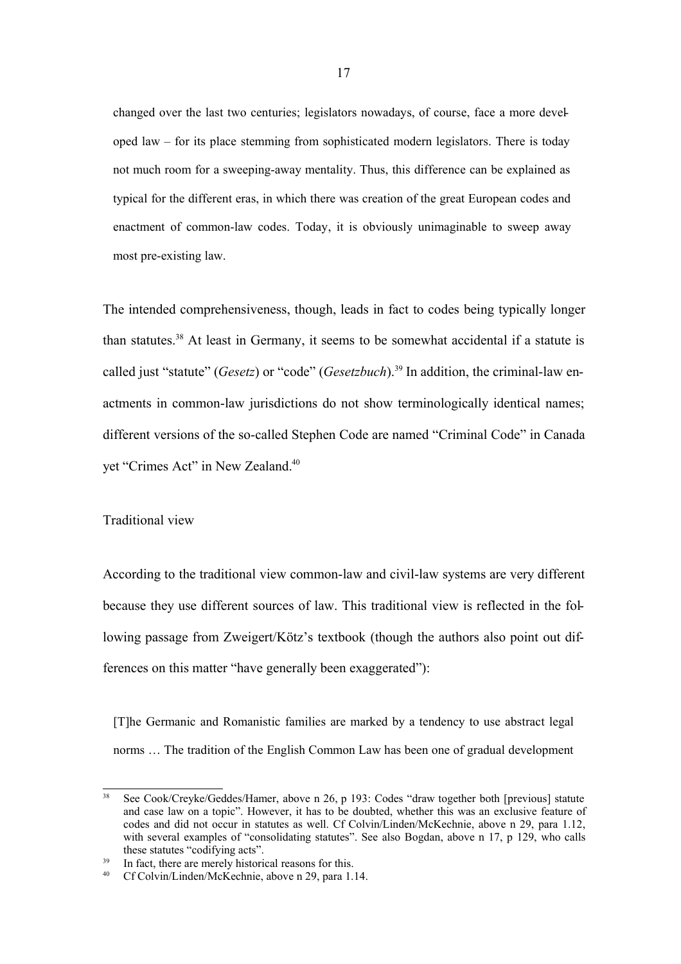changed over the last two centuries; legislators nowadays, of course, face a more developed law – for its place stemming from sophisticated modern legislators. There is today not much room for a sweeping-away mentality. Thus, this difference can be explained as typical for the different eras, in which there was creation of the great European codes and enactment of common-law codes. Today, it is obviously unimaginable to sweep away most pre-existing law.

The intended comprehensiveness, though, leads in fact to codes being typically longer than statutes. <sup>38</sup> At least in Germany, it seems to be somewhat accidental if a statute is called just "statute" (*Gesetz*) or "code" (*Gesetzbuch*). 39 In addition, the criminal-law enactments in common-law jurisdictions do not show terminologically identical names; different versions of the so-called Stephen Code are named "Criminal Code" in Canada yet "Crimes Act" in New Zealand.<sup>40</sup>

## Traditional view

According to the traditional view common-law and civil-law systems are very different because they use different sources of law. This traditional view is reflected in the following passage from Zweigert/Kötz's textbook (though the authors also point out differences on this matter "have generally been exaggerated"):

[T]he Germanic and Romanistic families are marked by a tendency to use abstract legal norms … The tradition of the English Common Law has been one of gradual development

<sup>38</sup> See Cook/Creyke/Geddes/Hamer, above n 26, p 193: Codes "draw together both [previous] statute and case law on a topic". However, it has to be doubted, whether this was an exclusive feature of codes and did not occur in statutes as well. Cf Colvin/Linden/McKechnie, above n 29, para 1.12, with several examples of "consolidating statutes". See also Bogdan, above n 17, p 129, who calls these statutes "codifying acts".

<sup>39</sup> In fact, there are merely historical reasons for this.

<sup>40</sup> Cf Colvin/Linden/McKechnie, above n 29, para 1.14.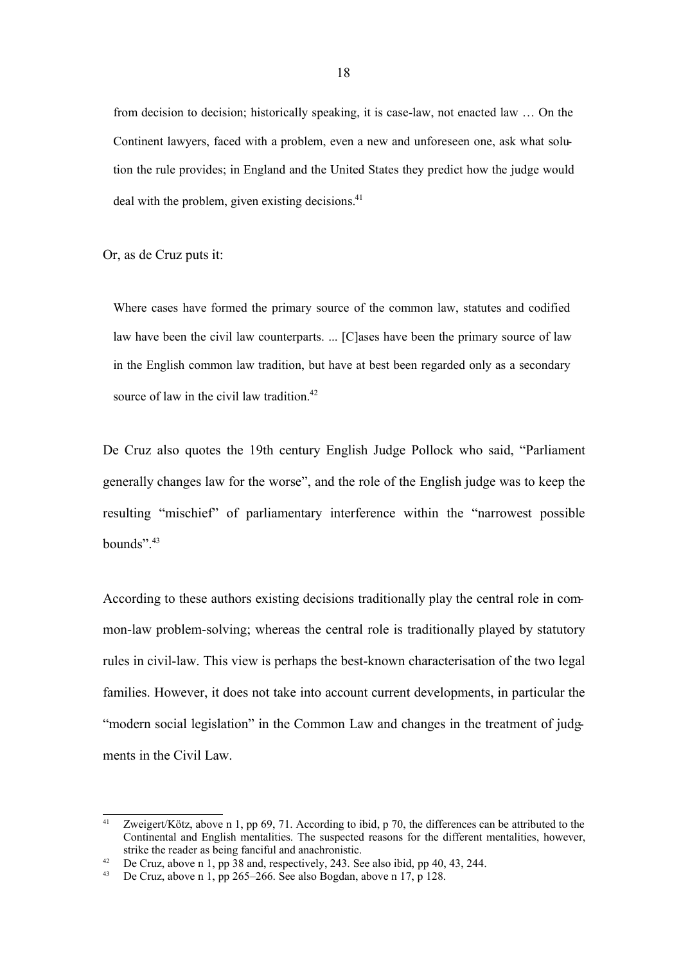from decision to decision; historically speaking, it is case-law, not enacted law … On the Continent lawyers, faced with a problem, even a new and unforeseen one, ask what solution the rule provides; in England and the United States they predict how the judge would deal with the problem, given existing decisions. $41$ 

Or, as de Cruz puts it:

Where cases have formed the primary source of the common law, statutes and codified law have been the civil law counterparts. ... [Clases have been the primary source of law in the English common law tradition, but have at best been regarded only as a secondary source of law in the civil law tradition.<sup>42</sup>

De Cruz also quotes the 19th century English Judge Pollock who said, "Parliament generally changes law for the worse", and the role of the English judge was to keep the resulting "mischief" of parliamentary interference within the "narrowest possible bounds". $43$ 

According to these authors existing decisions traditionally play the central role in common-law problem-solving; whereas the central role is traditionally played by statutory rules in civil-law. This view is perhaps the best-known characterisation of the two legal families. However, it does not take into account current developments, in particular the "modern social legislation" in the Common Law and changes in the treatment of judgments in the Civil Law.

<sup>&</sup>lt;sup>41</sup> Zweigert/Kötz, above n 1, pp 69, 71. According to ibid, p 70, the differences can be attributed to the Continental and English mentalities. The suspected reasons for the different mentalities, however, strike the reader as being fanciful and anachronistic.

<sup>&</sup>lt;sup>42</sup> De Cruz, above n 1, pp  $\overline{38}$  and, respectively, 243. See also ibid, pp 40, 43, 244.<br><sup>43</sup> De Cruz, above n 1, pp 265–266. See also Bogdan, above n 17, p 128.

De Cruz, above n 1, pp 265–266. See also Bogdan, above n 17, p 128.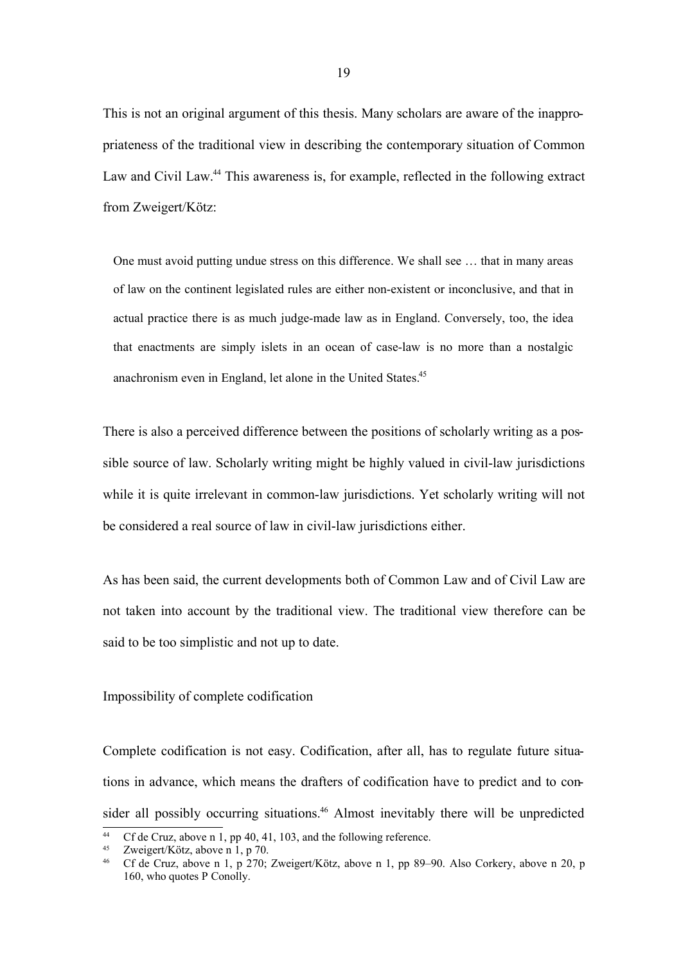This is not an original argument of this thesis. Many scholars are aware of the inappropriateness of the traditional view in describing the contemporary situation of Common Law and Civil Law. <sup>44</sup> This awareness is, for example, reflected in the following extract from Zweigert/Kötz:

One must avoid putting undue stress on this difference. We shall see … that in many areas of law on the continent legislated rules are either non-existent or inconclusive, and that in actual practice there is as much judge-made law as in England. Conversely, too, the idea that enactments are simply islets in an ocean of case-law is no more than a nostalgic anachronism even in England, let alone in the United States.<sup>45</sup>

There is also a perceived difference between the positions of scholarly writing as a possible source of law. Scholarly writing might be highly valued in civil-law jurisdictions while it is quite irrelevant in common-law jurisdictions. Yet scholarly writing will not be considered a real source of law in civil-law jurisdictions either.

As has been said, the current developments both of Common Law and of Civil Law are not taken into account by the traditional view. The traditional view therefore can be said to be too simplistic and not up to date.

## Impossibility of complete codification

Complete codification is not easy. Codification, after all, has to regulate future situations in advance, which means the drafters of codification have to predict and to consider all possibly occurring situations. <sup>46</sup> Almost inevitably there will be unpredicted

<sup>&</sup>lt;sup>44</sup> Cf de Cruz, above n 1, pp 40, 41, 103, and the following reference.<br><sup>45</sup> Zweigert/Kötz, above n 1, p 70.

Zweigert/Kötz, above n 1, p 70.

<sup>46</sup> Cf de Cruz, above n 1, p 270; Zweigert/Kötz, above n 1, pp 89–90. Also Corkery, above n 20, p 160, who quotes P Conolly.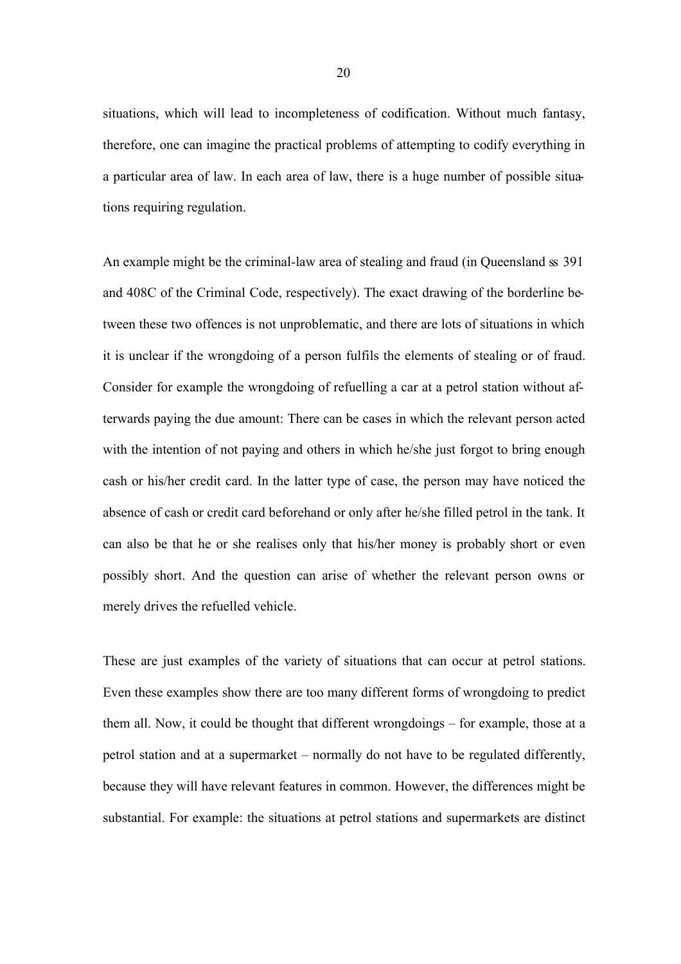situations, which will lead to incompleteness of codification. Without much fantasy, therefore, one can imagine the practical problems of attempting to codify everything in a particular area of law. In each area of law, there is a huge number of possible situations requiring regulation.

An example might be the criminal-law area of stealing and fraud (in Queensland ss 391 and 408C of the Criminal Code, respectively). The exact drawing of the borderline between these two offences is not unproblematic, and there are lots of situations in which it is unclear if the wrongdoing of a person fulfils the elements of stealing or of fraud. Consider for example the wrongdoing of refuelling a car at a petrol station without afterwards paying the due amount: There can be cases in which the relevant person acted with the intention of not paying and others in which he/she just forgot to bring enough cash or his/her credit card. In the latter type of case, the person may have noticed the absence of cash or credit card beforehand or only after he/she filled petrol in the tank. It can also be that he or she realises only that his/her money is probably short or even possibly short. And the question can arise of whether the relevant person owns or merely drives the refuelled vehicle.

These are just examples of the variety of situations that can occur at petrol stations. Even these examples show there are too many different forms of wrongdoing to predict them all. Now, it could be thought that different wrongdoings – for example, those at a petrol station and at a supermarket – normally do not have to be regulated differently, because they will have relevant features in common. However, the differences might be substantial. For example: the situations at petrol stations and supermarkets are distinct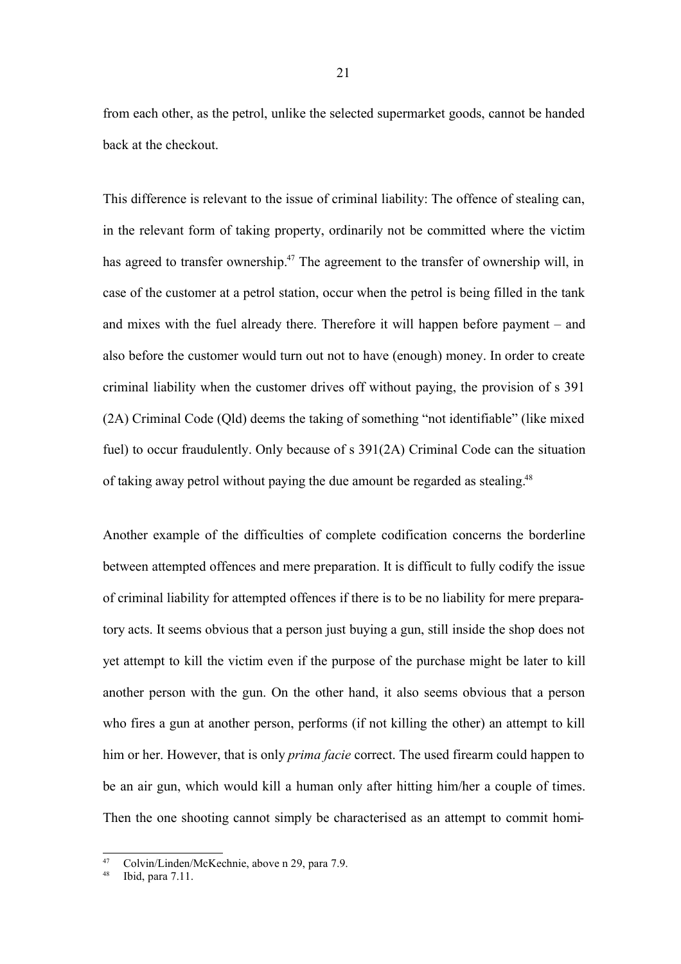from each other, as the petrol, unlike the selected supermarket goods, cannot be handed back at the checkout.

This difference is relevant to the issue of criminal liability: The offence of stealing can, in the relevant form of taking property, ordinarily not be committed where the victim has agreed to transfer ownership.<sup>47</sup> The agreement to the transfer of ownership will, in case of the customer at a petrol station, occur when the petrol is being filled in the tank and mixes with the fuel already there. Therefore it will happen before payment – and also before the customer would turn out not to have (enough) money. In order to create criminal liability when the customer drives off without paying, the provision of s 391 (2A) Criminal Code (Qld) deems the taking of something "not identifiable" (like mixed fuel) to occur fraudulently. Only because of s 391(2A) Criminal Code can the situation of taking away petrol without paying the due amount be regarded as stealing.<sup>48</sup>

Another example of the difficulties of complete codification concerns the borderline between attempted offences and mere preparation. It is difficult to fully codify the issue of criminal liability for attempted offences if there is to be no liability for mere preparatory acts. It seems obvious that a person just buying a gun, still inside the shop does not yet attempt to kill the victim even if the purpose of the purchase might be later to kill another person with the gun. On the other hand, it also seems obvious that a person who fires a gun at another person, performs (if not killing the other) an attempt to kill him or her. However, that is only *prima facie* correct. The used firearm could happen to be an air gun, which would kill a human only after hitting him/her a couple of times. Then the one shooting cannot simply be characterised as an attempt to commit homi-

<sup>47</sup> Colvin/Linden/McKechnie, above n 29, para 7.9.

<sup>48</sup> Ibid, para 7.11.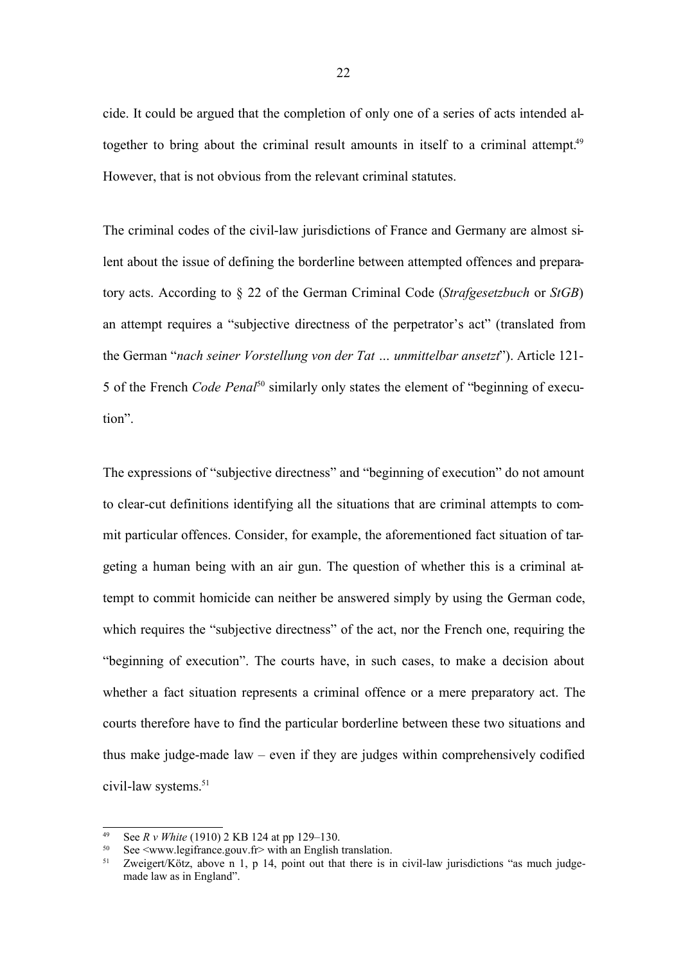cide. It could be argued that the completion of only one of a series of acts intended altogether to bring about the criminal result amounts in itself to a criminal attempt.<sup>49</sup> However, that is not obvious from the relevant criminal statutes.

The criminal codes of the civil-law jurisdictions of France and Germany are almost silent about the issue of defining the borderline between attempted offences and preparatory acts. According to § 22 of the German Criminal Code (*Strafgesetzbuch* or *StGB*) an attempt requires a "subjective directness of the perpetrator's act" (translated from the German "*nach seiner Vorstellung von der Tat … unmittelbar ansetzt*"). Article 121- 5 of the French *Code Penal*<sup>50</sup> similarly only states the element of "beginning of execution".

The expressions of "subjective directness" and "beginning of execution" do not amount to clear-cut definitions identifying all the situations that are criminal attempts to commit particular offences. Consider, for example, the aforementioned fact situation of targeting a human being with an air gun. The question of whether this is a criminal attempt to commit homicide can neither be answered simply by using the German code, which requires the "subjective directness" of the act, nor the French one, requiring the "beginning of execution". The courts have, in such cases, to make a decision about whether a fact situation represents a criminal offence or a mere preparatory act. The courts therefore have to find the particular borderline between these two situations and thus make judge-made law – even if they are judges within comprehensively codified civil-law systems. 51

<sup>49</sup> See *R v White* (1910) 2 KB 124 at pp 129–130.

<sup>&</sup>lt;sup>50</sup> See  $\leq$ www.legifrance.gouv.fr> with an English translation.

Zweigert/Kötz, above n 1, p 14, point out that there is in civil-law jurisdictions "as much judgemade law as in England".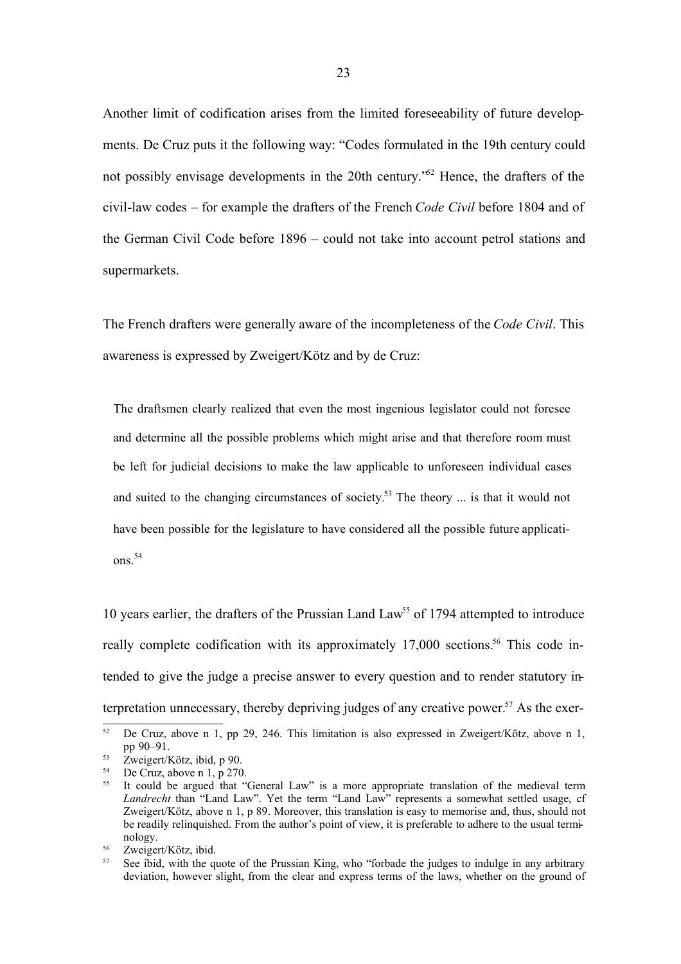Another limit of codification arises from the limited foreseeability of future developments. De Cruz puts it the following way: "Codes formulated in the 19th century could not possibly envisage developments in the 20th century." <sup>52</sup> Hence, the drafters of the civil-law codes – for example the drafters of the French *Code Civil* before 1804 and of the German Civil Code before 1896 – could not take into account petrol stations and supermarkets.

The French drafters were generally aware of the incompleteness of the *Code Civil*. This awareness is expressed by Zweigert/Kötz and by de Cruz:

The draftsmen clearly realized that even the most ingenious legislator could not foresee and determine all the possible problems which might arise and that therefore room must be left for judicial decisions to make the law applicable to unforeseen individual cases and suited to the changing circumstances of society.<sup>53</sup> The theory ... is that it would not have been possible for the legislature to have considered all the possible future applicati $ons<sup>54</sup>$ 

10 years earlier, the drafters of the Prussian Land Law<sup>55</sup> of 1794 attempted to introduce really complete codification with its approximately 17,000 sections.<sup>56</sup> This code intended to give the judge a precise answer to every question and to render statutory interpretation unnecessary, thereby depriving judges of any creative power.<sup>57</sup> As the exer-

<sup>&</sup>lt;sup>52</sup> De Cruz, above n 1, pp 29, 246. This limitation is also expressed in Zweigert/Kötz, above n 1, pp 90–91.

 $\frac{53}{54}$  Zweigert/Kötz, ibid, p 90.<br>
De Cruz above n 1 p 270

De Cruz, above n 1, p 270.

<sup>55</sup> It could be argued that "General Law" is a more appropriate translation of the medieval term *Landrecht* than "Land Law". Yet the term "Land Law" represents a somewhat settled usage, cf Zweigert/Kötz, above n 1, p 89. Moreover, this translation is easy to memorise and, thus, should not be readily relinquished. From the author's point of view, it is preferable to adhere to the usual terminology.

 $rac{56}{57}$  Zweigert/Kötz, ibid.

See ibid, with the quote of the Prussian King, who "forbade the judges to indulge in any arbitrary deviation, however slight, from the clear and express terms of the laws, whether on the ground of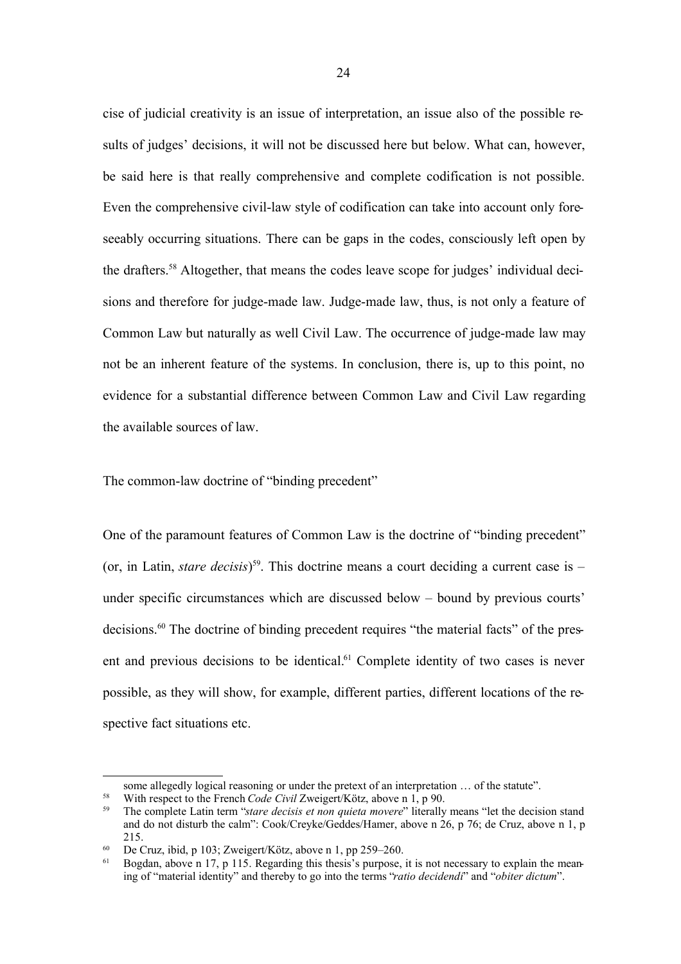cise of judicial creativity is an issue of interpretation, an issue also of the possible results of judges' decisions, it will not be discussed here but below. What can, however, be said here is that really comprehensive and complete codification is not possible. Even the comprehensive civil-law style of codification can take into account only foreseeably occurring situations. There can be gaps in the codes, consciously left open by the drafters. <sup>58</sup> Altogether, that means the codes leave scope for judges' individual decisions and therefore for judge-made law. Judge-made law, thus, is not only a feature of Common Law but naturally as well Civil Law. The occurrence of judge-made law may not be an inherent feature of the systems. In conclusion, there is, up to this point, no evidence for a substantial difference between Common Law and Civil Law regarding the available sources of law.

The common-law doctrine of "binding precedent"

One of the paramount features of Common Law is the doctrine of "binding precedent" (or, in Latin, *stare decisis*) 59 . This doctrine means a court deciding a current case is – under specific circumstances which are discussed below – bound by previous courts' decisions. <sup>60</sup> The doctrine of binding precedent requires "the material facts" of the present and previous decisions to be identical.<sup>61</sup> Complete identity of two cases is never possible, as they will show, for example, different parties, different locations of the respective fact situations etc.

some allegedly logical reasoning or under the pretext of an interpretation … of the statute".

<sup>&</sup>lt;sup>58</sup> With respect to the French *Code Civil Zweigert/Kötz*, above n 1, p 90.<br><sup>59</sup> The complete I atin term "stare decisis et non quieta movere" literally

<sup>59</sup> The complete Latin term "*stare decisis et non quieta movere*" literally means "let the decision stand and do not disturb the calm": Cook/Creyke/Geddes/Hamer, above n 26, p 76; de Cruz, above n 1, p 215.

<sup>&</sup>lt;sup>60</sup> De Cruz, ibid, p 103; Zweigert/Kötz, above n 1, pp 259–260.

<sup>61</sup> Bogdan, above n 17, p 115. Regarding this thesis's purpose, it is not necessary to explain the meaning of "material identity" and thereby to go into the terms "*ratio decidendi*" and "*obiter dictum*".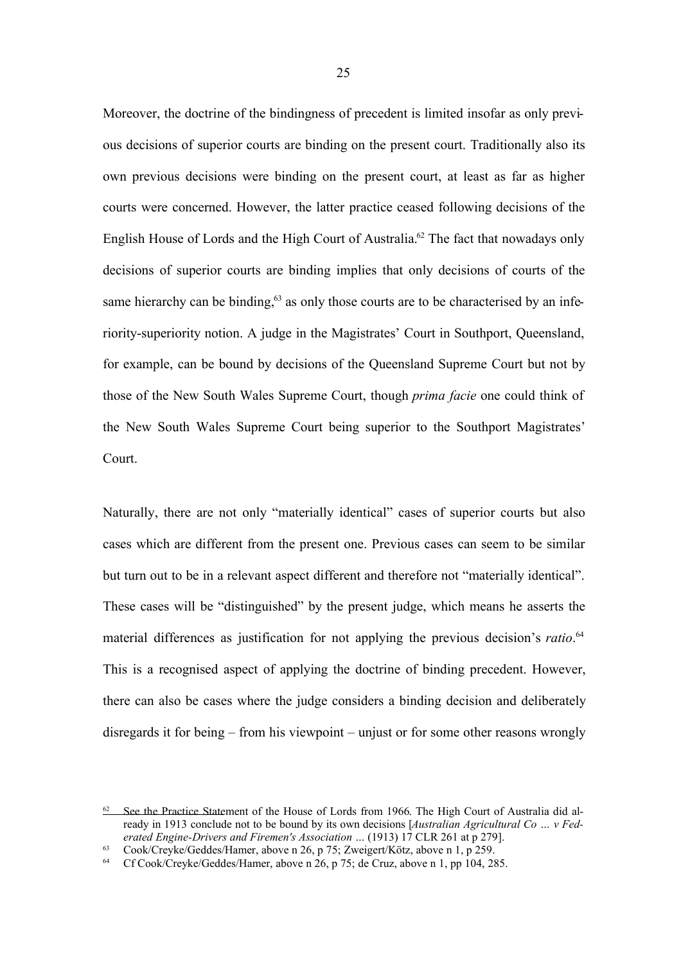Moreover, the doctrine of the bindingness of precedent is limited insofar as only previous decisions of superior courts are binding on the present court. Traditionally also its own previous decisions were binding on the present court, at least as far as higher courts were concerned. However, the latter practice ceased following decisions of the English House of Lords and the High Court of Australia. <sup>62</sup> The fact that nowadays only decisions of superior courts are binding implies that only decisions of courts of the same hierarchy can be binding,<sup>63</sup> as only those courts are to be characterised by an inferiority-superiority notion. A judge in the Magistrates' Court in Southport, Queensland, for example, can be bound by decisions of the Queensland Supreme Court but not by those of the New South Wales Supreme Court, though *prima facie* one could think of the New South Wales Supreme Court being superior to the Southport Magistrates' Court.

Naturally, there are not only "materially identical" cases of superior courts but also cases which are different from the present one. Previous cases can seem to be similar but turn out to be in a relevant aspect different and therefore not "materially identical". These cases will be "distinguished" by the present judge, which means he asserts the material differences as justification for not applying the previous decision's *ratio*. 64 This is a recognised aspect of applying the doctrine of binding precedent. However, there can also be cases where the judge considers a binding decision and deliberately disregards it for being – from his viewpoint – unjust or for some other reasons wrongly

 $62$  See the Practice Statement of the House of Lords from 1966. The High Court of Australia did already in 1913 conclude not to be bound by its own decisions [*Australian Agricultural Co … v Federated Engine-Drivers and Firemen's Association …* (1913) 17 CLR 261 at p 279].

<sup>63</sup> Cook/Creyke/Geddes/Hamer, above n 26, p 75; Zweigert/Kötz, above n 1, p 259.

<sup>64</sup> Cf Cook/Creyke/Geddes/Hamer, above n 26, p 75; de Cruz, above n 1, pp 104, 285.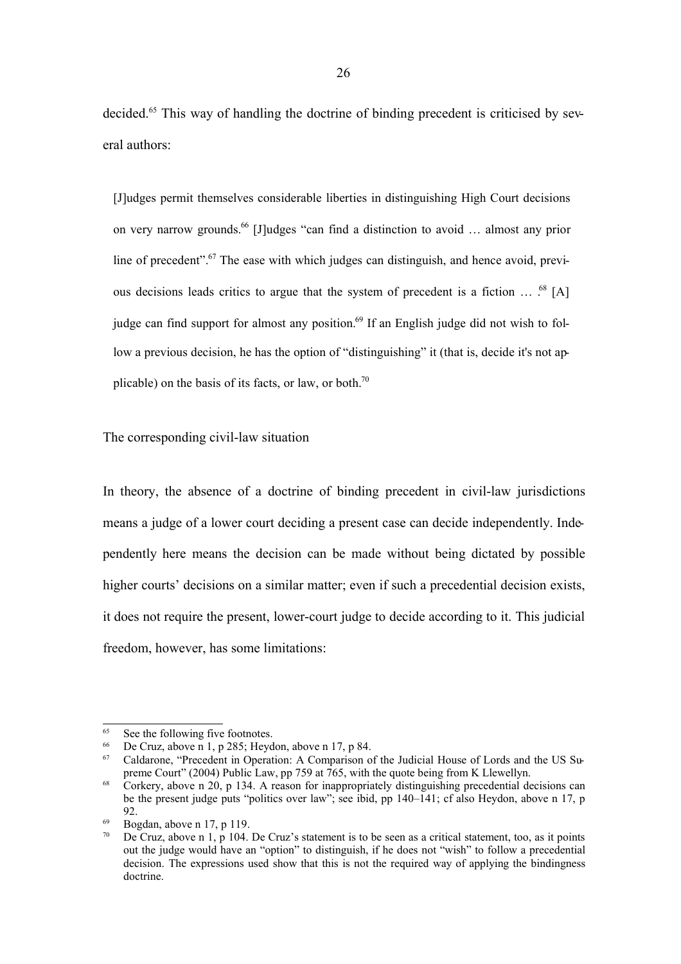decided.<sup>65</sup> This way of handling the doctrine of binding precedent is criticised by several authors:

[J]udges permit themselves considerable liberties in distinguishing High Court decisions on very narrow grounds. <sup>66</sup> [J]udges "can find a distinction to avoid … almost any prior line of precedent".<sup>67</sup> The ease with which judges can distinguish, and hence avoid, previous decisions leads critics to argue that the system of precedent is a fiction  $\ldots$ .<sup>68</sup> [A] judge can find support for almost any position.<sup>69</sup> If an English judge did not wish to follow a previous decision, he has the option of "distinguishing" it (that is, decide it's not applicable) on the basis of its facts, or law, or both.<sup>70</sup>

The corresponding civil-law situation

In theory, the absence of a doctrine of binding precedent in civil-law jurisdictions means a judge of a lower court deciding a present case can decide independently. Independently here means the decision can be made without being dictated by possible higher courts' decisions on a similar matter; even if such a precedential decision exists, it does not require the present, lower-court judge to decide according to it. This judicial freedom, however, has some limitations:

<sup>&</sup>lt;sup>65</sup> See the following five footnotes.<br><sup>66</sup> De Cruz above n 1 n 285: Havd

De Cruz, above n 1, p 285; Heydon, above n 17, p 84.

<sup>67</sup> Caldarone, "Precedent in Operation: A Comparison of the Judicial House of Lords and the US Supreme Court" (2004) Public Law, pp 759 at 765, with the quote being from K Llewellyn.

<sup>&</sup>lt;sup>68</sup> Corkery, above n 20, p 134. A reason for inappropriately distinguishing precedential decisions can be the present judge puts "politics over law"; see ibid, pp 140–141; cf also Heydon, above n 17, p  $92.$ 

 $^{69}$  Bogdan, above n 17, p 119.

<sup>70</sup> De Cruz, above n 1, p 104. De Cruz's statement is to be seen as a critical statement, too, as it points out the judge would have an "option" to distinguish, if he does not "wish" to follow a precedential decision. The expressions used show that this is not the required way of applying the bindingness doctrine.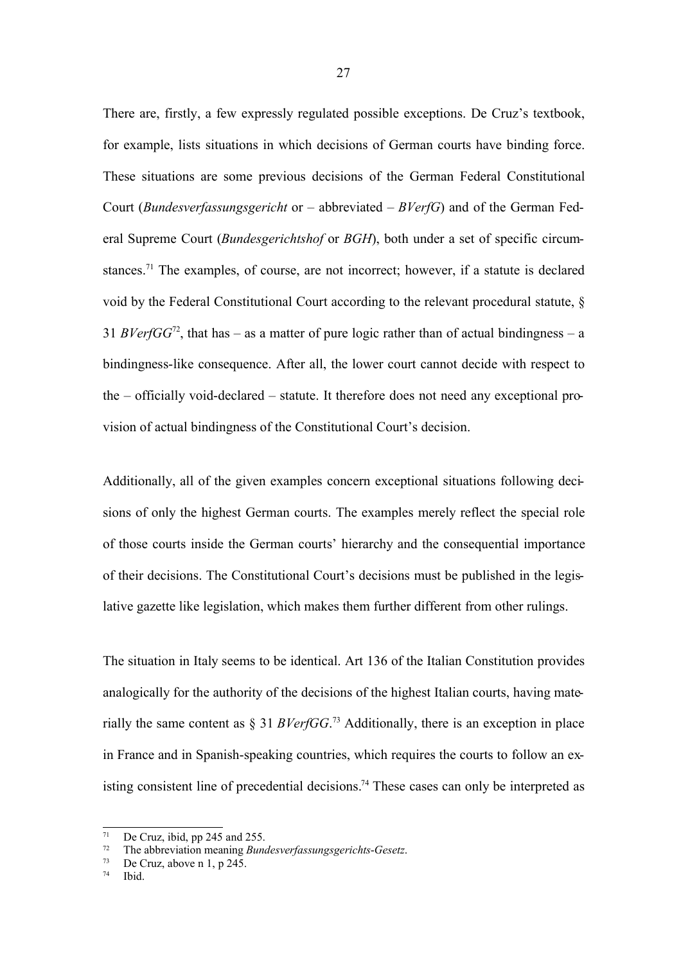There are, firstly, a few expressly regulated possible exceptions. De Cruz's textbook, for example, lists situations in which decisions of German courts have binding force. These situations are some previous decisions of the German Federal Constitutional Court (*Bundesverfassungsgericht* or – abbreviated – *BVerfG*) and of the German Federal Supreme Court (*Bundesgerichtshof* or *BGH*), both under a set of specific circumstances.<sup>71</sup> The examples, of course, are not incorrect; however, if a statute is declared void by the Federal Constitutional Court according to the relevant procedural statute, § 31 *BVerfGG*<sup>72</sup>, that has – as a matter of pure logic rather than of actual bindingness – a bindingness-like consequence. After all, the lower court cannot decide with respect to the – officially void-declared – statute. It therefore does not need any exceptional provision of actual bindingness of the Constitutional Court's decision.

Additionally, all of the given examples concern exceptional situations following decisions of only the highest German courts. The examples merely reflect the special role of those courts inside the German courts' hierarchy and the consequential importance of their decisions. The Constitutional Court's decisions must be published in the legislative gazette like legislation, which makes them further different from other rulings.

The situation in Italy seems to be identical. Art 136 of the Italian Constitution provides analogically for the authority of the decisions of the highest Italian courts, having materially the same content as § 31 *BVerfGG*. <sup>73</sup> Additionally, there is an exception in place in France and in Spanish-speaking countries, which requires the courts to follow an existing consistent line of precedential decisions. <sup>74</sup> These cases can only be interpreted as

<sup>&</sup>lt;sup>71</sup> De Cruz, ibid, pp 245 and 255.<br><sup>72</sup> The obbrovistion meaning  $P_{\text{MMS}}$ 

<sup>72</sup> The abbreviation meaning *Bundesverfassungsgerichts*-*Gesetz*.

De Cruz, above n 1, p 245.

<sup>74</sup> Ibid.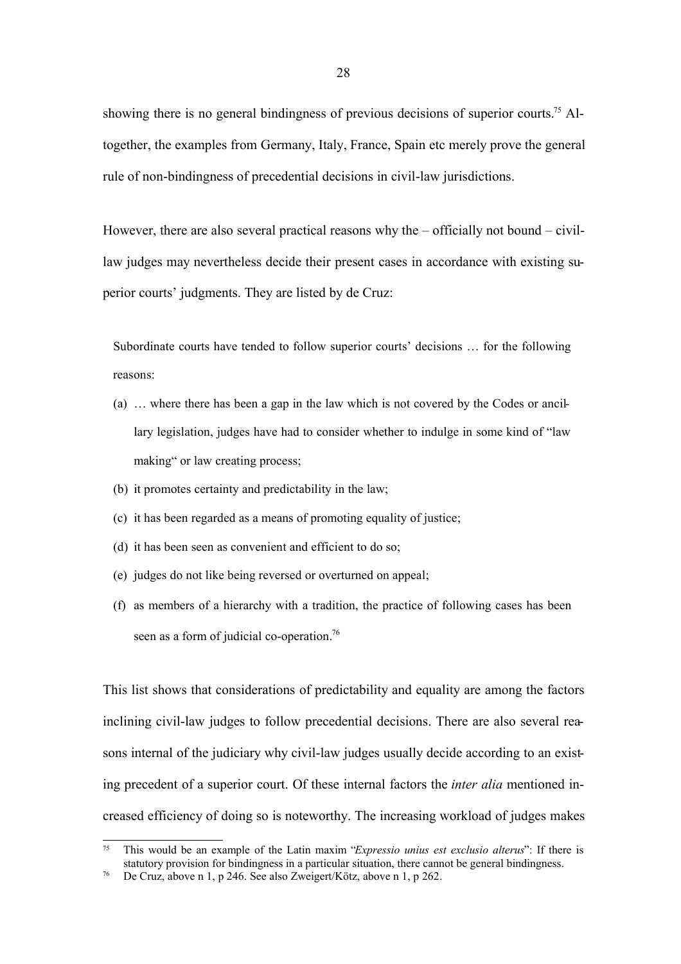showing there is no general bindingness of previous decisions of superior courts.<sup>75</sup> Altogether, the examples from Germany, Italy, France, Spain etc merely prove the general rule of non-bindingness of precedential decisions in civil-law jurisdictions.

However, there are also several practical reasons why the – officially not bound – civillaw judges may nevertheless decide their present cases in accordance with existing superior courts' judgments. They are listed by de Cruz:

Subordinate courts have tended to follow superior courts' decisions … for the following reasons:

- (a) … where there has been a gap in the law which is not covered by the Codes or ancillary legislation, judges have had to consider whether to indulge in some kind of "law making" or law creating process;
- (b) it promotes certainty and predictability in the law;
- (c) it has been regarded as a means of promoting equality of justice;
- (d) it has been seen as convenient and efficient to do so;
- (e) judges do not like being reversed or overturned on appeal;
- (f) as members of a hierarchy with a tradition, the practice of following cases has been seen as a form of judicial co-operation.<sup>76</sup>

This list shows that considerations of predictability and equality are among the factors inclining civil-law judges to follow precedential decisions. There are also several reasons internal of the judiciary why civil-law judges usually decide according to an existing precedent of a superior court. Of these internal factors the *inter alia* mentioned increased efficiency of doing so is noteworthy. The increasing workload of judges makes

<sup>75</sup> This would be an example of the Latin maxim "*Expressio unius est exclusio alterus*": If there is statutory provision for bindingness in a particular situation, there cannot be general bindingness.

<sup>76</sup> De Cruz, above n 1, p 246. See also Zweigert/Kötz, above n 1, p 262.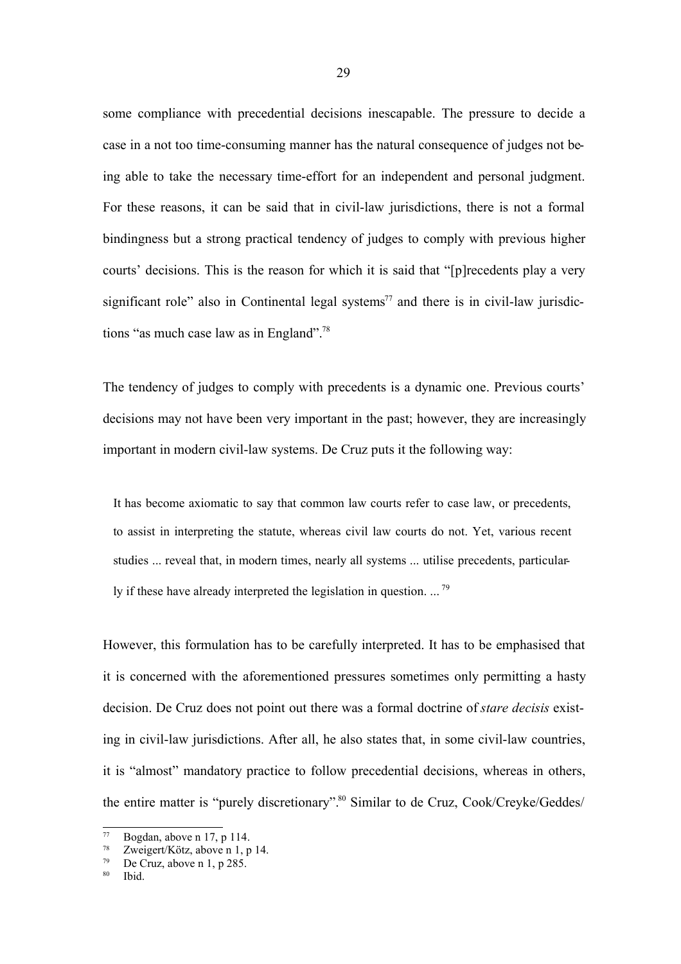some compliance with precedential decisions inescapable. The pressure to decide a case in a not too time-consuming manner has the natural consequence of judges not being able to take the necessary time-effort for an independent and personal judgment. For these reasons, it can be said that in civil-law jurisdictions, there is not a formal bindingness but a strong practical tendency of judges to comply with previous higher courts' decisions. This is the reason for which it is said that "[p]recedents play a very significant role" also in Continental legal systems<sup>77</sup> and there is in civil-law jurisdictions "as much case law as in England". 78

The tendency of judges to comply with precedents is a dynamic one. Previous courts' decisions may not have been very important in the past; however, they are increasingly important in modern civil-law systems. De Cruz puts it the following way:

It has become axiomatic to say that common law courts refer to case law, or precedents, to assist in interpreting the statute, whereas civil law courts do not. Yet, various recent studies ... reveal that, in modern times, nearly all systems ... utilise precedents, particularly if these have already interpreted the legislation in question. ...<sup>79</sup>

However, this formulation has to be carefully interpreted. It has to be emphasised that it is concerned with the aforementioned pressures sometimes only permitting a hasty decision. De Cruz does not point out there was a formal doctrine of *stare decisis* existing in civil-law jurisdictions. After all, he also states that, in some civil-law countries, it is "almost" mandatory practice to follow precedential decisions, whereas in others, the entire matter is "purely discretionary". <sup>80</sup> Similar to de Cruz, Cook/Creyke/Geddes/

 $^{77}$  Bogdan, above n 17, p 114.<br> $^{78}$   $\frac{7}{2}$   $\frac{7}{2}$   $\frac{1}{2}$   $\frac{1}{2}$   $\frac{1}{2}$   $\frac{1}{2}$   $\frac{1}{2}$   $\frac{1}{2}$ 

<sup>&</sup>lt;sup>78</sup> Zweigert/Kötz, above n 1, p 14.<br><sup>79</sup> De Cruz, above n 1, p 285.

De Cruz, above n 1, p 285.

<sup>80</sup> Ibid.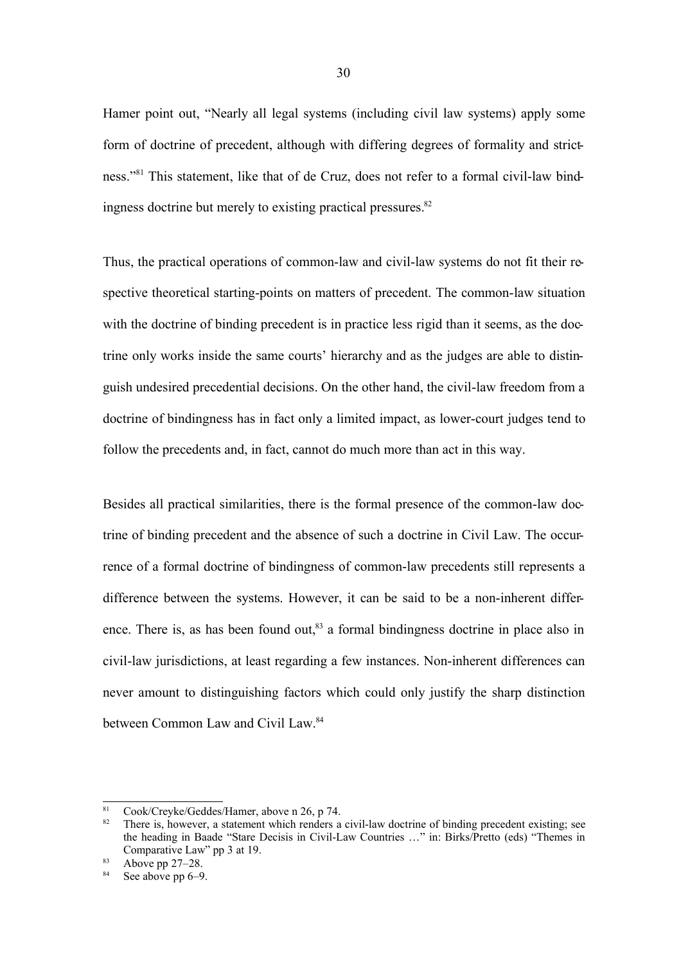Hamer point out, "Nearly all legal systems (including civil law systems) apply some form of doctrine of precedent, although with differing degrees of formality and strictness." <sup>81</sup> This statement, like that of de Cruz, does not refer to a formal civil-law bindingness doctrine but merely to existing practical pressures.<sup>82</sup>

Thus, the practical operations of common-law and civil-law systems do not fit their respective theoretical starting-points on matters of precedent. The common-law situation with the doctrine of binding precedent is in practice less rigid than it seems, as the doctrine only works inside the same courts' hierarchy and as the judges are able to distinguish undesired precedential decisions. On the other hand, the civil-law freedom from a doctrine of bindingness has in fact only a limited impact, as lower-court judges tend to follow the precedents and, in fact, cannot do much more than act in this way.

Besides all practical similarities, there is the formal presence of the common-law doctrine of binding precedent and the absence of such a doctrine in Civil Law. The occurrence of a formal doctrine of bindingness of common-law precedents still represents a difference between the systems. However, it can be said to be a non-inherent difference. There is, as has been found out, $83$  a formal bindingness doctrine in place also in civil-law jurisdictions, at least regarding a few instances. Non-inherent differences can never amount to distinguishing factors which could only justify the sharp distinction between Common Law and Civil Law.<sup>84</sup>

<sup>&</sup>lt;sup>81</sup> Cook/Creyke/Geddes/Hamer, above n 26, p 74.<br><sup>82</sup> There is however a statement which randars a

There is, however, a statement which renders a civil-law doctrine of binding precedent existing; see the heading in Baade "Stare Decisis in Civil-Law Countries …" in: Birks/Pretto (eds) "Themes in Comparative Law" pp 3 at 19.

 $83$  Above pp 27–28.

See above pp 6–9.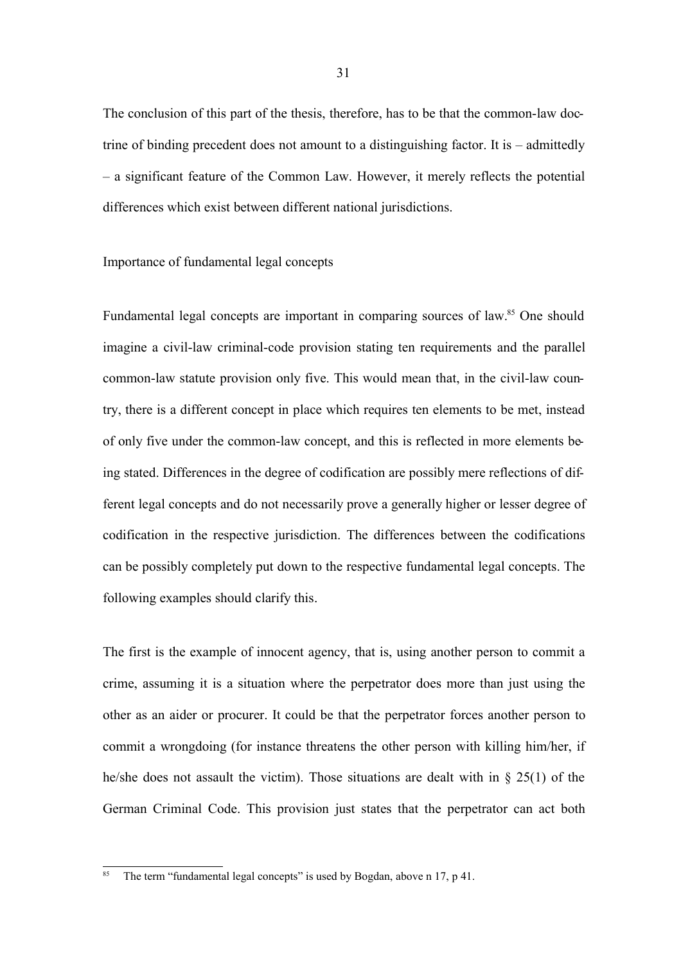The conclusion of this part of the thesis, therefore, has to be that the common-law doctrine of binding precedent does not amount to a distinguishing factor. It is – admittedly – a significant feature of the Common Law. However, it merely reflects the potential differences which exist between different national jurisdictions.

# Importance of fundamental legal concepts

Fundamental legal concepts are important in comparing sources of law.<sup>85</sup> One should imagine a civil-law criminal-code provision stating ten requirements and the parallel common-law statute provision only five. This would mean that, in the civil-law country, there is a different concept in place which requires ten elements to be met, instead of only five under the common-law concept, and this is reflected in more elements being stated. Differences in the degree of codification are possibly mere reflections of different legal concepts and do not necessarily prove a generally higher or lesser degree of codification in the respective jurisdiction. The differences between the codifications can be possibly completely put down to the respective fundamental legal concepts. The following examples should clarify this.

The first is the example of innocent agency, that is, using another person to commit a crime, assuming it is a situation where the perpetrator does more than just using the other as an aider or procurer. It could be that the perpetrator forces another person to commit a wrongdoing (for instance threatens the other person with killing him/her, if he/she does not assault the victim). Those situations are dealt with in § 25(1) of the German Criminal Code. This provision just states that the perpetrator can act both

The term "fundamental legal concepts" is used by Bogdan, above n 17, p 41.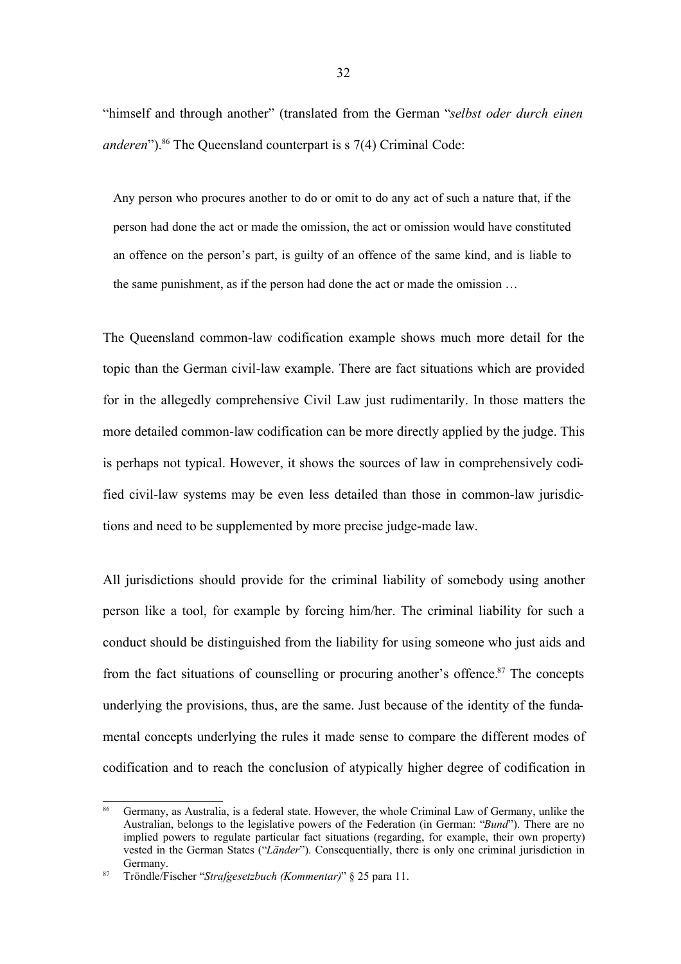"himself and through another" (translated from the German "*selbst oder durch einen* anderen").<sup>86</sup> The Queensland counterpart is s 7(4) Criminal Code:

Any person who procures another to do or omit to do any act of such a nature that, if the person had done the act or made the omission, the act or omission would have constituted an offence on the person's part, is guilty of an offence of the same kind, and is liable to the same punishment, as if the person had done the act or made the omission …

The Queensland common-law codification example shows much more detail for the topic than the German civil-law example. There are fact situations which are provided for in the allegedly comprehensive Civil Law just rudimentarily. In those matters the more detailed common-law codification can be more directly applied by the judge. This is perhaps not typical. However, it shows the sources of law in comprehensively codified civil-law systems may be even less detailed than those in common-law jurisdictions and need to be supplemented by more precise judge-made law.

All jurisdictions should provide for the criminal liability of somebody using another person like a tool, for example by forcing him/her. The criminal liability for such a conduct should be distinguished from the liability for using someone who just aids and from the fact situations of counselling or procuring another's offence.<sup>87</sup> The concepts underlying the provisions, thus, are the same. Just because of the identity of the fundamental concepts underlying the rules it made sense to compare the different modes of codification and to reach the conclusion of atypically higher degree of codification in

<sup>86</sup> Germany, as Australia, is a federal state. However, the whole Criminal Law of Germany, unlike the Australian, belongs to the legislative powers of the Federation (in German: "*Bund*"). There are no implied powers to regulate particular fact situations (regarding, for example, their own property) vested in the German States ("*Länder*"). Consequentially, there is only one criminal jurisdiction in Germany.

<sup>87</sup> Tröndle/Fischer "*Strafgesetzbuch (Kommentar)*" § 25 para 11.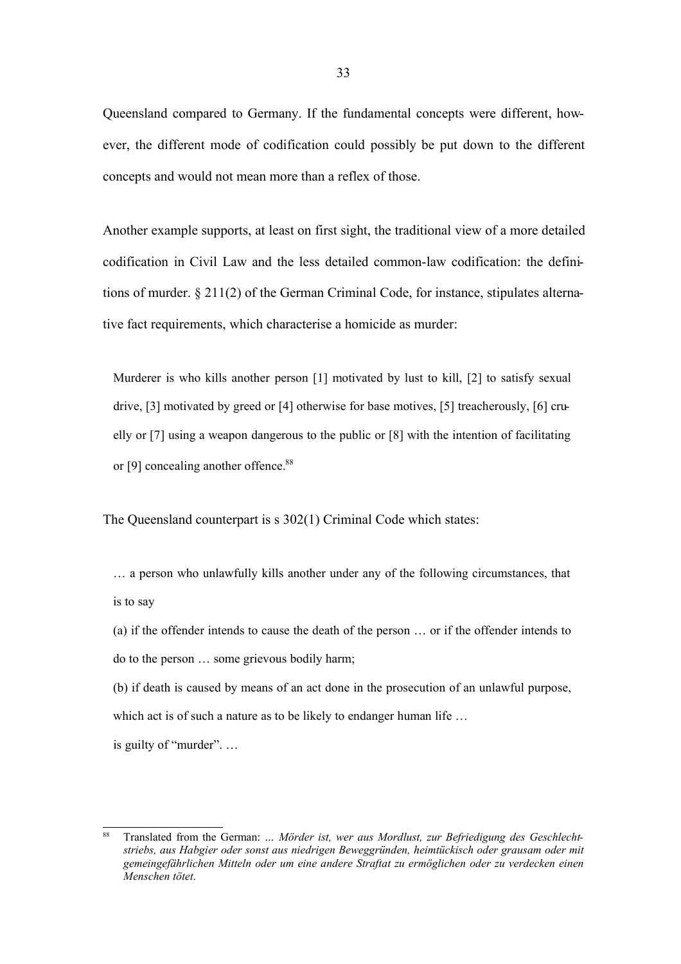Queensland compared to Germany. If the fundamental concepts were different, however, the different mode of codification could possibly be put down to the different concepts and would not mean more than a reflex of those.

Another example supports, at least on first sight, the traditional view of a more detailed codification in Civil Law and the less detailed common-law codification: the definitions of murder. § 211(2) of the German Criminal Code, for instance, stipulates alternative fact requirements, which characterise a homicide as murder:

Murderer is who kills another person [1] motivated by lust to kill, [2] to satisfy sexual drive, [3] motivated by greed or [4] otherwise for base motives, [5] treacherously, [6] cruelly or [7] using a weapon dangerous to the public or [8] with the intention of facilitating or [9] concealing another offence.<sup>88</sup>

The Queensland counterpart is s 302(1) Criminal Code which states:

… a person who unlawfully kills another under any of the following circumstances, that is to say

(a) if the offender intends to cause the death of the person … or if the offender intends to do to the person … some grievous bodily harm;

(b) if death is caused by means of an act done in the prosecution of an unlawful purpose, which act is of such a nature as to be likely to endanger human life ...

is guilty of "murder". …

<sup>88</sup> Translated from the German: *… Mörder ist, wer aus Mordlust, zur Befriedigung des Geschlechtstriebs, aus Habgier oder sonst aus niedrigen Beweggründen, heimtückisch oder grausam oder mit gemeingefährlichen Mitteln oder um eine andere Straftat zu ermöglichen oder zu verdecken einen Menschen tötet*.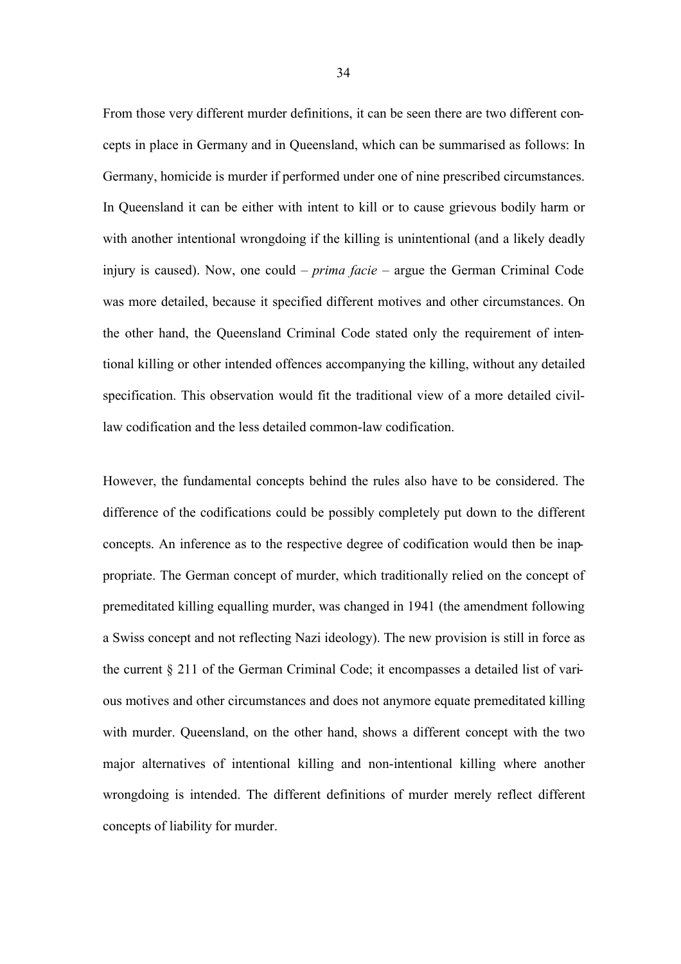From those very different murder definitions, it can be seen there are two different concepts in place in Germany and in Queensland, which can be summarised as follows: In Germany, homicide is murder if performed under one of nine prescribed circumstances. In Queensland it can be either with intent to kill or to cause grievous bodily harm or with another intentional wrongdoing if the killing is unintentional (and a likely deadly injury is caused). Now, one could – *prima facie* – argue the German Criminal Code was more detailed, because it specified different motives and other circumstances. On the other hand, the Queensland Criminal Code stated only the requirement of intentional killing or other intended offences accompanying the killing, without any detailed specification. This observation would fit the traditional view of a more detailed civillaw codification and the less detailed common-law codification.

However, the fundamental concepts behind the rules also have to be considered. The difference of the codifications could be possibly completely put down to the different concepts. An inference as to the respective degree of codification would then be inappropriate. The German concept of murder, which traditionally relied on the concept of premeditated killing equalling murder, was changed in 1941 (the amendment following a Swiss concept and not reflecting Nazi ideology). The new provision is still in force as the current § 211 of the German Criminal Code; it encompasses a detailed list of various motives and other circumstances and does not anymore equate premeditated killing with murder. Queensland, on the other hand, shows a different concept with the two major alternatives of intentional killing and non-intentional killing where another wrongdoing is intended. The different definitions of murder merely reflect different concepts of liability for murder.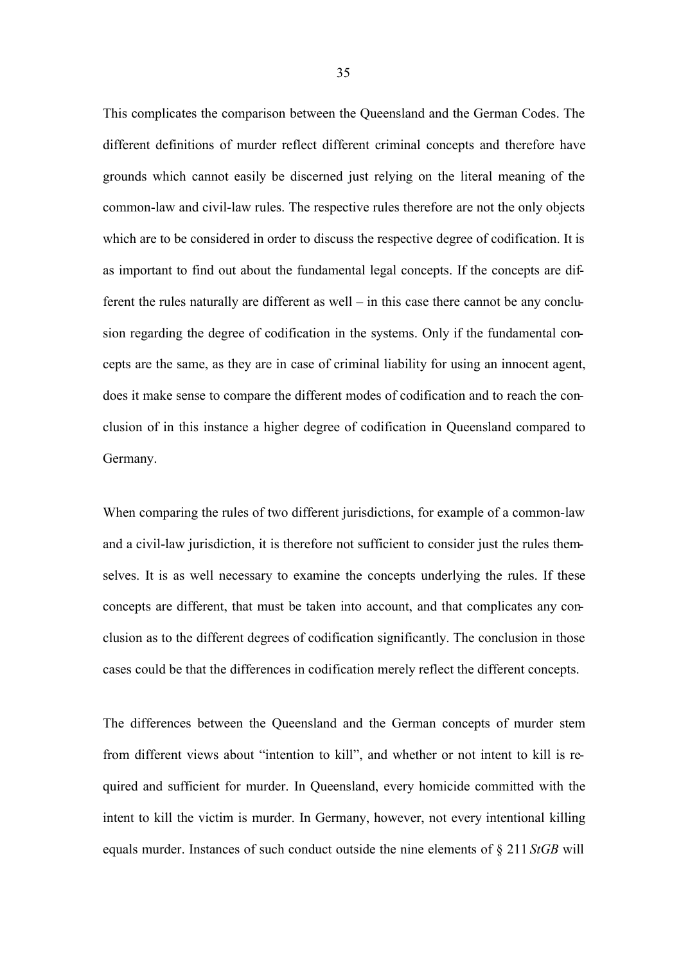This complicates the comparison between the Queensland and the German Codes. The different definitions of murder reflect different criminal concepts and therefore have grounds which cannot easily be discerned just relying on the literal meaning of the common-law and civil-law rules. The respective rules therefore are not the only objects which are to be considered in order to discuss the respective degree of codification. It is as important to find out about the fundamental legal concepts. If the concepts are different the rules naturally are different as well – in this case there cannot be any conclusion regarding the degree of codification in the systems. Only if the fundamental concepts are the same, as they are in case of criminal liability for using an innocent agent, does it make sense to compare the different modes of codification and to reach the conclusion of in this instance a higher degree of codification in Queensland compared to Germany.

When comparing the rules of two different jurisdictions, for example of a common-law and a civil-law jurisdiction, it is therefore not sufficient to consider just the rules themselves. It is as well necessary to examine the concepts underlying the rules. If these concepts are different, that must be taken into account, and that complicates any conclusion as to the different degrees of codification significantly. The conclusion in those cases could be that the differences in codification merely reflect the different concepts.

The differences between the Queensland and the German concepts of murder stem from different views about "intention to kill", and whether or not intent to kill is required and sufficient for murder. In Queensland, every homicide committed with the intent to kill the victim is murder. In Germany, however, not every intentional killing equals murder. Instances of such conduct outside the nine elements of § 211 *StGB* will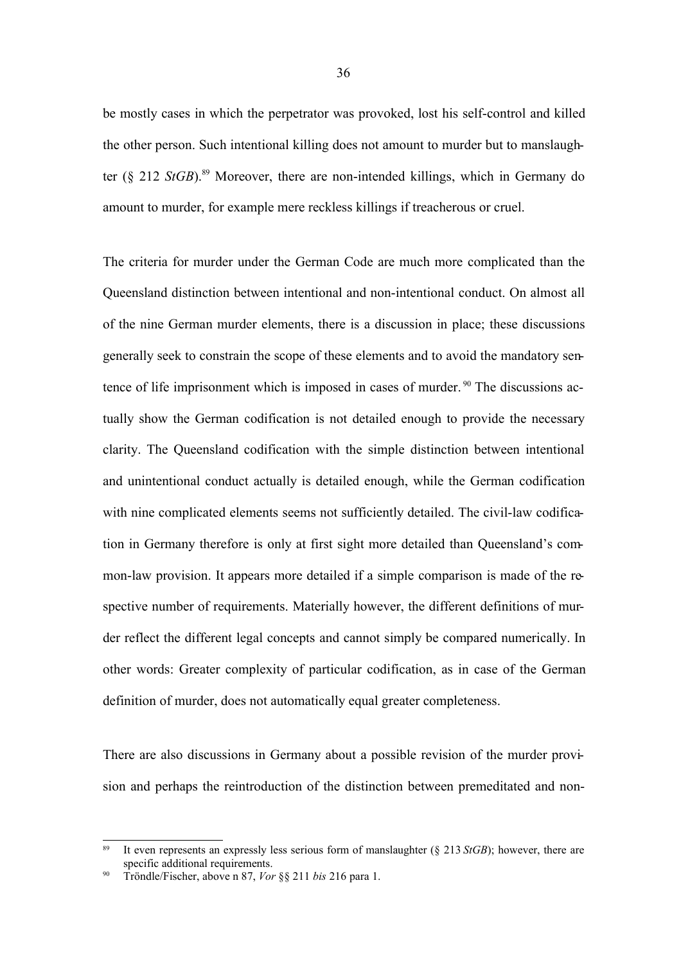be mostly cases in which the perpetrator was provoked, lost his self-control and killed the other person. Such intentional killing does not amount to murder but to manslaughter (§ 212 *StGB*). <sup>89</sup> Moreover, there are non-intended killings, which in Germany do amount to murder, for example mere reckless killings if treacherous or cruel.

The criteria for murder under the German Code are much more complicated than the Queensland distinction between intentional and non-intentional conduct. On almost all of the nine German murder elements, there is a discussion in place; these discussions generally seek to constrain the scope of these elements and to avoid the mandatory sentence of life imprisonment which is imposed in cases of murder.<sup>90</sup> The discussions actually show the German codification is not detailed enough to provide the necessary clarity. The Queensland codification with the simple distinction between intentional and unintentional conduct actually is detailed enough, while the German codification with nine complicated elements seems not sufficiently detailed. The civil-law codification in Germany therefore is only at first sight more detailed than Queensland's common-law provision. It appears more detailed if a simple comparison is made of the respective number of requirements. Materially however, the different definitions of murder reflect the different legal concepts and cannot simply be compared numerically. In other words: Greater complexity of particular codification, as in case of the German definition of murder, does not automatically equal greater completeness.

There are also discussions in Germany about a possible revision of the murder provision and perhaps the reintroduction of the distinction between premeditated and non-

<sup>89</sup> It even represents an expressly less serious form of manslaughter (§ 213 *StGB*); however, there are specific additional requirements.

<sup>90</sup> Tröndle/Fischer, above n 87, *Vor* §§ 211 *bis* 216 para 1.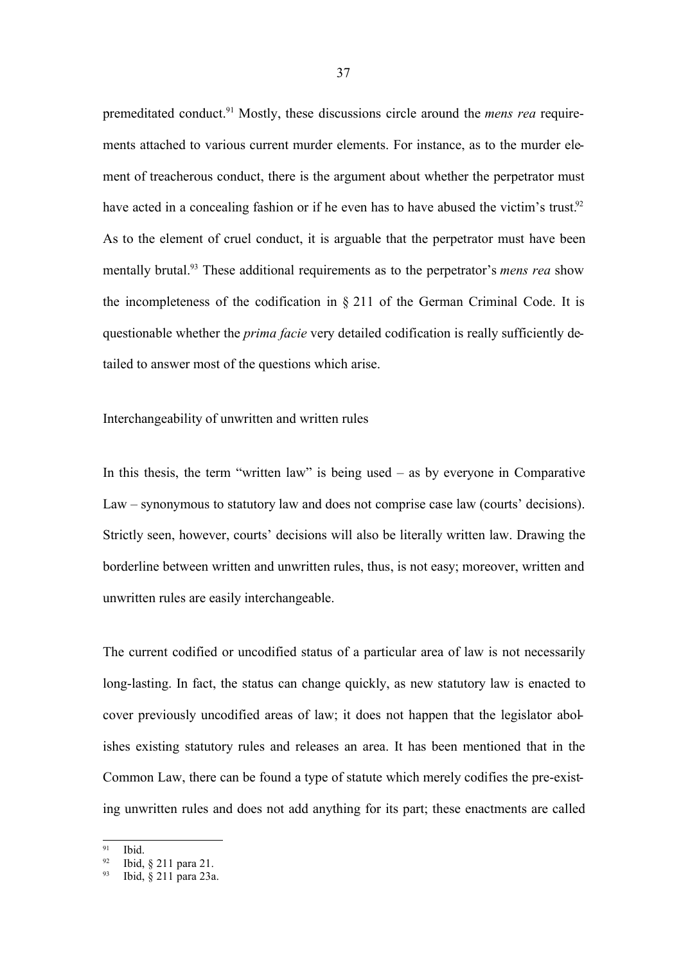premeditated conduct.<sup>91</sup> Mostly, these discussions circle around the *mens rea* requirements attached to various current murder elements. For instance, as to the murder element of treacherous conduct, there is the argument about whether the perpetrator must have acted in a concealing fashion or if he even has to have abused the victim's trust.<sup>92</sup> As to the element of cruel conduct, it is arguable that the perpetrator must have been mentally brutal.<sup>93</sup> These additional requirements as to the perpetrator's *mens rea* show the incompleteness of the codification in § 211 of the German Criminal Code. It is questionable whether the *prima facie* very detailed codification is really sufficiently detailed to answer most of the questions which arise.

## Interchangeability of unwritten and written rules

In this thesis, the term "written law" is being used  $-$  as by everyone in Comparative Law – synonymous to statutory law and does not comprise case law (courts' decisions). Strictly seen, however, courts' decisions will also be literally written law. Drawing the borderline between written and unwritten rules, thus, is not easy; moreover, written and unwritten rules are easily interchangeable.

The current codified or uncodified status of a particular area of law is not necessarily long-lasting. In fact, the status can change quickly, as new statutory law is enacted to cover previously uncodified areas of law; it does not happen that the legislator abolishes existing statutory rules and releases an area. It has been mentioned that in the Common Law, there can be found a type of statute which merely codifies the pre-existing unwritten rules and does not add anything for its part; these enactments are called

<sup>91</sup> Ibid.

<sup>92</sup> Ibid, § 211 para 21.

<sup>93</sup> Ibid, § 211 para 23a.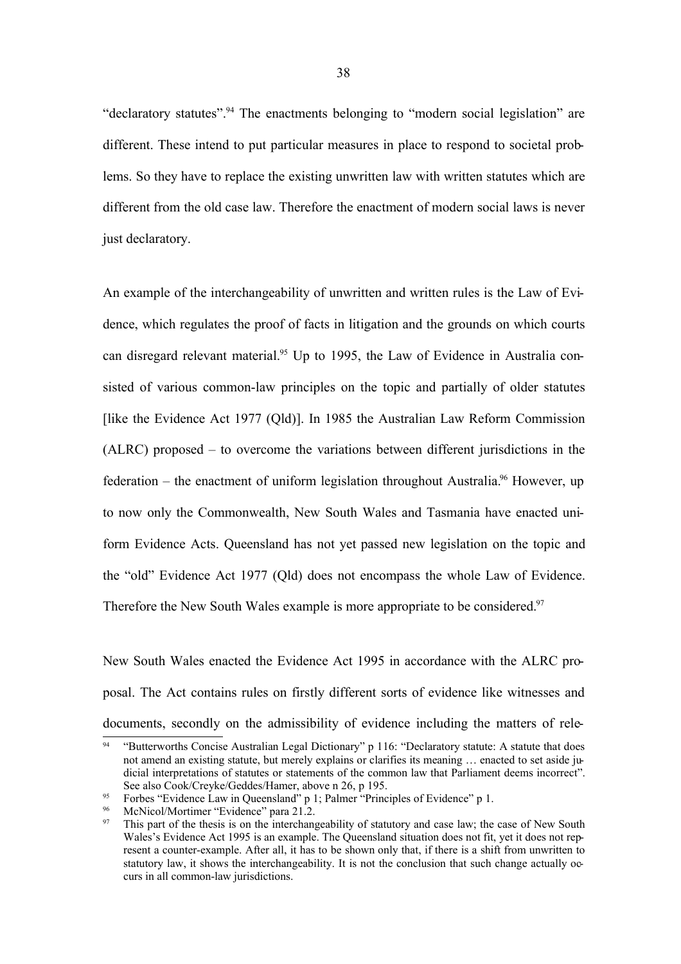"declaratory statutes".<sup>94</sup> The enactments belonging to "modern social legislation" are different. These intend to put particular measures in place to respond to societal problems. So they have to replace the existing unwritten law with written statutes which are different from the old case law. Therefore the enactment of modern social laws is never just declaratory.

An example of the interchangeability of unwritten and written rules is the Law of Evidence, which regulates the proof of facts in litigation and the grounds on which courts can disregard relevant material.<sup>95</sup> Up to 1995, the Law of Evidence in Australia consisted of various common-law principles on the topic and partially of older statutes [like the Evidence Act 1977 (Qld)]. In 1985 the Australian Law Reform Commission (ALRC) proposed – to overcome the variations between different jurisdictions in the federation – the enactment of uniform legislation throughout Australia.<sup>96</sup> However, up to now only the Commonwealth, New South Wales and Tasmania have enacted uniform Evidence Acts. Queensland has not yet passed new legislation on the topic and the "old" Evidence Act 1977 (Qld) does not encompass the whole Law of Evidence. Therefore the New South Wales example is more appropriate to be considered.<sup>97</sup>

New South Wales enacted the Evidence Act 1995 in accordance with the ALRC proposal. The Act contains rules on firstly different sorts of evidence like witnesses and documents, secondly on the admissibility of evidence including the matters of rele-

<sup>&</sup>quot;Butterworths Concise Australian Legal Dictionary" p 116: "Declaratory statute: A statute that does not amend an existing statute, but merely explains or clarifies its meaning … enacted to set aside judicial interpretations of statutes or statements of the common law that Parliament deems incorrect". See also Cook/Creyke/Geddes/Hamer, above n 26, p 195.

<sup>&</sup>lt;sup>95</sup> Forbes "Evidence Law in Queensland" p 1; Palmer "Principles of Evidence" p 1.<br>
McNicol/Mortimer "Evidence" para 21.2

<sup>96</sup> McNicol/Mortimer "Evidence" para  $21.2$ .<br>97 This part of the thesis is on the intershape

This part of the thesis is on the interchangeability of statutory and case law; the case of New South Wales's Evidence Act 1995 is an example. The Queensland situation does not fit, yet it does not represent a counter-example. After all, it has to be shown only that, if there is a shift from unwritten to statutory law, it shows the interchangeability. It is not the conclusion that such change actually occurs in all common-law jurisdictions.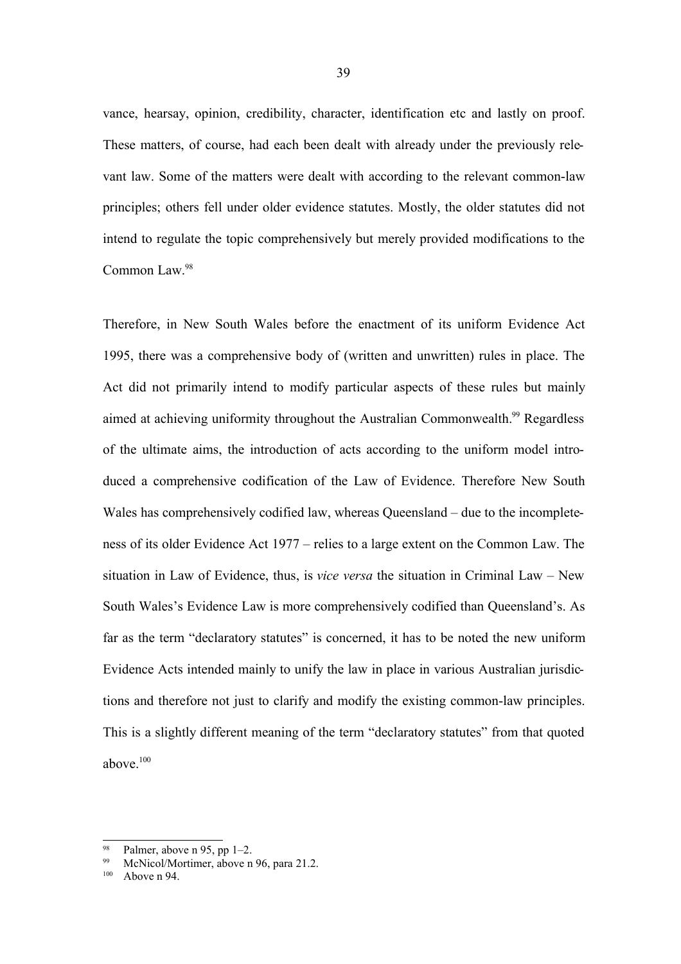vance, hearsay, opinion, credibility, character, identification etc and lastly on proof. These matters, of course, had each been dealt with already under the previously relevant law. Some of the matters were dealt with according to the relevant common-law principles; others fell under older evidence statutes. Mostly, the older statutes did not intend to regulate the topic comprehensively but merely provided modifications to the Common Law. 98

Therefore, in New South Wales before the enactment of its uniform Evidence Act 1995, there was a comprehensive body of (written and unwritten) rules in place. The Act did not primarily intend to modify particular aspects of these rules but mainly aimed at achieving uniformity throughout the Australian Commonwealth.<sup>99</sup> Regardless of the ultimate aims, the introduction of acts according to the uniform model introduced a comprehensive codification of the Law of Evidence. Therefore New South Wales has comprehensively codified law, whereas Queensland – due to the incompleteness of its older Evidence Act 1977 – relies to a large extent on the Common Law. The situation in Law of Evidence, thus, is *vice versa* the situation in Criminal Law – New South Wales's Evidence Law is more comprehensively codified than Queensland's. As far as the term "declaratory statutes" is concerned, it has to be noted the new uniform Evidence Acts intended mainly to unify the law in place in various Australian jurisdictions and therefore not just to clarify and modify the existing common-law principles. This is a slightly different meaning of the term "declaratory statutes" from that quoted above.<sup>100</sup>

Palmer, above n 95, pp 1–2.

McNicol/Mortimer, above n 96, para 21.2.

Above n 94.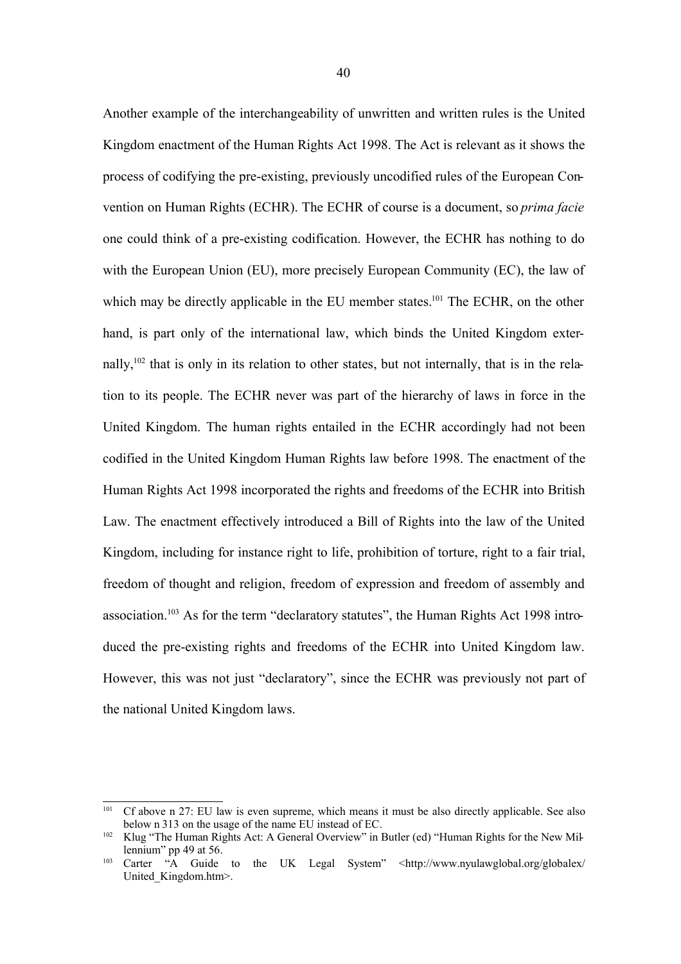Another example of the interchangeability of unwritten and written rules is the United Kingdom enactment of the Human Rights Act 1998. The Act is relevant as it shows the process of codifying the pre-existing, previously uncodified rules of the European Convention on Human Rights (ECHR). The ECHR of course is a document, so *prima facie* one could think of a pre-existing codification. However, the ECHR has nothing to do with the European Union (EU), more precisely European Community (EC), the law of which may be directly applicable in the EU member states.<sup>101</sup> The ECHR, on the other hand, is part only of the international law, which binds the United Kingdom externally,<sup>102</sup> that is only in its relation to other states, but not internally, that is in the relation to its people. The ECHR never was part of the hierarchy of laws in force in the United Kingdom. The human rights entailed in the ECHR accordingly had not been codified in the United Kingdom Human Rights law before 1998. The enactment of the Human Rights Act 1998 incorporated the rights and freedoms of the ECHR into British Law. The enactment effectively introduced a Bill of Rights into the law of the United Kingdom, including for instance right to life, prohibition of torture, right to a fair trial, freedom of thought and religion, freedom of expression and freedom of assembly and association.<sup>103</sup> As for the term "declaratory statutes", the Human Rights Act 1998 introduced the pre-existing rights and freedoms of the ECHR into United Kingdom law. However, this was not just "declaratory", since the ECHR was previously not part of the national United Kingdom laws.

<sup>&</sup>lt;sup>101</sup> Cf above n 27: EU law is even supreme, which means it must be also directly applicable. See also below n 313 on the usage of the name EU instead of EC.

<sup>&</sup>lt;sup>102</sup> Klug "The Human Rights Act: A General Overview" in Butler (ed) "Human Rights for the New Millennium" pp 49 at 56.

<sup>103</sup> Carter "A Guide to the UK Legal System" <http://www.nyulawglobal.org/globalex/ United Kingdom.htm>.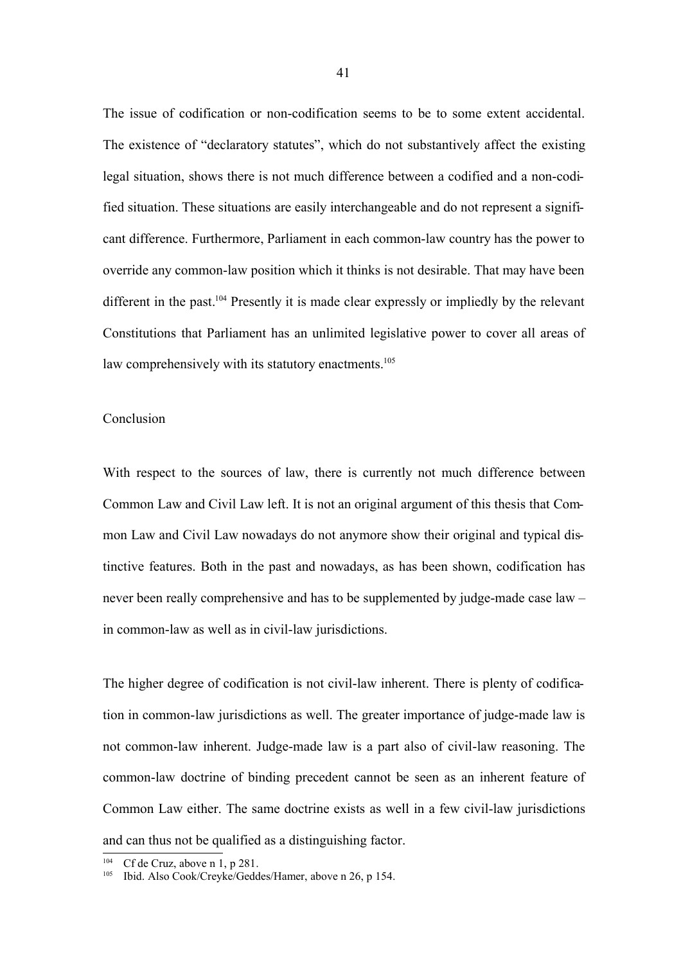The issue of codification or non-codification seems to be to some extent accidental. The existence of "declaratory statutes", which do not substantively affect the existing legal situation, shows there is not much difference between a codified and a non-codified situation. These situations are easily interchangeable and do not represent a significant difference. Furthermore, Parliament in each common-law country has the power to override any common-law position which it thinks is not desirable. That may have been different in the past.<sup>104</sup> Presently it is made clear expressly or impliedly by the relevant Constitutions that Parliament has an unlimited legislative power to cover all areas of law comprehensively with its statutory enactments.<sup>105</sup>

#### Conclusion

With respect to the sources of law, there is currently not much difference between Common Law and Civil Law left. It is not an original argument of this thesis that Common Law and Civil Law nowadays do not anymore show their original and typical distinctive features. Both in the past and nowadays, as has been shown, codification has never been really comprehensive and has to be supplemented by judge-made case law – in common-law as well as in civil-law jurisdictions.

The higher degree of codification is not civil-law inherent. There is plenty of codification in common-law jurisdictions as well. The greater importance of judge-made law is not common-law inherent. Judge-made law is a part also of civil-law reasoning. The common-law doctrine of binding precedent cannot be seen as an inherent feature of Common Law either. The same doctrine exists as well in a few civil-law jurisdictions and can thus not be qualified as a distinguishing factor.

Cf de Cruz, above n 1, p 281.

<sup>105</sup> Ibid. Also Cook/Creyke/Geddes/Hamer, above n 26, p 154.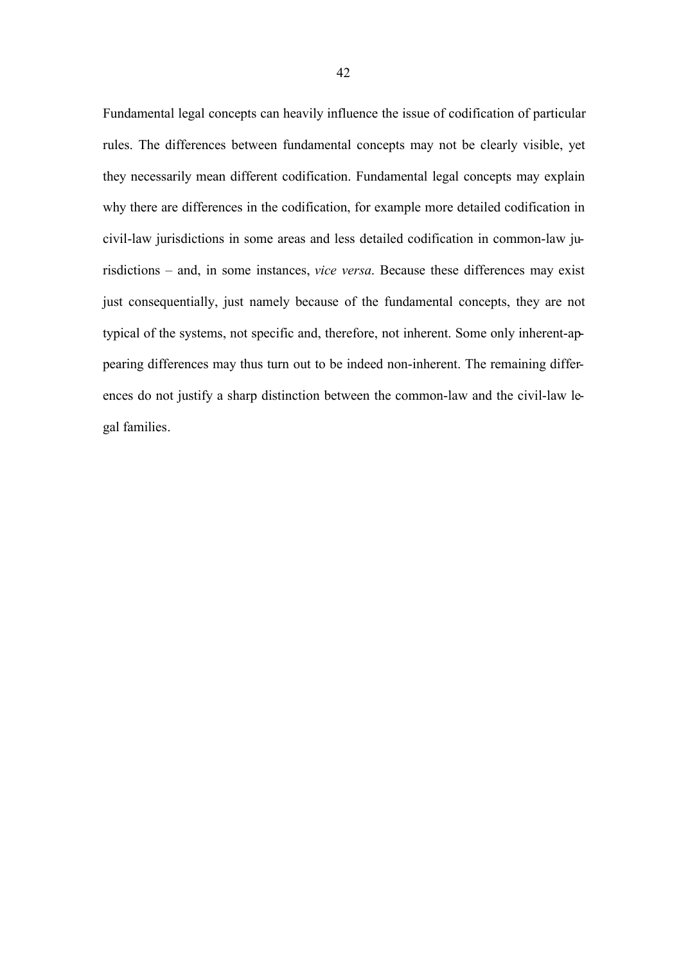Fundamental legal concepts can heavily influence the issue of codification of particular rules. The differences between fundamental concepts may not be clearly visible, yet they necessarily mean different codification. Fundamental legal concepts may explain why there are differences in the codification, for example more detailed codification in civil-law jurisdictions in some areas and less detailed codification in common-law jurisdictions – and, in some instances, *vice versa*. Because these differences may exist just consequentially, just namely because of the fundamental concepts, they are not typical of the systems, not specific and, therefore, not inherent. Some only inherent-appearing differences may thus turn out to be indeed non-inherent. The remaining differences do not justify a sharp distinction between the common-law and the civil-law legal families.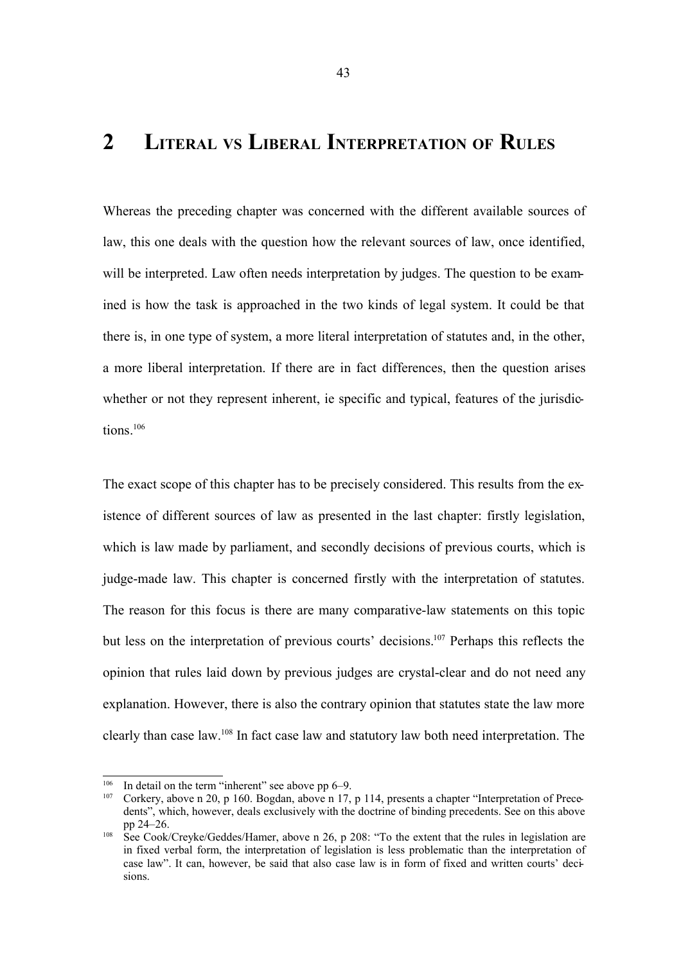# **2 LITERAL VS LIBERAL INTERPRETATION OF RULES**

Whereas the preceding chapter was concerned with the different available sources of law, this one deals with the question how the relevant sources of law, once identified, will be interpreted. Law often needs interpretation by judges. The question to be examined is how the task is approached in the two kinds of legal system. It could be that there is, in one type of system, a more literal interpretation of statutes and, in the other, a more liberal interpretation. If there are in fact differences, then the question arises whether or not they represent inherent, ie specific and typical, features of the jurisdictions. 106

The exact scope of this chapter has to be precisely considered. This results from the existence of different sources of law as presented in the last chapter: firstly legislation, which is law made by parliament, and secondly decisions of previous courts, which is judge-made law. This chapter is concerned firstly with the interpretation of statutes. The reason for this focus is there are many comparative-law statements on this topic but less on the interpretation of previous courts' decisions.<sup>107</sup> Perhaps this reflects the opinion that rules laid down by previous judges are crystal-clear and do not need any explanation. However, there is also the contrary opinion that statutes state the law more clearly than case law.<sup>108</sup> In fact case law and statutory law both need interpretation. The

<sup>106</sup> In detail on the term "inherent" see above pp 6–9.

<sup>107</sup> Corkery, above n 20, p 160. Bogdan, above n 17, p 114, presents a chapter "Interpretation of Precedents", which, however, deals exclusively with the doctrine of binding precedents. See on this above pp 24–26.

<sup>&</sup>lt;sup>108</sup> See Cook/Creyke/Geddes/Hamer, above n 26, p 208: "To the extent that the rules in legislation are in fixed verbal form, the interpretation of legislation is less problematic than the interpretation of case law". It can, however, be said that also case law is in form of fixed and written courts' decisions.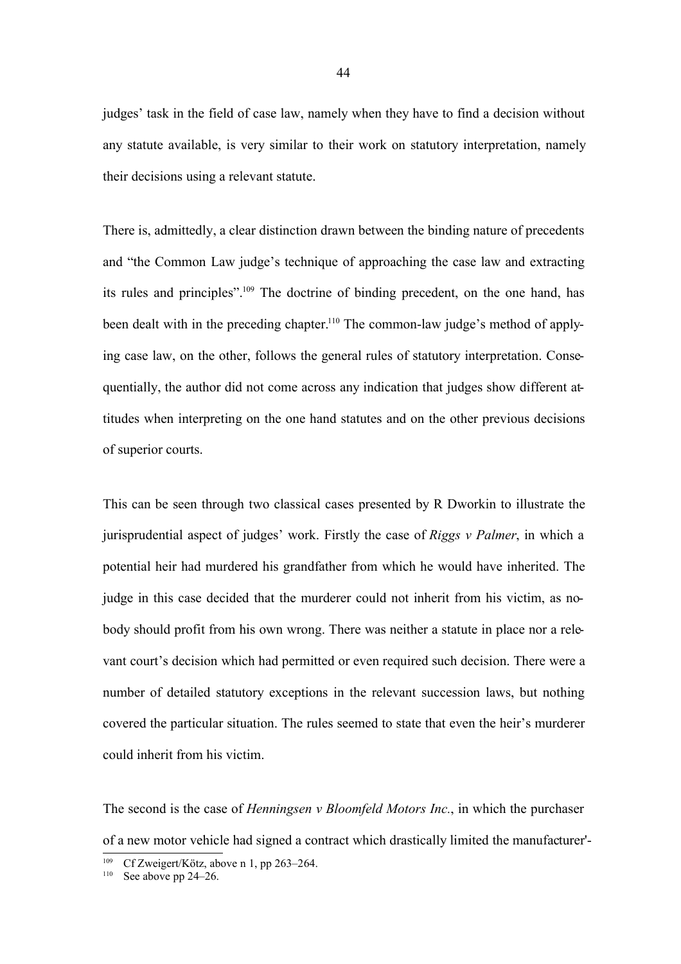judges' task in the field of case law, namely when they have to find a decision without any statute available, is very similar to their work on statutory interpretation, namely their decisions using a relevant statute.

There is, admittedly, a clear distinction drawn between the binding nature of precedents and "the Common Law judge's technique of approaching the case law and extracting its rules and principles".<sup>109</sup> The doctrine of binding precedent, on the one hand, has been dealt with in the preceding chapter.<sup>110</sup> The common-law judge's method of applying case law, on the other, follows the general rules of statutory interpretation. Consequentially, the author did not come across any indication that judges show different attitudes when interpreting on the one hand statutes and on the other previous decisions of superior courts.

This can be seen through two classical cases presented by R Dworkin to illustrate the jurisprudential aspect of judges' work. Firstly the case of *Riggs v Palmer*, in which a potential heir had murdered his grandfather from which he would have inherited. The judge in this case decided that the murderer could not inherit from his victim, as nobody should profit from his own wrong. There was neither a statute in place nor a relevant court's decision which had permitted or even required such decision. There were a number of detailed statutory exceptions in the relevant succession laws, but nothing covered the particular situation. The rules seemed to state that even the heir's murderer could inherit from his victim.

The second is the case of *Henningsen v Bloomfeld Motors Inc.*, in which the purchaser of a new motor vehicle had signed a contract which drastically limited the manufacturer'-

<sup>&</sup>lt;sup>109</sup> Cf Zweigert/Kötz, above n 1, pp 263–264.

 $110$  See above pp 24–26.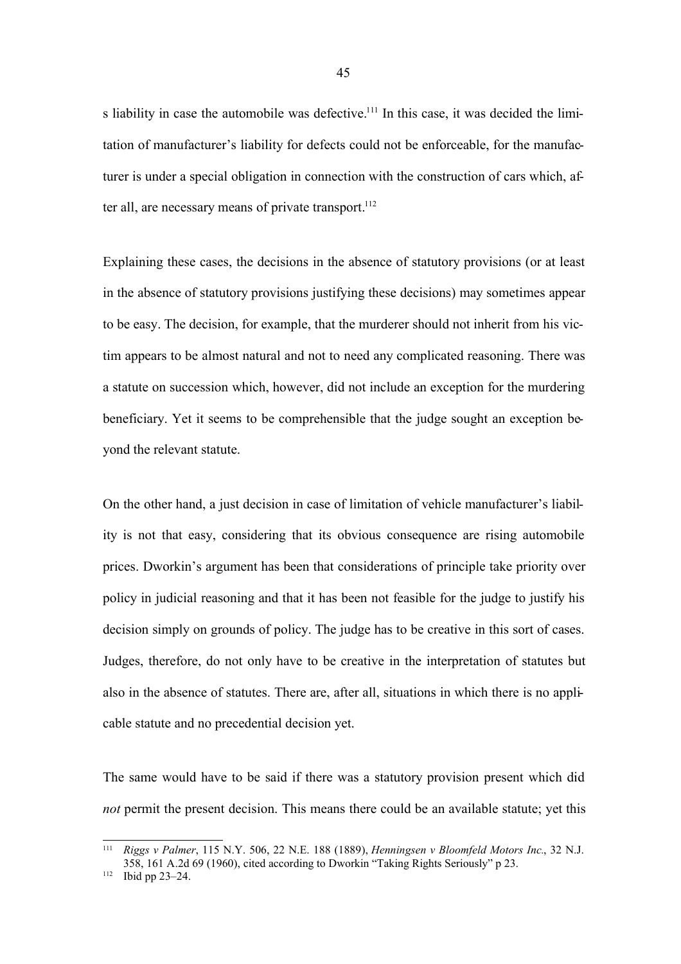s liability in case the automobile was defective.<sup>111</sup> In this case, it was decided the limitation of manufacturer's liability for defects could not be enforceable, for the manufacturer is under a special obligation in connection with the construction of cars which, after all, are necessary means of private transport.<sup>112</sup>

Explaining these cases, the decisions in the absence of statutory provisions (or at least in the absence of statutory provisions justifying these decisions) may sometimes appear to be easy. The decision, for example, that the murderer should not inherit from his victim appears to be almost natural and not to need any complicated reasoning. There was a statute on succession which, however, did not include an exception for the murdering beneficiary. Yet it seems to be comprehensible that the judge sought an exception beyond the relevant statute.

On the other hand, a just decision in case of limitation of vehicle manufacturer's liability is not that easy, considering that its obvious consequence are rising automobile prices. Dworkin's argument has been that considerations of principle take priority over policy in judicial reasoning and that it has been not feasible for the judge to justify his decision simply on grounds of policy. The judge has to be creative in this sort of cases. Judges, therefore, do not only have to be creative in the interpretation of statutes but also in the absence of statutes. There are, after all, situations in which there is no applicable statute and no precedential decision yet.

The same would have to be said if there was a statutory provision present which did *not* permit the present decision. This means there could be an available statute; yet this

<sup>111</sup> *Riggs v Palmer*, 115 N.Y. 506, 22 N.E. 188 (1889), *Henningsen v Bloomfeld Motors Inc.*, 32 N.J. 358, 161 A.2d 69 (1960), cited according to Dworkin "Taking Rights Seriously" p 23.

<sup>112</sup> Ibid pp 23–24.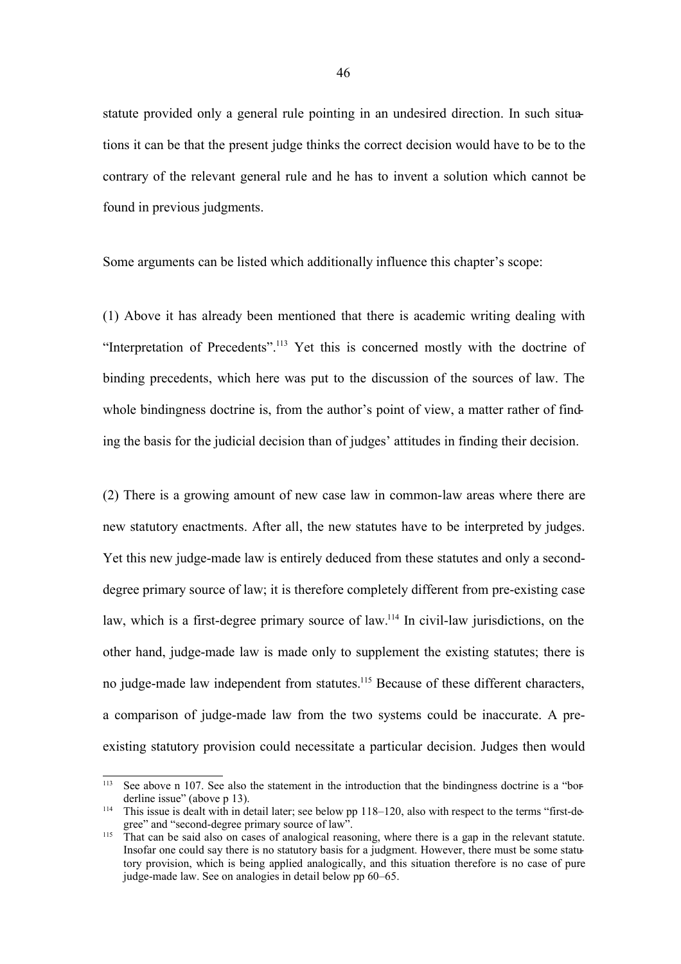statute provided only a general rule pointing in an undesired direction. In such situations it can be that the present judge thinks the correct decision would have to be to the contrary of the relevant general rule and he has to invent a solution which cannot be found in previous judgments.

Some arguments can be listed which additionally influence this chapter's scope:

(1) Above it has already been mentioned that there is academic writing dealing with "Interpretation of Precedents".<sup>113</sup> Yet this is concerned mostly with the doctrine of binding precedents, which here was put to the discussion of the sources of law. The whole bindingness doctrine is, from the author's point of view, a matter rather of finding the basis for the judicial decision than of judges' attitudes in finding their decision.

(2) There is a growing amount of new case law in common-law areas where there are new statutory enactments. After all, the new statutes have to be interpreted by judges. Yet this new judge-made law is entirely deduced from these statutes and only a seconddegree primary source of law; it is therefore completely different from pre-existing case law, which is a first-degree primary source of law.<sup>114</sup> In civil-law jurisdictions, on the other hand, judge-made law is made only to supplement the existing statutes; there is no judge-made law independent from statutes.<sup>115</sup> Because of these different characters, a comparison of judge-made law from the two systems could be inaccurate. A preexisting statutory provision could necessitate a particular decision. Judges then would

<sup>&</sup>lt;sup>113</sup> See above n 107. See also the statement in the introduction that the bindingness doctrine is a "borderline issue" (above p 13).

<sup>&</sup>lt;sup>114</sup> This issue is dealt with in detail later; see below pp 118–120, also with respect to the terms "first-degree" and "second-degree primary source of law".

<sup>&</sup>lt;sup>115</sup> That can be said also on cases of analogical reasoning, where there is a gap in the relevant statute. Insofar one could say there is no statutory basis for a judgment. However, there must be some statutory provision, which is being applied analogically, and this situation therefore is no case of pure judge-made law. See on analogies in detail below pp 60–65.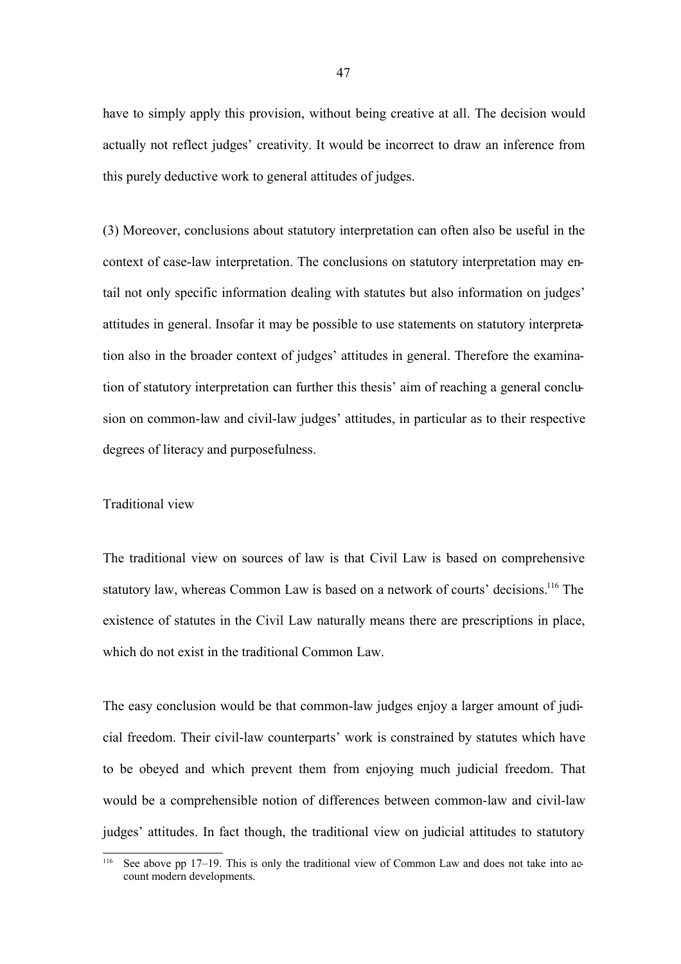have to simply apply this provision, without being creative at all. The decision would actually not reflect judges' creativity. It would be incorrect to draw an inference from this purely deductive work to general attitudes of judges.

(3) Moreover, conclusions about statutory interpretation can often also be useful in the context of case-law interpretation. The conclusions on statutory interpretation may entail not only specific information dealing with statutes but also information on judges' attitudes in general. Insofar it may be possible to use statements on statutory interpretation also in the broader context of judges' attitudes in general. Therefore the examination of statutory interpretation can further this thesis' aim of reaching a general conclusion on common-law and civil-law judges' attitudes, in particular as to their respective degrees of literacy and purposefulness.

#### Traditional view

The traditional view on sources of law is that Civil Law is based on comprehensive statutory law, whereas Common Law is based on a network of courts' decisions.<sup>116</sup> The existence of statutes in the Civil Law naturally means there are prescriptions in place, which do not exist in the traditional Common Law.

The easy conclusion would be that common-law judges enjoy a larger amount of judicial freedom. Their civil-law counterparts' work is constrained by statutes which have to be obeyed and which prevent them from enjoying much judicial freedom. That would be a comprehensible notion of differences between common-law and civil-law judges' attitudes. In fact though, the traditional view on judicial attitudes to statutory

See above pp 17–19. This is only the traditional view of Common Law and does not take into account modern developments.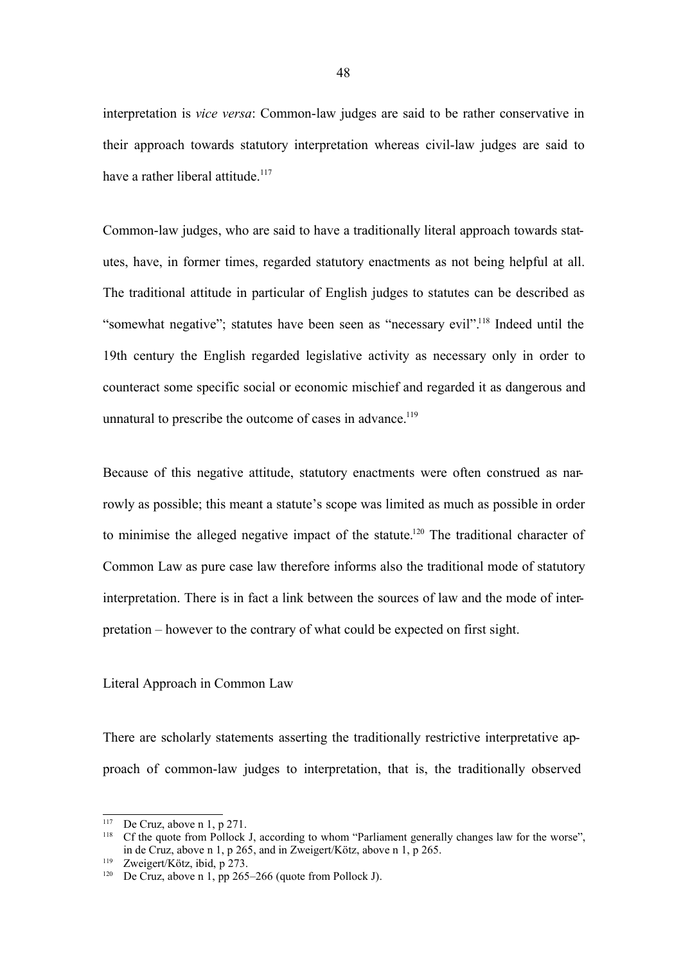interpretation is *vice versa*: Common-law judges are said to be rather conservative in their approach towards statutory interpretation whereas civil-law judges are said to have a rather liberal attitude.<sup>117</sup>

Common-law judges, who are said to have a traditionally literal approach towards statutes, have, in former times, regarded statutory enactments as not being helpful at all. The traditional attitude in particular of English judges to statutes can be described as "somewhat negative"; statutes have been seen as "necessary evil".<sup>118</sup> Indeed until the 19th century the English regarded legislative activity as necessary only in order to counteract some specific social or economic mischief and regarded it as dangerous and unnatural to prescribe the outcome of cases in advance.<sup>119</sup>

Because of this negative attitude, statutory enactments were often construed as narrowly as possible; this meant a statute's scope was limited as much as possible in order to minimise the alleged negative impact of the statute.<sup>120</sup> The traditional character of Common Law as pure case law therefore informs also the traditional mode of statutory interpretation. There is in fact a link between the sources of law and the mode of interpretation – however to the contrary of what could be expected on first sight.

# Literal Approach in Common Law

There are scholarly statements asserting the traditionally restrictive interpretative approach of common-law judges to interpretation, that is, the traditionally observed

<sup>&</sup>lt;sup>117</sup> De Cruz, above n 1, p 271.

<sup>&</sup>lt;sup>118</sup> Cf the quote from Pollock J, according to whom "Parliament generally changes law for the worse", in de Cruz, above n 1, p 265, and in Zweigert/Kötz, above n 1, p 265.

<sup>119</sup> Zweigert/Kötz, ibid, p 273.

<sup>&</sup>lt;sup>120</sup> De Cruz, above n 1, pp 265–266 (quote from Pollock J).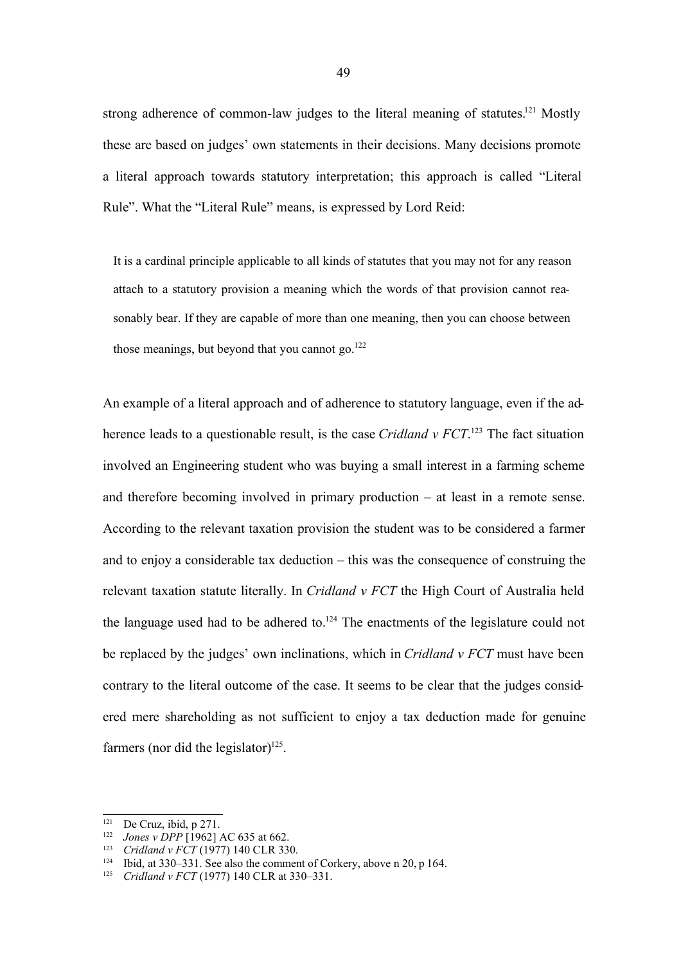strong adherence of common-law judges to the literal meaning of statutes.<sup>121</sup> Mostly these are based on judges' own statements in their decisions. Many decisions promote a literal approach towards statutory interpretation; this approach is called "Literal Rule". What the "Literal Rule" means, is expressed by Lord Reid:

It is a cardinal principle applicable to all kinds of statutes that you may not for any reason attach to a statutory provision a meaning which the words of that provision cannot reasonably bear. If they are capable of more than one meaning, then you can choose between those meanings, but beyond that you cannot go. $122$ 

An example of a literal approach and of adherence to statutory language, even if the adherence leads to a questionable result, is the case *Cridland v FCT*. <sup>123</sup> The fact situation involved an Engineering student who was buying a small interest in a farming scheme and therefore becoming involved in primary production – at least in a remote sense. According to the relevant taxation provision the student was to be considered a farmer and to enjoy a considerable tax deduction – this was the consequence of construing the relevant taxation statute literally. In *Cridland v FCT* the High Court of Australia held the language used had to be adhered to.<sup>124</sup> The enactments of the legislature could not be replaced by the judges' own inclinations, which in *Cridland v FCT* must have been contrary to the literal outcome of the case. It seems to be clear that the judges considered mere shareholding as not sufficient to enjoy a tax deduction made for genuine farmers (nor did the legislator) $^{125}$ .

<sup>&</sup>lt;sup>121</sup> De Cruz, ibid, p 271.

<sup>&</sup>lt;sup>122</sup> *Jones v DPP* [1962] AC 635 at 662.<br><sup>123</sup> *Cridland v ECT* (1977) 140 CLR 330

<sup>123</sup> *Cridland v FCT* (1977) 140 CLR 330.

<sup>124</sup> Ibid, at 330–331. See also the comment of Corkery, above n 20, p 164.

<sup>125</sup> *Cridland v FCT* (1977) 140 CLR at 330–331.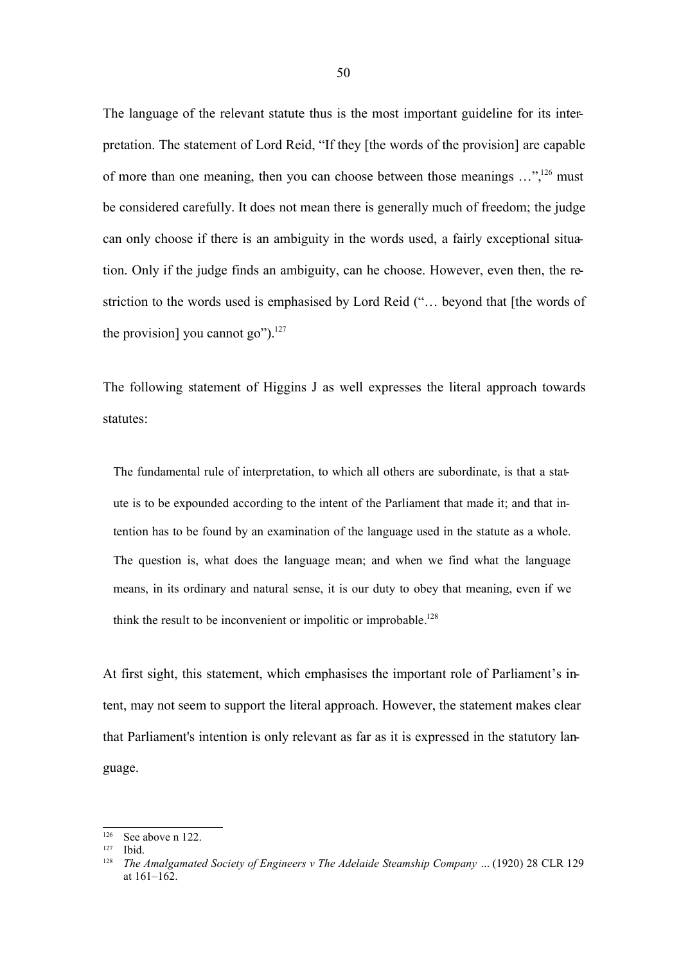The language of the relevant statute thus is the most important guideline for its interpretation. The statement of Lord Reid, "If they [the words of the provision] are capable of more than one meaning, then you can choose between those meanings …",<sup>126</sup> must be considered carefully. It does not mean there is generally much of freedom; the judge can only choose if there is an ambiguity in the words used, a fairly exceptional situation. Only if the judge finds an ambiguity, can he choose. However, even then, the restriction to the words used is emphasised by Lord Reid ("… beyond that [the words of the provision] you cannot go" $)^{127}$ 

The following statement of Higgins J as well expresses the literal approach towards statutes:

The fundamental rule of interpretation, to which all others are subordinate, is that a statute is to be expounded according to the intent of the Parliament that made it; and that intention has to be found by an examination of the language used in the statute as a whole. The question is, what does the language mean; and when we find what the language means, in its ordinary and natural sense, it is our duty to obey that meaning, even if we think the result to be inconvenient or impolitic or improbable.<sup>128</sup>

At first sight, this statement, which emphasises the important role of Parliament's intent, may not seem to support the literal approach. However, the statement makes clear that Parliament's intention is only relevant as far as it is expressed in the statutory language.

 $126$  See above n 122.

<sup>127</sup> Ibid.

<sup>128</sup> *The Amalgamated Society of Engineers v The Adelaide Steamship Company …* (1920) 28 CLR 129 at  $161 - 162$ .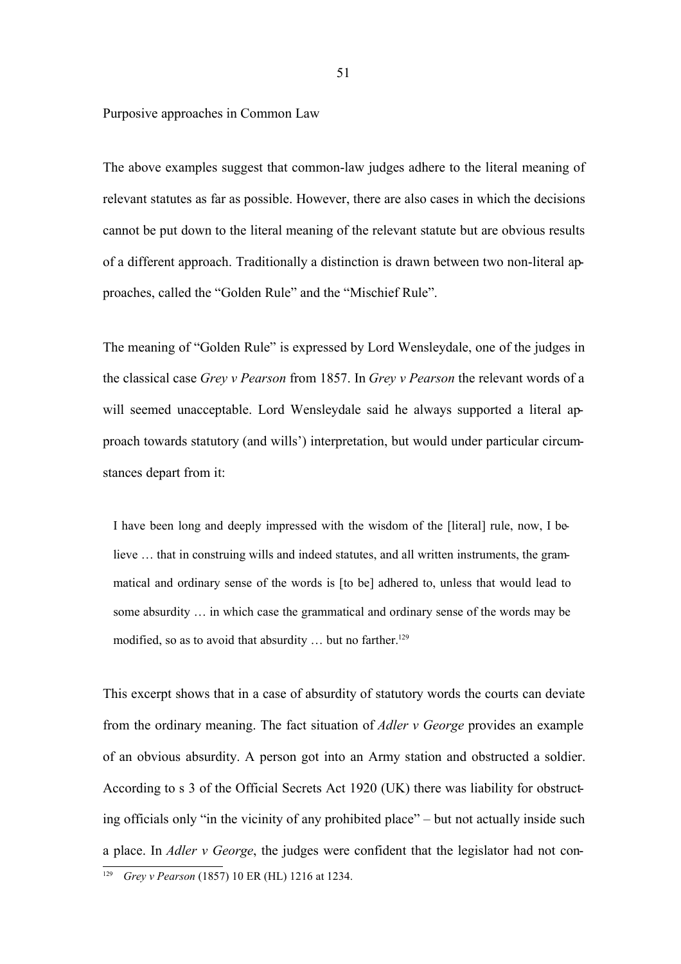Purposive approaches in Common Law

The above examples suggest that common-law judges adhere to the literal meaning of relevant statutes as far as possible. However, there are also cases in which the decisions cannot be put down to the literal meaning of the relevant statute but are obvious results of a different approach. Traditionally a distinction is drawn between two non-literal approaches, called the "Golden Rule" and the "Mischief Rule".

The meaning of "Golden Rule" is expressed by Lord Wensleydale, one of the judges in the classical case *Grey v Pearson* from 1857. In *Grey v Pearson* the relevant words of a will seemed unacceptable. Lord Wensleydale said he always supported a literal approach towards statutory (and wills') interpretation, but would under particular circumstances depart from it:

I have been long and deeply impressed with the wisdom of the [literal] rule, now, I believe … that in construing wills and indeed statutes, and all written instruments, the grammatical and ordinary sense of the words is [to be] adhered to, unless that would lead to some absurdity … in which case the grammatical and ordinary sense of the words may be modified, so as to avoid that absurdity  $\dots$  but no farther.<sup>129</sup>

This excerpt shows that in a case of absurdity of statutory words the courts can deviate from the ordinary meaning. The fact situation of *Adler v George* provides an example of an obvious absurdity. A person got into an Army station and obstructed a soldier. According to s 3 of the Official Secrets Act 1920 (UK) there was liability for obstructing officials only "in the vicinity of any prohibited place" – but not actually inside such a place. In *Adler v George*, the judges were confident that the legislator had not con-

<sup>129</sup> *Grey v Pearson* (1857) 10 ER (HL) 1216 at 1234.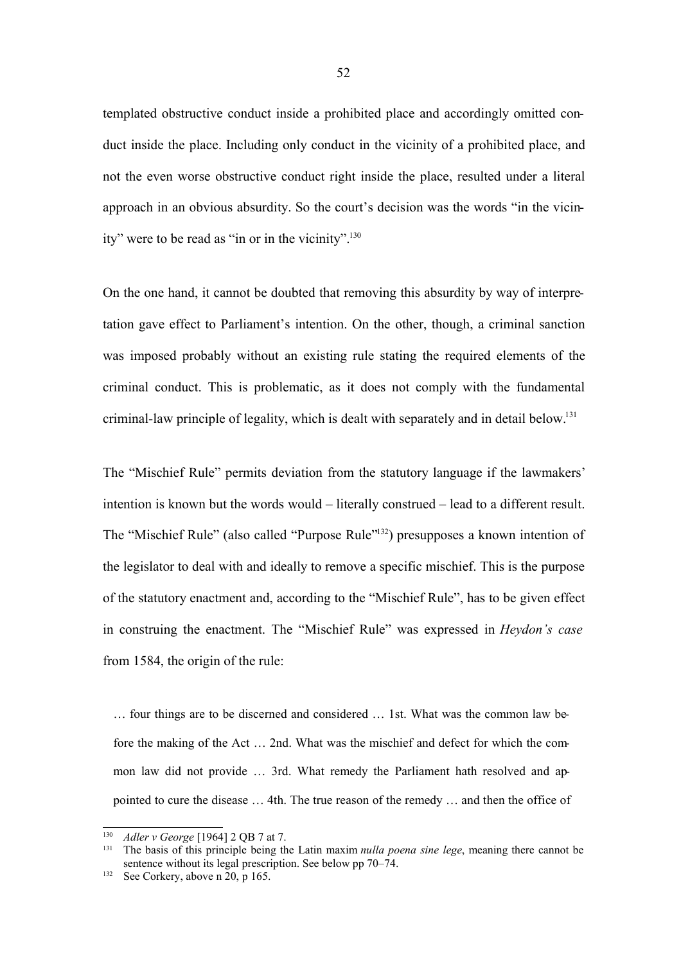templated obstructive conduct inside a prohibited place and accordingly omitted conduct inside the place. Including only conduct in the vicinity of a prohibited place, and not the even worse obstructive conduct right inside the place, resulted under a literal approach in an obvious absurdity. So the court's decision was the words "in the vicinity" were to be read as "in or in the vicinity".<sup>130</sup>

On the one hand, it cannot be doubted that removing this absurdity by way of interpretation gave effect to Parliament's intention. On the other, though, a criminal sanction was imposed probably without an existing rule stating the required elements of the criminal conduct. This is problematic, as it does not comply with the fundamental criminal-law principle of legality, which is dealt with separately and in detail below.<sup>131</sup>

The "Mischief Rule" permits deviation from the statutory language if the lawmakers' intention is known but the words would – literally construed – lead to a different result. The "Mischief Rule" (also called "Purpose Rule"<sup>132</sup>) presupposes a known intention of the legislator to deal with and ideally to remove a specific mischief. This is the purpose of the statutory enactment and, according to the "Mischief Rule", has to be given effect in construing the enactment. The "Mischief Rule" was expressed in *Heydon's case* from 1584, the origin of the rule:

… four things are to be discerned and considered … 1st. What was the common law before the making of the Act … 2nd. What was the mischief and defect for which the common law did not provide … 3rd. What remedy the Parliament hath resolved and appointed to cure the disease … 4th. The true reason of the remedy … and then the office of

<sup>130</sup> *Adler v George* [1964] 2 QB 7 at 7.

<sup>131</sup> The basis of this principle being the Latin maxim *nulla poena sine lege*, meaning there cannot be sentence without its legal prescription. See below pp 70–74.

<sup>&</sup>lt;sup>132</sup> See Corkery, above n  $20$ , p 165.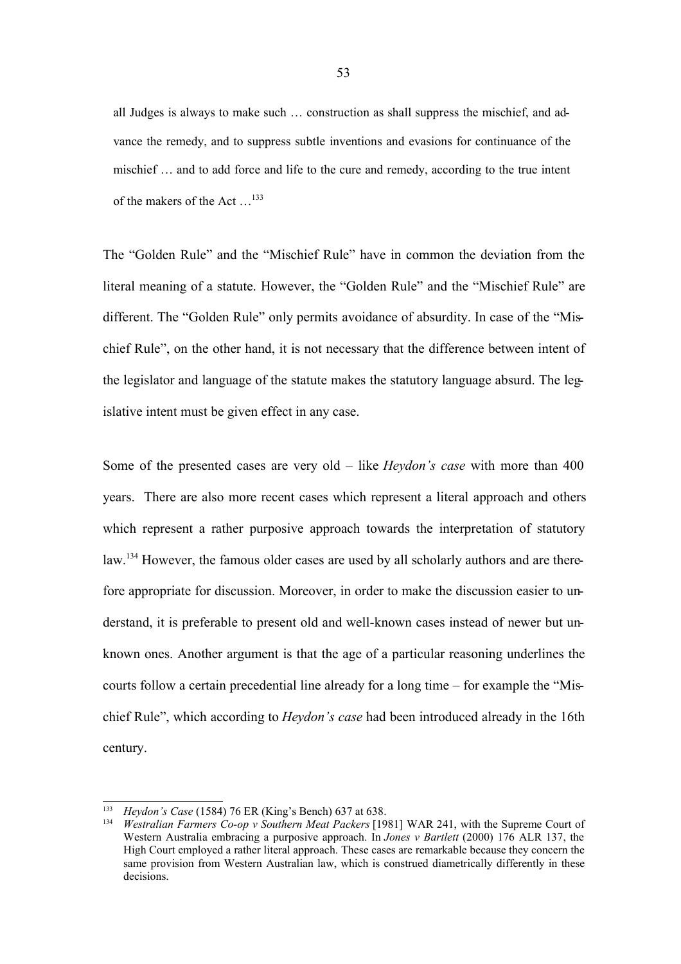all Judges is always to make such … construction as shall suppress the mischief, and advance the remedy, and to suppress subtle inventions and evasions for continuance of the mischief … and to add force and life to the cure and remedy, according to the true intent of the makers of the Act …<sup>133</sup>

The "Golden Rule" and the "Mischief Rule" have in common the deviation from the literal meaning of a statute. However, the "Golden Rule" and the "Mischief Rule" are different. The "Golden Rule" only permits avoidance of absurdity. In case of the "Mischief Rule", on the other hand, it is not necessary that the difference between intent of the legislator and language of the statute makes the statutory language absurd. The legislative intent must be given effect in any case.

Some of the presented cases are very old – like *Heydon's case* with more than 400 years. There are also more recent cases which represent a literal approach and others which represent a rather purposive approach towards the interpretation of statutory law.<sup>134</sup> However, the famous older cases are used by all scholarly authors and are therefore appropriate for discussion. Moreover, in order to make the discussion easier to understand, it is preferable to present old and well-known cases instead of newer but unknown ones. Another argument is that the age of a particular reasoning underlines the courts follow a certain precedential line already for a long time – for example the "Mischief Rule", which according to *Heydon's case* had been introduced already in the 16th century.

<sup>133</sup> *Heydon's Case* (1584) 76 ER (King's Bench) 637 at 638.

<sup>134</sup> *Westralian Farmers Co-op v Southern Meat Packers* [1981] WAR 241, with the Supreme Court of Western Australia embracing a purposive approach. In *Jones v Bartlett* (2000) 176 ALR 137, the High Court employed a rather literal approach. These cases are remarkable because they concern the same provision from Western Australian law, which is construed diametrically differently in these decisions.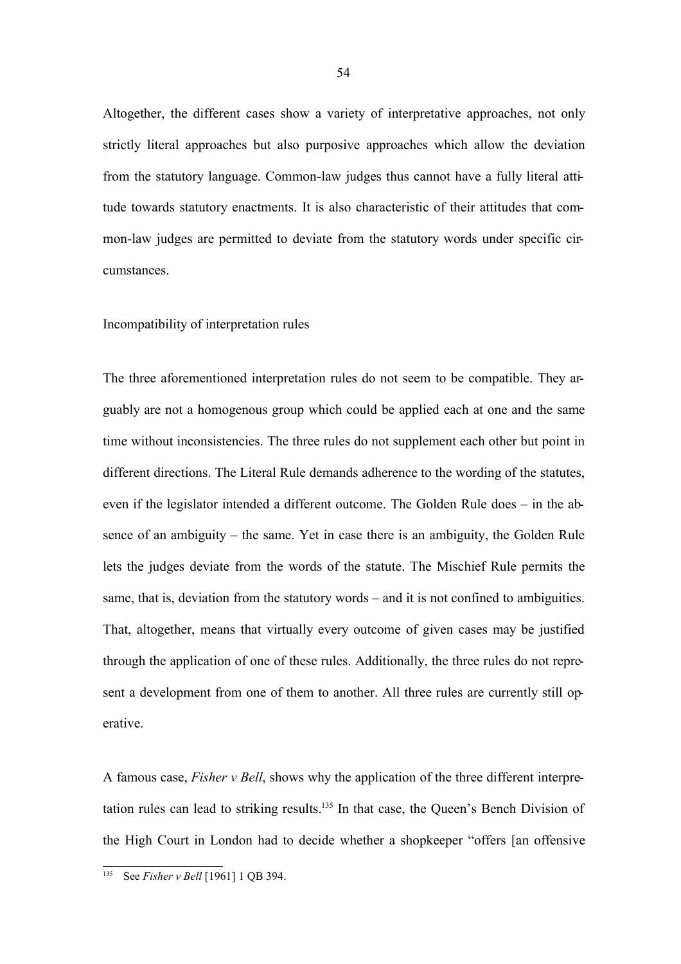Altogether, the different cases show a variety of interpretative approaches, not only strictly literal approaches but also purposive approaches which allow the deviation from the statutory language. Common-law judges thus cannot have a fully literal attitude towards statutory enactments. It is also characteristic of their attitudes that common-law judges are permitted to deviate from the statutory words under specific circumstances.

## Incompatibility of interpretation rules

The three aforementioned interpretation rules do not seem to be compatible. They arguably are not a homogenous group which could be applied each at one and the same time without inconsistencies. The three rules do not supplement each other but point in different directions. The Literal Rule demands adherence to the wording of the statutes, even if the legislator intended a different outcome. The Golden Rule does – in the absence of an ambiguity – the same. Yet in case there is an ambiguity, the Golden Rule lets the judges deviate from the words of the statute. The Mischief Rule permits the same, that is, deviation from the statutory words – and it is not confined to ambiguities. That, altogether, means that virtually every outcome of given cases may be justified through the application of one of these rules. Additionally, the three rules do not represent a development from one of them to another. All three rules are currently still operative.

A famous case, *Fisher v Bell*, shows why the application of the three different interpretation rules can lead to striking results.<sup>135</sup> In that case, the Queen's Bench Division of the High Court in London had to decide whether a shopkeeper "offers [an offensive

<sup>135</sup> See *Fisher v Bell* [1961] 1 QB 394.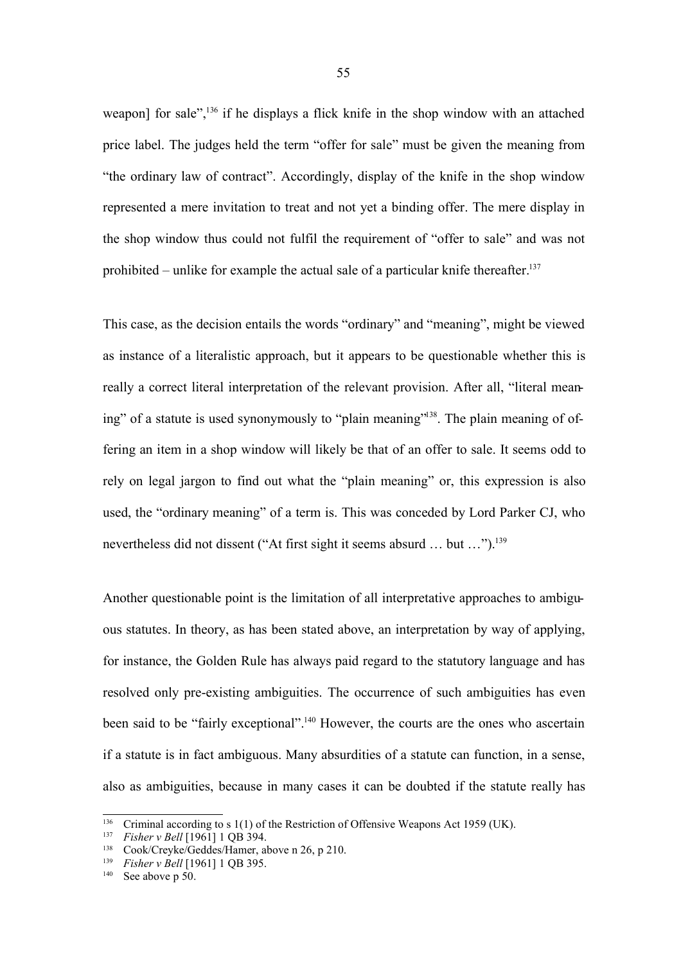weapon] for sale",<sup>136</sup> if he displays a flick knife in the shop window with an attached price label. The judges held the term "offer for sale" must be given the meaning from "the ordinary law of contract". Accordingly, display of the knife in the shop window represented a mere invitation to treat and not yet a binding offer. The mere display in the shop window thus could not fulfil the requirement of "offer to sale" and was not prohibited – unlike for example the actual sale of a particular knife thereafter.<sup>137</sup>

This case, as the decision entails the words "ordinary" and "meaning", might be viewed as instance of a literalistic approach, but it appears to be questionable whether this is really a correct literal interpretation of the relevant provision. After all, "literal meaning" of a statute is used synonymously to "plain meaning"<sup>138</sup>. The plain meaning of offering an item in a shop window will likely be that of an offer to sale. It seems odd to rely on legal jargon to find out what the "plain meaning" or, this expression is also used, the "ordinary meaning" of a term is. This was conceded by Lord Parker CJ, who nevertheless did not dissent ("At first sight it seems absurd … but …").<sup>139</sup>

Another questionable point is the limitation of all interpretative approaches to ambiguous statutes. In theory, as has been stated above, an interpretation by way of applying, for instance, the Golden Rule has always paid regard to the statutory language and has resolved only pre-existing ambiguities. The occurrence of such ambiguities has even been said to be "fairly exceptional".<sup>140</sup> However, the courts are the ones who ascertain if a statute is in fact ambiguous. Many absurdities of a statute can function, in a sense, also as ambiguities, because in many cases it can be doubted if the statute really has

<sup>&</sup>lt;sup>136</sup> Criminal according to s 1(1) of the Restriction of Offensive Weapons Act 1959 (UK).<br><sup>137</sup> Eisher v Rell [1961] 1 OB 394

*Fisher v Bell* [1961] 1 QB 394.

<sup>138</sup> Cook/Creyke/Geddes/Hamer, above n 26, p 210.

<sup>139</sup> *Fisher v Bell* [1961] 1 QB 395.

 $140$  See above p 50.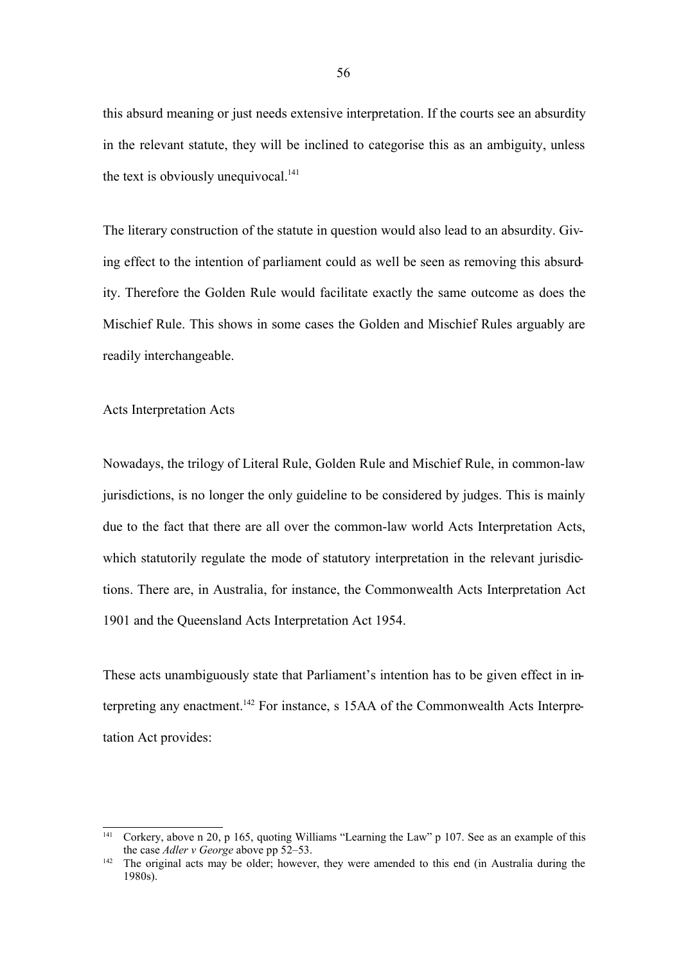this absurd meaning or just needs extensive interpretation. If the courts see an absurdity in the relevant statute, they will be inclined to categorise this as an ambiguity, unless the text is obviously unequivocal. $141$ 

The literary construction of the statute in question would also lead to an absurdity. Giving effect to the intention of parliament could as well be seen as removing this absurdity. Therefore the Golden Rule would facilitate exactly the same outcome as does the Mischief Rule. This shows in some cases the Golden and Mischief Rules arguably are readily interchangeable.

Acts Interpretation Acts

Nowadays, the trilogy of Literal Rule, Golden Rule and Mischief Rule, in common-law jurisdictions, is no longer the only guideline to be considered by judges. This is mainly due to the fact that there are all over the common-law world Acts Interpretation Acts, which statutorily regulate the mode of statutory interpretation in the relevant jurisdictions. There are, in Australia, for instance, the Commonwealth Acts Interpretation Act 1901 and the Queensland Acts Interpretation Act 1954.

These acts unambiguously state that Parliament's intention has to be given effect in interpreting any enactment. <sup>142</sup> For instance, s 15AA of the Commonwealth Acts Interpretation Act provides:

<sup>141</sup> Corkery, above n 20, p 165, quoting Williams "Learning the Law" p 107. See as an example of this the case *Adler v George* above pp 52–53.

<sup>&</sup>lt;sup>142</sup> The original acts may be older; however, they were amended to this end (in Australia during the 1980s).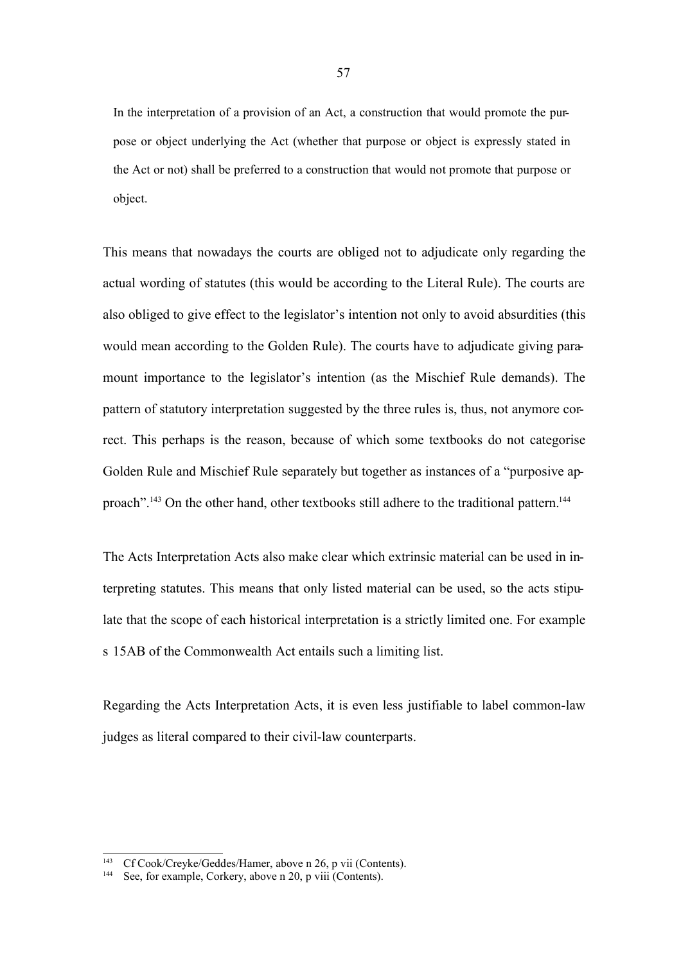In the interpretation of a provision of an Act, a construction that would promote the purpose or object underlying the Act (whether that purpose or object is expressly stated in the Act or not) shall be preferred to a construction that would not promote that purpose or object.

This means that nowadays the courts are obliged not to adjudicate only regarding the actual wording of statutes (this would be according to the Literal Rule). The courts are also obliged to give effect to the legislator's intention not only to avoid absurdities (this would mean according to the Golden Rule). The courts have to adjudicate giving paramount importance to the legislator's intention (as the Mischief Rule demands). The pattern of statutory interpretation suggested by the three rules is, thus, not anymore correct. This perhaps is the reason, because of which some textbooks do not categorise Golden Rule and Mischief Rule separately but together as instances of a "purposive approach".<sup>143</sup> On the other hand, other textbooks still adhere to the traditional pattern.<sup>144</sup>

The Acts Interpretation Acts also make clear which extrinsic material can be used in interpreting statutes. This means that only listed material can be used, so the acts stipulate that the scope of each historical interpretation is a strictly limited one. For example s 15AB of the Commonwealth Act entails such a limiting list.

Regarding the Acts Interpretation Acts, it is even less justifiable to label common-law judges as literal compared to their civil-law counterparts.

<sup>143</sup> Cf Cook/Creyke/Geddes/Hamer, above n 26, p vii (Contents).

<sup>&</sup>lt;sup>144</sup> See, for example, Corkery, above n 20, p viii (Contents).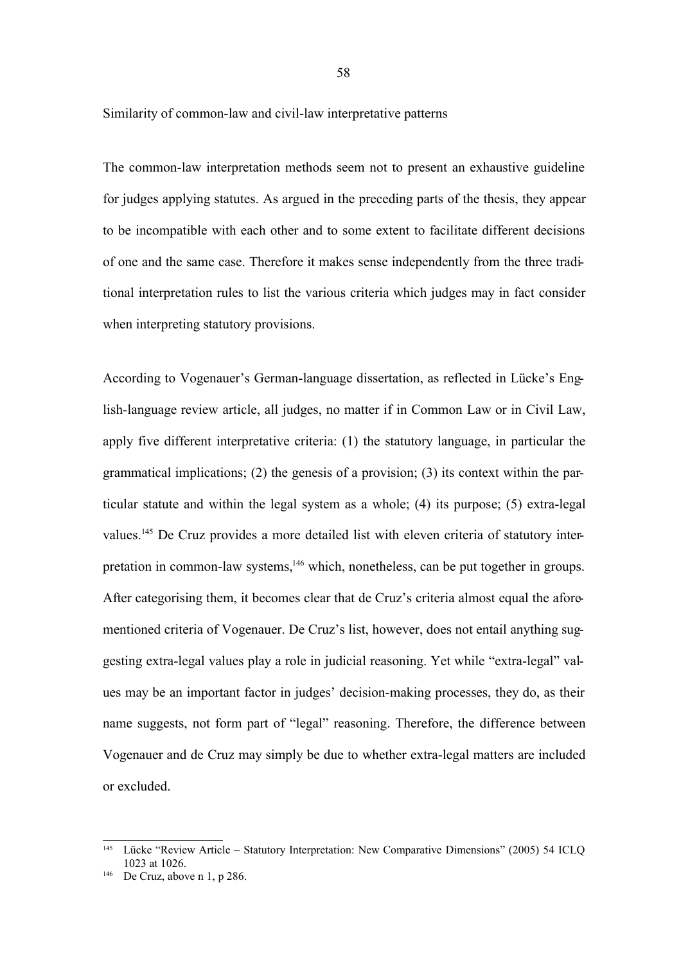Similarity of common-law and civil-law interpretative patterns

The common-law interpretation methods seem not to present an exhaustive guideline for judges applying statutes. As argued in the preceding parts of the thesis, they appear to be incompatible with each other and to some extent to facilitate different decisions of one and the same case. Therefore it makes sense independently from the three traditional interpretation rules to list the various criteria which judges may in fact consider when interpreting statutory provisions.

According to Vogenauer's German-language dissertation, as reflected in Lücke's English-language review article, all judges, no matter if in Common Law or in Civil Law, apply five different interpretative criteria: (1) the statutory language, in particular the grammatical implications; (2) the genesis of a provision; (3) its context within the particular statute and within the legal system as a whole; (4) its purpose; (5) extra-legal values.<sup>145</sup> De Cruz provides a more detailed list with eleven criteria of statutory interpretation in common-law systems,<sup>146</sup> which, nonetheless, can be put together in groups. After categorising them, it becomes clear that de Cruz's criteria almost equal the aforementioned criteria of Vogenauer. De Cruz's list, however, does not entail anything suggesting extra-legal values play a role in judicial reasoning. Yet while "extra-legal" values may be an important factor in judges' decision-making processes, they do, as their name suggests, not form part of "legal" reasoning. Therefore, the difference between Vogenauer and de Cruz may simply be due to whether extra-legal matters are included or excluded.

<sup>145</sup> Lücke "Review Article – Statutory Interpretation: New Comparative Dimensions" (2005) 54 ICLQ 1023 at 1026.

<sup>&</sup>lt;sup>146</sup> De Cruz, above n 1, p 286.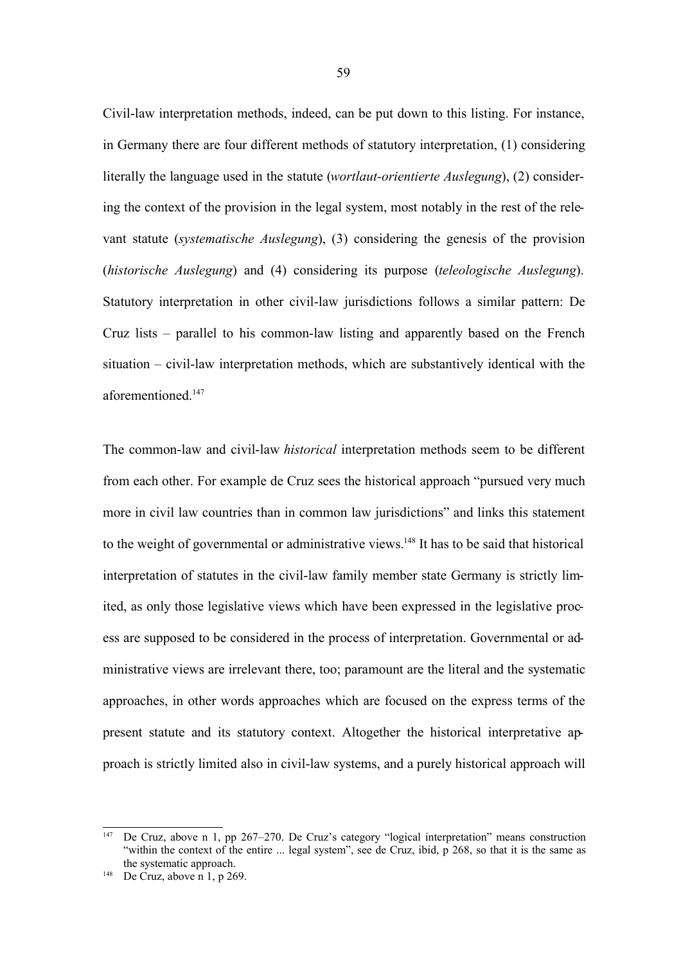Civil-law interpretation methods, indeed, can be put down to this listing. For instance, in Germany there are four different methods of statutory interpretation, (1) considering literally the language used in the statute (*wortlaut-orientierte Auslegung*), (2) considering the context of the provision in the legal system, most notably in the rest of the relevant statute (*systematische Auslegung*), (3) considering the genesis of the provision (*historische Auslegung*) and (4) considering its purpose (*teleologische Auslegung*). Statutory interpretation in other civil-law jurisdictions follows a similar pattern: De Cruz lists – parallel to his common-law listing and apparently based on the French situation – civil-law interpretation methods, which are substantively identical with the aforementioned<sup>147</sup>

The common-law and civil-law *historical* interpretation methods seem to be different from each other. For example de Cruz sees the historical approach "pursued very much more in civil law countries than in common law jurisdictions" and links this statement to the weight of governmental or administrative views.<sup>148</sup> It has to be said that historical interpretation of statutes in the civil-law family member state Germany is strictly limited, as only those legislative views which have been expressed in the legislative process are supposed to be considered in the process of interpretation. Governmental or administrative views are irrelevant there, too; paramount are the literal and the systematic approaches, in other words approaches which are focused on the express terms of the present statute and its statutory context. Altogether the historical interpretative approach is strictly limited also in civil-law systems, and a purely historical approach will

<sup>&</sup>lt;sup>147</sup> De Cruz, above n 1, pp 267–270. De Cruz's category "logical interpretation" means construction "within the context of the entire ... legal system", see de Cruz, ibid, p 268, so that it is the same as the systematic approach.

<sup>&</sup>lt;sup>148</sup> De Cruz, above n 1, p 269.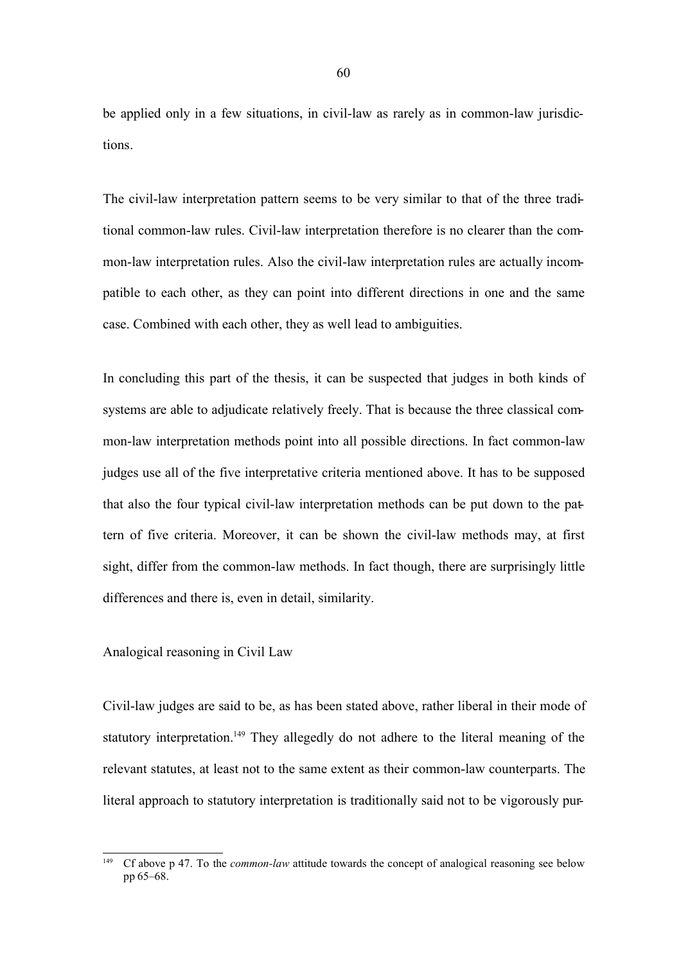be applied only in a few situations, in civil-law as rarely as in common-law jurisdictions.

The civil-law interpretation pattern seems to be very similar to that of the three traditional common-law rules. Civil-law interpretation therefore is no clearer than the common-law interpretation rules. Also the civil-law interpretation rules are actually incompatible to each other, as they can point into different directions in one and the same case. Combined with each other, they as well lead to ambiguities.

In concluding this part of the thesis, it can be suspected that judges in both kinds of systems are able to adjudicate relatively freely. That is because the three classical common-law interpretation methods point into all possible directions. In fact common-law judges use all of the five interpretative criteria mentioned above. It has to be supposed that also the four typical civil-law interpretation methods can be put down to the pattern of five criteria. Moreover, it can be shown the civil-law methods may, at first sight, differ from the common-law methods. In fact though, there are surprisingly little differences and there is, even in detail, similarity.

## Analogical reasoning in Civil Law

Civil-law judges are said to be, as has been stated above, rather liberal in their mode of statutory interpretation.<sup>149</sup> They allegedly do not adhere to the literal meaning of the relevant statutes, at least not to the same extent as their common-law counterparts. The literal approach to statutory interpretation is traditionally said not to be vigorously pur-

<sup>&</sup>lt;sup>149</sup> Cf above p 47. To the *common-law* attitude towards the concept of analogical reasoning see below pp 65–68.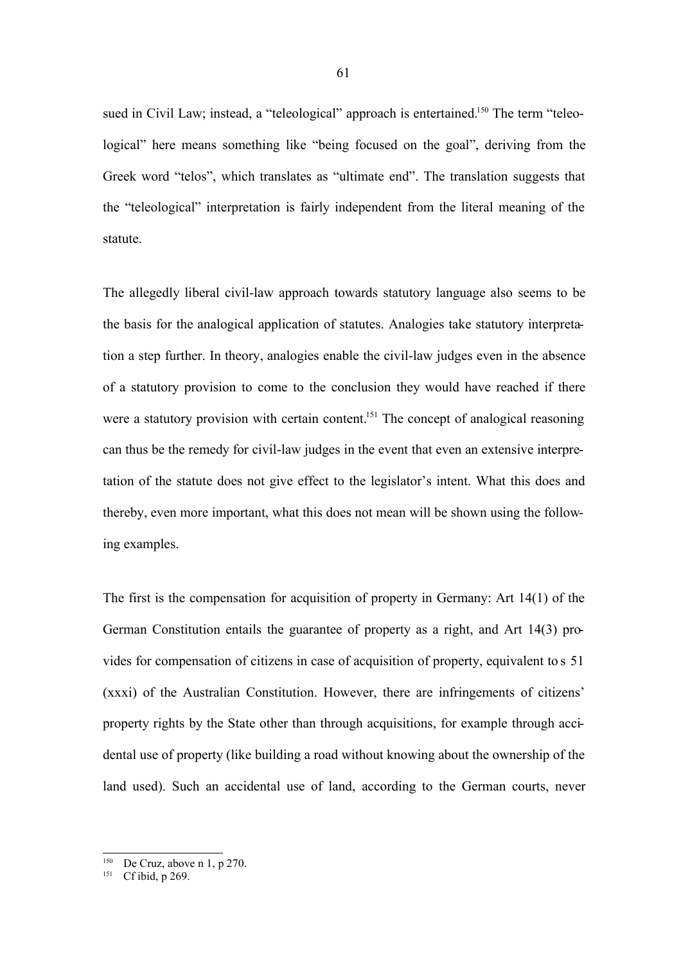sued in Civil Law; instead, a "teleological" approach is entertained.<sup>150</sup> The term "teleological" here means something like "being focused on the goal", deriving from the Greek word "telos", which translates as "ultimate end". The translation suggests that the "teleological" interpretation is fairly independent from the literal meaning of the statute.

The allegedly liberal civil-law approach towards statutory language also seems to be the basis for the analogical application of statutes. Analogies take statutory interpretation a step further. In theory, analogies enable the civil-law judges even in the absence of a statutory provision to come to the conclusion they would have reached if there were a statutory provision with certain content.<sup>151</sup> The concept of analogical reasoning can thus be the remedy for civil-law judges in the event that even an extensive interpretation of the statute does not give effect to the legislator's intent. What this does and thereby, even more important, what this does not mean will be shown using the following examples.

The first is the compensation for acquisition of property in Germany: Art 14(1) of the German Constitution entails the guarantee of property as a right, and Art 14(3) provides for compensation of citizens in case of acquisition of property, equivalent to s 51 (xxxi) of the Australian Constitution. However, there are infringements of citizens' property rights by the State other than through acquisitions, for example through accidental use of property (like building a road without knowing about the ownership of the land used). Such an accidental use of land, according to the German courts, never

<sup>&</sup>lt;sup>150</sup> De Cruz, above n 1, p 270.

<sup>&</sup>lt;sup>151</sup> Cf ibid, p 269.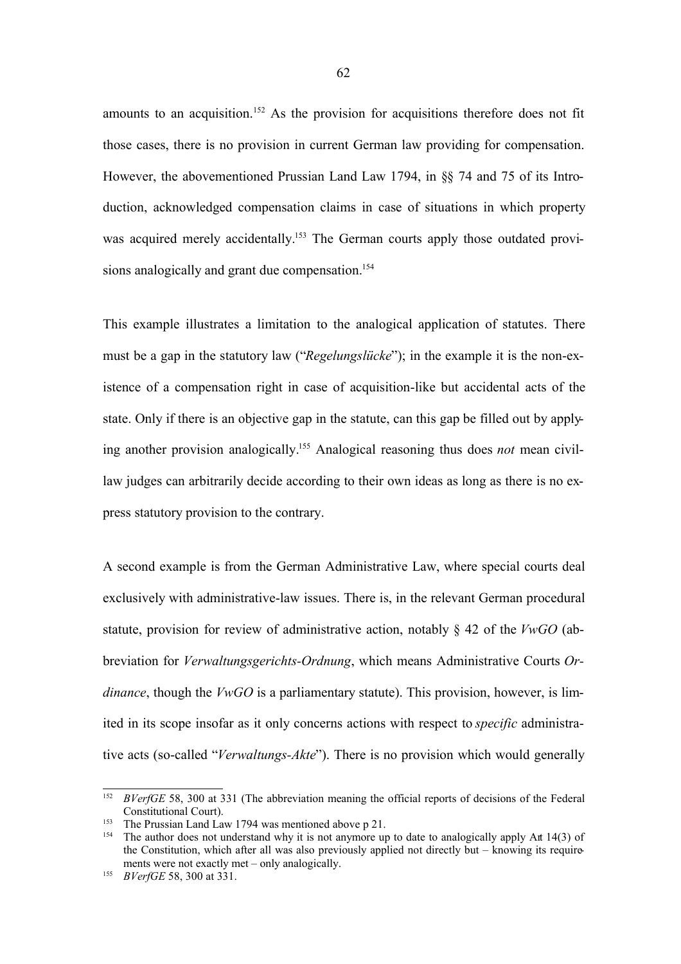amounts to an acquisition.<sup>152</sup> As the provision for acquisitions therefore does not fit those cases, there is no provision in current German law providing for compensation. However, the abovementioned Prussian Land Law 1794, in §§ 74 and 75 of its Introduction, acknowledged compensation claims in case of situations in which property was acquired merely accidentally.<sup>153</sup> The German courts apply those outdated provisions analogically and grant due compensation.<sup>154</sup>

This example illustrates a limitation to the analogical application of statutes. There must be a gap in the statutory law ("*Regelungslücke*"); in the example it is the non-existence of a compensation right in case of acquisition-like but accidental acts of the state. Only if there is an objective gap in the statute, can this gap be filled out by applying another provision analogically. <sup>155</sup> Analogical reasoning thus does *not* mean civillaw judges can arbitrarily decide according to their own ideas as long as there is no express statutory provision to the contrary.

A second example is from the German Administrative Law, where special courts deal exclusively with administrative-law issues. There is, in the relevant German procedural statute, provision for review of administrative action, notably § 42 of the *VwGO* (abbreviation for *Verwaltungsgerichts-Ordnung*, which means Administrative Courts *Ordinance*, though the *VwGO* is a parliamentary statute). This provision, however, is limited in its scope insofar as it only concerns actions with respect to *specific* administrative acts (so-called "*Verwaltungs-Akte*"). There is no provision which would generally

<sup>152</sup> *BVerfGE* 58, 300 at 331 (The abbreviation meaning the official reports of decisions of the Federal Constitutional Court).

<sup>&</sup>lt;sup>153</sup> The Prussian Land Law 1794 was mentioned above p 21.<br><sup>154</sup> The author does not understand why it is not anymore un

The author does not understand why it is not anymore up to date to analogically apply Art 14(3) of the Constitution, which after all was also previously applied not directly but – knowing its requirements were not exactly met – only analogically.

<sup>155</sup> *BVerfGE* 58, 300 at 331.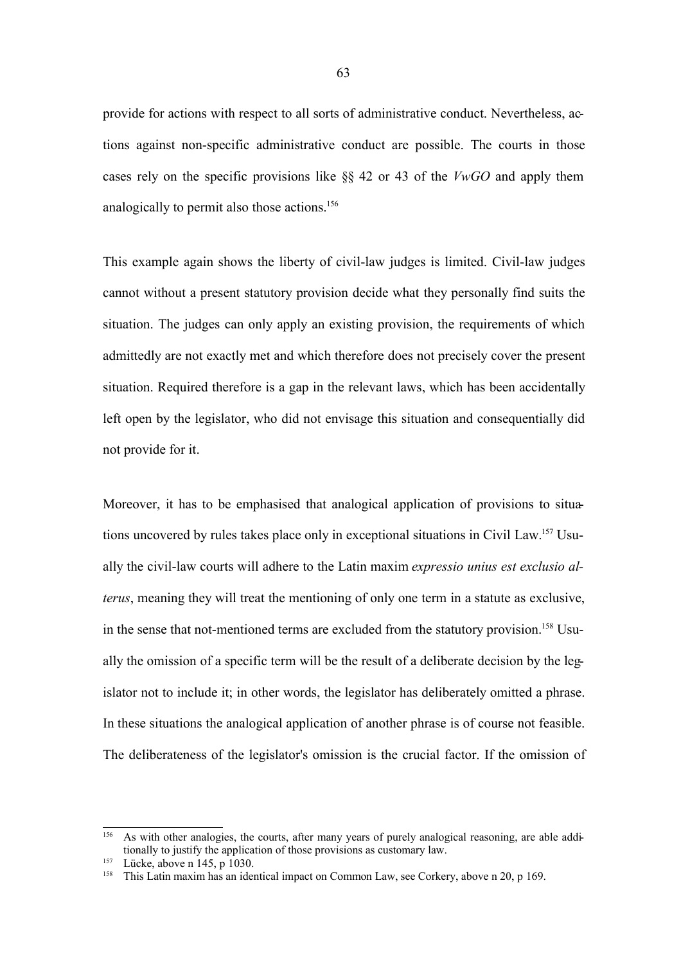provide for actions with respect to all sorts of administrative conduct. Nevertheless, actions against non-specific administrative conduct are possible. The courts in those cases rely on the specific provisions like §§ 42 or 43 of the *VwGO* and apply them analogically to permit also those actions.<sup>156</sup>

This example again shows the liberty of civil-law judges is limited. Civil-law judges cannot without a present statutory provision decide what they personally find suits the situation. The judges can only apply an existing provision, the requirements of which admittedly are not exactly met and which therefore does not precisely cover the present situation. Required therefore is a gap in the relevant laws, which has been accidentally left open by the legislator, who did not envisage this situation and consequentially did not provide for it.

Moreover, it has to be emphasised that analogical application of provisions to situations uncovered by rules takes place only in exceptional situations in Civil Law.<sup>157</sup> Usually the civil-law courts will adhere to the Latin maxim *expressio unius est exclusio alterus*, meaning they will treat the mentioning of only one term in a statute as exclusive, in the sense that not-mentioned terms are excluded from the statutory provision.<sup>158</sup> Usually the omission of a specific term will be the result of a deliberate decision by the legislator not to include it; in other words, the legislator has deliberately omitted a phrase. In these situations the analogical application of another phrase is of course not feasible. The deliberateness of the legislator's omission is the crucial factor. If the omission of

<sup>156</sup> As with other analogies, the courts, after many years of purely analogical reasoning, are able additionally to justify the application of those provisions as customary law.

<sup>157</sup> Lücke, above n 145, p 1030.

<sup>&</sup>lt;sup>158</sup> This Latin maxim has an identical impact on Common Law, see Corkery, above n 20, p 169.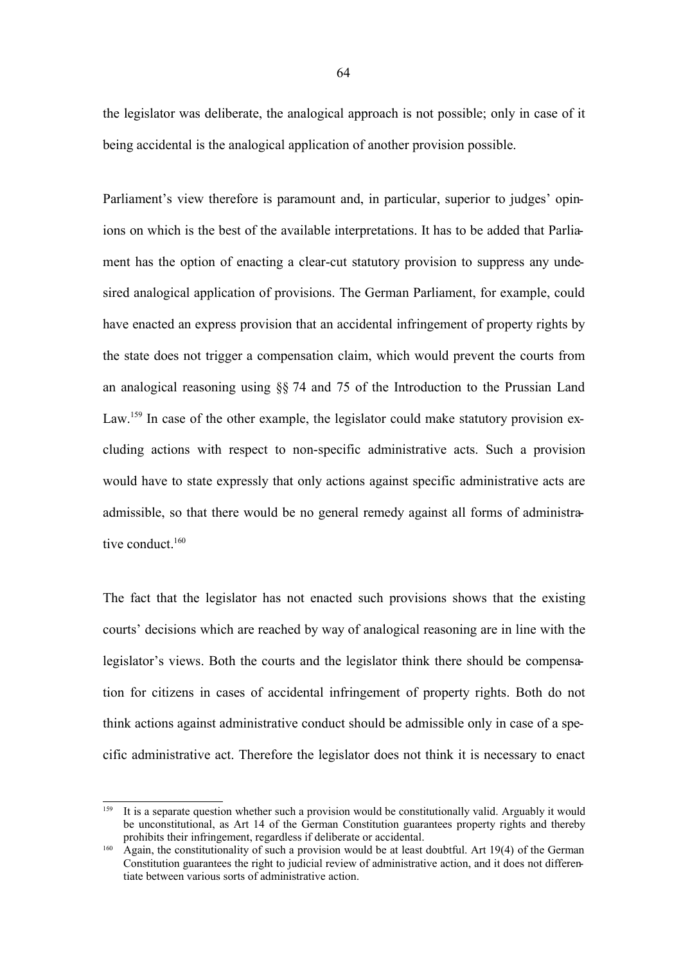the legislator was deliberate, the analogical approach is not possible; only in case of it being accidental is the analogical application of another provision possible.

Parliament's view therefore is paramount and, in particular, superior to judges' opinions on which is the best of the available interpretations. It has to be added that Parliament has the option of enacting a clear-cut statutory provision to suppress any undesired analogical application of provisions. The German Parliament, for example, could have enacted an express provision that an accidental infringement of property rights by the state does not trigger a compensation claim, which would prevent the courts from an analogical reasoning using §§ 74 and 75 of the Introduction to the Prussian Land Law.<sup>159</sup> In case of the other example, the legislator could make statutory provision excluding actions with respect to non-specific administrative acts. Such a provision would have to state expressly that only actions against specific administrative acts are admissible, so that there would be no general remedy against all forms of administrative conduct.<sup>160</sup>

The fact that the legislator has not enacted such provisions shows that the existing courts' decisions which are reached by way of analogical reasoning are in line with the legislator's views. Both the courts and the legislator think there should be compensation for citizens in cases of accidental infringement of property rights. Both do not think actions against administrative conduct should be admissible only in case of a specific administrative act. Therefore the legislator does not think it is necessary to enact

<sup>159</sup> It is a separate question whether such a provision would be constitutionally valid. Arguably it would be unconstitutional, as Art 14 of the German Constitution guarantees property rights and thereby prohibits their infringement, regardless if deliberate or accidental.

 $^{160}$  Again, the constitutionality of such a provision would be at least doubtful. Art 19(4) of the German Constitution guarantees the right to judicial review of administrative action, and it does not differentiate between various sorts of administrative action.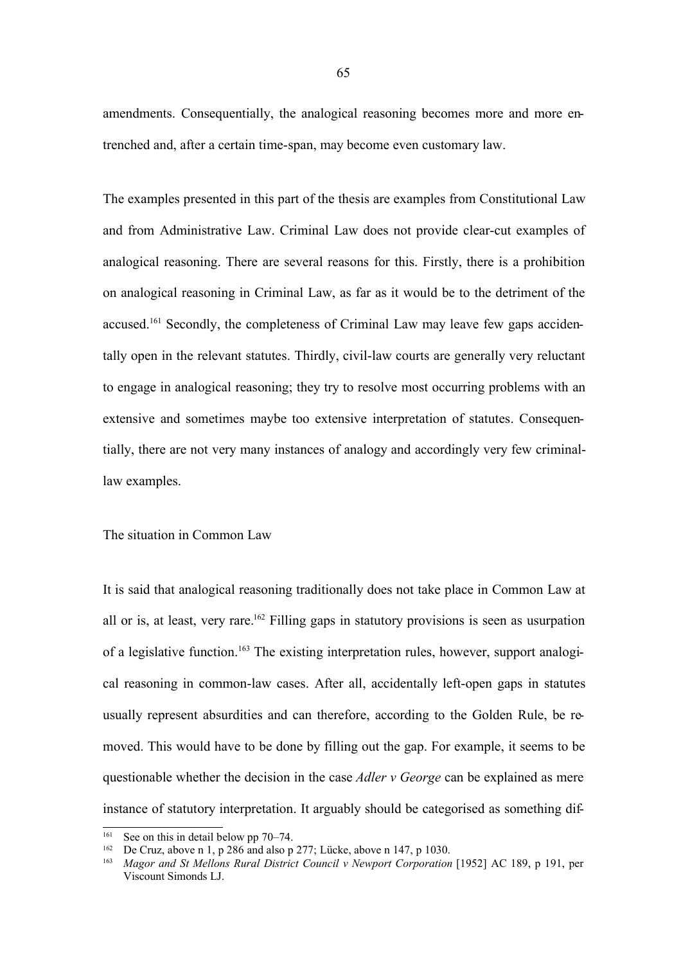amendments. Consequentially, the analogical reasoning becomes more and more entrenched and, after a certain time-span, may become even customary law.

The examples presented in this part of the thesis are examples from Constitutional Law and from Administrative Law. Criminal Law does not provide clear-cut examples of analogical reasoning. There are several reasons for this. Firstly, there is a prohibition on analogical reasoning in Criminal Law, as far as it would be to the detriment of the accused.<sup>161</sup> Secondly, the completeness of Criminal Law may leave few gaps accidentally open in the relevant statutes. Thirdly, civil-law courts are generally very reluctant to engage in analogical reasoning; they try to resolve most occurring problems with an extensive and sometimes maybe too extensive interpretation of statutes. Consequentially, there are not very many instances of analogy and accordingly very few criminallaw examples.

The situation in Common Law

It is said that analogical reasoning traditionally does not take place in Common Law at all or is, at least, very rare. <sup>162</sup> Filling gaps in statutory provisions is seen as usurpation of a legislative function.<sup>163</sup> The existing interpretation rules, however, support analogical reasoning in common-law cases. After all, accidentally left-open gaps in statutes usually represent absurdities and can therefore, according to the Golden Rule, be removed. This would have to be done by filling out the gap. For example, it seems to be questionable whether the decision in the case *Adler v George* can be explained as mere instance of statutory interpretation. It arguably should be categorised as something dif-

See on this in detail below pp 70–74.

<sup>&</sup>lt;sup>162</sup> De Cruz, above n 1, p 286 and also p 277; Lücke, above n 147, p 1030.

<sup>163</sup> *Magor and St Mellons Rural District Council v Newport Corporation* [1952] AC 189, p 191, per Viscount Simonds LJ.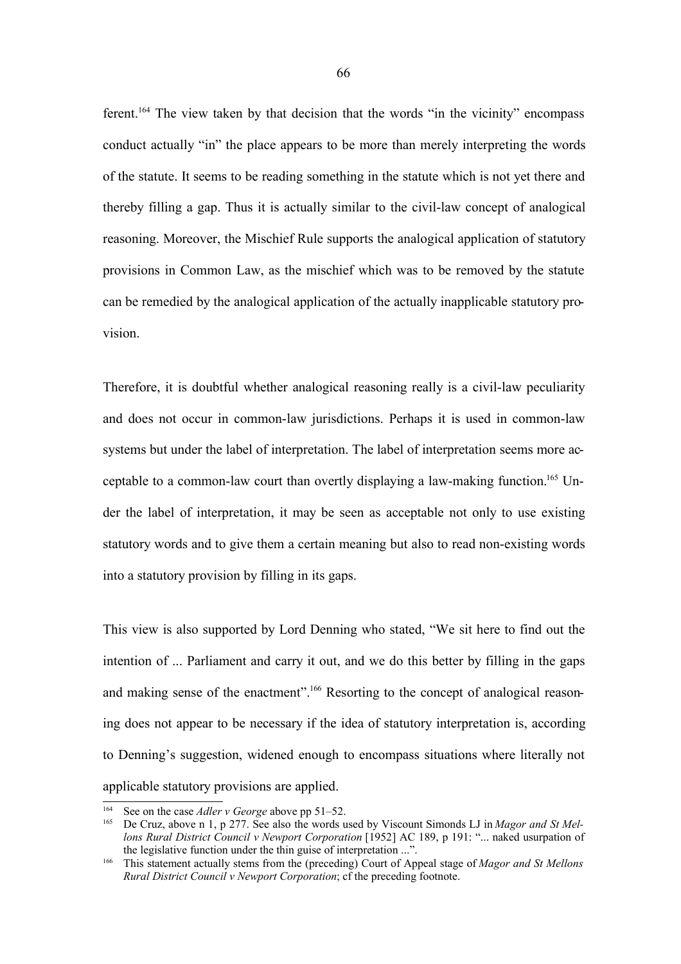ferent.<sup>164</sup> The view taken by that decision that the words "in the vicinity" encompass conduct actually "in" the place appears to be more than merely interpreting the words of the statute. It seems to be reading something in the statute which is not yet there and thereby filling a gap. Thus it is actually similar to the civil-law concept of analogical reasoning. Moreover, the Mischief Rule supports the analogical application of statutory provisions in Common Law, as the mischief which was to be removed by the statute can be remedied by the analogical application of the actually inapplicable statutory provision.

Therefore, it is doubtful whether analogical reasoning really is a civil-law peculiarity and does not occur in common-law jurisdictions. Perhaps it is used in common-law systems but under the label of interpretation. The label of interpretation seems more acceptable to a common-law court than overtly displaying a law-making function.<sup>165</sup> Under the label of interpretation, it may be seen as acceptable not only to use existing statutory words and to give them a certain meaning but also to read non-existing words into a statutory provision by filling in its gaps.

This view is also supported by Lord Denning who stated, "We sit here to find out the intention of ... Parliament and carry it out, and we do this better by filling in the gaps and making sense of the enactment".<sup>166</sup> Resorting to the concept of analogical reasoning does not appear to be necessary if the idea of statutory interpretation is, according to Denning's suggestion, widened enough to encompass situations where literally not applicable statutory provisions are applied.

<sup>&</sup>lt;sup>164</sup> See on the case *Adler v George* above pp 51–52.<br><sup>165</sup> De Cruz, above n 1, p 277. See also the words u

<sup>165</sup> De Cruz, above n 1, p 277. See also the words used by Viscount Simonds LJ in *Magor and St Mellons Rural District Council v Newport Corporation* [1952] AC 189, p 191: "... naked usurpation of the legislative function under the thin guise of interpretation ...".

<sup>166</sup> This statement actually stems from the (preceding) Court of Appeal stage of *Magor and St Mellons Rural District Council v Newport Corporation*; cf the preceding footnote.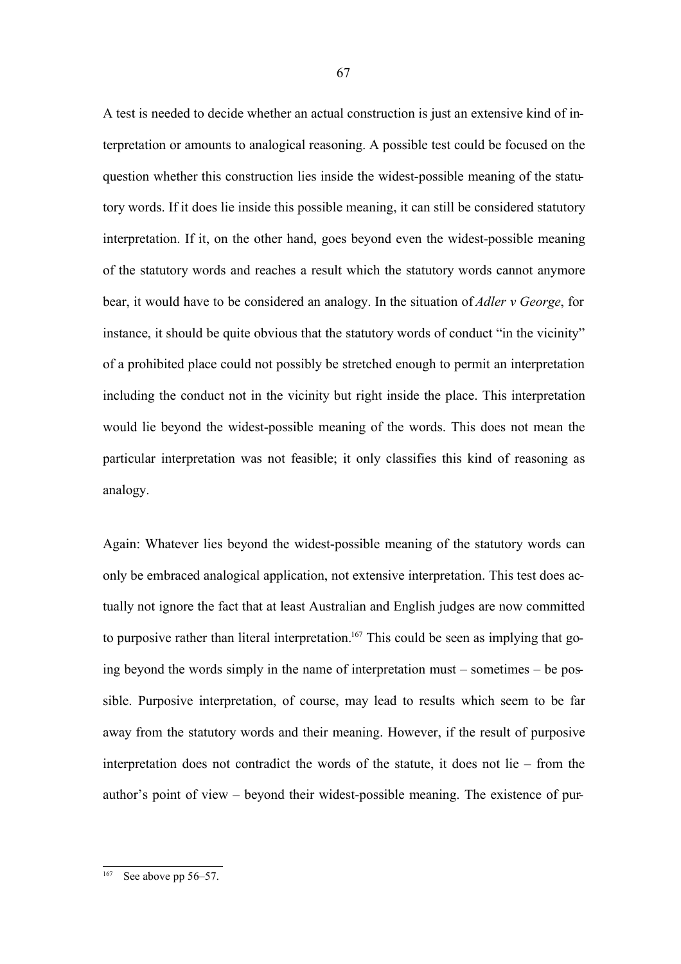A test is needed to decide whether an actual construction is just an extensive kind of interpretation or amounts to analogical reasoning. A possible test could be focused on the question whether this construction lies inside the widest-possible meaning of the statutory words. If it does lie inside this possible meaning, it can still be considered statutory interpretation. If it, on the other hand, goes beyond even the widest-possible meaning of the statutory words and reaches a result which the statutory words cannot anymore bear, it would have to be considered an analogy. In the situation of *Adler v George*, for instance, it should be quite obvious that the statutory words of conduct "in the vicinity" of a prohibited place could not possibly be stretched enough to permit an interpretation including the conduct not in the vicinity but right inside the place. This interpretation would lie beyond the widest-possible meaning of the words. This does not mean the particular interpretation was not feasible; it only classifies this kind of reasoning as analogy.

Again: Whatever lies beyond the widest-possible meaning of the statutory words can only be embraced analogical application, not extensive interpretation. This test does actually not ignore the fact that at least Australian and English judges are now committed to purposive rather than literal interpretation.<sup>167</sup> This could be seen as implying that going beyond the words simply in the name of interpretation must – sometimes – be possible. Purposive interpretation, of course, may lead to results which seem to be far away from the statutory words and their meaning. However, if the result of purposive interpretation does not contradict the words of the statute, it does not lie – from the author's point of view – beyond their widest-possible meaning. The existence of pur-

See above pp 56–57.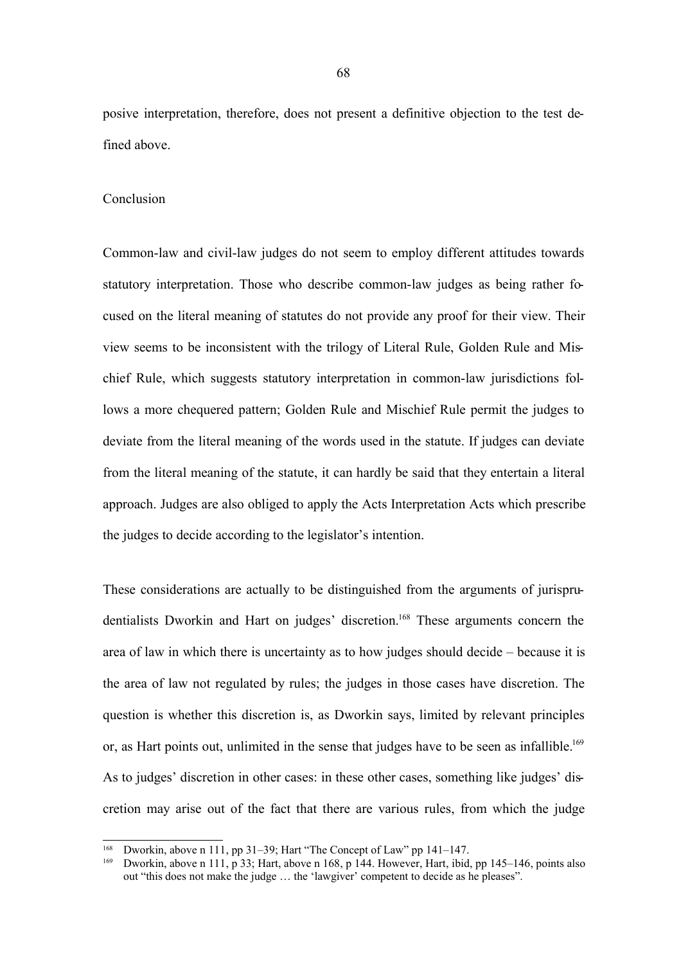posive interpretation, therefore, does not present a definitive objection to the test defined above.

#### Conclusion

Common-law and civil-law judges do not seem to employ different attitudes towards statutory interpretation. Those who describe common-law judges as being rather focused on the literal meaning of statutes do not provide any proof for their view. Their view seems to be inconsistent with the trilogy of Literal Rule, Golden Rule and Mischief Rule, which suggests statutory interpretation in common-law jurisdictions follows a more chequered pattern; Golden Rule and Mischief Rule permit the judges to deviate from the literal meaning of the words used in the statute. If judges can deviate from the literal meaning of the statute, it can hardly be said that they entertain a literal approach. Judges are also obliged to apply the Acts Interpretation Acts which prescribe the judges to decide according to the legislator's intention.

These considerations are actually to be distinguished from the arguments of jurisprudentialists Dworkin and Hart on judges' discretion.<sup>168</sup> These arguments concern the area of law in which there is uncertainty as to how judges should decide – because it is the area of law not regulated by rules; the judges in those cases have discretion. The question is whether this discretion is, as Dworkin says, limited by relevant principles or, as Hart points out, unlimited in the sense that judges have to be seen as infallible.<sup>169</sup> As to judges' discretion in other cases: in these other cases, something like judges' discretion may arise out of the fact that there are various rules, from which the judge

<sup>&</sup>lt;sup>168</sup> Dworkin, above n 111, pp 31–39; Hart "The Concept of Law" pp 141–147.

<sup>169</sup> Dworkin, above n 111, p 33; Hart, above n 168, p 144. However, Hart, ibid, pp 145–146, points also out "this does not make the judge … the 'lawgiver' competent to decide as he pleases".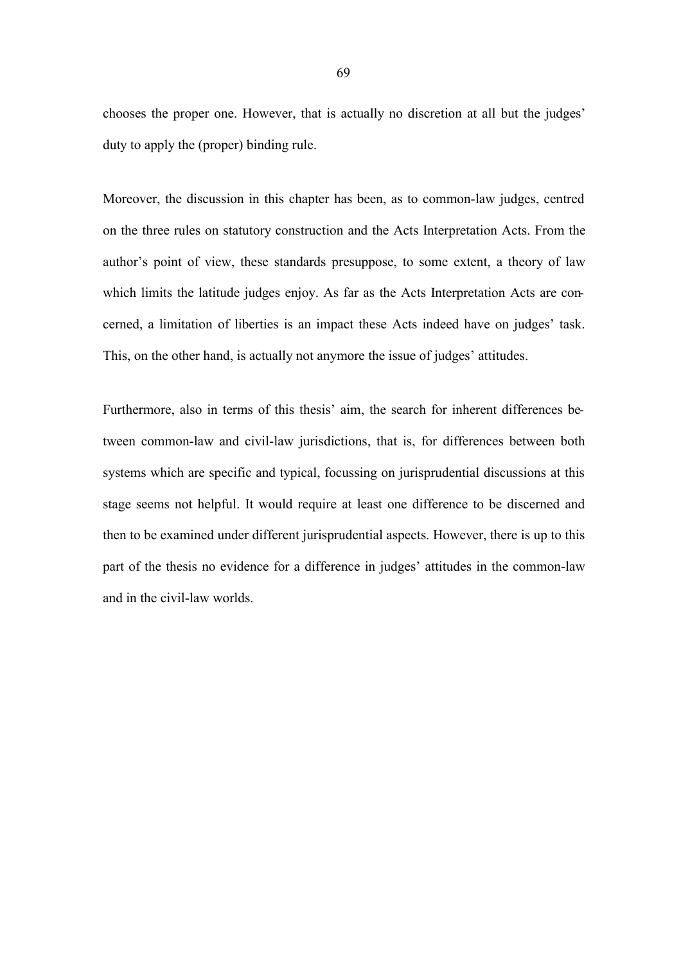chooses the proper one. However, that is actually no discretion at all but the judges' duty to apply the (proper) binding rule.

Moreover, the discussion in this chapter has been, as to common-law judges, centred on the three rules on statutory construction and the Acts Interpretation Acts. From the author's point of view, these standards presuppose, to some extent, a theory of law which limits the latitude judges enjoy. As far as the Acts Interpretation Acts are concerned, a limitation of liberties is an impact these Acts indeed have on judges' task. This, on the other hand, is actually not anymore the issue of judges' attitudes.

Furthermore, also in terms of this thesis' aim, the search for inherent differences between common-law and civil-law jurisdictions, that is, for differences between both systems which are specific and typical, focussing on jurisprudential discussions at this stage seems not helpful. It would require at least one difference to be discerned and then to be examined under different jurisprudential aspects. However, there is up to this part of the thesis no evidence for a difference in judges' attitudes in the common-law and in the civil-law worlds.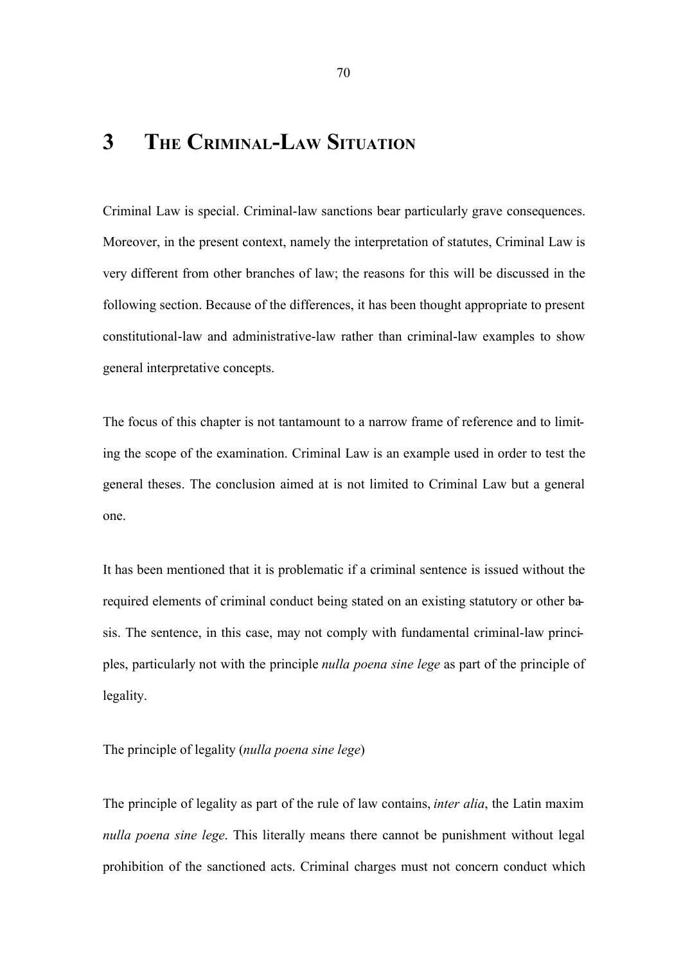# **3 THE CRIMINAL-LAW SITUATION**

Criminal Law is special. Criminal-law sanctions bear particularly grave consequences. Moreover, in the present context, namely the interpretation of statutes, Criminal Law is very different from other branches of law; the reasons for this will be discussed in the following section. Because of the differences, it has been thought appropriate to present constitutional-law and administrative-law rather than criminal-law examples to show general interpretative concepts.

The focus of this chapter is not tantamount to a narrow frame of reference and to limiting the scope of the examination. Criminal Law is an example used in order to test the general theses. The conclusion aimed at is not limited to Criminal Law but a general one.

It has been mentioned that it is problematic if a criminal sentence is issued without the required elements of criminal conduct being stated on an existing statutory or other basis. The sentence, in this case, may not comply with fundamental criminal-law principles, particularly not with the principle *nulla poena sine lege* as part of the principle of legality.

The principle of legality (*nulla poena sine lege*)

The principle of legality as part of the rule of law contains, *inter alia*, the Latin maxim *nulla poena sine lege*. This literally means there cannot be punishment without legal prohibition of the sanctioned acts. Criminal charges must not concern conduct which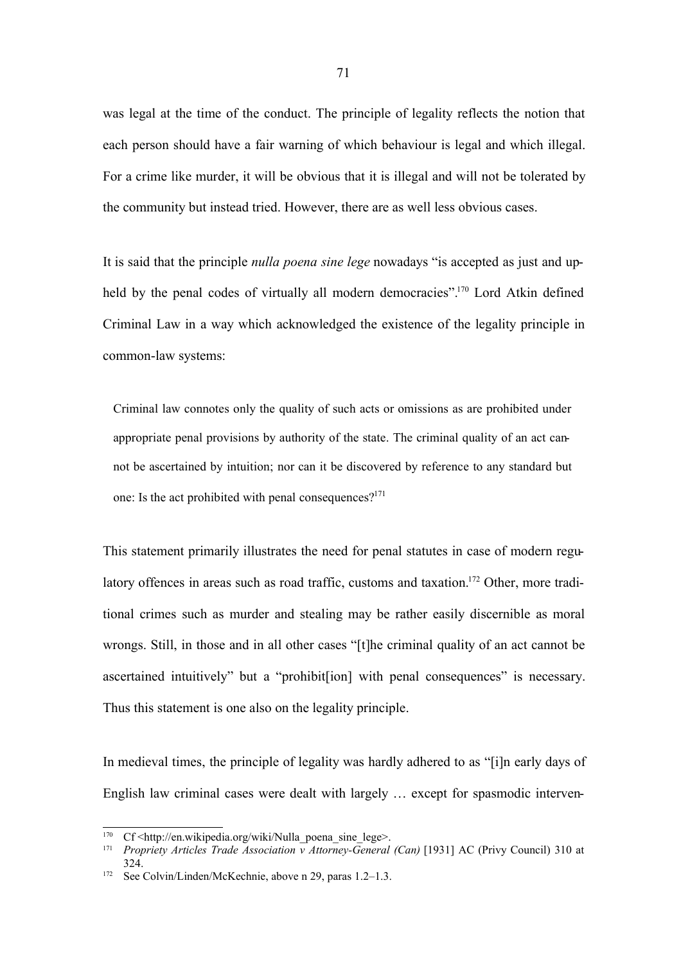was legal at the time of the conduct. The principle of legality reflects the notion that each person should have a fair warning of which behaviour is legal and which illegal. For a crime like murder, it will be obvious that it is illegal and will not be tolerated by the community but instead tried. However, there are as well less obvious cases.

It is said that the principle *nulla poena sine lege* nowadays "is accepted as just and upheld by the penal codes of virtually all modern democracies".<sup>170</sup> Lord Atkin defined Criminal Law in a way which acknowledged the existence of the legality principle in common-law systems:

Criminal law connotes only the quality of such acts or omissions as are prohibited under appropriate penal provisions by authority of the state. The criminal quality of an act cannot be ascertained by intuition; nor can it be discovered by reference to any standard but one: Is the act prohibited with penal consequences? $171$ 

This statement primarily illustrates the need for penal statutes in case of modern regulatory offences in areas such as road traffic, customs and taxation.<sup>172</sup> Other, more traditional crimes such as murder and stealing may be rather easily discernible as moral wrongs. Still, in those and in all other cases "[t]he criminal quality of an act cannot be ascertained intuitively" but a "prohibit[ion] with penal consequences" is necessary. Thus this statement is one also on the legality principle.

In medieval times, the principle of legality was hardly adhered to as "[i]n early days of English law criminal cases were dealt with largely … except for spasmodic interven-

<sup>170</sup> Cf <http://en.wikipedia.org/wiki/Nulla\_poena\_sine\_lege>.

<sup>171</sup> *Propriety Articles Trade Association v Attorney-General (Can)* [1931] AC (Privy Council) 310 at 324.

<sup>172</sup> See Colvin/Linden/McKechnie, above n 29, paras 1.2–1.3.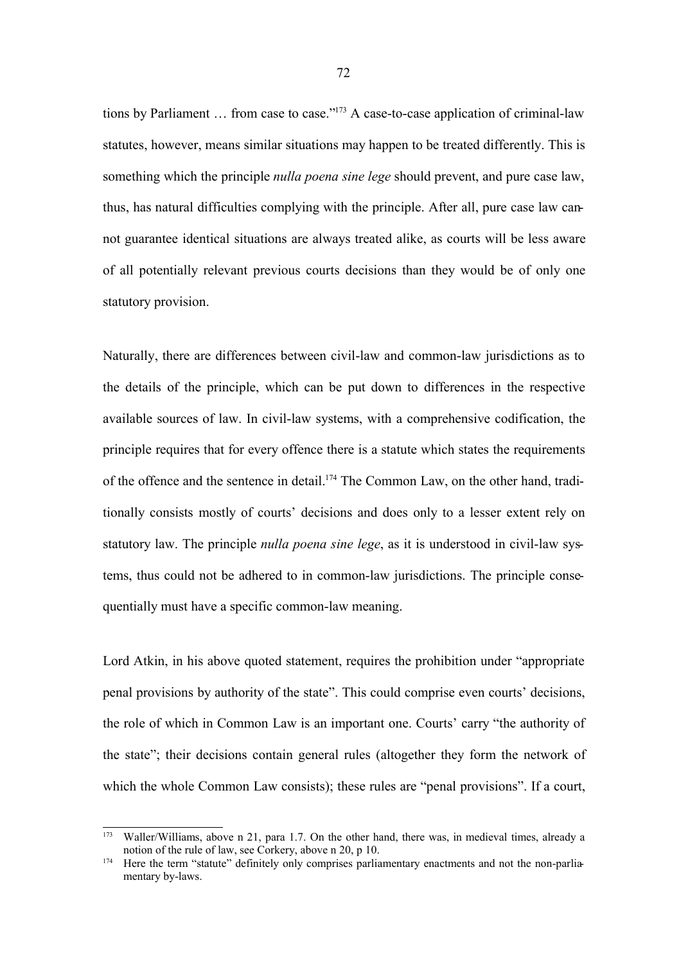tions by Parliament … from case to case." <sup>173</sup> A case-to-case application of criminal-law statutes, however, means similar situations may happen to be treated differently. This is something which the principle *nulla poena sine lege* should prevent, and pure case law, thus, has natural difficulties complying with the principle. After all, pure case law cannot guarantee identical situations are always treated alike, as courts will be less aware of all potentially relevant previous courts decisions than they would be of only one statutory provision.

Naturally, there are differences between civil-law and common-law jurisdictions as to the details of the principle, which can be put down to differences in the respective available sources of law. In civil-law systems, with a comprehensive codification, the principle requires that for every offence there is a statute which states the requirements of the offence and the sentence in detail.<sup>174</sup> The Common Law, on the other hand, traditionally consists mostly of courts' decisions and does only to a lesser extent rely on statutory law. The principle *nulla poena sine lege*, as it is understood in civil-law systems, thus could not be adhered to in common-law jurisdictions. The principle consequentially must have a specific common-law meaning.

Lord Atkin, in his above quoted statement, requires the prohibition under "appropriate penal provisions by authority of the state". This could comprise even courts' decisions, the role of which in Common Law is an important one. Courts' carry "the authority of the state"; their decisions contain general rules (altogether they form the network of which the whole Common Law consists); these rules are "penal provisions". If a court,

<sup>173</sup> Waller/Williams, above n 21, para 1.7. On the other hand, there was, in medieval times, already a notion of the rule of law, see Corkery, above n 20, p 10.

<sup>&</sup>lt;sup>174</sup> Here the term "statute" definitely only comprises parliamentary enactments and not the non-parliamentary by-laws.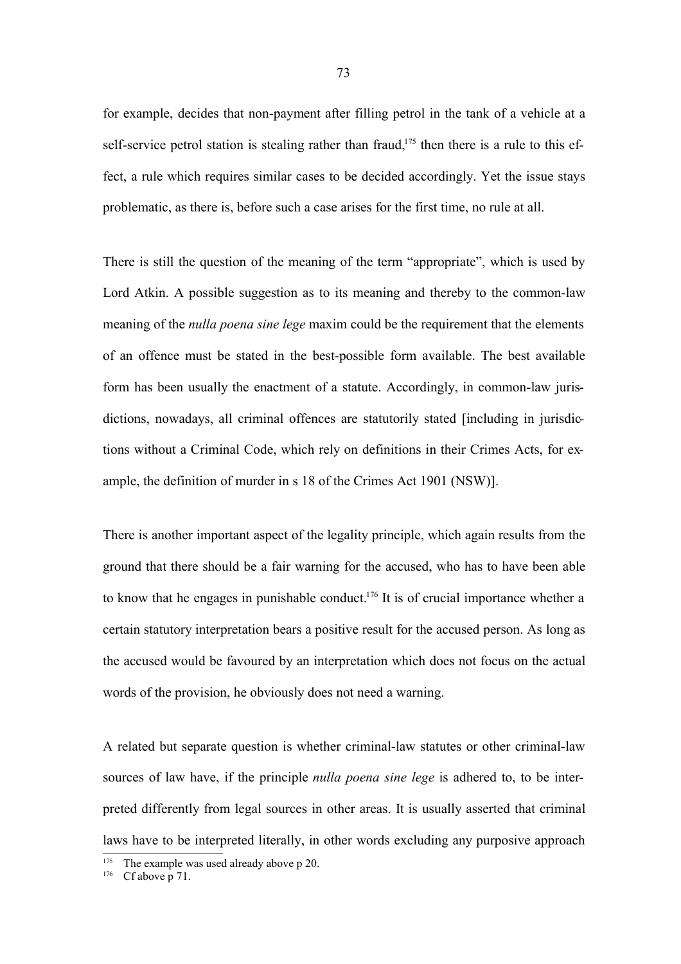for example, decides that non-payment after filling petrol in the tank of a vehicle at a self-service petrol station is stealing rather than fraud,<sup>175</sup> then there is a rule to this effect, a rule which requires similar cases to be decided accordingly. Yet the issue stays problematic, as there is, before such a case arises for the first time, no rule at all.

There is still the question of the meaning of the term "appropriate", which is used by Lord Atkin. A possible suggestion as to its meaning and thereby to the common-law meaning of the *nulla poena sine lege* maxim could be the requirement that the elements of an offence must be stated in the best-possible form available. The best available form has been usually the enactment of a statute. Accordingly, in common-law jurisdictions, nowadays, all criminal offences are statutorily stated [including in jurisdictions without a Criminal Code, which rely on definitions in their Crimes Acts, for example, the definition of murder in s 18 of the Crimes Act 1901 (NSW)].

There is another important aspect of the legality principle, which again results from the ground that there should be a fair warning for the accused, who has to have been able to know that he engages in punishable conduct.<sup>176</sup> It is of crucial importance whether a certain statutory interpretation bears a positive result for the accused person. As long as the accused would be favoured by an interpretation which does not focus on the actual words of the provision, he obviously does not need a warning.

A related but separate question is whether criminal-law statutes or other criminal-law sources of law have, if the principle *nulla poena sine lege* is adhered to, to be interpreted differently from legal sources in other areas. It is usually asserted that criminal laws have to be interpreted literally, in other words excluding any purposive approach

<sup>&</sup>lt;sup>175</sup> The example was used already above p 20.

 $176$  Cf above p 71.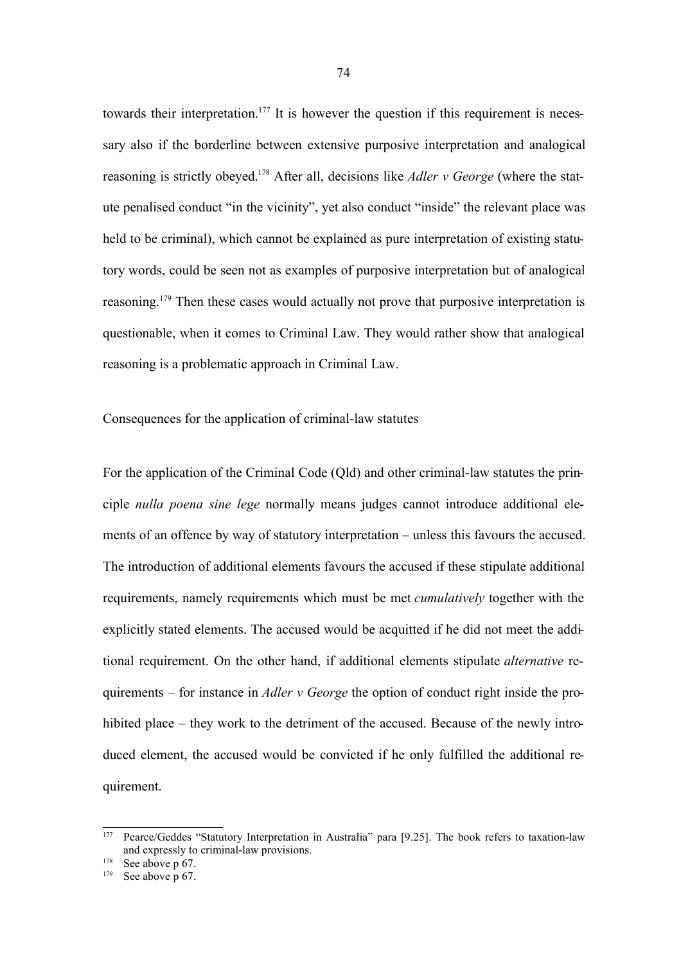towards their interpretation.<sup>177</sup> It is however the question if this requirement is necessary also if the borderline between extensive purposive interpretation and analogical reasoning is strictly obeyed. <sup>178</sup> After all, decisions like *Adler v George* (where the statute penalised conduct "in the vicinity", yet also conduct "inside" the relevant place was held to be criminal), which cannot be explained as pure interpretation of existing statutory words, could be seen not as examples of purposive interpretation but of analogical reasoning.<sup>179</sup> Then these cases would actually not prove that purposive interpretation is questionable, when it comes to Criminal Law. They would rather show that analogical reasoning is a problematic approach in Criminal Law.

Consequences for the application of criminal-law statutes

For the application of the Criminal Code (Qld) and other criminal-law statutes the principle *nulla poena sine lege* normally means judges cannot introduce additional elements of an offence by way of statutory interpretation – unless this favours the accused. The introduction of additional elements favours the accused if these stipulate additional requirements, namely requirements which must be met *cumulatively* together with the explicitly stated elements. The accused would be acquitted if he did not meet the additional requirement. On the other hand, if additional elements stipulate *alternative* requirements – for instance in *Adler v George* the option of conduct right inside the prohibited place – they work to the detriment of the accused. Because of the newly introduced element, the accused would be convicted if he only fulfilled the additional requirement.

<sup>177</sup> Pearce/Geddes "Statutory Interpretation in Australia" para [9.25]. The book refers to taxation-law and expressly to criminal-law provisions.

 $178$  See above p 67.

 $179$  See above p 67.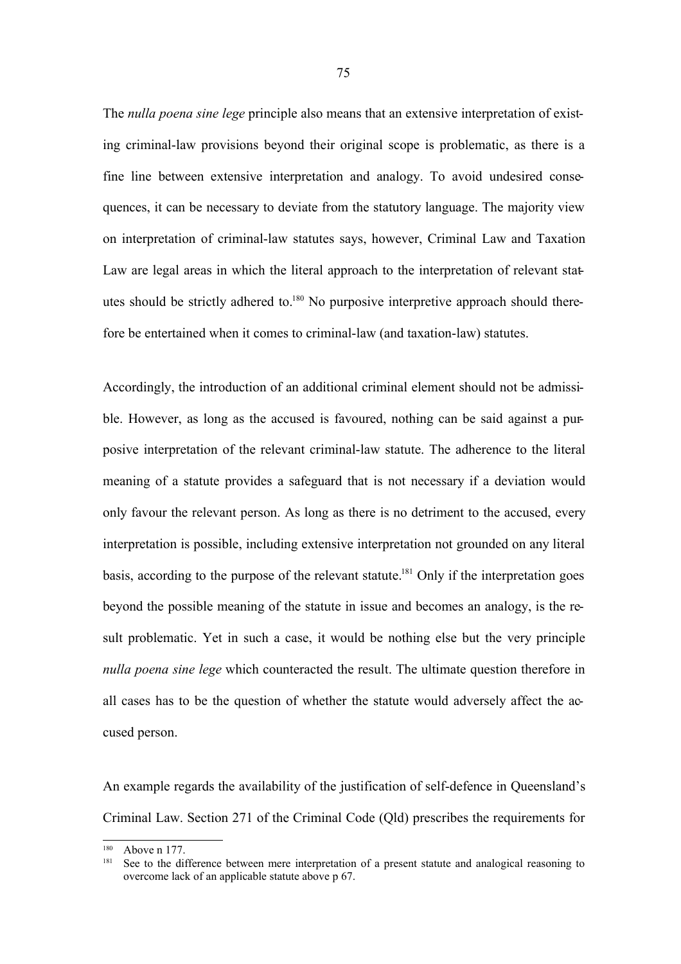The *nulla poena sine lege* principle also means that an extensive interpretation of existing criminal-law provisions beyond their original scope is problematic, as there is a fine line between extensive interpretation and analogy. To avoid undesired consequences, it can be necessary to deviate from the statutory language. The majority view on interpretation of criminal-law statutes says, however, Criminal Law and Taxation Law are legal areas in which the literal approach to the interpretation of relevant statutes should be strictly adhered to.<sup>180</sup> No purposive interpretive approach should therefore be entertained when it comes to criminal-law (and taxation-law) statutes.

Accordingly, the introduction of an additional criminal element should not be admissible. However, as long as the accused is favoured, nothing can be said against a purposive interpretation of the relevant criminal-law statute. The adherence to the literal meaning of a statute provides a safeguard that is not necessary if a deviation would only favour the relevant person. As long as there is no detriment to the accused, every interpretation is possible, including extensive interpretation not grounded on any literal basis, according to the purpose of the relevant statute.<sup>181</sup> Only if the interpretation goes beyond the possible meaning of the statute in issue and becomes an analogy, is the result problematic. Yet in such a case, it would be nothing else but the very principle *nulla poena sine lege* which counteracted the result. The ultimate question therefore in all cases has to be the question of whether the statute would adversely affect the accused person.

An example regards the availability of the justification of self-defence in Queensland's Criminal Law. Section 271 of the Criminal Code (Qld) prescribes the requirements for

 $180$  Above n 177.

See to the difference between mere interpretation of a present statute and analogical reasoning to overcome lack of an applicable statute above p 67.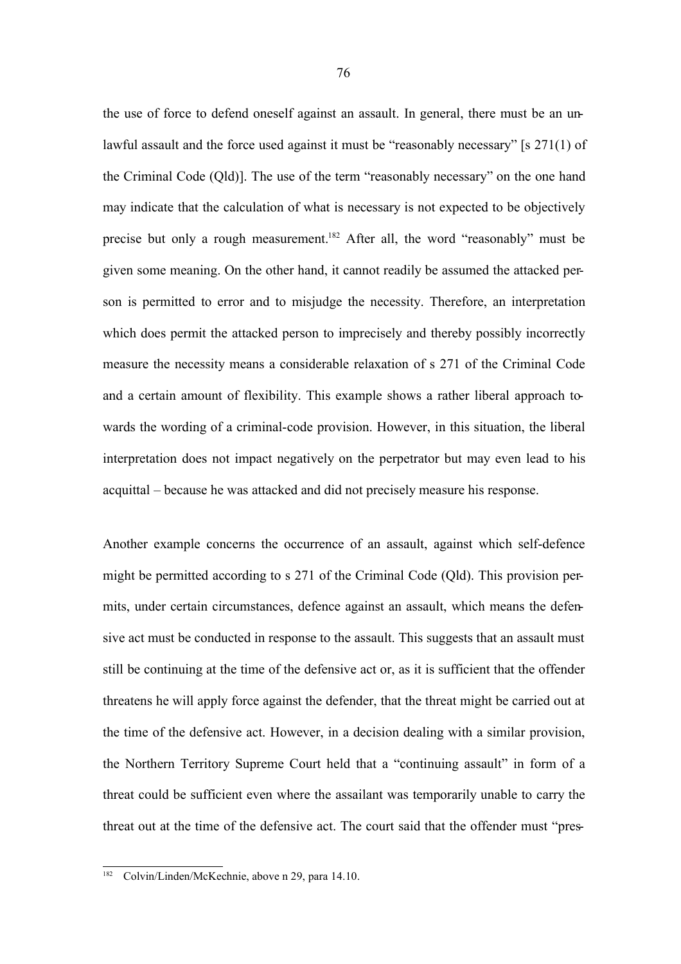the use of force to defend oneself against an assault. In general, there must be an unlawful assault and the force used against it must be "reasonably necessary" [s 271(1) of the Criminal Code (Qld)]. The use of the term "reasonably necessary" on the one hand may indicate that the calculation of what is necessary is not expected to be objectively precise but only a rough measurement.<sup>182</sup> After all, the word "reasonably" must be given some meaning. On the other hand, it cannot readily be assumed the attacked person is permitted to error and to misjudge the necessity. Therefore, an interpretation which does permit the attacked person to imprecisely and thereby possibly incorrectly measure the necessity means a considerable relaxation of s 271 of the Criminal Code and a certain amount of flexibility. This example shows a rather liberal approach towards the wording of a criminal-code provision. However, in this situation, the liberal interpretation does not impact negatively on the perpetrator but may even lead to his acquittal – because he was attacked and did not precisely measure his response.

Another example concerns the occurrence of an assault, against which self-defence might be permitted according to s 271 of the Criminal Code (Qld). This provision permits, under certain circumstances, defence against an assault, which means the defensive act must be conducted in response to the assault. This suggests that an assault must still be continuing at the time of the defensive act or, as it is sufficient that the offender threatens he will apply force against the defender, that the threat might be carried out at the time of the defensive act. However, in a decision dealing with a similar provision, the Northern Territory Supreme Court held that a "continuing assault" in form of a threat could be sufficient even where the assailant was temporarily unable to carry the threat out at the time of the defensive act. The court said that the offender must "pres-

Colvin/Linden/McKechnie, above n 29, para 14.10.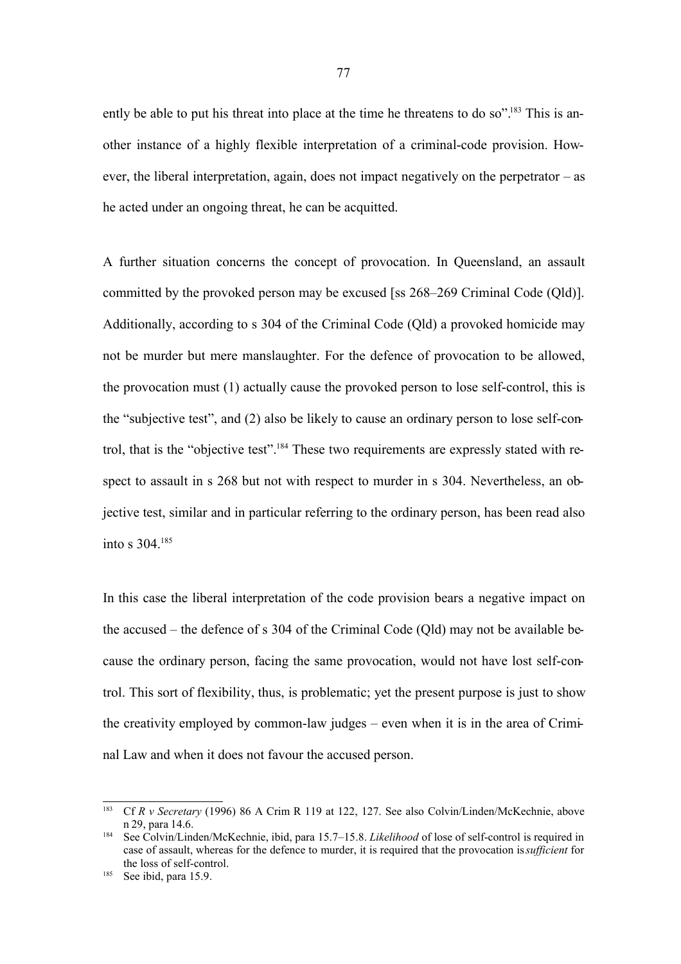ently be able to put his threat into place at the time he threatens to do so".<sup>183</sup> This is another instance of a highly flexible interpretation of a criminal-code provision. However, the liberal interpretation, again, does not impact negatively on the perpetrator – as he acted under an ongoing threat, he can be acquitted.

A further situation concerns the concept of provocation. In Queensland, an assault committed by the provoked person may be excused [ss 268–269 Criminal Code (Qld)]. Additionally, according to s 304 of the Criminal Code (Qld) a provoked homicide may not be murder but mere manslaughter. For the defence of provocation to be allowed, the provocation must (1) actually cause the provoked person to lose self-control, this is the "subjective test", and (2) also be likely to cause an ordinary person to lose self-control, that is the "objective test".<sup>184</sup> These two requirements are expressly stated with respect to assault in s 268 but not with respect to murder in s 304. Nevertheless, an objective test, similar and in particular referring to the ordinary person, has been read also into s 304.<sup>185</sup>

In this case the liberal interpretation of the code provision bears a negative impact on the accused – the defence of s 304 of the Criminal Code (Qld) may not be available because the ordinary person, facing the same provocation, would not have lost self-control. This sort of flexibility, thus, is problematic; yet the present purpose is just to show the creativity employed by common-law judges – even when it is in the area of Criminal Law and when it does not favour the accused person.

<sup>183</sup> Cf *R v Secretary* (1996) 86 A Crim R 119 at 122, 127. See also Colvin/Linden/McKechnie, above n 29, para 14.6.

<sup>184</sup> See Colvin/Linden/McKechnie, ibid, para 15.7–15.8. *Likelihood* of lose of self-control is required in case of assault, whereas for the defence to murder, it is required that the provocation is*sufficient* for the loss of self-control.

<sup>185</sup> See ibid, para 15.9.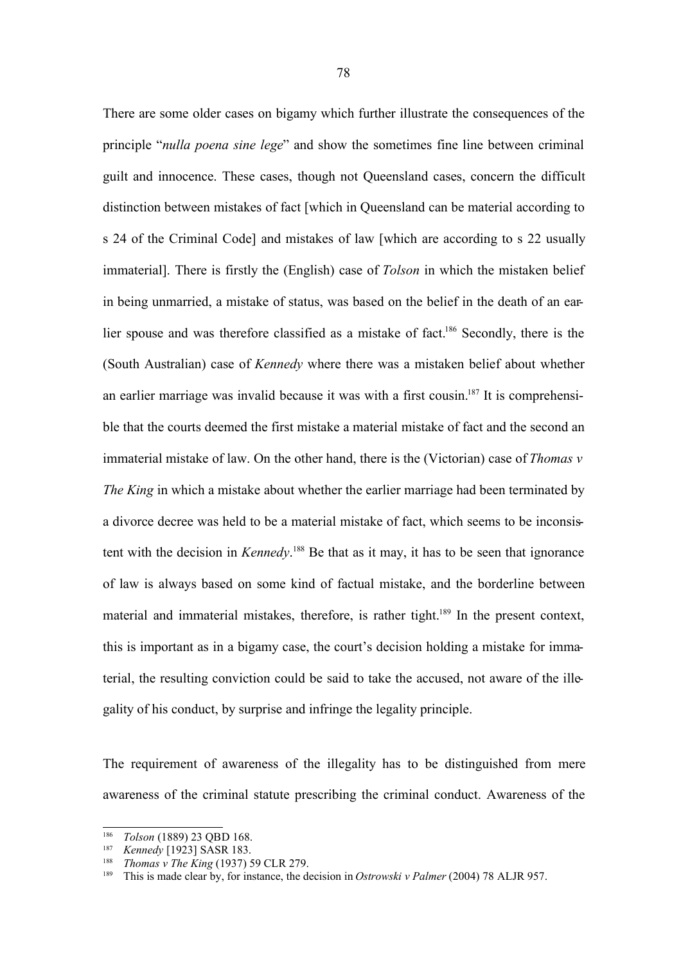There are some older cases on bigamy which further illustrate the consequences of the principle "*nulla poena sine lege*" and show the sometimes fine line between criminal guilt and innocence. These cases, though not Queensland cases, concern the difficult distinction between mistakes of fact [which in Queensland can be material according to s 24 of the Criminal Code] and mistakes of law [which are according to s 22 usually immaterial]. There is firstly the (English) case of *Tolson* in which the mistaken belief in being unmarried, a mistake of status, was based on the belief in the death of an earlier spouse and was therefore classified as a mistake of fact.<sup>186</sup> Secondly, there is the (South Australian) case of *Kennedy* where there was a mistaken belief about whether an earlier marriage was invalid because it was with a first cousin.<sup>187</sup> It is comprehensible that the courts deemed the first mistake a material mistake of fact and the second an immaterial mistake of law. On the other hand, there is the (Victorian) case of *Thomas v The King* in which a mistake about whether the earlier marriage had been terminated by a divorce decree was held to be a material mistake of fact, which seems to be inconsistent with the decision in *Kennedy*. <sup>188</sup> Be that as it may, it has to be seen that ignorance of law is always based on some kind of factual mistake, and the borderline between material and immaterial mistakes, therefore, is rather tight.<sup>189</sup> In the present context, this is important as in a bigamy case, the court's decision holding a mistake for immaterial, the resulting conviction could be said to take the accused, not aware of the illegality of his conduct, by surprise and infringe the legality principle.

The requirement of awareness of the illegality has to be distinguished from mere awareness of the criminal statute prescribing the criminal conduct. Awareness of the

<sup>&</sup>lt;sup>186</sup> *Tolson* (1889) 23 QBD 168.<br><sup>187</sup> *Konnedy* [1923] SASR 183.

<sup>187</sup> *Kennedy* [1923] SASR 183.

<sup>188</sup> *Thomas v The King* (1937) 59 CLR 279.

<sup>189</sup> This is made clear by, for instance, the decision in *Ostrowski v Palmer* (2004) 78 ALJR 957.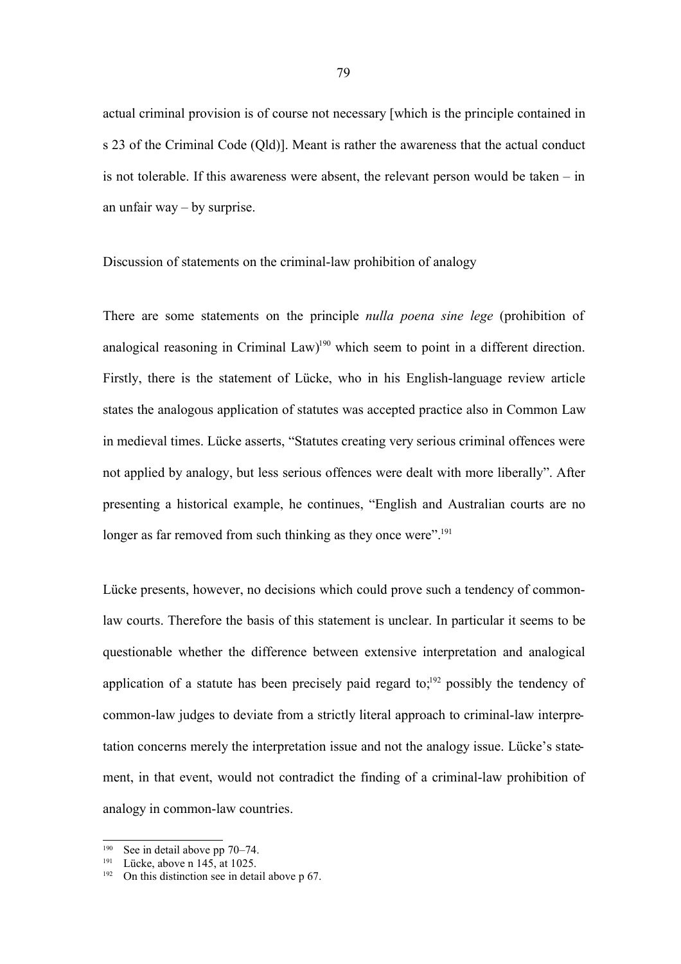actual criminal provision is of course not necessary [which is the principle contained in s 23 of the Criminal Code (Qld)]. Meant is rather the awareness that the actual conduct is not tolerable. If this awareness were absent, the relevant person would be taken – in an unfair way – by surprise.

Discussion of statements on the criminal-law prohibition of analogy

There are some statements on the principle *nulla poena sine lege* (prohibition of analogical reasoning in Criminal Law)<sup>190</sup> which seem to point in a different direction. Firstly, there is the statement of Lücke, who in his English-language review article states the analogous application of statutes was accepted practice also in Common Law in medieval times. Lücke asserts, "Statutes creating very serious criminal offences were not applied by analogy, but less serious offences were dealt with more liberally". After presenting a historical example, he continues, "English and Australian courts are no longer as far removed from such thinking as they once were".<sup>191</sup>

Lücke presents, however, no decisions which could prove such a tendency of commonlaw courts. Therefore the basis of this statement is unclear. In particular it seems to be questionable whether the difference between extensive interpretation and analogical application of a statute has been precisely paid regard to;<sup>192</sup> possibly the tendency of common-law judges to deviate from a strictly literal approach to criminal-law interpretation concerns merely the interpretation issue and not the analogy issue. Lücke's statement, in that event, would not contradict the finding of a criminal-law prohibition of analogy in common-law countries.

See in detail above pp 70–74.

 $191$  Lücke, above n 145, at 1025.

<sup>&</sup>lt;sup>192</sup> On this distinction see in detail above p  $67$ .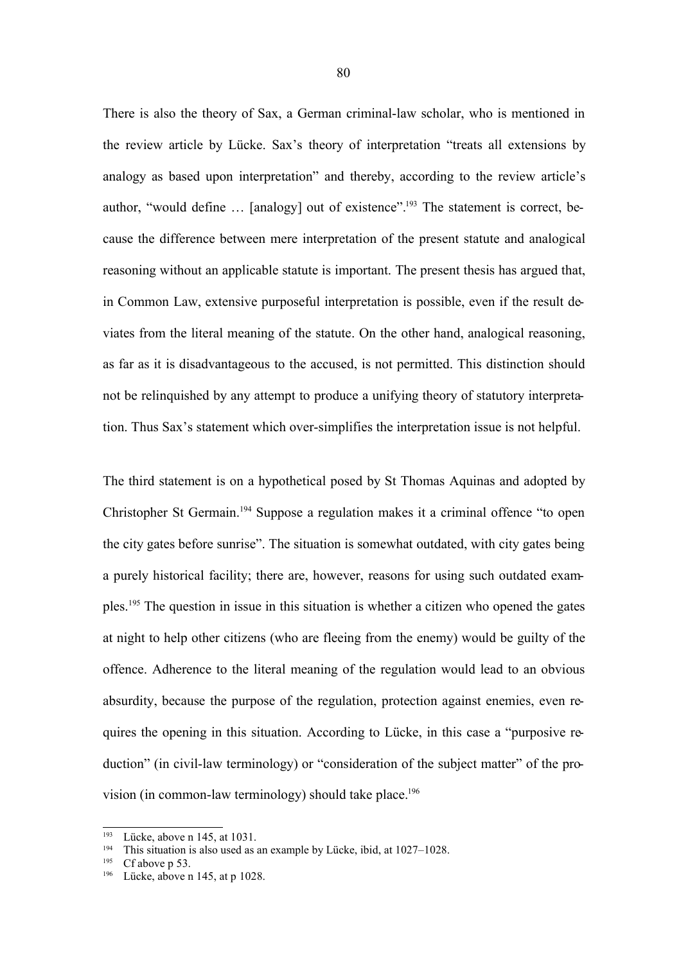There is also the theory of Sax, a German criminal-law scholar, who is mentioned in the review article by Lücke. Sax's theory of interpretation "treats all extensions by analogy as based upon interpretation" and thereby, according to the review article's author, "would define … [analogy] out of existence".<sup>193</sup> The statement is correct, because the difference between mere interpretation of the present statute and analogical reasoning without an applicable statute is important. The present thesis has argued that, in Common Law, extensive purposeful interpretation is possible, even if the result deviates from the literal meaning of the statute. On the other hand, analogical reasoning, as far as it is disadvantageous to the accused, is not permitted. This distinction should not be relinquished by any attempt to produce a unifying theory of statutory interpretation. Thus Sax's statement which over-simplifies the interpretation issue is not helpful.

The third statement is on a hypothetical posed by St Thomas Aquinas and adopted by Christopher St Germain.<sup>194</sup> Suppose a regulation makes it a criminal offence "to open the city gates before sunrise". The situation is somewhat outdated, with city gates being a purely historical facility; there are, however, reasons for using such outdated examples.<sup>195</sup> The question in issue in this situation is whether a citizen who opened the gates at night to help other citizens (who are fleeing from the enemy) would be guilty of the offence. Adherence to the literal meaning of the regulation would lead to an obvious absurdity, because the purpose of the regulation, protection against enemies, even requires the opening in this situation. According to Lücke, in this case a "purposive reduction" (in civil-law terminology) or "consideration of the subject matter" of the provision (in common-law terminology) should take place. 196

<sup>&</sup>lt;sup>193</sup> Lücke, above n 145, at 1031.

This situation is also used as an example by Lücke, ibid, at 1027–1028.

 $195$  Cf above p 53.

<sup>196</sup> Lücke, above n 145, at p 1028.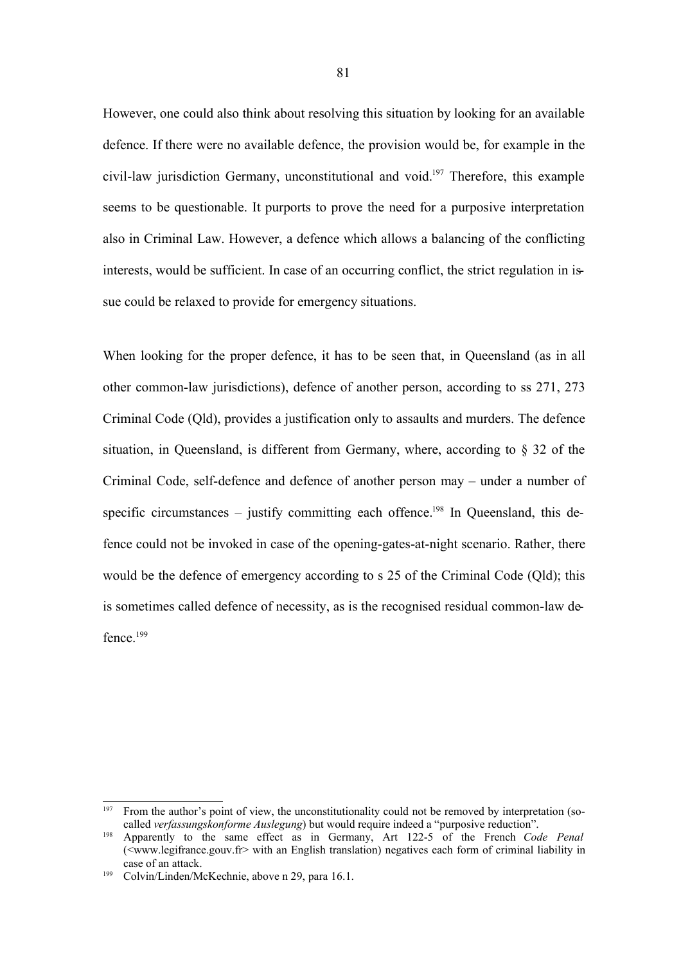However, one could also think about resolving this situation by looking for an available defence. If there were no available defence, the provision would be, for example in the civil-law jurisdiction Germany, unconstitutional and void.<sup>197</sup> Therefore, this example seems to be questionable. It purports to prove the need for a purposive interpretation also in Criminal Law. However, a defence which allows a balancing of the conflicting interests, would be sufficient. In case of an occurring conflict, the strict regulation in issue could be relaxed to provide for emergency situations.

When looking for the proper defence, it has to be seen that, in Queensland (as in all other common-law jurisdictions), defence of another person, according to ss 271, 273 Criminal Code (Qld), provides a justification only to assaults and murders. The defence situation, in Queensland, is different from Germany, where, according to § 32 of the Criminal Code, self-defence and defence of another person may – under a number of specific circumstances – justify committing each offence.<sup>198</sup> In Queensland, this defence could not be invoked in case of the opening-gates-at-night scenario. Rather, there would be the defence of emergency according to s 25 of the Criminal Code (Qld); this is sometimes called defence of necessity, as is the recognised residual common-law defence<sup>199</sup>

<sup>&</sup>lt;sup>197</sup> From the author's point of view, the unconstitutionality could not be removed by interpretation (socalled *verfassungskonforme Auslegung*) but would require indeed a "purposive reduction".

<sup>198</sup> Apparently to the same effect as in Germany, Art 122-5 of the French *Code Penal*  $\overrightarrow{X}$  (<www.legifrance.gouv.fr> with an English translation) negatives each form of criminal liability in case of an attack.

<sup>199</sup> Colvin/Linden/McKechnie, above n 29, para 16.1.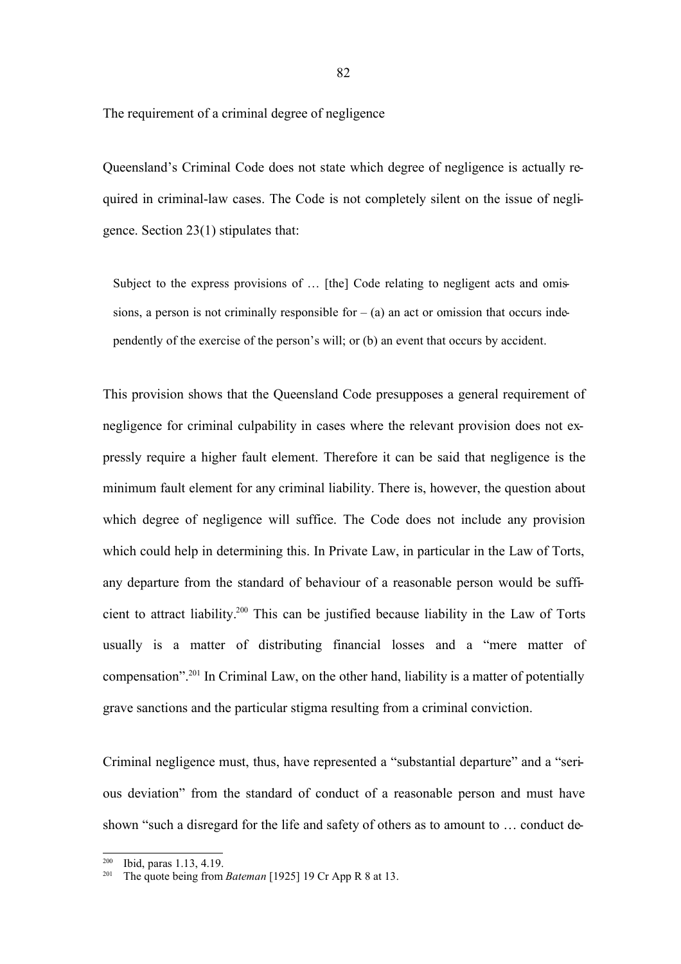The requirement of a criminal degree of negligence

Queensland's Criminal Code does not state which degree of negligence is actually required in criminal-law cases. The Code is not completely silent on the issue of negligence. Section 23(1) stipulates that:

Subject to the express provisions of ... [the] Code relating to negligent acts and omissions, a person is not criminally responsible for  $-$  (a) an act or omission that occurs independently of the exercise of the person's will; or (b) an event that occurs by accident.

This provision shows that the Queensland Code presupposes a general requirement of negligence for criminal culpability in cases where the relevant provision does not expressly require a higher fault element. Therefore it can be said that negligence is the minimum fault element for any criminal liability. There is, however, the question about which degree of negligence will suffice. The Code does not include any provision which could help in determining this. In Private Law, in particular in the Law of Torts, any departure from the standard of behaviour of a reasonable person would be sufficient to attract liability. <sup>200</sup> This can be justified because liability in the Law of Torts usually is a matter of distributing financial losses and a "mere matter of compensation".<sup>201</sup> In Criminal Law, on the other hand, liability is a matter of potentially grave sanctions and the particular stigma resulting from a criminal conviction.

Criminal negligence must, thus, have represented a "substantial departure" and a "serious deviation" from the standard of conduct of a reasonable person and must have shown "such a disregard for the life and safety of others as to amount to … conduct de-

<sup>200</sup> Ibid, paras 1.13, 4.19.

<sup>&</sup>lt;sup>201</sup> The quote being from *Bateman* [1925] 19 Cr App R 8 at 13.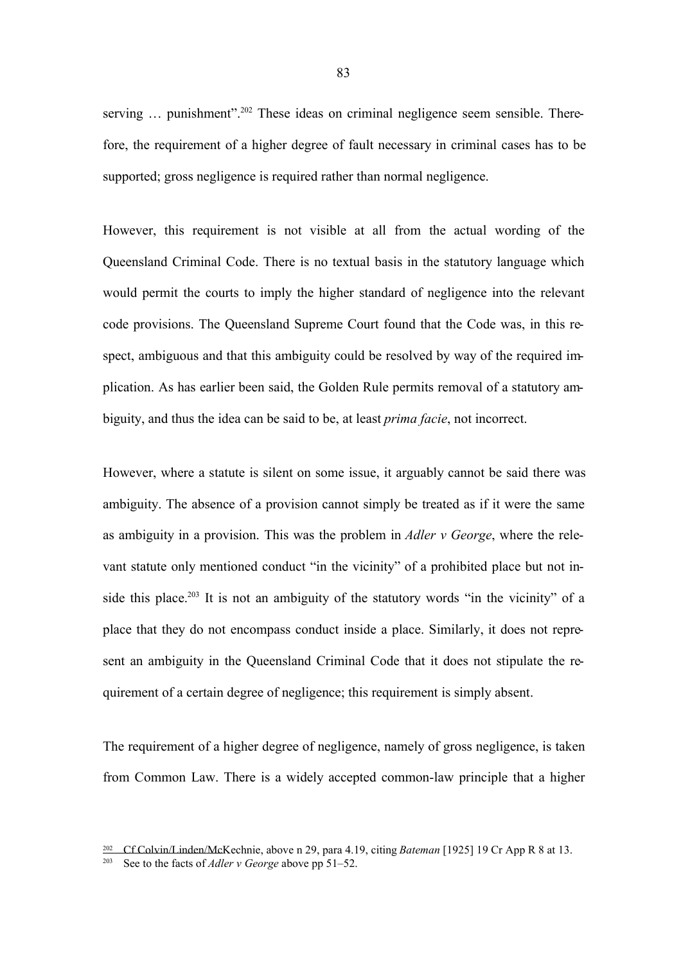serving ... punishment".<sup>202</sup> These ideas on criminal negligence seem sensible. Therefore, the requirement of a higher degree of fault necessary in criminal cases has to be supported; gross negligence is required rather than normal negligence.

However, this requirement is not visible at all from the actual wording of the Queensland Criminal Code. There is no textual basis in the statutory language which would permit the courts to imply the higher standard of negligence into the relevant code provisions. The Queensland Supreme Court found that the Code was, in this respect, ambiguous and that this ambiguity could be resolved by way of the required implication. As has earlier been said, the Golden Rule permits removal of a statutory ambiguity, and thus the idea can be said to be, at least *prima facie*, not incorrect.

However, where a statute is silent on some issue, it arguably cannot be said there was ambiguity. The absence of a provision cannot simply be treated as if it were the same as ambiguity in a provision. This was the problem in *Adler v George*, where the relevant statute only mentioned conduct "in the vicinity" of a prohibited place but not inside this place.<sup>203</sup> It is not an ambiguity of the statutory words "in the vicinity" of a place that they do not encompass conduct inside a place. Similarly, it does not represent an ambiguity in the Queensland Criminal Code that it does not stipulate the requirement of a certain degree of negligence; this requirement is simply absent.

The requirement of a higher degree of negligence, namely of gross negligence, is taken from Common Law. There is a widely accepted common-law principle that a higher

<sup>202</sup> Cf Colvin/Linden/McKechnie, above n 29, para 4.19, citing *Bateman* [1925] 19 Cr App R 8 at 13.

<sup>203</sup> See to the facts of *Adler v George* above pp 51–52.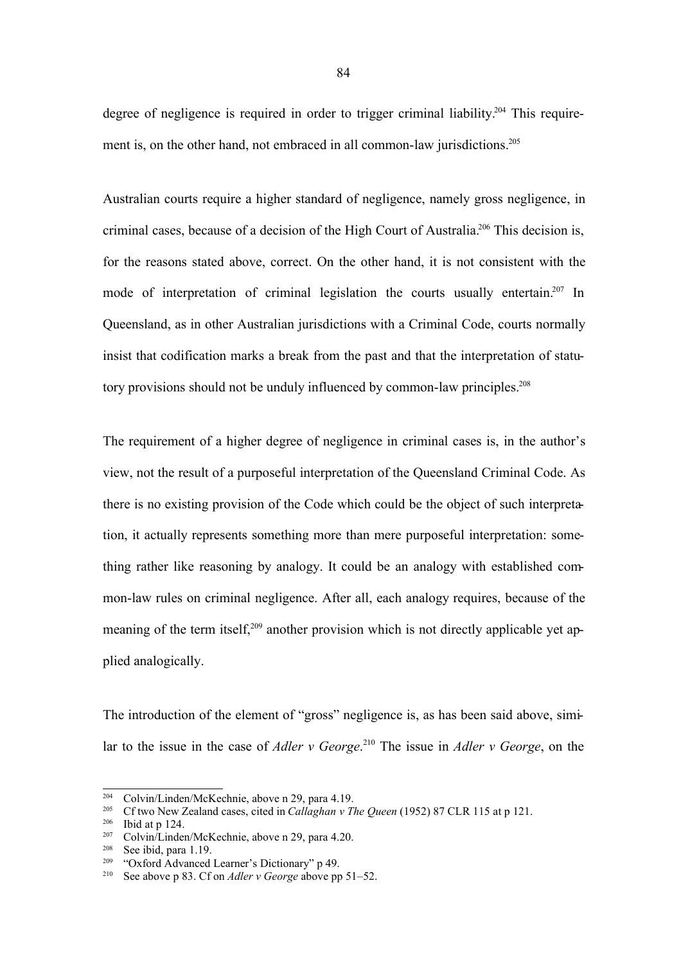degree of negligence is required in order to trigger criminal liability.<sup>204</sup> This requirement is, on the other hand, not embraced in all common-law jurisdictions.<sup>205</sup>

Australian courts require a higher standard of negligence, namely gross negligence, in criminal cases, because of a decision of the High Court of Australia.<sup>206</sup> This decision is, for the reasons stated above, correct. On the other hand, it is not consistent with the mode of interpretation of criminal legislation the courts usually entertain.<sup>207</sup> In Queensland, as in other Australian jurisdictions with a Criminal Code, courts normally insist that codification marks a break from the past and that the interpretation of statutory provisions should not be unduly influenced by common-law principles.<sup>208</sup>

The requirement of a higher degree of negligence in criminal cases is, in the author's view, not the result of a purposeful interpretation of the Queensland Criminal Code. As there is no existing provision of the Code which could be the object of such interpretation, it actually represents something more than mere purposeful interpretation: something rather like reasoning by analogy. It could be an analogy with established common-law rules on criminal negligence. After all, each analogy requires, because of the meaning of the term itself,<sup>209</sup> another provision which is not directly applicable yet applied analogically.

The introduction of the element of "gross" negligence is, as has been said above, similar to the issue in the case of *Adler v George*. <sup>210</sup> The issue in *Adler v George*, on the

<sup>&</sup>lt;sup>204</sup> Colvin/Linden/McKechnie, above n 29, para 4.19.<br><sup>205</sup> Cf two New Zealand cases, cited in *Callgahan* y T

<sup>205</sup> Cf two New Zealand cases, cited in *Callaghan v The Queen* (1952) 87 CLR 115 at p 121.

<sup>206</sup> Ibid at p 124.

<sup>&</sup>lt;sup>207</sup> Colvin/Linden/McKechnie, above n 29, para 4.20.<br><sup>208</sup> See ibid, para 1.10

<sup>&</sup>lt;sup>208</sup> See ibid, para 1.19.<br><sup>209</sup> "Oxford Advanced"

<sup>&</sup>quot;Oxford Advanced Learner's Dictionary" p 49.

<sup>210</sup> See above p 83. Cf on *Adler v George* above pp 51–52.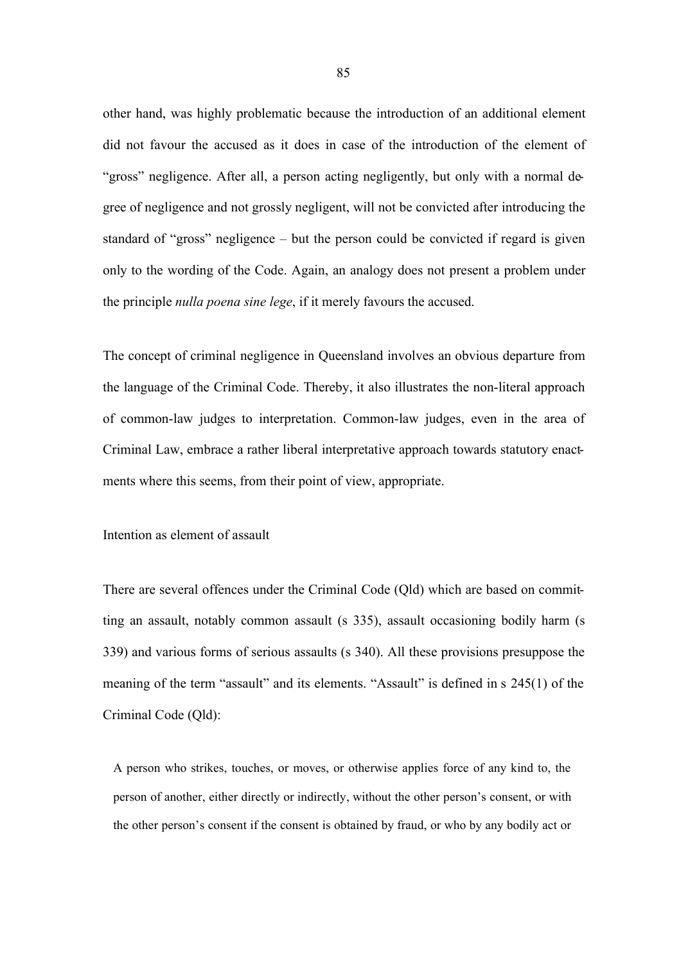other hand, was highly problematic because the introduction of an additional element did not favour the accused as it does in case of the introduction of the element of "gross" negligence. After all, a person acting negligently, but only with a normal degree of negligence and not grossly negligent, will not be convicted after introducing the standard of "gross" negligence – but the person could be convicted if regard is given only to the wording of the Code. Again, an analogy does not present a problem under the principle *nulla poena sine lege*, if it merely favours the accused.

The concept of criminal negligence in Queensland involves an obvious departure from the language of the Criminal Code. Thereby, it also illustrates the non-literal approach of common-law judges to interpretation. Common-law judges, even in the area of Criminal Law, embrace a rather liberal interpretative approach towards statutory enactments where this seems, from their point of view, appropriate.

Intention as element of assault

There are several offences under the Criminal Code (Qld) which are based on committing an assault, notably common assault (s 335), assault occasioning bodily harm (s 339) and various forms of serious assaults (s 340). All these provisions presuppose the meaning of the term "assault" and its elements. "Assault" is defined in s 245(1) of the Criminal Code (Qld):

A person who strikes, touches, or moves, or otherwise applies force of any kind to, the person of another, either directly or indirectly, without the other person's consent, or with the other person's consent if the consent is obtained by fraud, or who by any bodily act or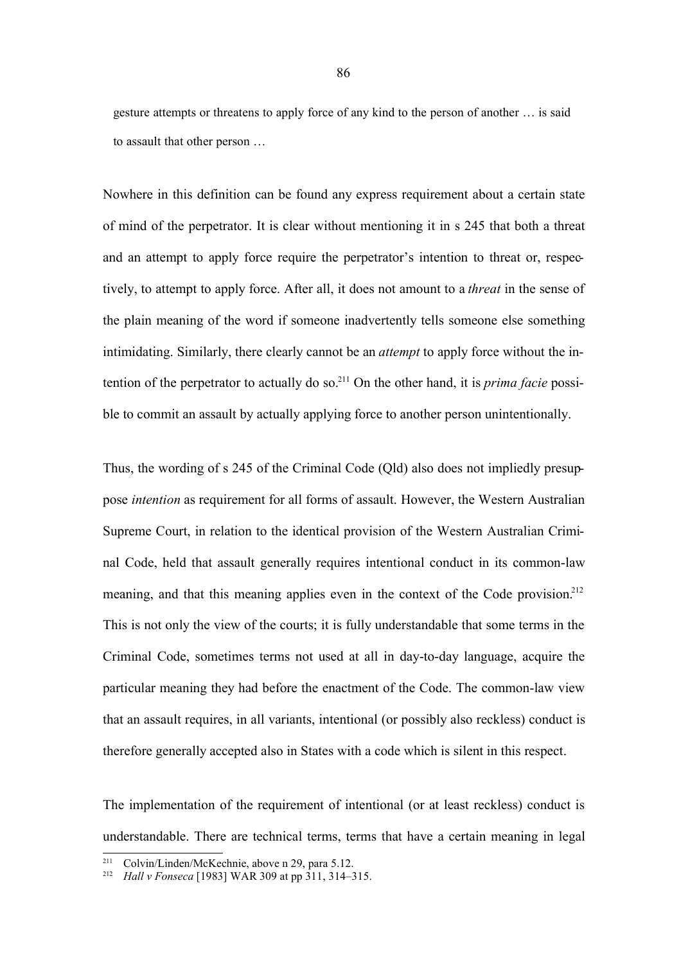gesture attempts or threatens to apply force of any kind to the person of another … is said to assault that other person …

Nowhere in this definition can be found any express requirement about a certain state of mind of the perpetrator. It is clear without mentioning it in s 245 that both a threat and an attempt to apply force require the perpetrator's intention to threat or, respectively, to attempt to apply force. After all, it does not amount to a *threat* in the sense of the plain meaning of the word if someone inadvertently tells someone else something intimidating. Similarly, there clearly cannot be an *attempt* to apply force without the intention of the perpetrator to actually do so.<sup>211</sup> On the other hand, it is *prima facie* possible to commit an assault by actually applying force to another person unintentionally.

Thus, the wording of s 245 of the Criminal Code (Qld) also does not impliedly presuppose *intention* as requirement for all forms of assault. However, the Western Australian Supreme Court, in relation to the identical provision of the Western Australian Criminal Code, held that assault generally requires intentional conduct in its common-law meaning, and that this meaning applies even in the context of the Code provision.<sup>212</sup> This is not only the view of the courts; it is fully understandable that some terms in the Criminal Code, sometimes terms not used at all in day-to-day language, acquire the particular meaning they had before the enactment of the Code. The common-law view that an assault requires, in all variants, intentional (or possibly also reckless) conduct is therefore generally accepted also in States with a code which is silent in this respect.

The implementation of the requirement of intentional (or at least reckless) conduct is understandable. There are technical terms, terms that have a certain meaning in legal

<sup>211</sup> Colvin/Linden/McKechnie, above n 29, para 5.12.

<sup>212</sup> *Hall v Fonseca* [1983] WAR 309 at pp 311, 314–315.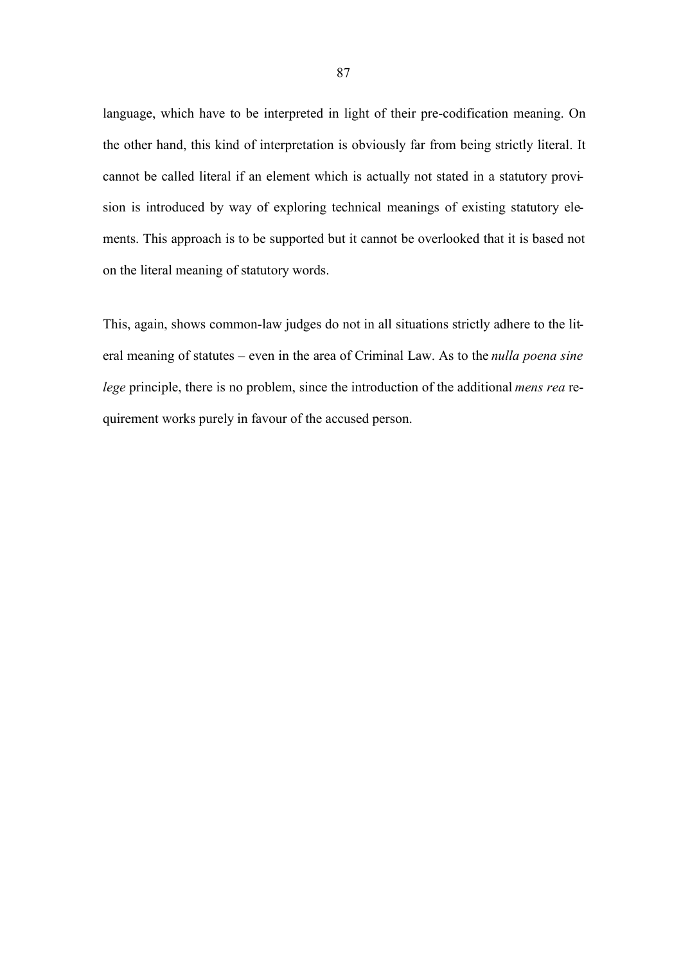language, which have to be interpreted in light of their pre-codification meaning. On the other hand, this kind of interpretation is obviously far from being strictly literal. It cannot be called literal if an element which is actually not stated in a statutory provision is introduced by way of exploring technical meanings of existing statutory elements. This approach is to be supported but it cannot be overlooked that it is based not on the literal meaning of statutory words.

This, again, shows common-law judges do not in all situations strictly adhere to the literal meaning of statutes – even in the area of Criminal Law. As to the *nulla poena sine lege* principle, there is no problem, since the introduction of the additional *mens rea* requirement works purely in favour of the accused person.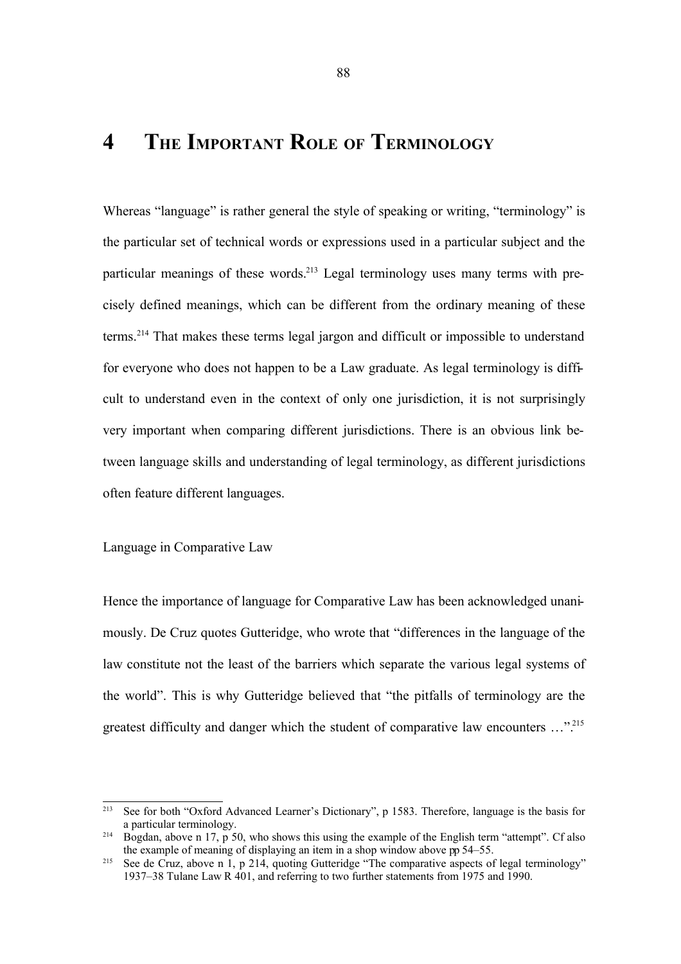## **4 THE IMPORTANT ROLE OF TERMINOLOGY**

Whereas "language" is rather general the style of speaking or writing, "terminology" is the particular set of technical words or expressions used in a particular subject and the particular meanings of these words.<sup>213</sup> Legal terminology uses many terms with precisely defined meanings, which can be different from the ordinary meaning of these terms.<sup>214</sup> That makes these terms legal jargon and difficult or impossible to understand for everyone who does not happen to be a Law graduate. As legal terminology is difficult to understand even in the context of only one jurisdiction, it is not surprisingly very important when comparing different jurisdictions. There is an obvious link between language skills and understanding of legal terminology, as different jurisdictions often feature different languages.

### Language in Comparative Law

Hence the importance of language for Comparative Law has been acknowledged unanimously. De Cruz quotes Gutteridge, who wrote that "differences in the language of the law constitute not the least of the barriers which separate the various legal systems of the world". This is why Gutteridge believed that "the pitfalls of terminology are the greatest difficulty and danger which the student of comparative law encounters ...".<sup>215</sup>

<sup>213</sup> See for both "Oxford Advanced Learner's Dictionary", p 1583. Therefore, language is the basis for a particular terminology.

<sup>&</sup>lt;sup>214</sup> Bogdan, above n 17, p 50, who shows this using the example of the English term "attempt". Cf also the example of meaning of displaying an item in a shop window above pp 54–55.

<sup>&</sup>lt;sup>215</sup> See de Cruz, above n 1, p 214, quoting Gutteridge "The comparative aspects of legal terminology" 1937–38 Tulane Law R 401, and referring to two further statements from 1975 and 1990.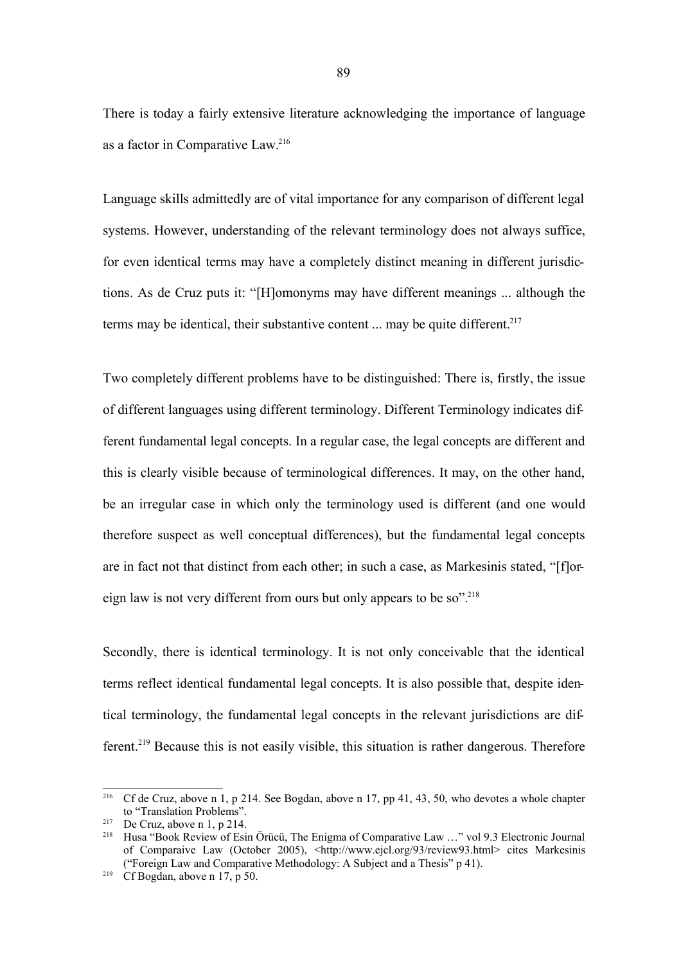There is today a fairly extensive literature acknowledging the importance of language as a factor in Comparative Law. 216

Language skills admittedly are of vital importance for any comparison of different legal systems. However, understanding of the relevant terminology does not always suffice, for even identical terms may have a completely distinct meaning in different jurisdictions. As de Cruz puts it: "[H]omonyms may have different meanings ... although the terms may be identical, their substantive content ... may be quite different.<sup>217</sup>

Two completely different problems have to be distinguished: There is, firstly, the issue of different languages using different terminology. Different Terminology indicates different fundamental legal concepts. In a regular case, the legal concepts are different and this is clearly visible because of terminological differences. It may, on the other hand, be an irregular case in which only the terminology used is different (and one would therefore suspect as well conceptual differences), but the fundamental legal concepts are in fact not that distinct from each other; in such a case, as Markesinis stated, "[f]oreign law is not very different from ours but only appears to be so".<sup>218</sup>

Secondly, there is identical terminology. It is not only conceivable that the identical terms reflect identical fundamental legal concepts. It is also possible that, despite identical terminology, the fundamental legal concepts in the relevant jurisdictions are different.<sup>219</sup> Because this is not easily visible, this situation is rather dangerous. Therefore

<sup>216</sup> Cf de Cruz, above n 1, p 214. See Bogdan, above n 17, pp 41, 43, 50, who devotes a whole chapter to "Translation Problems".

<sup>&</sup>lt;sup>217</sup> De Cruz, above n 1, p 214.

<sup>&</sup>lt;sup>218</sup> Husa "Book Review of Esin Örücü, The Enigma of Comparative Law ..." vol 9.3 Electronic Journal of Comparaive Law (October 2005), <http://www.ejcl.org/93/review93.html> cites Markesinis ("Foreign Law and Comparative Methodology: A Subject and a Thesis" p 41).

<sup>&</sup>lt;sup>219</sup> Cf Bogdan, above n 17, p 50.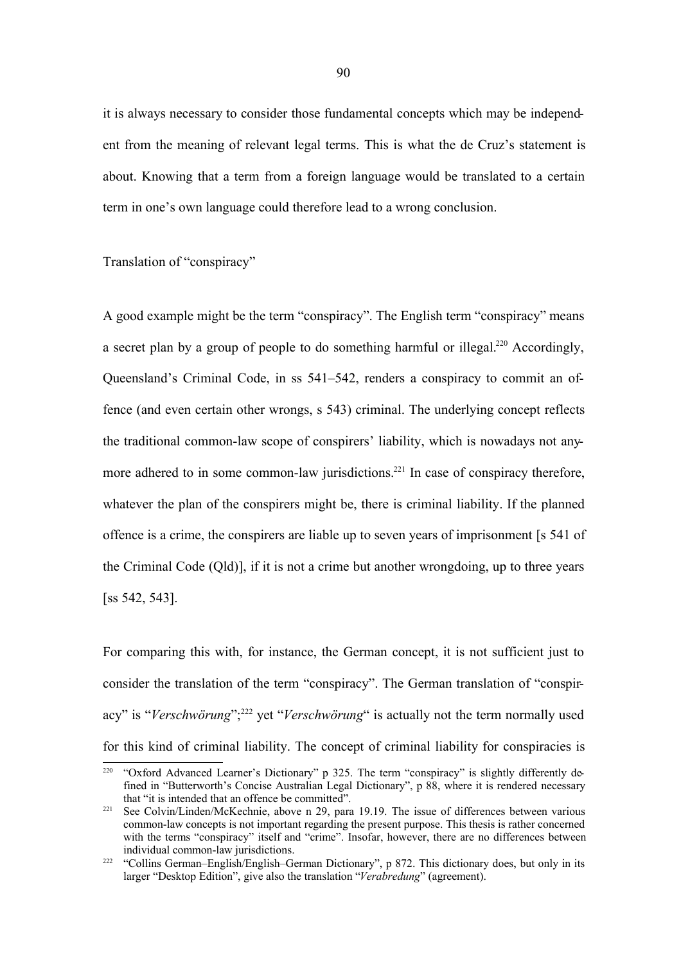it is always necessary to consider those fundamental concepts which may be independent from the meaning of relevant legal terms. This is what the de Cruz's statement is about. Knowing that a term from a foreign language would be translated to a certain term in one's own language could therefore lead to a wrong conclusion.

Translation of "conspiracy"

A good example might be the term "conspiracy". The English term "conspiracy" means a secret plan by a group of people to do something harmful or illegal.<sup>220</sup> Accordingly, Queensland's Criminal Code, in ss 541–542, renders a conspiracy to commit an offence (and even certain other wrongs, s 543) criminal. The underlying concept reflects the traditional common-law scope of conspirers' liability, which is nowadays not anymore adhered to in some common-law jurisdictions.<sup>221</sup> In case of conspiracy therefore, whatever the plan of the conspirers might be, there is criminal liability. If the planned offence is a crime, the conspirers are liable up to seven years of imprisonment [s 541 of the Criminal Code (Qld)], if it is not a crime but another wrongdoing, up to three years [ss 542, 543].

For comparing this with, for instance, the German concept, it is not sufficient just to consider the translation of the term "conspiracy". The German translation of "conspiracy" is "Verschwörung";<sup>222</sup> yet "Verschwörung" is actually not the term normally used for this kind of criminal liability. The concept of criminal liability for conspiracies is

<sup>&</sup>lt;sup>220</sup> "Oxford Advanced Learner's Dictionary" p 325. The term "conspiracy" is slightly differently defined in "Butterworth's Concise Australian Legal Dictionary", p 88, where it is rendered necessary that "it is intended that an offence be committed".

<sup>221</sup> See Colvin/Linden/McKechnie, above n 29, para 19.19. The issue of differences between various common-law concepts is not important regarding the present purpose. This thesis is rather concerned with the terms "conspiracy" itself and "crime". Insofar, however, there are no differences between individual common-law jurisdictions.

<sup>&</sup>lt;sup>222</sup> "Collins German–English/English–German Dictionary", p 872. This dictionary does, but only in its larger "Desktop Edition", give also the translation "*Verabredung*" (agreement).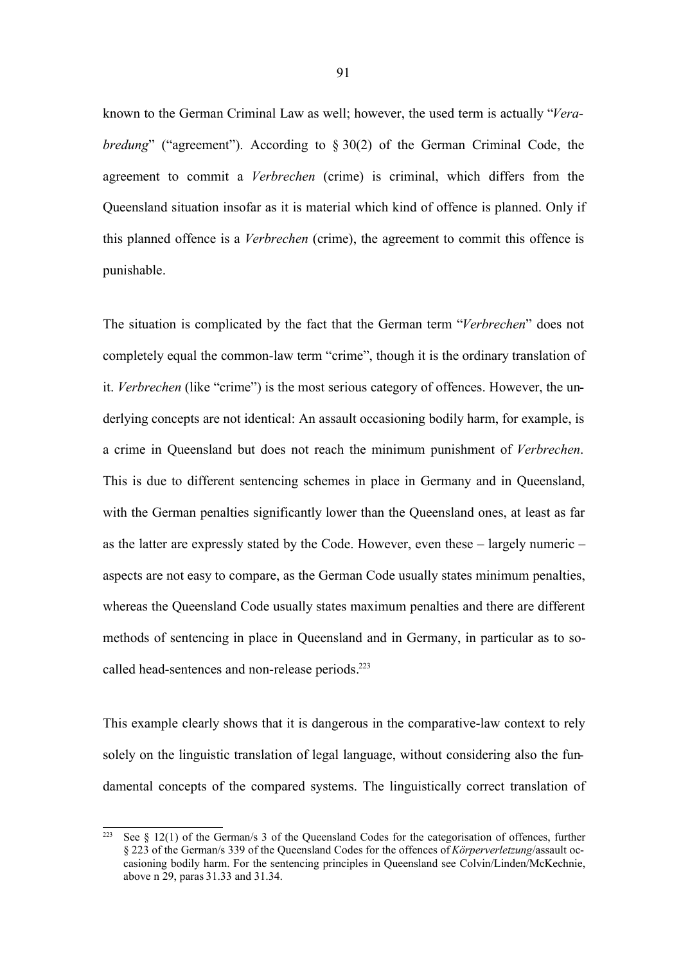known to the German Criminal Law as well; however, the used term is actually "*Verabredung*" ("agreement"). According to  $\S 30(2)$  of the German Criminal Code, the agreement to commit a *Verbrechen* (crime) is criminal, which differs from the Queensland situation insofar as it is material which kind of offence is planned. Only if this planned offence is a *Verbrechen* (crime), the agreement to commit this offence is punishable.

The situation is complicated by the fact that the German term "*Verbrechen*" does not completely equal the common-law term "crime", though it is the ordinary translation of it. *Verbrechen* (like "crime") is the most serious category of offences. However, the underlying concepts are not identical: An assault occasioning bodily harm, for example, is a crime in Queensland but does not reach the minimum punishment of *Verbrechen*. This is due to different sentencing schemes in place in Germany and in Queensland, with the German penalties significantly lower than the Queensland ones, at least as far as the latter are expressly stated by the Code. However, even these – largely numeric – aspects are not easy to compare, as the German Code usually states minimum penalties, whereas the Queensland Code usually states maximum penalties and there are different methods of sentencing in place in Queensland and in Germany, in particular as to socalled head-sentences and non-release periods. 223

This example clearly shows that it is dangerous in the comparative-law context to rely solely on the linguistic translation of legal language, without considering also the fundamental concepts of the compared systems. The linguistically correct translation of

<sup>&</sup>lt;sup>223</sup> See § 12(1) of the German/s 3 of the Queensland Codes for the categorisation of offences, further § 223 of the German/s 339 of the Queensland Codes for the offences of *Körperverletzung*/assault occasioning bodily harm. For the sentencing principles in Queensland see Colvin/Linden/McKechnie, above n 29, paras 31.33 and 31.34.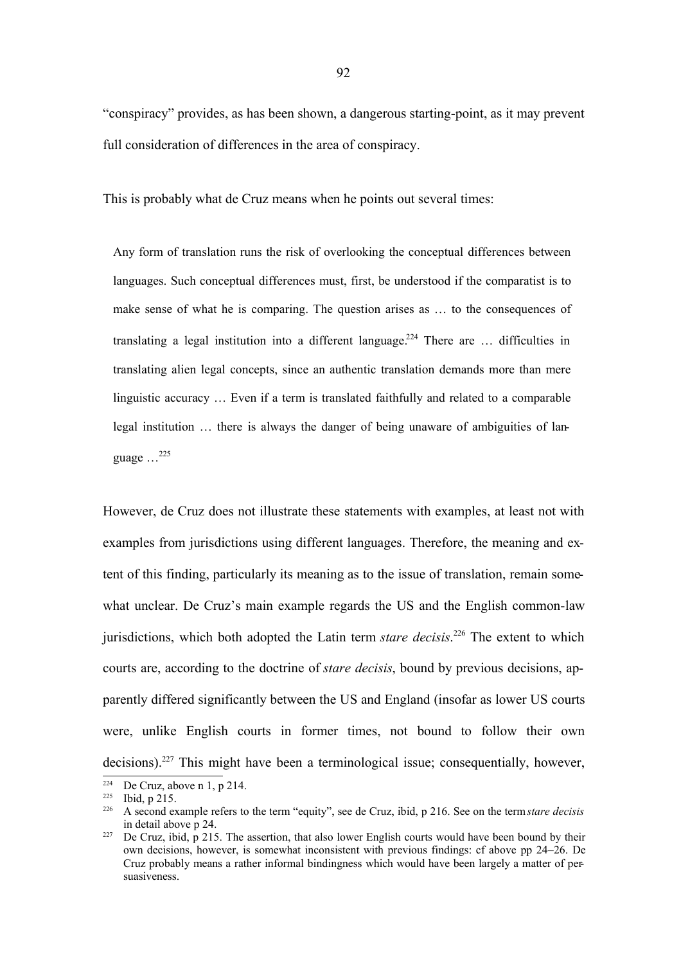"conspiracy" provides, as has been shown, a dangerous starting-point, as it may prevent full consideration of differences in the area of conspiracy.

This is probably what de Cruz means when he points out several times:

Any form of translation runs the risk of overlooking the conceptual differences between languages. Such conceptual differences must, first, be understood if the comparatist is to make sense of what he is comparing. The question arises as … to the consequences of translating a legal institution into a different language.<sup>224</sup> There are ... difficulties in translating alien legal concepts, since an authentic translation demands more than mere linguistic accuracy … Even if a term is translated faithfully and related to a comparable legal institution … there is always the danger of being unaware of ambiguities of language  $\ldots^{225}$ 

However, de Cruz does not illustrate these statements with examples, at least not with examples from jurisdictions using different languages. Therefore, the meaning and extent of this finding, particularly its meaning as to the issue of translation, remain somewhat unclear. De Cruz's main example regards the US and the English common-law jurisdictions, which both adopted the Latin term *stare decisis*. <sup>226</sup> The extent to which courts are, according to the doctrine of *stare decisis*, bound by previous decisions, apparently differed significantly between the US and England (insofar as lower US courts were, unlike English courts in former times, not bound to follow their own decisions).<sup>227</sup> This might have been a terminological issue; consequentially, however,

<sup>&</sup>lt;sup>224</sup> De Cruz, above n 1, p 214.

<sup>225</sup> Ibid, p 215.

<sup>226</sup> A second example refers to the term "equity", see de Cruz, ibid, p 216. See on the term*stare decisis* in detail above p 24.

<sup>&</sup>lt;sup>227</sup> De Cruz, ibid, p 215. The assertion, that also lower English courts would have been bound by their own decisions, however, is somewhat inconsistent with previous findings: cf above pp 24–26. De Cruz probably means a rather informal bindingness which would have been largely a matter of persuasiveness.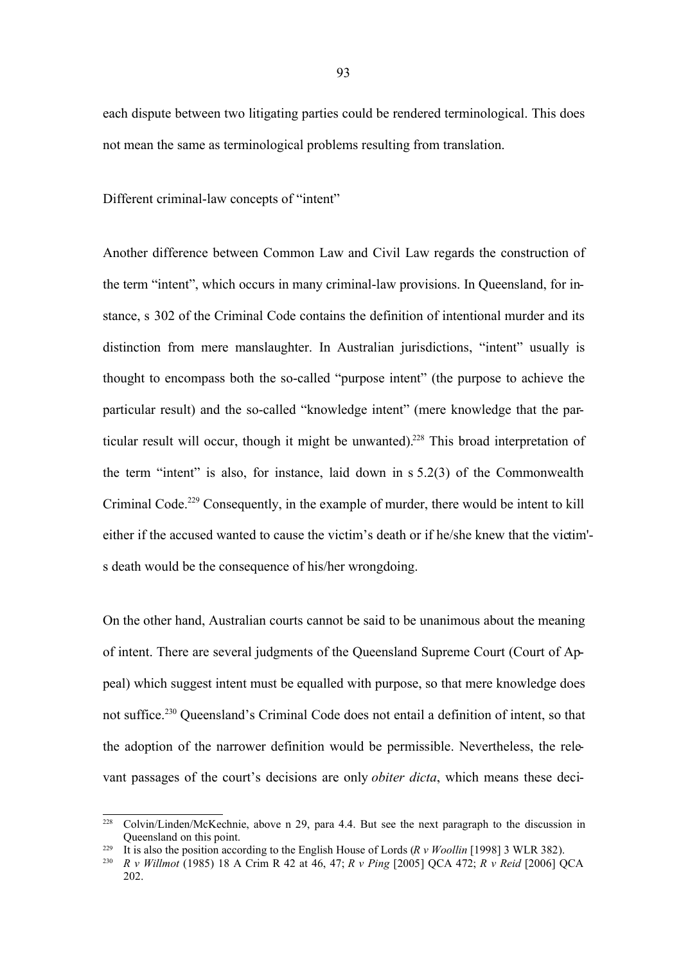each dispute between two litigating parties could be rendered terminological. This does not mean the same as terminological problems resulting from translation.

Different criminal-law concepts of "intent"

Another difference between Common Law and Civil Law regards the construction of the term "intent", which occurs in many criminal-law provisions. In Queensland, for instance, s 302 of the Criminal Code contains the definition of intentional murder and its distinction from mere manslaughter. In Australian jurisdictions, "intent" usually is thought to encompass both the so-called "purpose intent" (the purpose to achieve the particular result) and the so-called "knowledge intent" (mere knowledge that the particular result will occur, though it might be unwanted).<sup>228</sup> This broad interpretation of the term "intent" is also, for instance, laid down in s 5.2(3) of the Commonwealth Criminal Code.<sup>229</sup> Consequently, in the example of murder, there would be intent to kill either if the accused wanted to cause the victim's death or if he/she knew that the victim' s death would be the consequence of his/her wrongdoing.

On the other hand, Australian courts cannot be said to be unanimous about the meaning of intent. There are several judgments of the Queensland Supreme Court (Court of Appeal) which suggest intent must be equalled with purpose, so that mere knowledge does not suffice. <sup>230</sup> Queensland's Criminal Code does not entail a definition of intent, so that the adoption of the narrower definition would be permissible. Nevertheless, the relevant passages of the court's decisions are only *obiter dicta*, which means these deci-

<sup>&</sup>lt;sup>228</sup> Colvin/Linden/McKechnie, above n 29, para 4.4. But see the next paragraph to the discussion in Queensland on this point.

<sup>229</sup> It is also the position according to the English House of Lords (*R v Woollin* [1998] 3 WLR 382).

<sup>230</sup> *R v Willmot* (1985) 18 A Crim R 42 at 46, 47; *R v Ping* [2005] QCA 472; *R v Reid* [2006] QCA 202.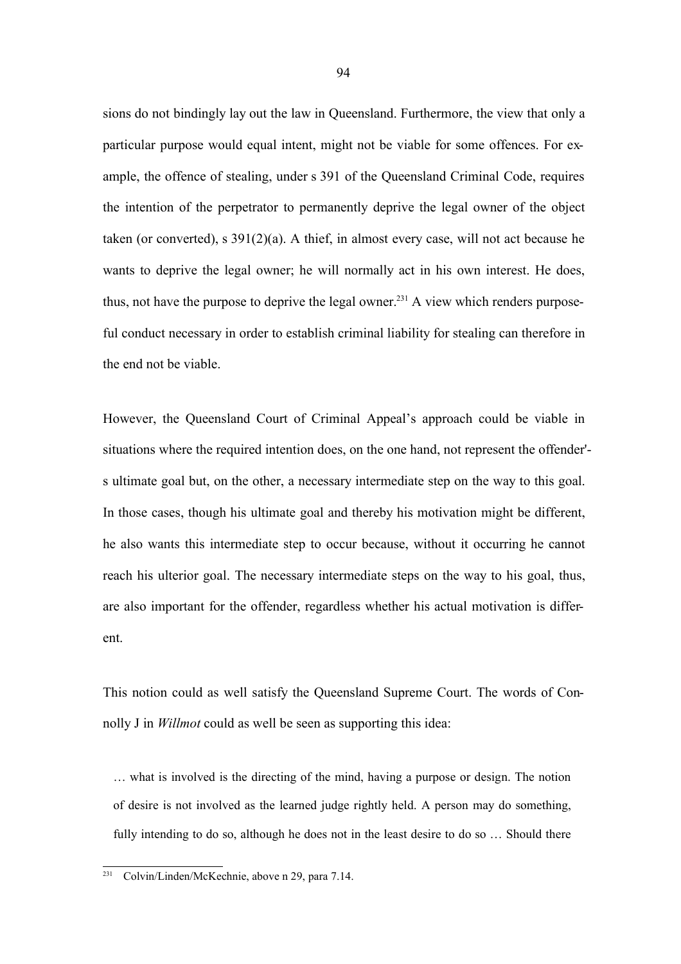sions do not bindingly lay out the law in Queensland. Furthermore, the view that only a particular purpose would equal intent, might not be viable for some offences. For example, the offence of stealing, under s 391 of the Queensland Criminal Code, requires the intention of the perpetrator to permanently deprive the legal owner of the object taken (or converted), s 391(2)(a). A thief, in almost every case, will not act because he wants to deprive the legal owner; he will normally act in his own interest. He does, thus, not have the purpose to deprive the legal owner.<sup>231</sup> A view which renders purposeful conduct necessary in order to establish criminal liability for stealing can therefore in the end not be viable.

However, the Queensland Court of Criminal Appeal's approach could be viable in situations where the required intention does, on the one hand, not represent the offender' s ultimate goal but, on the other, a necessary intermediate step on the way to this goal. In those cases, though his ultimate goal and thereby his motivation might be different, he also wants this intermediate step to occur because, without it occurring he cannot reach his ulterior goal. The necessary intermediate steps on the way to his goal, thus, are also important for the offender, regardless whether his actual motivation is different.

This notion could as well satisfy the Queensland Supreme Court. The words of Connolly J in *Willmot* could as well be seen as supporting this idea:

… what is involved is the directing of the mind, having a purpose or design. The notion of desire is not involved as the learned judge rightly held. A person may do something, fully intending to do so, although he does not in the least desire to do so … Should there

<sup>231</sup> Colvin/Linden/McKechnie, above n 29, para 7.14.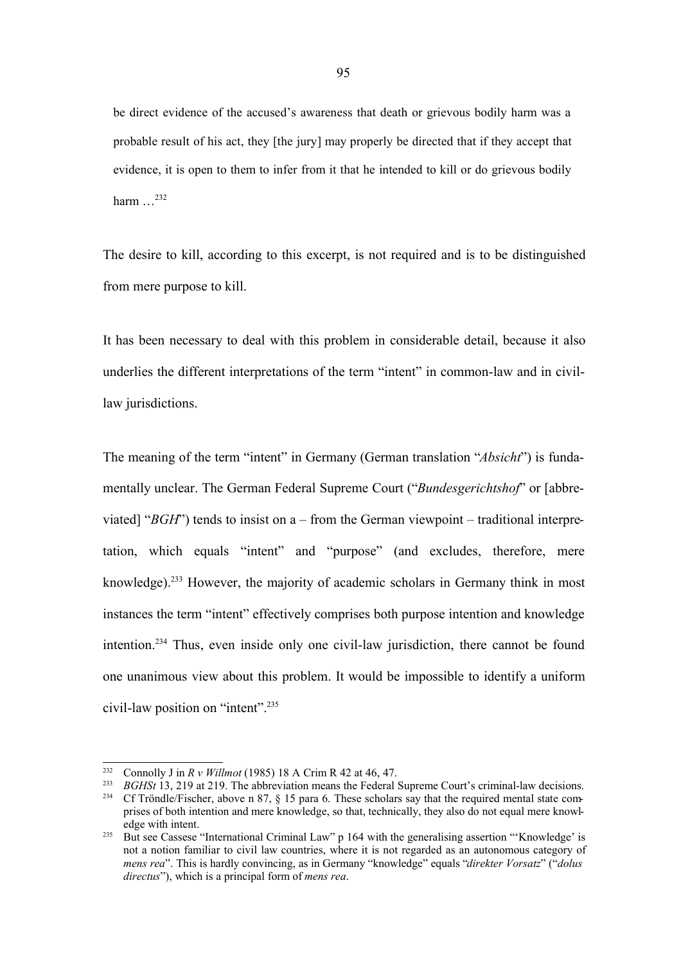be direct evidence of the accused's awareness that death or grievous bodily harm was a probable result of his act, they [the jury] may properly be directed that if they accept that evidence, it is open to them to infer from it that he intended to kill or do grievous bodily harm  $\frac{232}{2}$ 

The desire to kill, according to this excerpt, is not required and is to be distinguished from mere purpose to kill.

It has been necessary to deal with this problem in considerable detail, because it also underlies the different interpretations of the term "intent" in common-law and in civillaw jurisdictions.

The meaning of the term "intent" in Germany (German translation "*Absicht*") is fundamentally unclear. The German Federal Supreme Court ("*Bundesgerichtshof*" or [abbreviated] "*BGH*") tends to insist on a – from the German viewpoint – traditional interpretation, which equals "intent" and "purpose" (and excludes, therefore, mere knowledge). <sup>233</sup> However, the majority of academic scholars in Germany think in most instances the term "intent" effectively comprises both purpose intention and knowledge intention.<sup>234</sup> Thus, even inside only one civil-law jurisdiction, there cannot be found one unanimous view about this problem. It would be impossible to identify a uniform civil-law position on "intent".<sup>235</sup>

<sup>&</sup>lt;sup>232</sup> Connolly J in *R v Willmot* (1985) 18 A Crim R 42 at 46, 47.<br><sup>233</sup> *RGHSt* 13, 219 at 219. The abbreviation means the Eederal 9

<sup>&</sup>lt;sup>233</sup> *BGHSt* 13, 219 at 219. The abbreviation means the Federal Supreme Court's criminal-law decisions.<br><sup>234</sup> Cf Tröndle/Eischer, above n. 87, 8, 15 para 6. These scholars say that the required mental state com-Cf Tröndle/Fischer, above n 87,  $\S$  15 para 6. These scholars say that the required mental state comprises of both intention and mere knowledge, so that, technically, they also do not equal mere knowledge with intent.

<sup>&</sup>lt;sup>235</sup> But see Cassese "International Criminal Law" p 164 with the generalising assertion "'Knowledge' is not a notion familiar to civil law countries, where it is not regarded as an autonomous category of *mens rea*". This is hardly convincing, as in Germany "knowledge" equals "*direkter Vorsatz*" ("*dolus directus*"), which is a principal form of *mens rea*.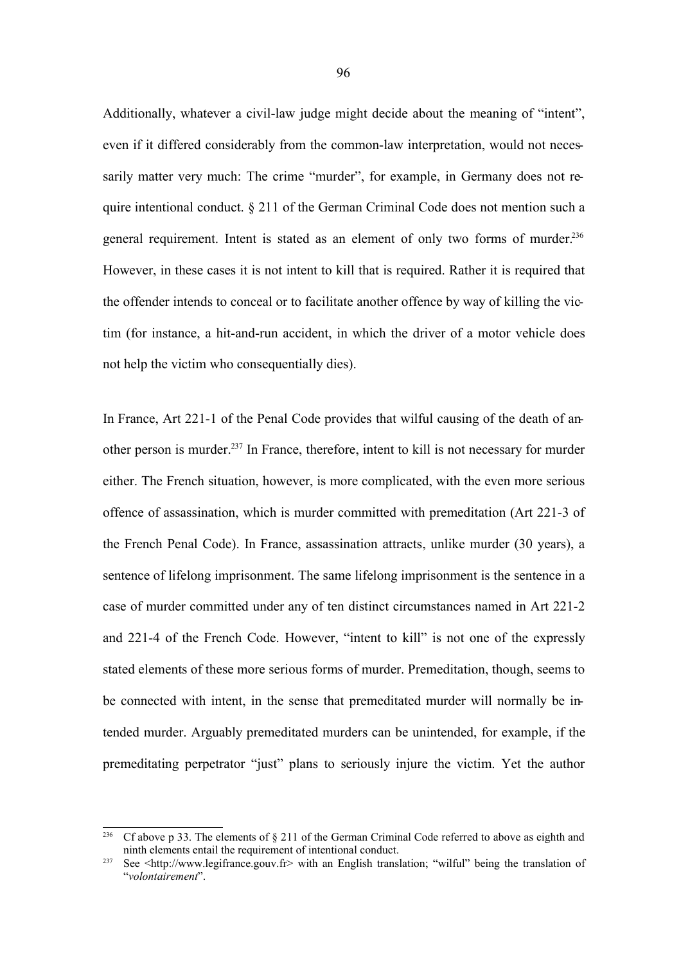Additionally, whatever a civil-law judge might decide about the meaning of "intent", even if it differed considerably from the common-law interpretation, would not necessarily matter very much: The crime "murder", for example, in Germany does not require intentional conduct. § 211 of the German Criminal Code does not mention such a general requirement. Intent is stated as an element of only two forms of murder.<sup>236</sup> However, in these cases it is not intent to kill that is required. Rather it is required that the offender intends to conceal or to facilitate another offence by way of killing the victim (for instance, a hit-and-run accident, in which the driver of a motor vehicle does not help the victim who consequentially dies).

In France, Art 221-1 of the Penal Code provides that wilful causing of the death of another person is murder.<sup>237</sup> In France, therefore, intent to kill is not necessary for murder either. The French situation, however, is more complicated, with the even more serious offence of assassination, which is murder committed with premeditation (Art 221-3 of the French Penal Code). In France, assassination attracts, unlike murder (30 years), a sentence of lifelong imprisonment. The same lifelong imprisonment is the sentence in a case of murder committed under any of ten distinct circumstances named in Art 221-2 and 221-4 of the French Code. However, "intent to kill" is not one of the expressly stated elements of these more serious forms of murder. Premeditation, though, seems to be connected with intent, in the sense that premeditated murder will normally be intended murder. Arguably premeditated murders can be unintended, for example, if the premeditating perpetrator "just" plans to seriously injure the victim. Yet the author

<sup>&</sup>lt;sup>236</sup> Cf above p 33. The elements of  $\S$  211 of the German Criminal Code referred to above as eighth and ninth elements entail the requirement of intentional conduct.

<sup>237</sup> See <http://www.legifrance.gouv.fr> with an English translation; "wilful" being the translation of "*volontairement*".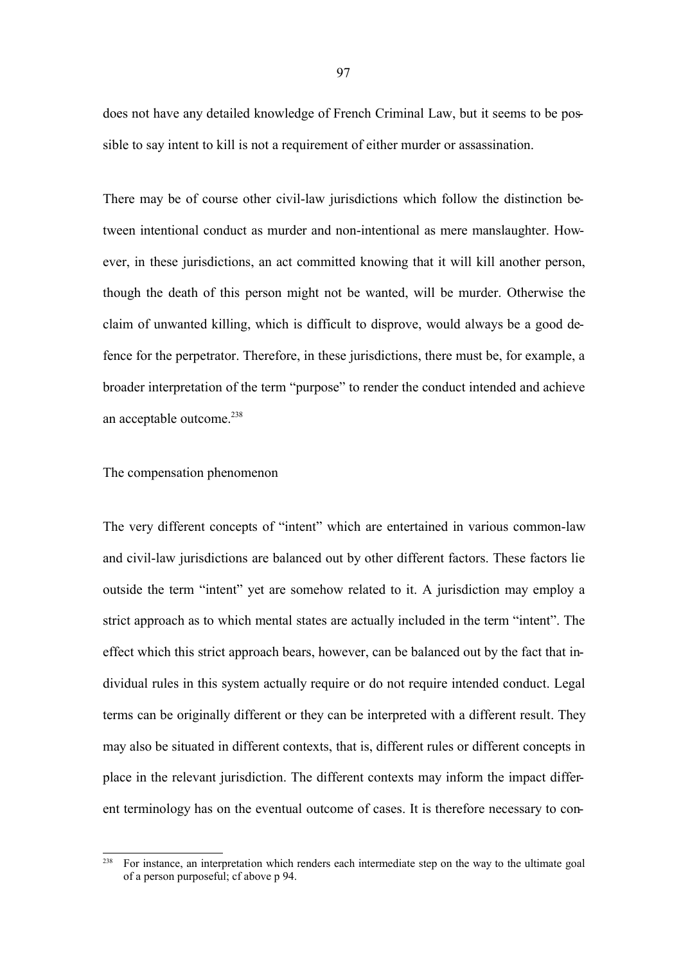does not have any detailed knowledge of French Criminal Law, but it seems to be possible to say intent to kill is not a requirement of either murder or assassination.

There may be of course other civil-law jurisdictions which follow the distinction between intentional conduct as murder and non-intentional as mere manslaughter. However, in these jurisdictions, an act committed knowing that it will kill another person, though the death of this person might not be wanted, will be murder. Otherwise the claim of unwanted killing, which is difficult to disprove, would always be a good defence for the perpetrator. Therefore, in these jurisdictions, there must be, for example, a broader interpretation of the term "purpose" to render the conduct intended and achieve an acceptable outcome.<sup>238</sup>

### The compensation phenomenon

The very different concepts of "intent" which are entertained in various common-law and civil-law jurisdictions are balanced out by other different factors. These factors lie outside the term "intent" yet are somehow related to it. A jurisdiction may employ a strict approach as to which mental states are actually included in the term "intent". The effect which this strict approach bears, however, can be balanced out by the fact that individual rules in this system actually require or do not require intended conduct. Legal terms can be originally different or they can be interpreted with a different result. They may also be situated in different contexts, that is, different rules or different concepts in place in the relevant jurisdiction. The different contexts may inform the impact different terminology has on the eventual outcome of cases. It is therefore necessary to con-

<sup>&</sup>lt;sup>238</sup> For instance, an interpretation which renders each intermediate step on the way to the ultimate goal of a person purposeful; cf above p 94.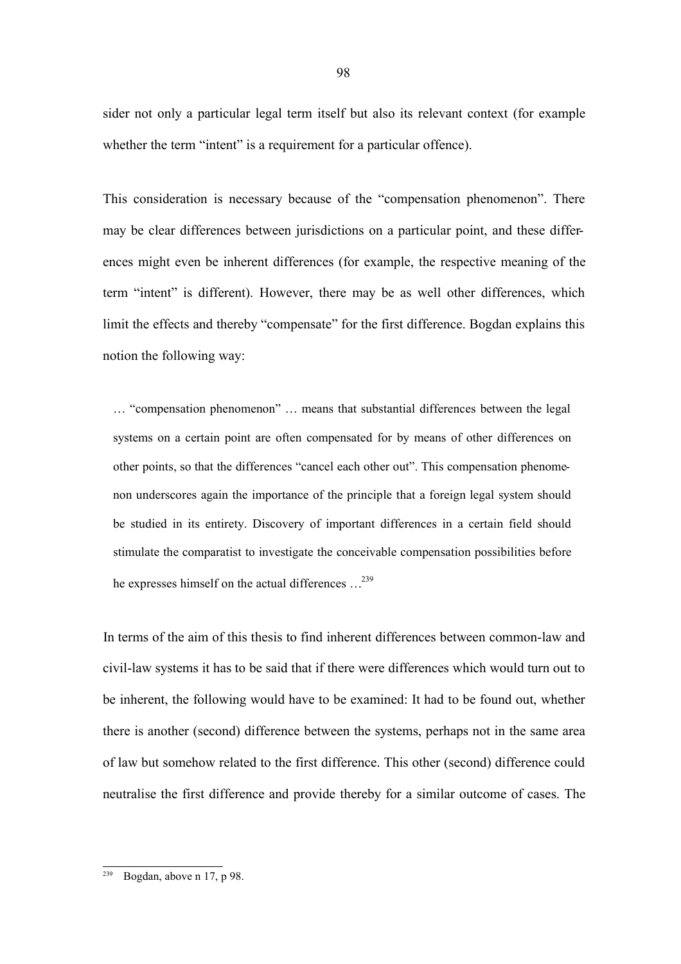sider not only a particular legal term itself but also its relevant context (for example whether the term "intent" is a requirement for a particular offence).

This consideration is necessary because of the "compensation phenomenon". There may be clear differences between jurisdictions on a particular point, and these differences might even be inherent differences (for example, the respective meaning of the term "intent" is different). However, there may be as well other differences, which limit the effects and thereby "compensate" for the first difference. Bogdan explains this notion the following way:

… "compensation phenomenon" … means that substantial differences between the legal systems on a certain point are often compensated for by means of other differences on other points, so that the differences "cancel each other out". This compensation phenomenon underscores again the importance of the principle that a foreign legal system should be studied in its entirety. Discovery of important differences in a certain field should stimulate the comparatist to investigate the conceivable compensation possibilities before he expresses himself on the actual differences …<sup>239</sup>

In terms of the aim of this thesis to find inherent differences between common-law and civil-law systems it has to be said that if there were differences which would turn out to be inherent, the following would have to be examined: It had to be found out, whether there is another (second) difference between the systems, perhaps not in the same area of law but somehow related to the first difference. This other (second) difference could neutralise the first difference and provide thereby for a similar outcome of cases. The

Bogdan, above n 17, p 98.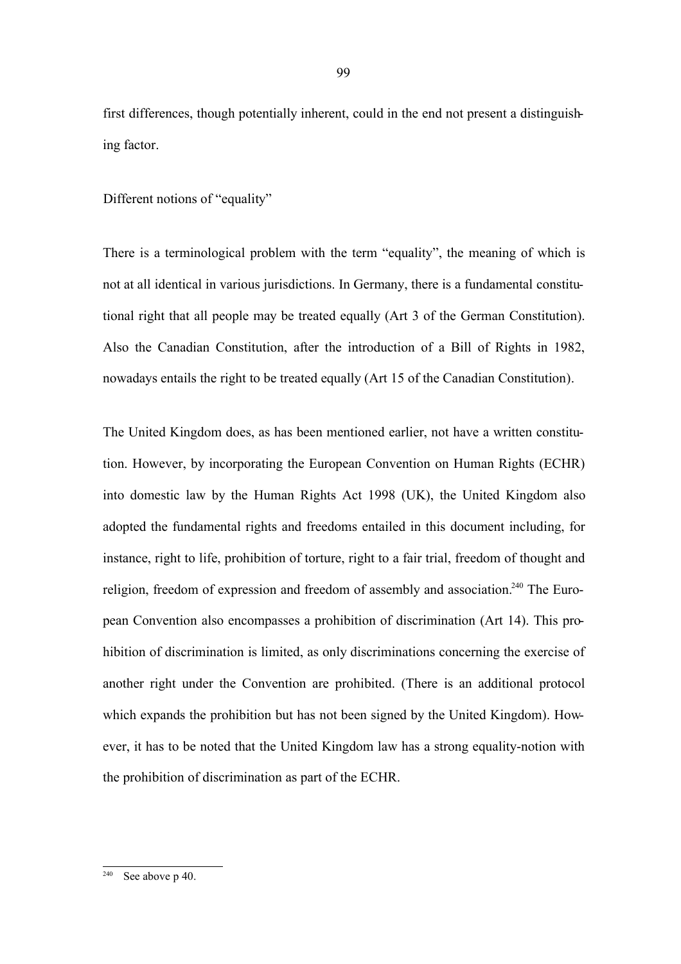first differences, though potentially inherent, could in the end not present a distinguishing factor.

Different notions of "equality"

There is a terminological problem with the term "equality", the meaning of which is not at all identical in various jurisdictions. In Germany, there is a fundamental constitutional right that all people may be treated equally (Art 3 of the German Constitution). Also the Canadian Constitution, after the introduction of a Bill of Rights in 1982, nowadays entails the right to be treated equally (Art 15 of the Canadian Constitution).

The United Kingdom does, as has been mentioned earlier, not have a written constitution. However, by incorporating the European Convention on Human Rights (ECHR) into domestic law by the Human Rights Act 1998 (UK), the United Kingdom also adopted the fundamental rights and freedoms entailed in this document including, for instance, right to life, prohibition of torture, right to a fair trial, freedom of thought and religion, freedom of expression and freedom of assembly and association.<sup>240</sup> The European Convention also encompasses a prohibition of discrimination (Art 14). This prohibition of discrimination is limited, as only discriminations concerning the exercise of another right under the Convention are prohibited. (There is an additional protocol which expands the prohibition but has not been signed by the United Kingdom). However, it has to be noted that the United Kingdom law has a strong equality-notion with the prohibition of discrimination as part of the ECHR.

See above p 40.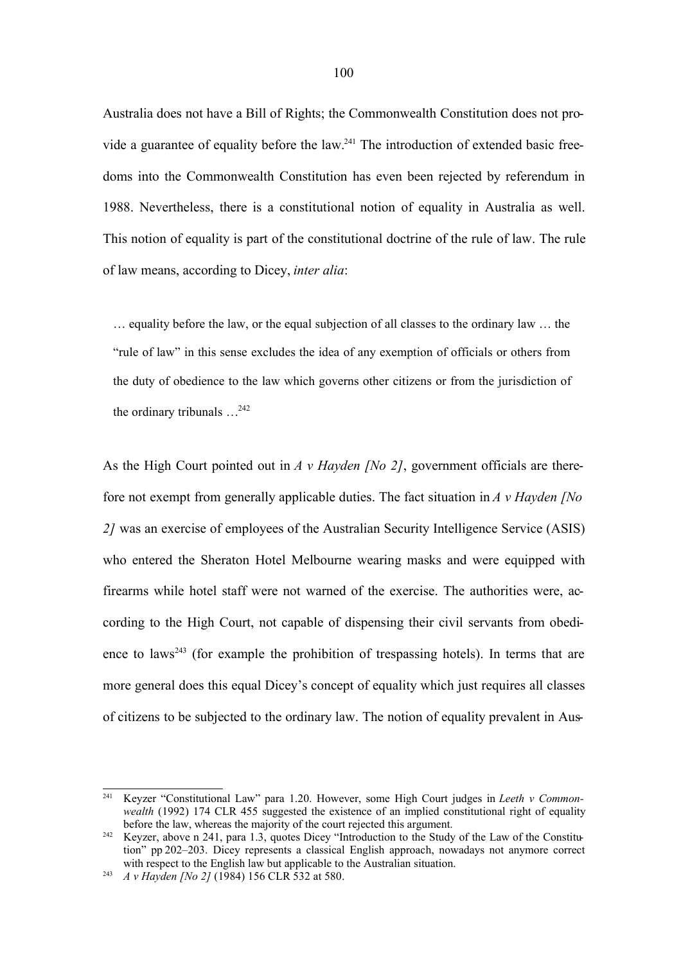Australia does not have a Bill of Rights; the Commonwealth Constitution does not provide a guarantee of equality before the law.<sup>241</sup> The introduction of extended basic freedoms into the Commonwealth Constitution has even been rejected by referendum in 1988. Nevertheless, there is a constitutional notion of equality in Australia as well. This notion of equality is part of the constitutional doctrine of the rule of law. The rule of law means, according to Dicey, *inter alia*:

… equality before the law, or the equal subjection of all classes to the ordinary law … the "rule of law" in this sense excludes the idea of any exemption of officials or others from the duty of obedience to the law which governs other citizens or from the jurisdiction of the ordinary tribunals  $\ldots^{242}$ 

As the High Court pointed out in *A v Hayden [No 2]*, government officials are therefore not exempt from generally applicable duties. The fact situation in *A v Hayden [No 2]* was an exercise of employees of the Australian Security Intelligence Service (ASIS) who entered the Sheraton Hotel Melbourne wearing masks and were equipped with firearms while hotel staff were not warned of the exercise. The authorities were, according to the High Court, not capable of dispensing their civil servants from obedience to laws<sup>243</sup> (for example the prohibition of trespassing hotels). In terms that are more general does this equal Dicey's concept of equality which just requires all classes of citizens to be subjected to the ordinary law. The notion of equality prevalent in Aus-

<sup>241</sup> Keyzer "Constitutional Law" para 1.20. However, some High Court judges in *Leeth v Commonwealth* (1992) 174 CLR 455 suggested the existence of an implied constitutional right of equality before the law, whereas the majority of the court rejected this argument.

<sup>&</sup>lt;sup>242</sup> Keyzer, above n 241, para 1.3, quotes Dicey "Introduction to the Study of the Law of the Constitution" pp 202–203. Dicey represents a classical English approach, nowadays not anymore correct with respect to the English law but applicable to the Australian situation.

<sup>243</sup> *A v Hayden [No 2]* (1984) 156 CLR 532 at 580.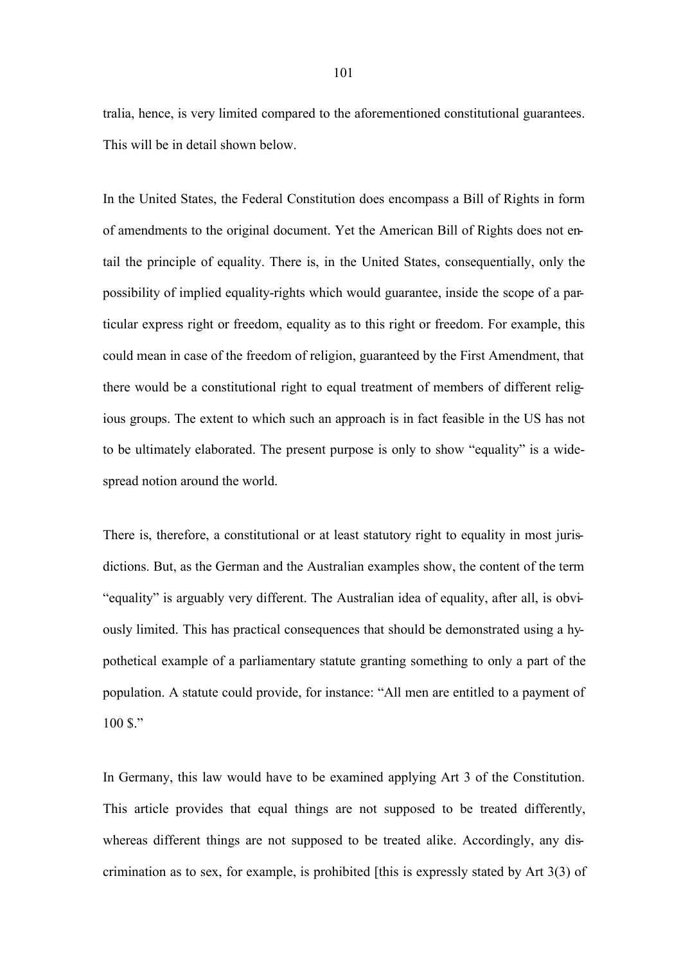tralia, hence, is very limited compared to the aforementioned constitutional guarantees. This will be in detail shown below.

In the United States, the Federal Constitution does encompass a Bill of Rights in form of amendments to the original document. Yet the American Bill of Rights does not entail the principle of equality. There is, in the United States, consequentially, only the possibility of implied equality-rights which would guarantee, inside the scope of a particular express right or freedom, equality as to this right or freedom. For example, this could mean in case of the freedom of religion, guaranteed by the First Amendment, that there would be a constitutional right to equal treatment of members of different religious groups. The extent to which such an approach is in fact feasible in the US has not to be ultimately elaborated. The present purpose is only to show "equality" is a widespread notion around the world.

There is, therefore, a constitutional or at least statutory right to equality in most jurisdictions. But, as the German and the Australian examples show, the content of the term "equality" is arguably very different. The Australian idea of equality, after all, is obviously limited. This has practical consequences that should be demonstrated using a hypothetical example of a parliamentary statute granting something to only a part of the population. A statute could provide, for instance: "All men are entitled to a payment of  $100S$ ."

In Germany, this law would have to be examined applying Art 3 of the Constitution. This article provides that equal things are not supposed to be treated differently, whereas different things are not supposed to be treated alike. Accordingly, any discrimination as to sex, for example, is prohibited [this is expressly stated by Art 3(3) of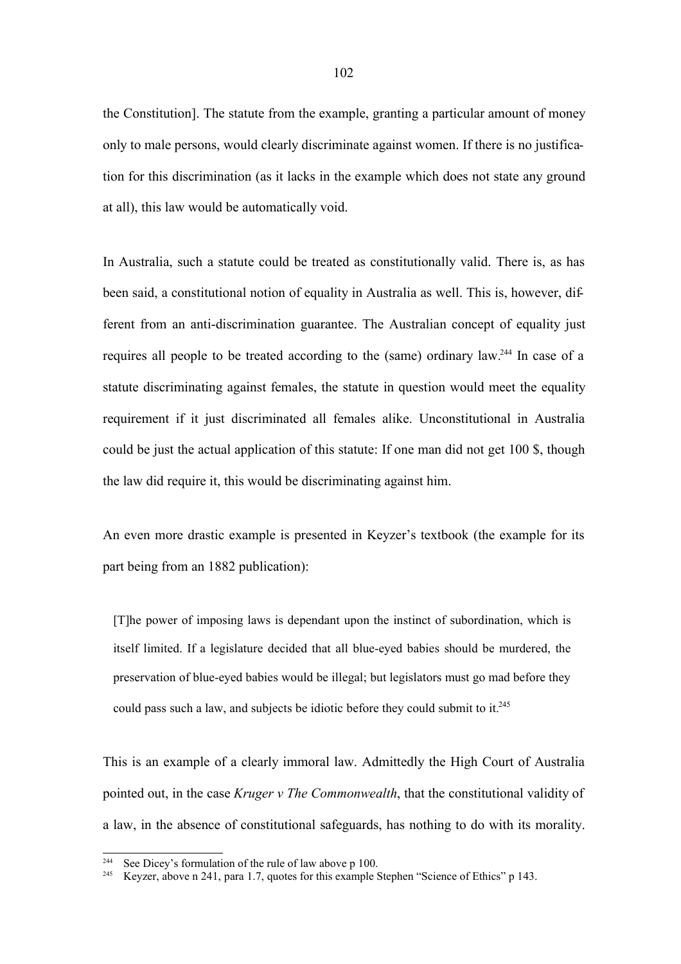the Constitution]. The statute from the example, granting a particular amount of money only to male persons, would clearly discriminate against women. If there is no justification for this discrimination (as it lacks in the example which does not state any ground at all), this law would be automatically void.

In Australia, such a statute could be treated as constitutionally valid. There is, as has been said, a constitutional notion of equality in Australia as well. This is, however, different from an anti-discrimination guarantee. The Australian concept of equality just requires all people to be treated according to the (same) ordinary law.<sup>244</sup> In case of a statute discriminating against females, the statute in question would meet the equality requirement if it just discriminated all females alike. Unconstitutional in Australia could be just the actual application of this statute: If one man did not get 100 \$, though the law did require it, this would be discriminating against him.

An even more drastic example is presented in Keyzer's textbook (the example for its part being from an 1882 publication):

[T]he power of imposing laws is dependant upon the instinct of subordination, which is itself limited. If a legislature decided that all blue-eyed babies should be murdered, the preservation of blue-eyed babies would be illegal; but legislators must go mad before they could pass such a law, and subjects be idiotic before they could submit to it.<sup>245</sup>

This is an example of a clearly immoral law. Admittedly the High Court of Australia pointed out, in the case *Kruger v The Commonwealth*, that the constitutional validity of a law, in the absence of constitutional safeguards, has nothing to do with its morality.

<sup>&</sup>lt;sup>244</sup> See Dicey's formulation of the rule of law above p 100.

<sup>&</sup>lt;sup>245</sup> Keyzer, above n 241, para 1.7, quotes for this example Stephen "Science of Ethics" p 143.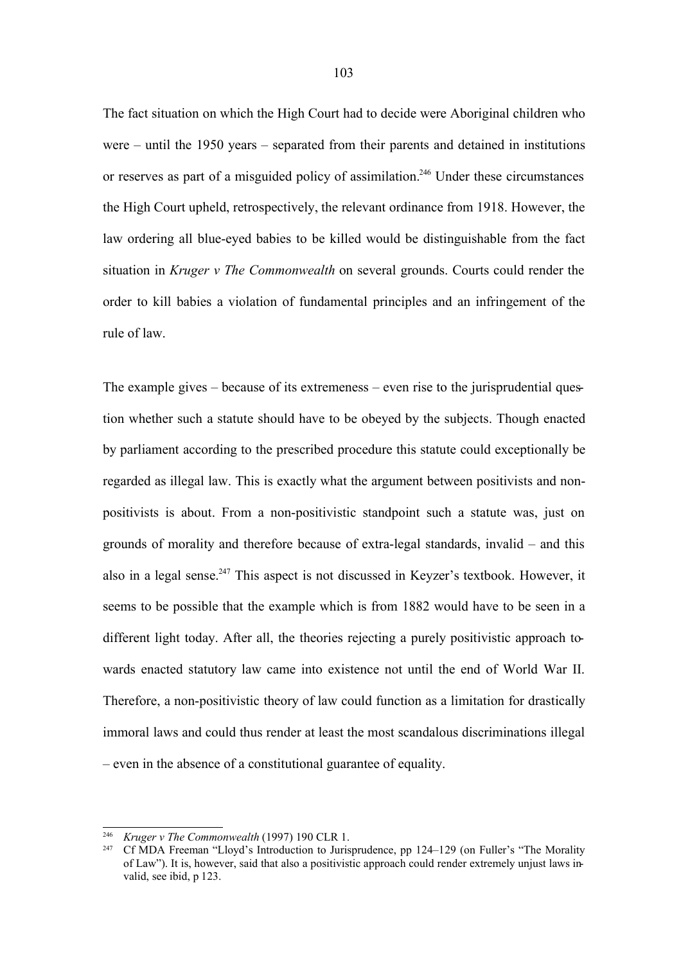The fact situation on which the High Court had to decide were Aboriginal children who were – until the 1950 years – separated from their parents and detained in institutions or reserves as part of a misguided policy of assimilation.<sup>246</sup> Under these circumstances the High Court upheld, retrospectively, the relevant ordinance from 1918. However, the law ordering all blue-eyed babies to be killed would be distinguishable from the fact situation in *Kruger v The Commonwealth* on several grounds. Courts could render the order to kill babies a violation of fundamental principles and an infringement of the rule of law.

The example gives – because of its extremeness – even rise to the jurisprudential question whether such a statute should have to be obeyed by the subjects. Though enacted by parliament according to the prescribed procedure this statute could exceptionally be regarded as illegal law. This is exactly what the argument between positivists and nonpositivists is about. From a non-positivistic standpoint such a statute was, just on grounds of morality and therefore because of extra-legal standards, invalid – and this also in a legal sense.<sup>247</sup> This aspect is not discussed in Keyzer's textbook. However, it seems to be possible that the example which is from 1882 would have to be seen in a different light today. After all, the theories rejecting a purely positivistic approach towards enacted statutory law came into existence not until the end of World War II. Therefore, a non-positivistic theory of law could function as a limitation for drastically immoral laws and could thus render at least the most scandalous discriminations illegal – even in the absence of a constitutional guarantee of equality.

<sup>246</sup> *Kruger v The Commonwealth* (1997) 190 CLR 1.

<sup>&</sup>lt;sup>247</sup> Cf MDA Freeman "Lloyd's Introduction to Jurisprudence, pp 124–129 (on Fuller's "The Morality of Law"). It is, however, said that also a positivistic approach could render extremely unjust laws invalid, see ibid, p 123.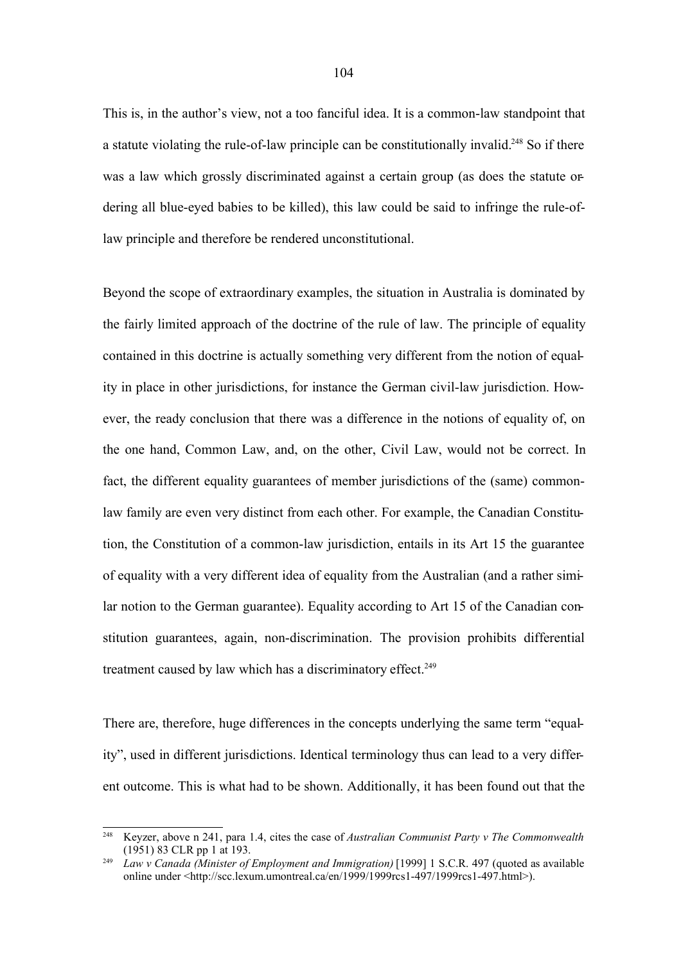This is, in the author's view, not a too fanciful idea. It is a common-law standpoint that a statute violating the rule-of-law principle can be constitutionally invalid.<sup>248</sup> So if there was a law which grossly discriminated against a certain group (as does the statute ordering all blue-eyed babies to be killed), this law could be said to infringe the rule-oflaw principle and therefore be rendered unconstitutional.

Beyond the scope of extraordinary examples, the situation in Australia is dominated by the fairly limited approach of the doctrine of the rule of law. The principle of equality contained in this doctrine is actually something very different from the notion of equality in place in other jurisdictions, for instance the German civil-law jurisdiction. However, the ready conclusion that there was a difference in the notions of equality of, on the one hand, Common Law, and, on the other, Civil Law, would not be correct. In fact, the different equality guarantees of member jurisdictions of the (same) commonlaw family are even very distinct from each other. For example, the Canadian Constitution, the Constitution of a common-law jurisdiction, entails in its Art 15 the guarantee of equality with a very different idea of equality from the Australian (and a rather similar notion to the German guarantee). Equality according to Art 15 of the Canadian constitution guarantees, again, non-discrimination. The provision prohibits differential treatment caused by law which has a discriminatory effect.<sup>249</sup>

There are, therefore, huge differences in the concepts underlying the same term "equality", used in different jurisdictions. Identical terminology thus can lead to a very different outcome. This is what had to be shown. Additionally, it has been found out that the

<sup>248</sup> Keyzer, above n 241, para 1.4, cites the case of *Australian Communist Party v The Commonwealth* (1951) 83 CLR pp 1 at 193.

<sup>249</sup> *Law v Canada (Minister of Employment and Immigration)* [1999] 1 S.C.R. 497 (quoted as available online under <http://scc.lexum.umontreal.ca/en/1999/1999rcs1-497/1999rcs1-497.html>).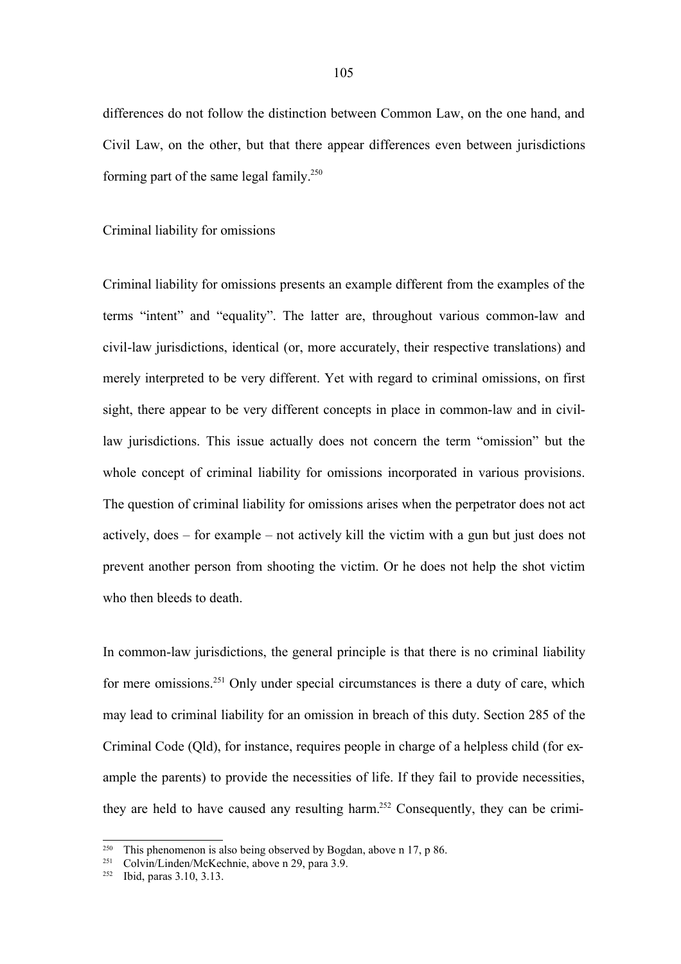differences do not follow the distinction between Common Law, on the one hand, and Civil Law, on the other, but that there appear differences even between jurisdictions forming part of the same legal family.<sup>250</sup>

### Criminal liability for omissions

Criminal liability for omissions presents an example different from the examples of the terms "intent" and "equality". The latter are, throughout various common-law and civil-law jurisdictions, identical (or, more accurately, their respective translations) and merely interpreted to be very different. Yet with regard to criminal omissions, on first sight, there appear to be very different concepts in place in common-law and in civillaw jurisdictions. This issue actually does not concern the term "omission" but the whole concept of criminal liability for omissions incorporated in various provisions. The question of criminal liability for omissions arises when the perpetrator does not act actively, does – for example – not actively kill the victim with a gun but just does not prevent another person from shooting the victim. Or he does not help the shot victim who then bleeds to death.

In common-law jurisdictions, the general principle is that there is no criminal liability for mere omissions.<sup>251</sup> Only under special circumstances is there a duty of care, which may lead to criminal liability for an omission in breach of this duty. Section 285 of the Criminal Code (Qld), for instance, requires people in charge of a helpless child (for example the parents) to provide the necessities of life. If they fail to provide necessities, they are held to have caused any resulting harm.<sup>252</sup> Consequently, they can be crimi-

<sup>&</sup>lt;sup>250</sup> This phenomenon is also being observed by Bogdan, above n 17, p 86.<br><sup>251</sup> Colvin<sup>*I*</sup> indep McKeebnie, above n 20, pers 3.0</sub>

Colvin/Linden/McKechnie, above n 29, para 3.9.

<sup>252</sup> Ibid, paras 3.10, 3.13.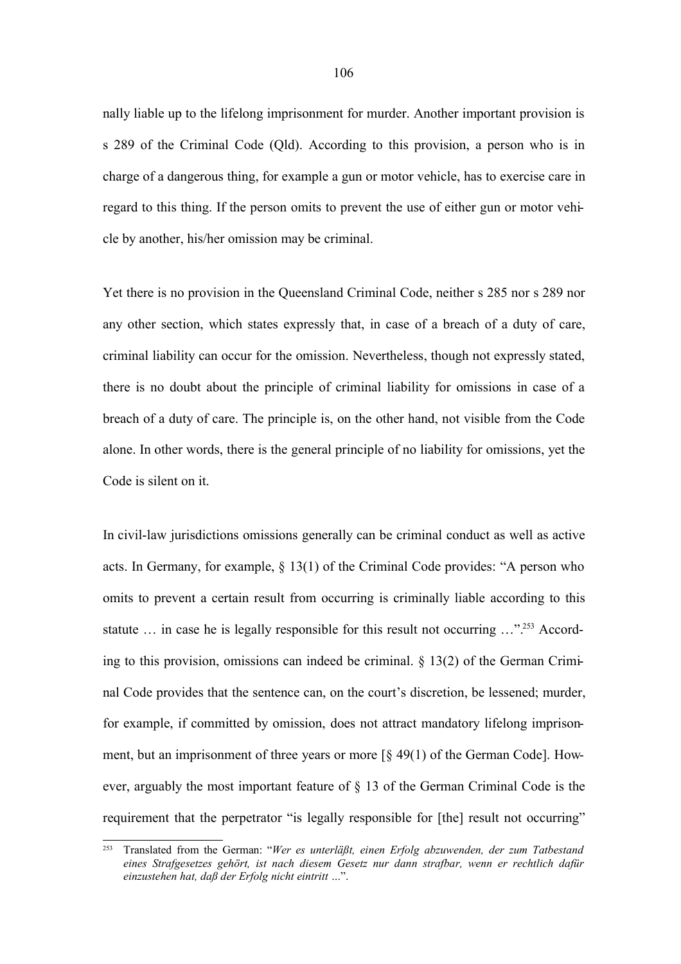nally liable up to the lifelong imprisonment for murder. Another important provision is s 289 of the Criminal Code (Qld). According to this provision, a person who is in charge of a dangerous thing, for example a gun or motor vehicle, has to exercise care in regard to this thing. If the person omits to prevent the use of either gun or motor vehicle by another, his/her omission may be criminal.

Yet there is no provision in the Queensland Criminal Code, neither s 285 nor s 289 nor any other section, which states expressly that, in case of a breach of a duty of care, criminal liability can occur for the omission. Nevertheless, though not expressly stated, there is no doubt about the principle of criminal liability for omissions in case of a breach of a duty of care. The principle is, on the other hand, not visible from the Code alone. In other words, there is the general principle of no liability for omissions, yet the Code is silent on it.

In civil-law jurisdictions omissions generally can be criminal conduct as well as active acts. In Germany, for example, § 13(1) of the Criminal Code provides: "A person who omits to prevent a certain result from occurring is criminally liable according to this statute ... in case he is legally responsible for this result not occurring ..."<sup>253</sup> According to this provision, omissions can indeed be criminal. § 13(2) of the German Criminal Code provides that the sentence can, on the court's discretion, be lessened; murder, for example, if committed by omission, does not attract mandatory lifelong imprisonment, but an imprisonment of three years or more [§ 49(1) of the German Code]. However, arguably the most important feature of § 13 of the German Criminal Code is the requirement that the perpetrator "is legally responsible for [the] result not occurring"

<sup>253</sup> Translated from the German: "*Wer es unterläßt, einen Erfolg abzuwenden, der zum Tatbestand eines Strafgesetzes gehört, ist nach diesem Gesetz nur dann strafbar, wenn er rechtlich dafür einzustehen hat, daß der Erfolg nicht eintritt …*".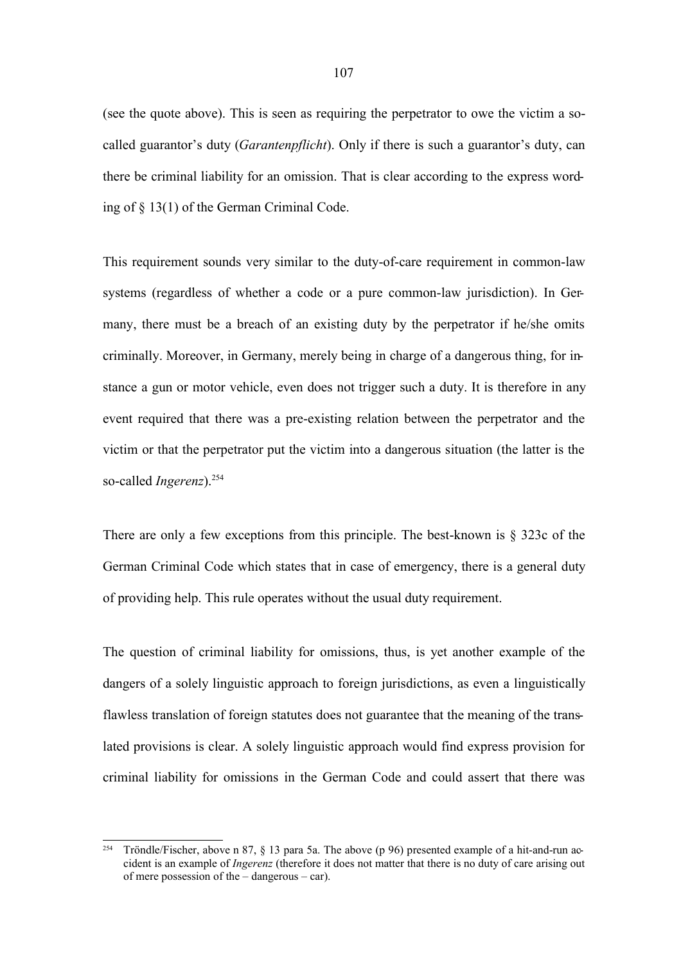(see the quote above). This is seen as requiring the perpetrator to owe the victim a socalled guarantor's duty (*Garantenpflicht*). Only if there is such a guarantor's duty, can there be criminal liability for an omission. That is clear according to the express wording of § 13(1) of the German Criminal Code.

This requirement sounds very similar to the duty-of-care requirement in common-law systems (regardless of whether a code or a pure common-law jurisdiction). In Germany, there must be a breach of an existing duty by the perpetrator if he/she omits criminally. Moreover, in Germany, merely being in charge of a dangerous thing, for instance a gun or motor vehicle, even does not trigger such a duty. It is therefore in any event required that there was a pre-existing relation between the perpetrator and the victim or that the perpetrator put the victim into a dangerous situation (the latter is the so-called *Ingerenz*). 254

There are only a few exceptions from this principle. The best-known is  $\S$  323c of the German Criminal Code which states that in case of emergency, there is a general duty of providing help. This rule operates without the usual duty requirement.

The question of criminal liability for omissions, thus, is yet another example of the dangers of a solely linguistic approach to foreign jurisdictions, as even a linguistically flawless translation of foreign statutes does not guarantee that the meaning of the translated provisions is clear. A solely linguistic approach would find express provision for criminal liability for omissions in the German Code and could assert that there was

<sup>&</sup>lt;sup>254</sup> Tröndle/Fischer, above n 87,  $\S$  13 para 5a. The above (p 96) presented example of a hit-and-run accident is an example of *Ingerenz* (therefore it does not matter that there is no duty of care arising out of mere possession of the – dangerous – car).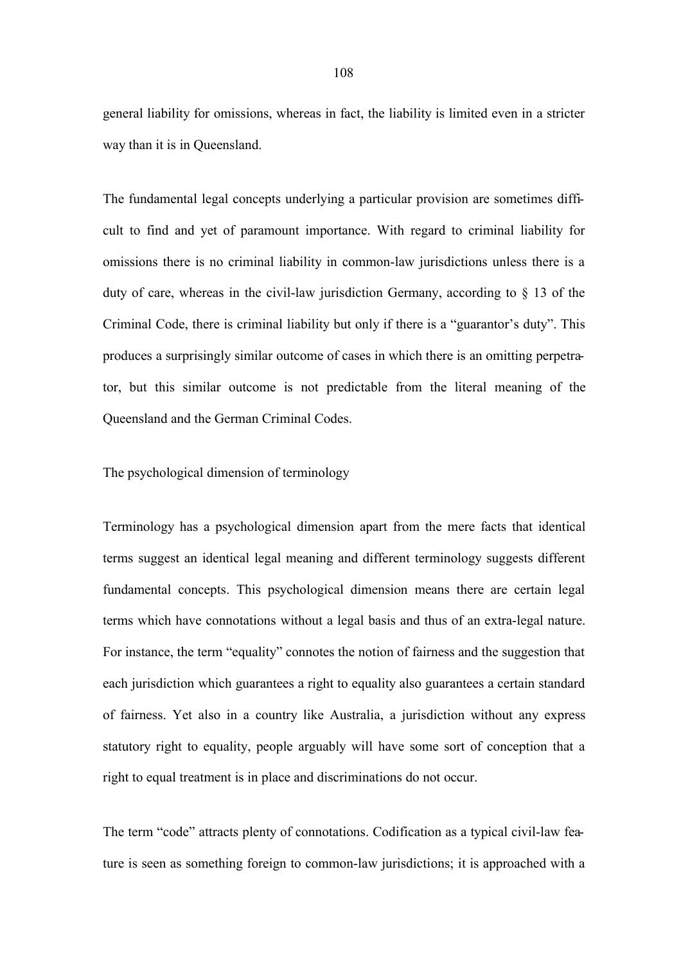general liability for omissions, whereas in fact, the liability is limited even in a stricter way than it is in Queensland.

The fundamental legal concepts underlying a particular provision are sometimes difficult to find and yet of paramount importance. With regard to criminal liability for omissions there is no criminal liability in common-law jurisdictions unless there is a duty of care, whereas in the civil-law jurisdiction Germany, according to § 13 of the Criminal Code, there is criminal liability but only if there is a "guarantor's duty". This produces a surprisingly similar outcome of cases in which there is an omitting perpetrator, but this similar outcome is not predictable from the literal meaning of the Queensland and the German Criminal Codes.

### The psychological dimension of terminology

Terminology has a psychological dimension apart from the mere facts that identical terms suggest an identical legal meaning and different terminology suggests different fundamental concepts. This psychological dimension means there are certain legal terms which have connotations without a legal basis and thus of an extra-legal nature. For instance, the term "equality" connotes the notion of fairness and the suggestion that each jurisdiction which guarantees a right to equality also guarantees a certain standard of fairness. Yet also in a country like Australia, a jurisdiction without any express statutory right to equality, people arguably will have some sort of conception that a right to equal treatment is in place and discriminations do not occur.

The term "code" attracts plenty of connotations. Codification as a typical civil-law feature is seen as something foreign to common-law jurisdictions; it is approached with a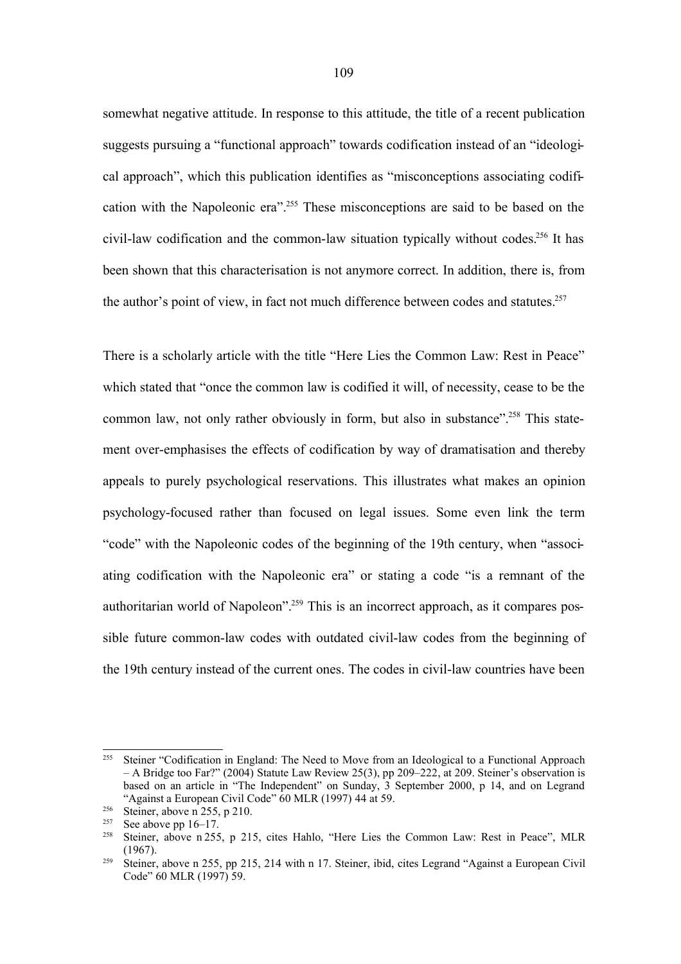somewhat negative attitude. In response to this attitude, the title of a recent publication suggests pursuing a "functional approach" towards codification instead of an "ideological approach", which this publication identifies as "misconceptions associating codification with the Napoleonic era". <sup>255</sup> These misconceptions are said to be based on the civil-law codification and the common-law situation typically without codes.<sup>256</sup> It has been shown that this characterisation is not anymore correct. In addition, there is, from the author's point of view, in fact not much difference between codes and statutes. 257

There is a scholarly article with the title "Here Lies the Common Law: Rest in Peace" which stated that "once the common law is codified it will, of necessity, cease to be the common law, not only rather obviously in form, but also in substance".<sup>258</sup> This statement over-emphasises the effects of codification by way of dramatisation and thereby appeals to purely psychological reservations. This illustrates what makes an opinion psychology-focused rather than focused on legal issues. Some even link the term "code" with the Napoleonic codes of the beginning of the 19th century, when "associating codification with the Napoleonic era" or stating a code "is a remnant of the authoritarian world of Napoleon".<sup>259</sup> This is an incorrect approach, as it compares possible future common-law codes with outdated civil-law codes from the beginning of the 19th century instead of the current ones. The codes in civil-law countries have been

<sup>&</sup>lt;sup>255</sup> Steiner "Codification in England: The Need to Move from an Ideological to a Functional Approach – A Bridge too Far?" (2004) Statute Law Review 25(3), pp 209–222, at 209. Steiner's observation is based on an article in "The Independent" on Sunday, 3 September 2000, p 14, and on Legrand "Against a European Civil Code" 60 MLR (1997) 44 at 59.

<sup>&</sup>lt;sup>256</sup> Steiner, above n 255, p 210.

<sup>&</sup>lt;sup>257</sup> See above pp 16–17.<br><sup>258</sup> Steiner, above p 255

Steiner, above n 255, p 215, cites Hahlo, "Here Lies the Common Law: Rest in Peace", MLR (1967).

<sup>259</sup> Steiner, above n 255, pp 215, 214 with n 17. Steiner, ibid, cites Legrand "Against a European Civil Code" 60 MLR (1997) 59.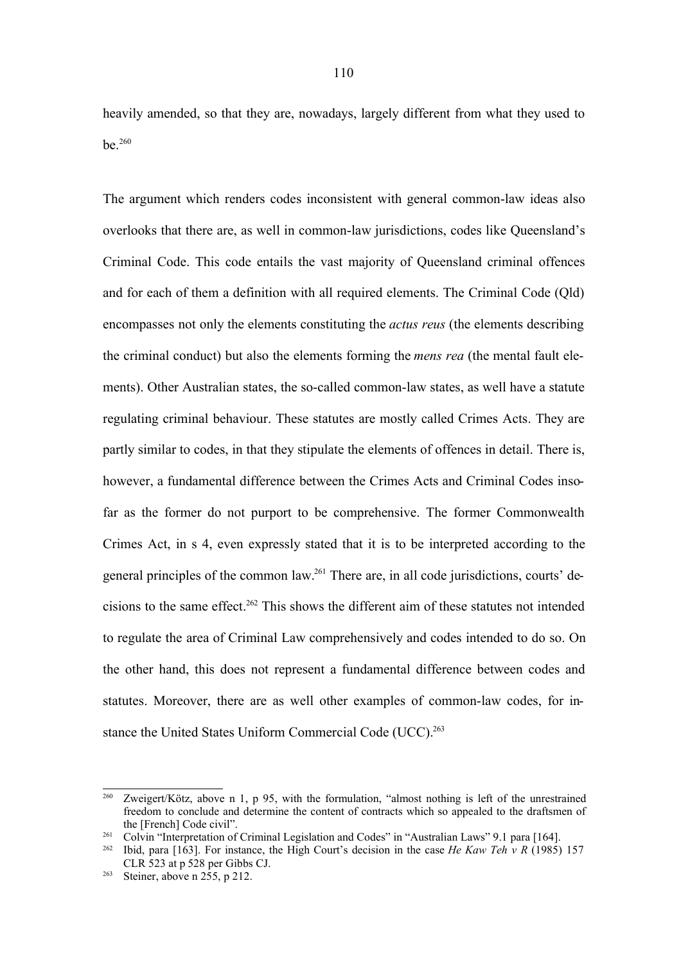heavily amended, so that they are, nowadays, largely different from what they used to be.<sup>260</sup>

The argument which renders codes inconsistent with general common-law ideas also overlooks that there are, as well in common-law jurisdictions, codes like Queensland's Criminal Code. This code entails the vast majority of Queensland criminal offences and for each of them a definition with all required elements. The Criminal Code (Qld) encompasses not only the elements constituting the *actus reus* (the elements describing the criminal conduct) but also the elements forming the *mens rea* (the mental fault elements). Other Australian states, the so-called common-law states, as well have a statute regulating criminal behaviour. These statutes are mostly called Crimes Acts. They are partly similar to codes, in that they stipulate the elements of offences in detail. There is, however, a fundamental difference between the Crimes Acts and Criminal Codes insofar as the former do not purport to be comprehensive. The former Commonwealth Crimes Act, in s 4, even expressly stated that it is to be interpreted according to the general principles of the common law.<sup>261</sup> There are, in all code jurisdictions, courts' decisions to the same effect. <sup>262</sup> This shows the different aim of these statutes not intended to regulate the area of Criminal Law comprehensively and codes intended to do so. On the other hand, this does not represent a fundamental difference between codes and statutes. Moreover, there are as well other examples of common-law codes, for instance the United States Uniform Commercial Code (UCC).<sup>263</sup>

<sup>260</sup> Zweigert/Kötz, above n 1, p 95, with the formulation, "almost nothing is left of the unrestrained freedom to conclude and determine the content of contracts which so appealed to the draftsmen of the [French] Code civil".

<sup>&</sup>lt;sup>261</sup> Colvin "Interpretation of Criminal Legislation and Codes" in "Australian Laws" 9.1 para [164].

<sup>262</sup> Ibid, para [163]. For instance, the High Court's decision in the case *He Kaw Teh v R* (1985) 157 CLR 523 at p 528 per Gibbs CJ.

<sup>&</sup>lt;sup>263</sup> Steiner, above n  $255$ , p 212.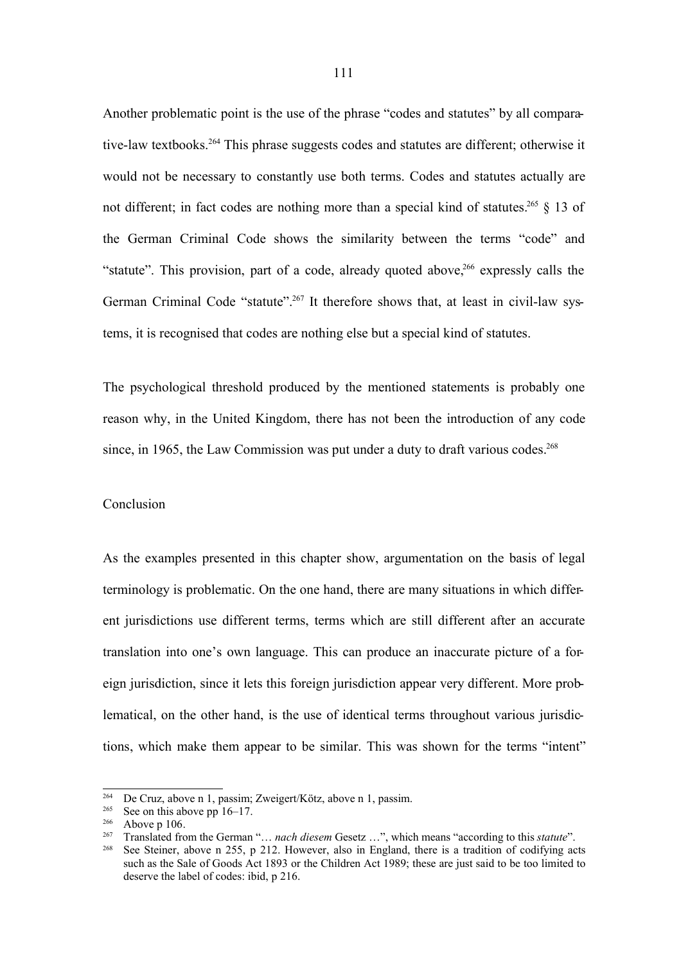Another problematic point is the use of the phrase "codes and statutes" by all comparative-law textbooks.<sup>264</sup> This phrase suggests codes and statutes are different; otherwise it would not be necessary to constantly use both terms. Codes and statutes actually are not different; in fact codes are nothing more than a special kind of statutes.<sup>265</sup> § 13 of the German Criminal Code shows the similarity between the terms "code" and "statute". This provision, part of a code, already quoted above,<sup>266</sup> expressly calls the German Criminal Code "statute".<sup>267</sup> It therefore shows that, at least in civil-law systems, it is recognised that codes are nothing else but a special kind of statutes.

The psychological threshold produced by the mentioned statements is probably one reason why, in the United Kingdom, there has not been the introduction of any code since, in 1965, the Law Commission was put under a duty to draft various codes. 268

### Conclusion

As the examples presented in this chapter show, argumentation on the basis of legal terminology is problematic. On the one hand, there are many situations in which different jurisdictions use different terms, terms which are still different after an accurate translation into one's own language. This can produce an inaccurate picture of a foreign jurisdiction, since it lets this foreign jurisdiction appear very different. More problematical, on the other hand, is the use of identical terms throughout various jurisdictions, which make them appear to be similar. This was shown for the terms "intent"

<sup>&</sup>lt;sup>264</sup> De Cruz, above n 1, passim; Zweigert/Kötz, above n 1, passim.<br><sup>265</sup> See on this showe nn 16, 17

<sup>&</sup>lt;sup>265</sup> See on this above pp 16–17.<br><sup>266</sup> Above p 106

 $\frac{266}{267}$  Above p 106.

<sup>267</sup> Translated from the German "… *nach diesem* Gesetz …", which means "according to this *statute*".

See Steiner, above n 255, p 212. However, also in England, there is a tradition of codifying acts such as the Sale of Goods Act 1893 or the Children Act 1989; these are just said to be too limited to deserve the label of codes: ibid, p 216.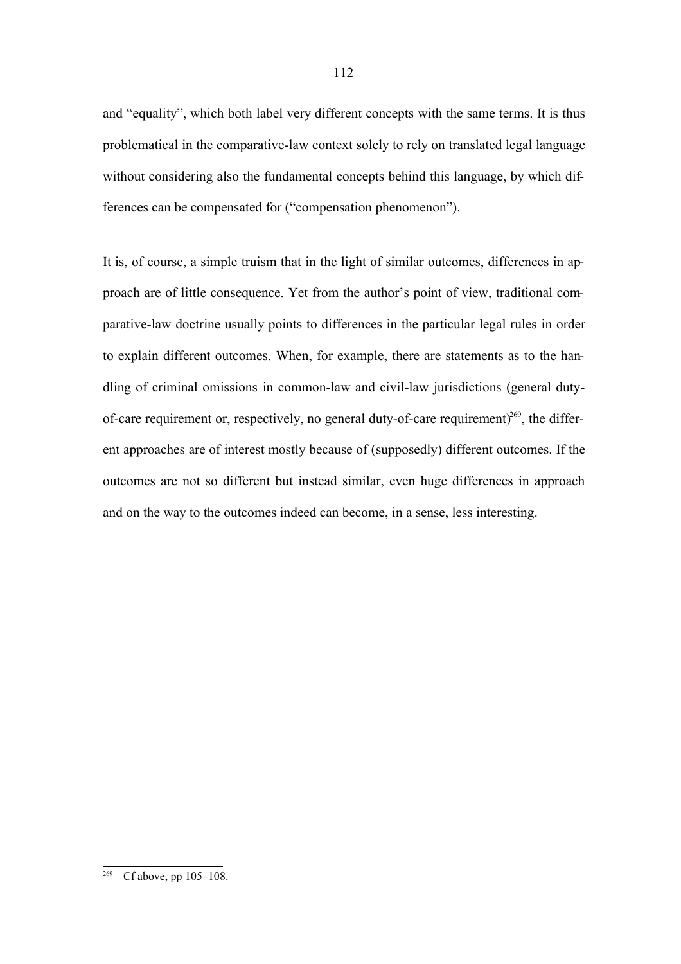and "equality", which both label very different concepts with the same terms. It is thus problematical in the comparative-law context solely to rely on translated legal language without considering also the fundamental concepts behind this language, by which differences can be compensated for ("compensation phenomenon").

It is, of course, a simple truism that in the light of similar outcomes, differences in approach are of little consequence. Yet from the author's point of view, traditional comparative-law doctrine usually points to differences in the particular legal rules in order to explain different outcomes. When, for example, there are statements as to the handling of criminal omissions in common-law and civil-law jurisdictions (general dutyof-care requirement or, respectively, no general duty-of-care requirement) $269$ , the different approaches are of interest mostly because of (supposedly) different outcomes. If the outcomes are not so different but instead similar, even huge differences in approach and on the way to the outcomes indeed can become, in a sense, less interesting.

 $Cf$  above, pp  $105-108$ .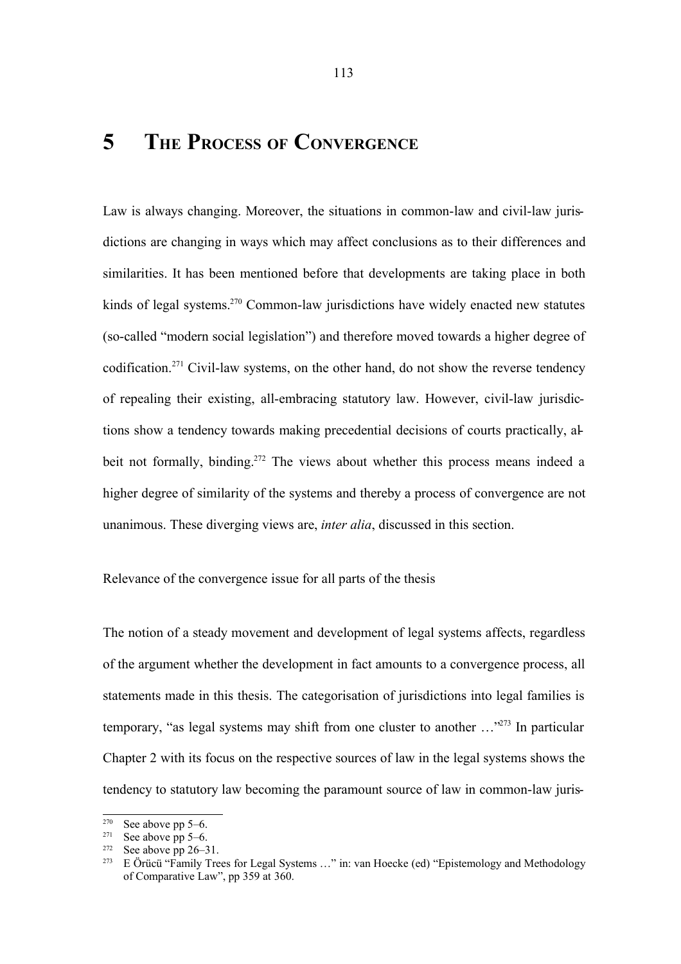# **5 THE PROCESS OF CONVERGENCE**

Law is always changing. Moreover, the situations in common-law and civil-law jurisdictions are changing in ways which may affect conclusions as to their differences and similarities. It has been mentioned before that developments are taking place in both kinds of legal systems.<sup>270</sup> Common-law jurisdictions have widely enacted new statutes (so-called "modern social legislation") and therefore moved towards a higher degree of codification.<sup>271</sup> Civil-law systems, on the other hand, do not show the reverse tendency of repealing their existing, all-embracing statutory law. However, civil-law jurisdictions show a tendency towards making precedential decisions of courts practically, albeit not formally, binding. <sup>272</sup> The views about whether this process means indeed a higher degree of similarity of the systems and thereby a process of convergence are not unanimous. These diverging views are, *inter alia*, discussed in this section.

Relevance of the convergence issue for all parts of the thesis

The notion of a steady movement and development of legal systems affects, regardless of the argument whether the development in fact amounts to a convergence process, all statements made in this thesis. The categorisation of jurisdictions into legal families is temporary, "as legal systems may shift from one cluster to another ..."<sup>273</sup> In particular Chapter 2 with its focus on the respective sources of law in the legal systems shows the tendency to statutory law becoming the paramount source of law in common-law juris-

<sup>&</sup>lt;sup>270</sup> See above pp 5–6.<br><sup>271</sup> See above pp 5–6.

<sup>&</sup>lt;sup>271</sup> See above pp 5–6.<br><sup>272</sup> See above pp 26–3

See above pp  $26-31$ .

E Örücü "Family Trees for Legal Systems ..." in: van Hoecke (ed) "Epistemology and Methodology of Comparative Law", pp 359 at 360.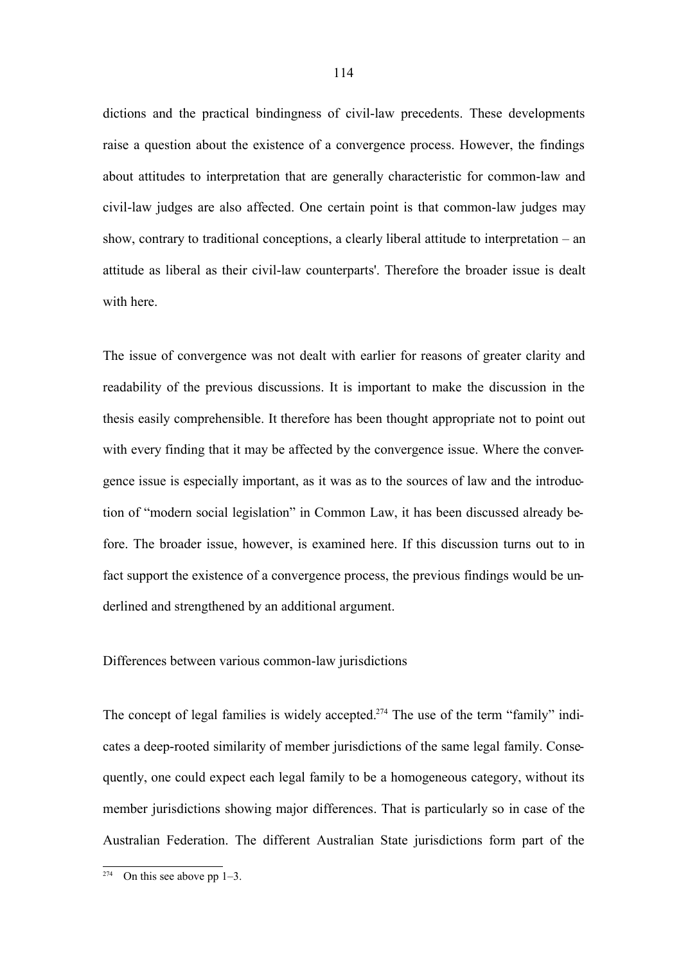dictions and the practical bindingness of civil-law precedents. These developments raise a question about the existence of a convergence process. However, the findings about attitudes to interpretation that are generally characteristic for common-law and civil-law judges are also affected. One certain point is that common-law judges may show, contrary to traditional conceptions, a clearly liberal attitude to interpretation – an attitude as liberal as their civil-law counterparts'. Therefore the broader issue is dealt with here.

The issue of convergence was not dealt with earlier for reasons of greater clarity and readability of the previous discussions. It is important to make the discussion in the thesis easily comprehensible. It therefore has been thought appropriate not to point out with every finding that it may be affected by the convergence issue. Where the convergence issue is especially important, as it was as to the sources of law and the introduction of "modern social legislation" in Common Law, it has been discussed already before. The broader issue, however, is examined here. If this discussion turns out to in fact support the existence of a convergence process, the previous findings would be underlined and strengthened by an additional argument.

### Differences between various common-law jurisdictions

The concept of legal families is widely accepted.<sup>274</sup> The use of the term "family" indicates a deep-rooted similarity of member jurisdictions of the same legal family. Consequently, one could expect each legal family to be a homogeneous category, without its member jurisdictions showing major differences. That is particularly so in case of the Australian Federation. The different Australian State jurisdictions form part of the

On this see above pp  $1-3$ .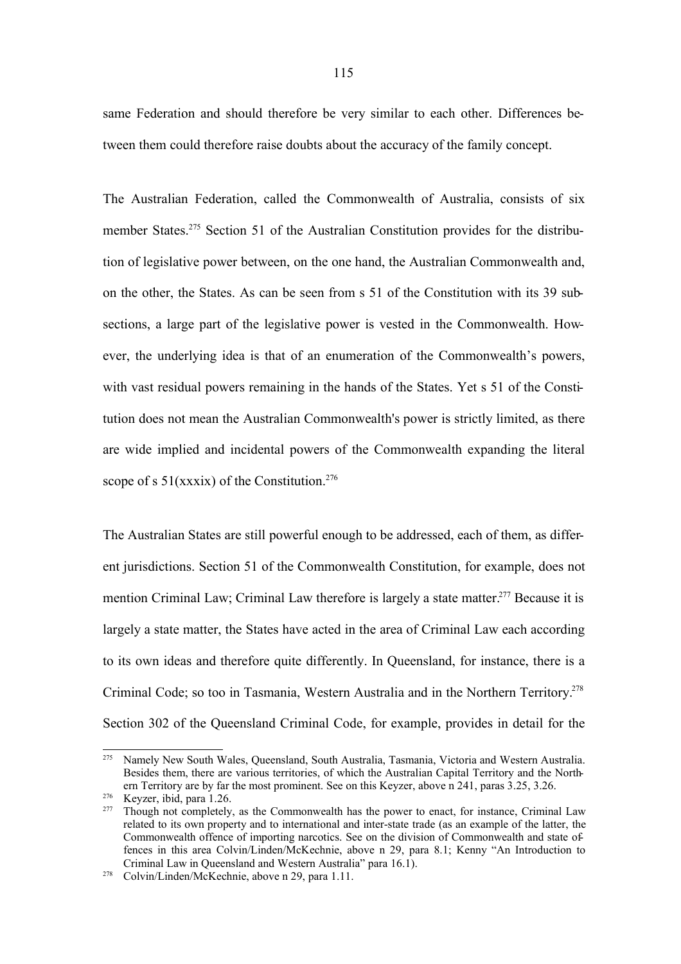same Federation and should therefore be very similar to each other. Differences between them could therefore raise doubts about the accuracy of the family concept.

The Australian Federation, called the Commonwealth of Australia, consists of six member States.<sup>275</sup> Section 51 of the Australian Constitution provides for the distribution of legislative power between, on the one hand, the Australian Commonwealth and, on the other, the States. As can be seen from s 51 of the Constitution with its 39 subsections, a large part of the legislative power is vested in the Commonwealth. However, the underlying idea is that of an enumeration of the Commonwealth's powers, with vast residual powers remaining in the hands of the States. Yet s 51 of the Constitution does not mean the Australian Commonwealth's power is strictly limited, as there are wide implied and incidental powers of the Commonwealth expanding the literal scope of s  $51(xxxix)$  of the Constitution.<sup>276</sup>

The Australian States are still powerful enough to be addressed, each of them, as different jurisdictions. Section 51 of the Commonwealth Constitution, for example, does not mention Criminal Law; Criminal Law therefore is largely a state matter.<sup>277</sup> Because it is largely a state matter, the States have acted in the area of Criminal Law each according to its own ideas and therefore quite differently. In Queensland, for instance, there is a Criminal Code; so too in Tasmania, Western Australia and in the Northern Territory. 278 Section 302 of the Queensland Criminal Code, for example, provides in detail for the

<sup>275</sup> Namely New South Wales, Queensland, South Australia, Tasmania, Victoria and Western Australia. Besides them, there are various territories, of which the Australian Capital Territory and the Northern Territory are by far the most prominent. See on this Keyzer, above n 241, paras 3.25, 3.26.

 $276$  Keyzer, ibid, para 1.26.<br> $277$  Though not completely

Though not completely, as the Commonwealth has the power to enact, for instance, Criminal Law related to its own property and to international and inter-state trade (as an example of the latter, the Commonwealth offence of importing narcotics. See on the division of Commonwealth and state offences in this area Colvin/Linden/McKechnie, above n 29, para 8.1; Kenny "An Introduction to Criminal Law in Queensland and Western Australia" para 16.1).

<sup>278</sup> Colvin/Linden/McKechnie, above n 29, para 1.11.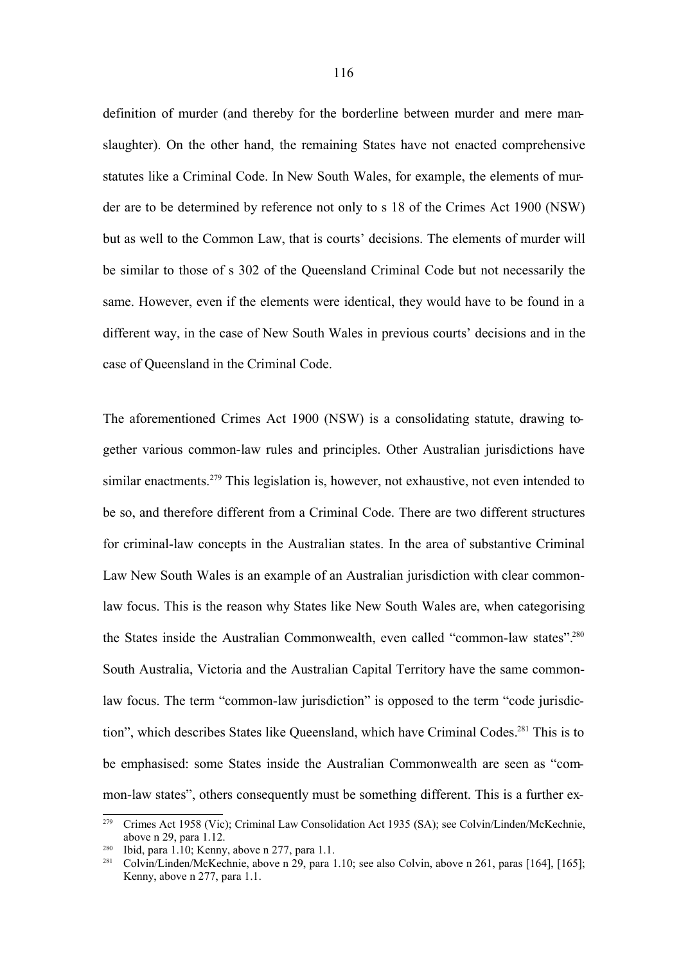definition of murder (and thereby for the borderline between murder and mere manslaughter). On the other hand, the remaining States have not enacted comprehensive statutes like a Criminal Code. In New South Wales, for example, the elements of murder are to be determined by reference not only to s 18 of the Crimes Act 1900 (NSW) but as well to the Common Law, that is courts' decisions. The elements of murder will be similar to those of s 302 of the Queensland Criminal Code but not necessarily the same. However, even if the elements were identical, they would have to be found in a different way, in the case of New South Wales in previous courts' decisions and in the case of Queensland in the Criminal Code.

The aforementioned Crimes Act 1900 (NSW) is a consolidating statute, drawing together various common-law rules and principles. Other Australian jurisdictions have similar enactments.<sup>279</sup> This legislation is, however, not exhaustive, not even intended to be so, and therefore different from a Criminal Code. There are two different structures for criminal-law concepts in the Australian states. In the area of substantive Criminal Law New South Wales is an example of an Australian jurisdiction with clear commonlaw focus. This is the reason why States like New South Wales are, when categorising the States inside the Australian Commonwealth, even called "common-law states". 280 South Australia, Victoria and the Australian Capital Territory have the same commonlaw focus. The term "common-law jurisdiction" is opposed to the term "code jurisdiction", which describes States like Queensland, which have Criminal Codes.<sup>281</sup> This is to be emphasised: some States inside the Australian Commonwealth are seen as "common-law states", others consequently must be something different. This is a further ex-

<sup>279</sup> Crimes Act 1958 (Vic); Criminal Law Consolidation Act 1935 (SA); see Colvin/Linden/McKechnie, above n 29, para 1.12.

<sup>280</sup> Ibid, para 1.10; Kenny, above n 277, para 1.1.

<sup>281</sup> Colvin/Linden/McKechnie, above n 29, para 1.10; see also Colvin, above n 261, paras [164], [165]; Kenny, above n 277, para 1.1.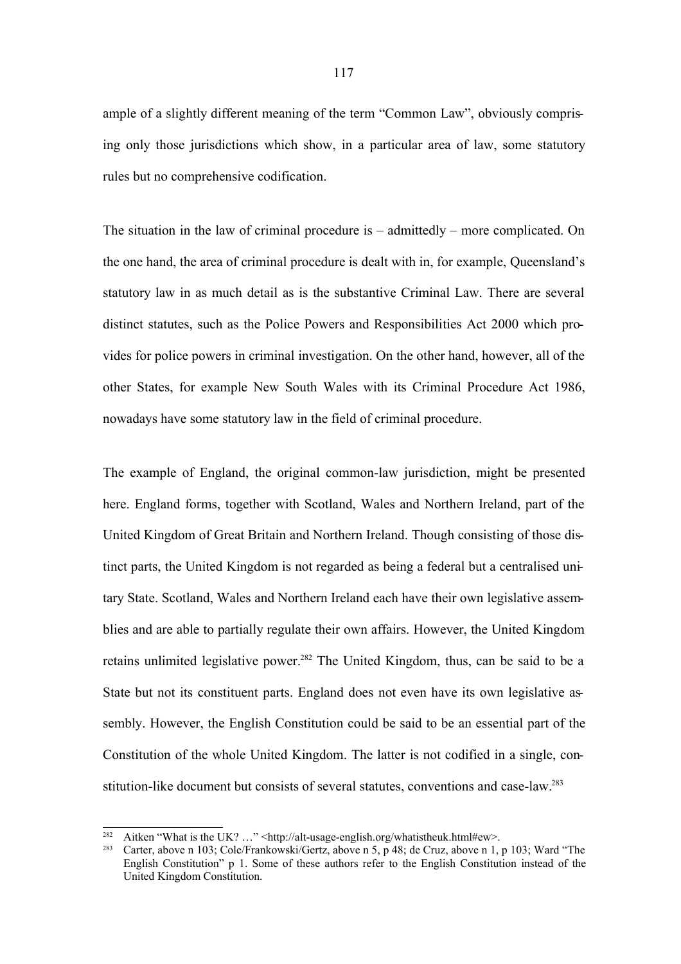ample of a slightly different meaning of the term "Common Law", obviously comprising only those jurisdictions which show, in a particular area of law, some statutory rules but no comprehensive codification.

The situation in the law of criminal procedure is – admittedly – more complicated. On the one hand, the area of criminal procedure is dealt with in, for example, Queensland's statutory law in as much detail as is the substantive Criminal Law. There are several distinct statutes, such as the Police Powers and Responsibilities Act 2000 which provides for police powers in criminal investigation. On the other hand, however, all of the other States, for example New South Wales with its Criminal Procedure Act 1986, nowadays have some statutory law in the field of criminal procedure.

The example of England, the original common-law jurisdiction, might be presented here. England forms, together with Scotland, Wales and Northern Ireland, part of the United Kingdom of Great Britain and Northern Ireland. Though consisting of those distinct parts, the United Kingdom is not regarded as being a federal but a centralised unitary State. Scotland, Wales and Northern Ireland each have their own legislative assemblies and are able to partially regulate their own affairs. However, the United Kingdom retains unlimited legislative power.<sup>282</sup> The United Kingdom, thus, can be said to be a State but not its constituent parts. England does not even have its own legislative assembly. However, the English Constitution could be said to be an essential part of the Constitution of the whole United Kingdom. The latter is not codified in a single, constitution-like document but consists of several statutes, conventions and case-law.<sup>283</sup>

<sup>&</sup>lt;sup>282</sup> Aitken "What is the UK? ..." <http://alt-usage-english.org/whatistheuk.html#ew>.<br><sup>283</sup> Carter, above n 103; Cole/Frankowski/Gertz, above n 5, n 48; de Cruz, above n 1;

Carter, above n 103; Cole/Frankowski/Gertz, above n 5, p 48; de Cruz, above n 1, p 103; Ward "The English Constitution" p 1. Some of these authors refer to the English Constitution instead of the United Kingdom Constitution.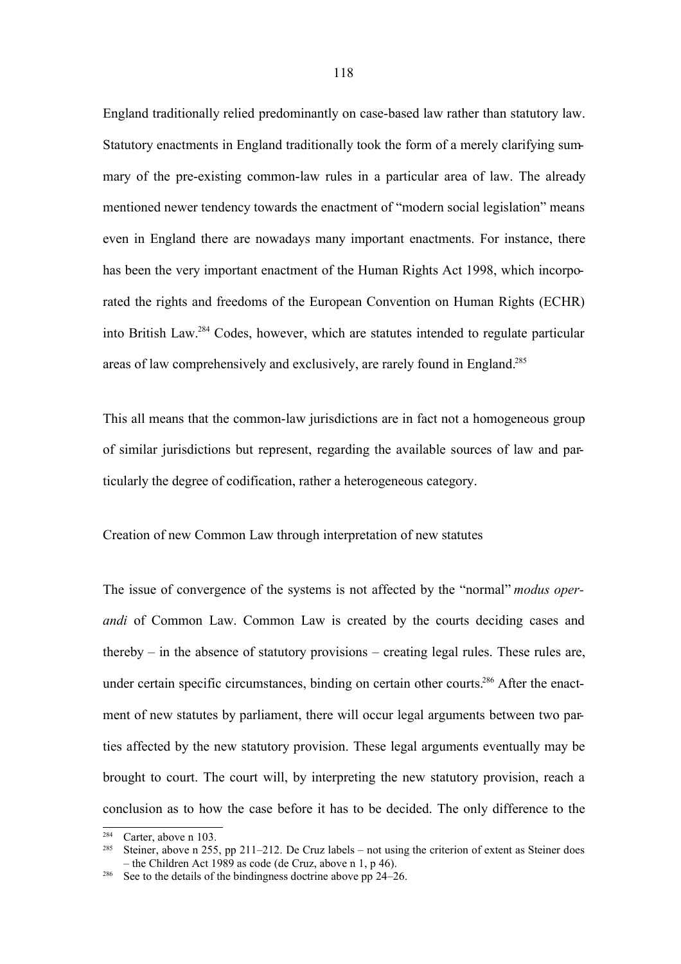England traditionally relied predominantly on case-based law rather than statutory law. Statutory enactments in England traditionally took the form of a merely clarifying summary of the pre-existing common-law rules in a particular area of law. The already mentioned newer tendency towards the enactment of "modern social legislation" means even in England there are nowadays many important enactments. For instance, there has been the very important enactment of the Human Rights Act 1998, which incorporated the rights and freedoms of the European Convention on Human Rights (ECHR) into British Law.<sup>284</sup> Codes, however, which are statutes intended to regulate particular areas of law comprehensively and exclusively, are rarely found in England.<sup>285</sup>

This all means that the common-law jurisdictions are in fact not a homogeneous group of similar jurisdictions but represent, regarding the available sources of law and particularly the degree of codification, rather a heterogeneous category.

Creation of new Common Law through interpretation of new statutes

The issue of convergence of the systems is not affected by the "normal" *modus operandi* of Common Law. Common Law is created by the courts deciding cases and thereby – in the absence of statutory provisions – creating legal rules. These rules are, under certain specific circumstances, binding on certain other courts.<sup>286</sup> After the enactment of new statutes by parliament, there will occur legal arguments between two parties affected by the new statutory provision. These legal arguments eventually may be brought to court. The court will, by interpreting the new statutory provision, reach a conclusion as to how the case before it has to be decided. The only difference to the

<sup>&</sup>lt;sup>284</sup> Carter, above n 103.<br><sup>285</sup> Stoiner, above n 255

Steiner, above n 255, pp 211–212. De Cruz labels – not using the criterion of extent as Steiner does – the Children Act 1989 as code (de Cruz, above n 1, p 46).

<sup>&</sup>lt;sup>286</sup> See to the details of the bindingness doctrine above pp  $24-26$ .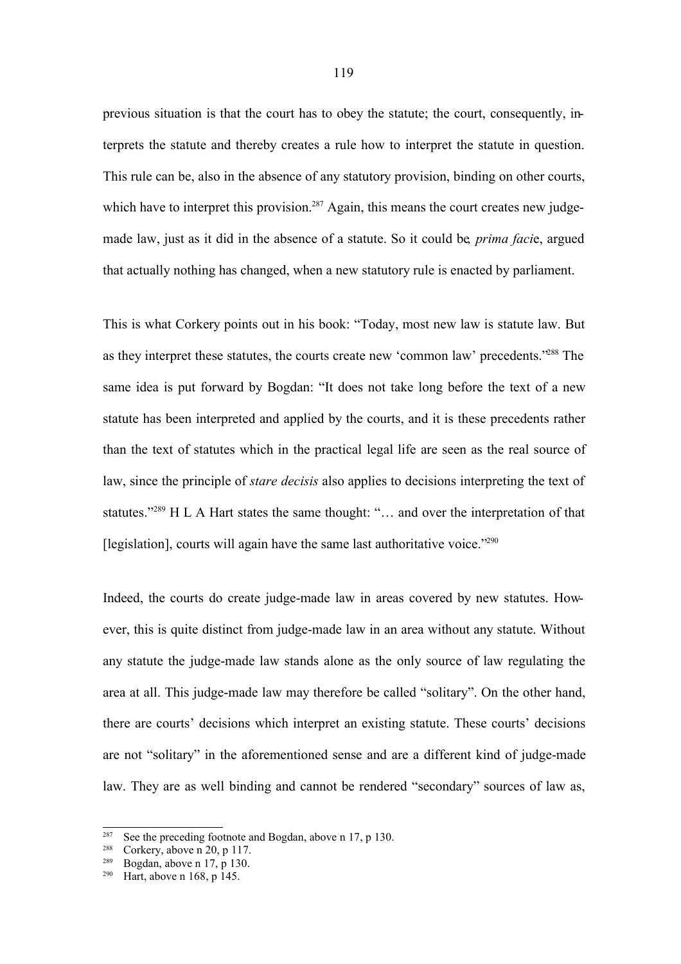previous situation is that the court has to obey the statute; the court, consequently, interprets the statute and thereby creates a rule how to interpret the statute in question. This rule can be, also in the absence of any statutory provision, binding on other courts, which have to interpret this provision.<sup>287</sup> Again, this means the court creates new judgemade law, just as it did in the absence of a statute. So it could be*, prima faci*e, argued that actually nothing has changed, when a new statutory rule is enacted by parliament.

This is what Corkery points out in his book: "Today, most new law is statute law. But as they interpret these statutes, the courts create new 'common law' precedents."<sup>288</sup> The same idea is put forward by Bogdan: "It does not take long before the text of a new statute has been interpreted and applied by the courts, and it is these precedents rather than the text of statutes which in the practical legal life are seen as the real source of law, since the principle of *stare decisis* also applies to decisions interpreting the text of statutes."<sup>289</sup> H L A Hart states the same thought: "... and over the interpretation of that [legislation], courts will again have the same last authoritative voice."<sup>290</sup>

Indeed, the courts do create judge-made law in areas covered by new statutes. However, this is quite distinct from judge-made law in an area without any statute. Without any statute the judge-made law stands alone as the only source of law regulating the area at all. This judge-made law may therefore be called "solitary". On the other hand, there are courts' decisions which interpret an existing statute. These courts' decisions are not "solitary" in the aforementioned sense and are a different kind of judge-made law. They are as well binding and cannot be rendered "secondary" sources of law as,

<sup>&</sup>lt;sup>287</sup> See the preceding footnote and Bogdan, above n 17, p 130.<br><sup>288</sup> Corkery shows n 20, p 117

Corkery, above n  $20$ , p 117.

 $289$  Bogdan, above n 17, p 130.

<sup>290</sup> Hart, above n 168, p 145.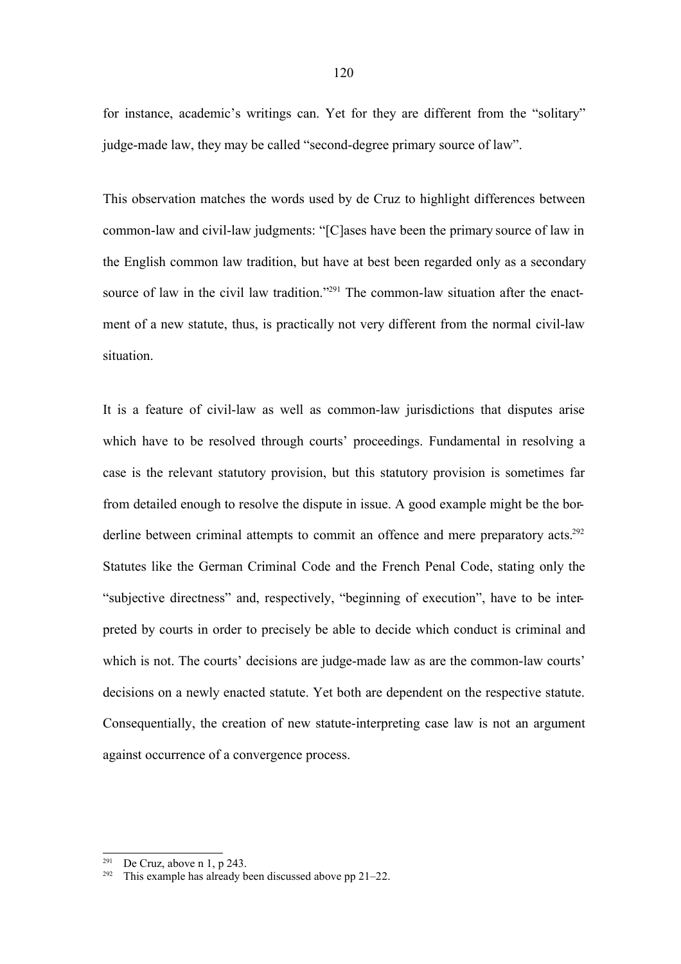for instance, academic's writings can. Yet for they are different from the "solitary" judge-made law, they may be called "second-degree primary source of law".

This observation matches the words used by de Cruz to highlight differences between common-law and civil-law judgments: "[C]ases have been the primary source of law in the English common law tradition, but have at best been regarded only as a secondary source of law in the civil law tradition."<sup>291</sup> The common-law situation after the enactment of a new statute, thus, is practically not very different from the normal civil-law situation.

It is a feature of civil-law as well as common-law jurisdictions that disputes arise which have to be resolved through courts' proceedings. Fundamental in resolving a case is the relevant statutory provision, but this statutory provision is sometimes far from detailed enough to resolve the dispute in issue. A good example might be the borderline between criminal attempts to commit an offence and mere preparatory acts.<sup>292</sup> Statutes like the German Criminal Code and the French Penal Code, stating only the "subjective directness" and, respectively, "beginning of execution", have to be interpreted by courts in order to precisely be able to decide which conduct is criminal and which is not. The courts' decisions are judge-made law as are the common-law courts' decisions on a newly enacted statute. Yet both are dependent on the respective statute. Consequentially, the creation of new statute-interpreting case law is not an argument against occurrence of a convergence process.

<sup>&</sup>lt;sup>291</sup> De Cruz, above n 1, p 243.

<sup>&</sup>lt;sup>292</sup> This example has already been discussed above pp  $21-22$ .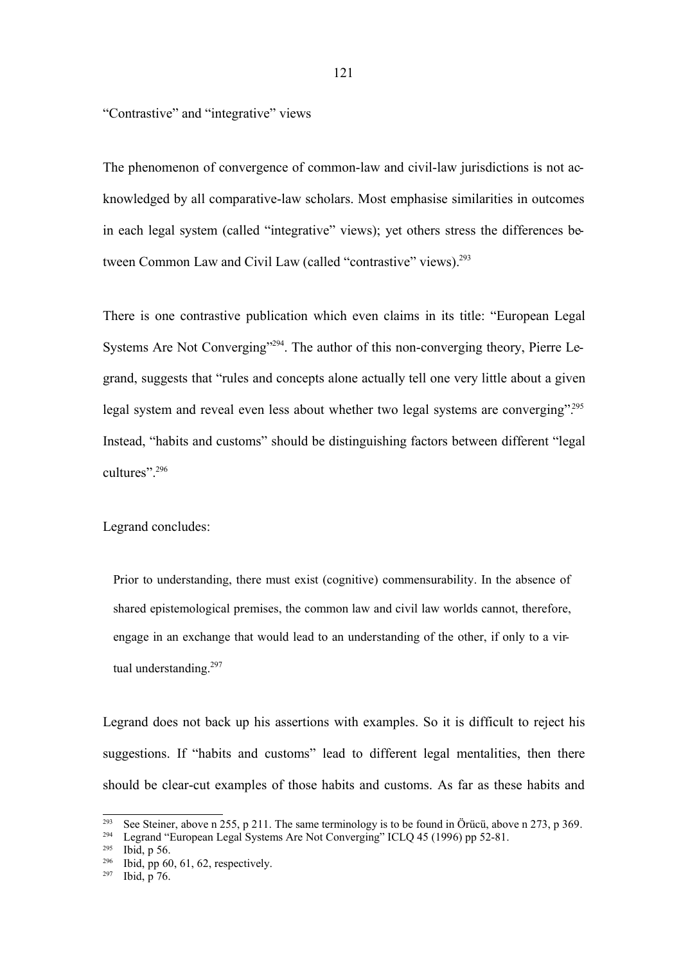"Contrastive" and "integrative" views

The phenomenon of convergence of common-law and civil-law jurisdictions is not acknowledged by all comparative-law scholars. Most emphasise similarities in outcomes in each legal system (called "integrative" views); yet others stress the differences between Common Law and Civil Law (called "contrastive" views).<sup>293</sup>

There is one contrastive publication which even claims in its title: "European Legal Systems Are Not Converging"<sup>294</sup>. The author of this non-converging theory, Pierre Legrand, suggests that "rules and concepts alone actually tell one very little about a given legal system and reveal even less about whether two legal systems are converging".<sup>295</sup> Instead, "habits and customs" should be distinguishing factors between different "legal cultures"<sup>296</sup>

Legrand concludes:

Prior to understanding, there must exist (cognitive) commensurability. In the absence of shared epistemological premises, the common law and civil law worlds cannot, therefore, engage in an exchange that would lead to an understanding of the other, if only to a virtual understanding.<sup>297</sup>

Legrand does not back up his assertions with examples. So it is difficult to reject his suggestions. If "habits and customs" lead to different legal mentalities, then there should be clear-cut examples of those habits and customs. As far as these habits and

<sup>&</sup>lt;sup>293</sup> See Steiner, above n 255, p 211. The same terminology is to be found in Örücü, above n 273, p 369.<br><sup>294</sup> Legrand "European Legal Systems Are Not Converging" ICLO 45 (1996) pp 52, 81

Legrand "European Legal Systems Are Not Converging" ICLQ 45 (1996) pp 52-81.

<sup>295</sup> Ibid, p 56.

<sup>296</sup> Ibid, pp 60, 61, 62, respectively.

 $297$  Ibid, p 76.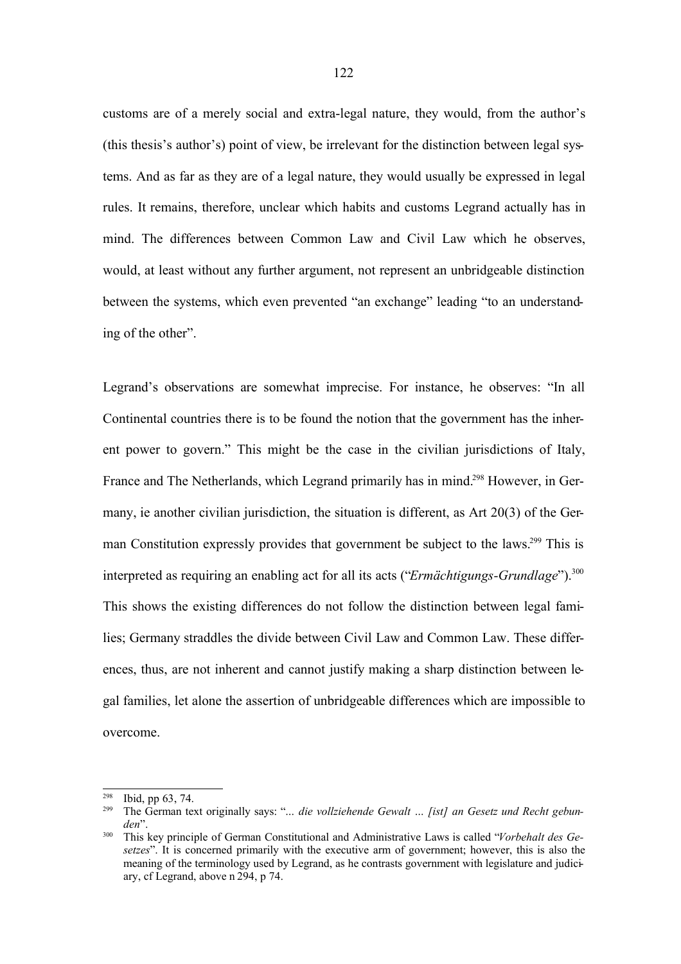customs are of a merely social and extra-legal nature, they would, from the author's (this thesis's author's) point of view, be irrelevant for the distinction between legal systems. And as far as they are of a legal nature, they would usually be expressed in legal rules. It remains, therefore, unclear which habits and customs Legrand actually has in mind. The differences between Common Law and Civil Law which he observes, would, at least without any further argument, not represent an unbridgeable distinction between the systems, which even prevented "an exchange" leading "to an understanding of the other".

Legrand's observations are somewhat imprecise. For instance, he observes: "In all Continental countries there is to be found the notion that the government has the inherent power to govern." This might be the case in the civilian jurisdictions of Italy, France and The Netherlands, which Legrand primarily has in mind.<sup>298</sup> However, in Germany, ie another civilian jurisdiction, the situation is different, as Art 20(3) of the German Constitution expressly provides that government be subject to the laws.<sup>299</sup> This is interpreted as requiring an enabling act for all its acts ("*Ermächtigungs-Grundlage*"). 300 This shows the existing differences do not follow the distinction between legal families; Germany straddles the divide between Civil Law and Common Law. These differences, thus, are not inherent and cannot justify making a sharp distinction between legal families, let alone the assertion of unbridgeable differences which are impossible to overcome.

<sup>298</sup> Ibid, pp 63, 74.

<sup>299</sup> The German text originally says: "*… die vollziehende Gewalt … [ist] an Gesetz und Recht gebunden*".

<sup>300</sup> This key principle of German Constitutional and Administrative Laws is called "*Vorbehalt des Gesetzes*". It is concerned primarily with the executive arm of government; however, this is also the meaning of the terminology used by Legrand, as he contrasts government with legislature and judiciary, cf Legrand, above n 294, p 74.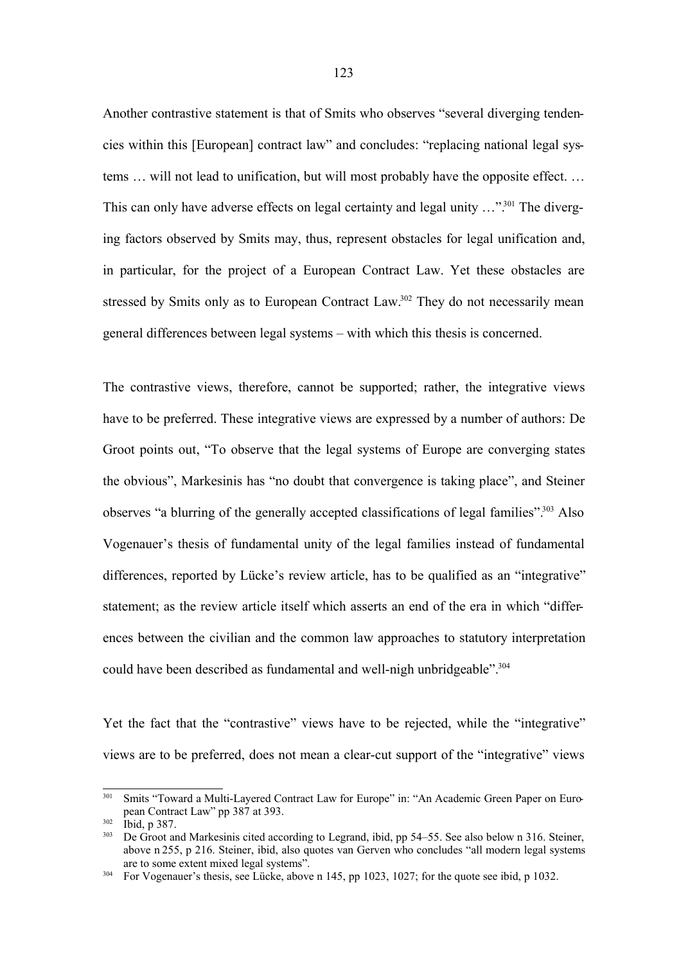Another contrastive statement is that of Smits who observes "several diverging tendencies within this [European] contract law" and concludes: "replacing national legal systems … will not lead to unification, but will most probably have the opposite effect. … This can only have adverse effects on legal certainty and legal unity ..."<sup>301</sup> The diverging factors observed by Smits may, thus, represent obstacles for legal unification and, in particular, for the project of a European Contract Law. Yet these obstacles are stressed by Smits only as to European Contract Law.<sup>302</sup> They do not necessarily mean general differences between legal systems – with which this thesis is concerned.

The contrastive views, therefore, cannot be supported; rather, the integrative views have to be preferred. These integrative views are expressed by a number of authors: De Groot points out, "To observe that the legal systems of Europe are converging states the obvious", Markesinis has "no doubt that convergence is taking place", and Steiner observes "a blurring of the generally accepted classifications of legal families".<sup>303</sup> Also Vogenauer's thesis of fundamental unity of the legal families instead of fundamental differences, reported by Lücke's review article, has to be qualified as an "integrative" statement; as the review article itself which asserts an end of the era in which "differences between the civilian and the common law approaches to statutory interpretation could have been described as fundamental and well-nigh unbridgeable". 304

Yet the fact that the "contrastive" views have to be rejected, while the "integrative" views are to be preferred, does not mean a clear-cut support of the "integrative" views

<sup>&</sup>lt;sup>301</sup> Smits "Toward a Multi-Layered Contract Law for Europe" in: "An Academic Green Paper on European Contract Law" pp 387 at 393.

<sup>302</sup> Ibid, p 387.

 $303$  De Groot and Markesinis cited according to Legrand, ibid, pp 54–55. See also below n 316. Steiner, above n 255, p 216. Steiner, ibid, also quotes van Gerven who concludes "all modern legal systems are to some extent mixed legal systems".

<sup>&</sup>lt;sup>304</sup> For Vogenauer's thesis, see Lücke, above n 145, pp 1023, 1027; for the quote see ibid, p 1032.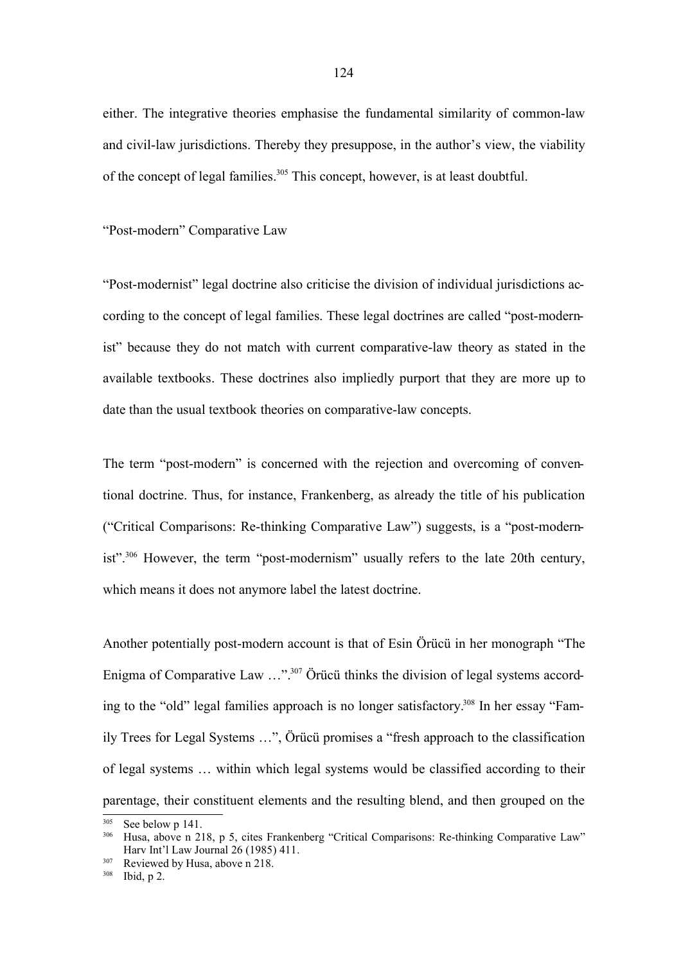either. The integrative theories emphasise the fundamental similarity of common-law and civil-law jurisdictions. Thereby they presuppose, in the author's view, the viability of the concept of legal families. 305 This concept, however, is at least doubtful.

#### "Post-modern" Comparative Law

"Post-modernist" legal doctrine also criticise the division of individual jurisdictions according to the concept of legal families. These legal doctrines are called "post-modernist" because they do not match with current comparative-law theory as stated in the available textbooks. These doctrines also impliedly purport that they are more up to date than the usual textbook theories on comparative-law concepts.

The term "post-modern" is concerned with the rejection and overcoming of conventional doctrine. Thus, for instance, Frankenberg, as already the title of his publication ("Critical Comparisons: Re-thinking Comparative Law") suggests, is a "post-modernist".<sup>306</sup> However, the term "post-modernism" usually refers to the late 20th century, which means it does not anymore label the latest doctrine.

Another potentially post-modern account is that of Esin Örücü in her monograph "The Enigma of Comparative Law ..."<sup>307</sup> Örücü thinks the division of legal systems according to the "old" legal families approach is no longer satisfactory. <sup>308</sup> In her essay "Family Trees for Legal Systems …", Örücü promises a "fresh approach to the classification of legal systems … within which legal systems would be classified according to their parentage, their constituent elements and the resulting blend, and then grouped on the

 $305$  See below p 141.<br> $306$  Husa above p 21

<sup>306</sup> Husa, above n 218, p 5, cites Frankenberg "Critical Comparisons: Re-thinking Comparative Law" Harv Int'l Law Journal 26 (1985) 411.

<sup>&</sup>lt;sup>307</sup> Reviewed by Husa, above n 218.

<sup>308</sup> Ibid, p 2.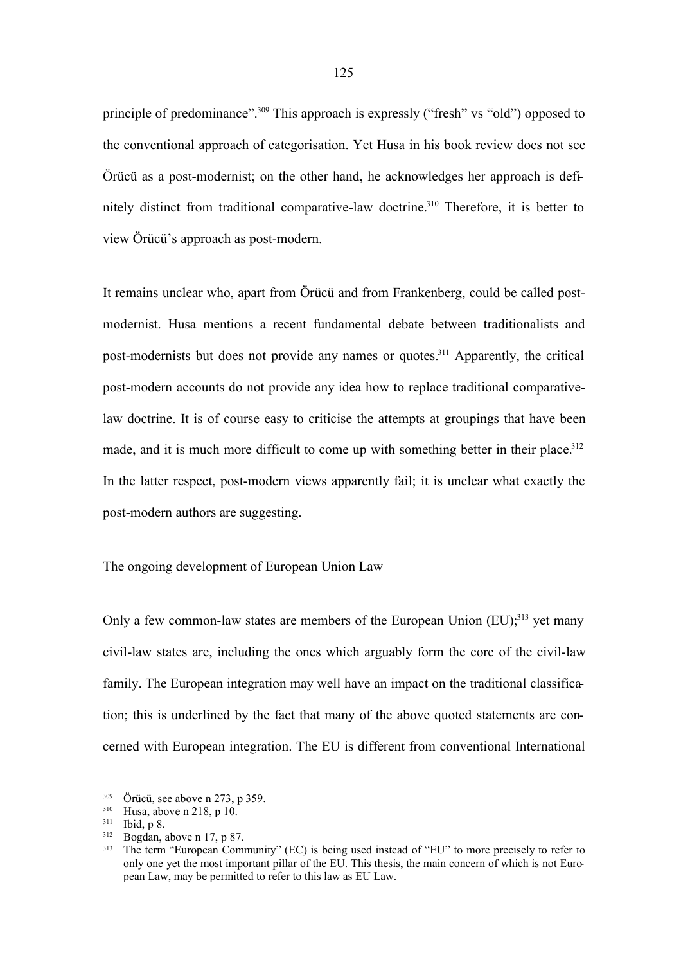principle of predominance".<sup>309</sup> This approach is expressly ("fresh" vs "old") opposed to the conventional approach of categorisation. Yet Husa in his book review does not see Örücü as a post-modernist; on the other hand, he acknowledges her approach is definitely distinct from traditional comparative-law doctrine.<sup>310</sup> Therefore, it is better to view Örücü's approach as post-modern.

It remains unclear who, apart from Örücü and from Frankenberg, could be called postmodernist. Husa mentions a recent fundamental debate between traditionalists and post-modernists but does not provide any names or quotes.<sup>311</sup> Apparently, the critical post-modern accounts do not provide any idea how to replace traditional comparativelaw doctrine. It is of course easy to criticise the attempts at groupings that have been made, and it is much more difficult to come up with something better in their place.<sup>312</sup> In the latter respect, post-modern views apparently fail; it is unclear what exactly the post-modern authors are suggesting.

The ongoing development of European Union Law

Only a few common-law states are members of the European Union  $(EU)$ <sup>313</sup>, yet many civil-law states are, including the ones which arguably form the core of the civil-law family. The European integration may well have an impact on the traditional classification; this is underlined by the fact that many of the above quoted statements are concerned with European integration. The EU is different from conventional International

 $309$  Örücü, see above n 273, p 359.<br> $310$  Husa above n 218 n 10

Husa, above n 218, p 10.

<sup>311</sup> Ibid, p 8.

 $312$  Bogdan, above n 17, p 87.

The term "European Community" (EC) is being used instead of "EU" to more precisely to refer to only one yet the most important pillar of the EU. This thesis, the main concern of which is not European Law, may be permitted to refer to this law as EU Law.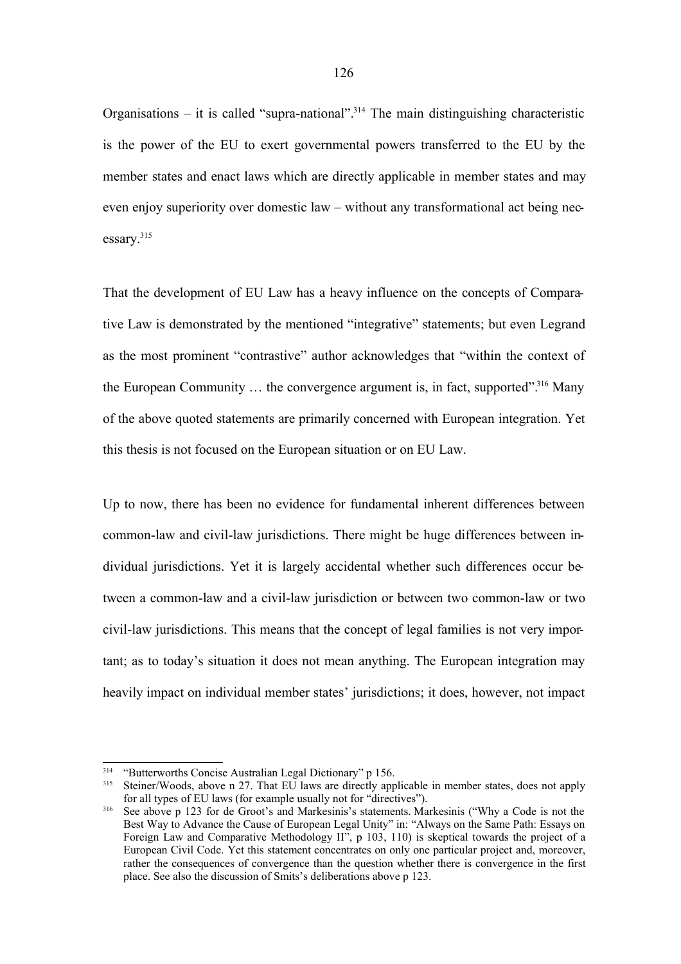Organisations – it is called "supra-national".<sup>314</sup> The main distinguishing characteristic is the power of the EU to exert governmental powers transferred to the EU by the member states and enact laws which are directly applicable in member states and may even enjoy superiority over domestic law – without any transformational act being necessary. 315

That the development of EU Law has a heavy influence on the concepts of Comparative Law is demonstrated by the mentioned "integrative" statements; but even Legrand as the most prominent "contrastive" author acknowledges that "within the context of the European Community ... the convergence argument is, in fact, supported".<sup>316</sup> Many of the above quoted statements are primarily concerned with European integration. Yet this thesis is not focused on the European situation or on EU Law.

Up to now, there has been no evidence for fundamental inherent differences between common-law and civil-law jurisdictions. There might be huge differences between individual jurisdictions. Yet it is largely accidental whether such differences occur between a common-law and a civil-law jurisdiction or between two common-law or two civil-law jurisdictions. This means that the concept of legal families is not very important; as to today's situation it does not mean anything. The European integration may heavily impact on individual member states' jurisdictions; it does, however, not impact

<sup>&</sup>lt;sup>314</sup> "Butterworths Concise Australian Legal Dictionary" p 156.<br><sup>315</sup> Steiner/Woods, above n 27. That EU laws are directly ann

Steiner/Woods, above n 27. That EU laws are directly applicable in member states, does not apply for all types of EU laws (for example usually not for "directives").

<sup>&</sup>lt;sup>316</sup> See above p 123 for de Groot's and Markesinis's statements. Markesinis ("Why a Code is not the Best Way to Advance the Cause of European Legal Unity" in: "Always on the Same Path: Essays on Foreign Law and Comparative Methodology II", p 103, 110) is skeptical towards the project of a European Civil Code. Yet this statement concentrates on only one particular project and, moreover, rather the consequences of convergence than the question whether there is convergence in the first place. See also the discussion of Smits's deliberations above p 123.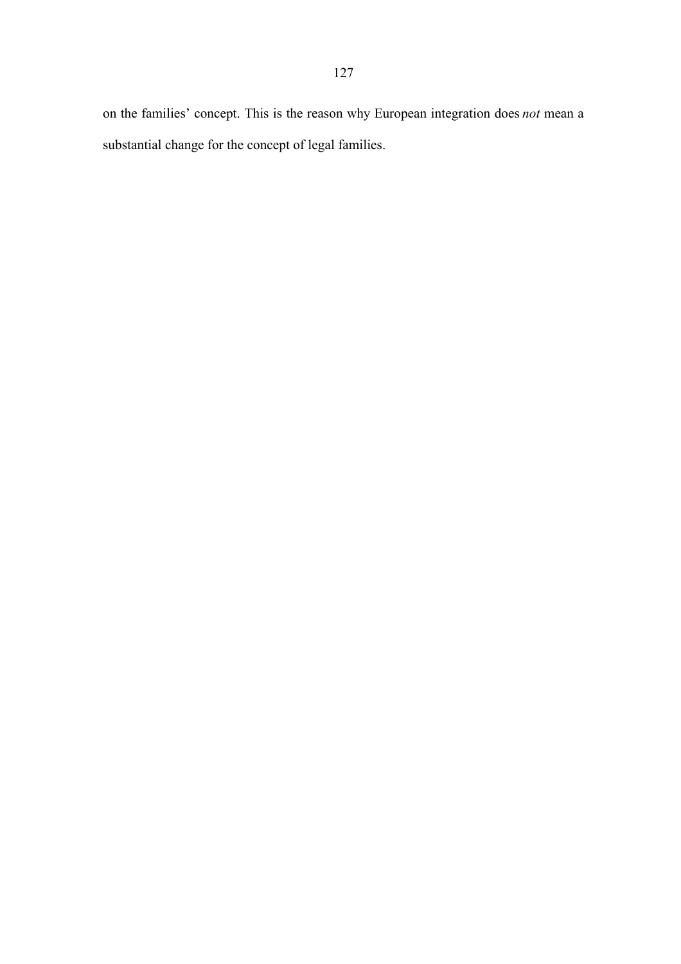on the families' concept. This is the reason why European integration does *not* mean a substantial change for the concept of legal families.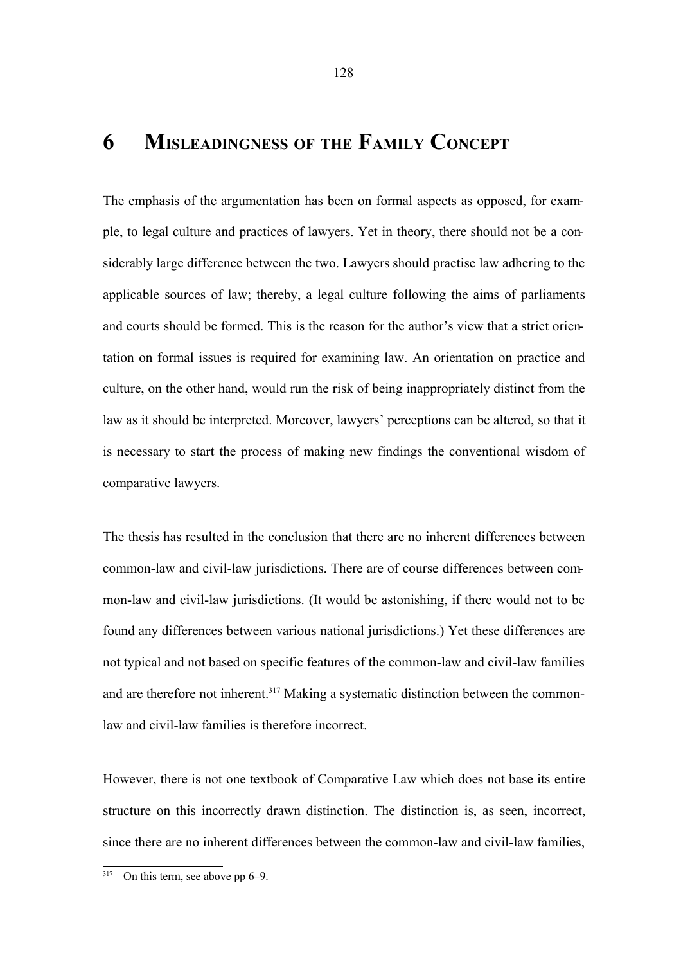## **6 MISLEADINGNESS OF THE FAMILY CONCEPT**

The emphasis of the argumentation has been on formal aspects as opposed, for example, to legal culture and practices of lawyers. Yet in theory, there should not be a considerably large difference between the two. Lawyers should practise law adhering to the applicable sources of law; thereby, a legal culture following the aims of parliaments and courts should be formed. This is the reason for the author's view that a strict orientation on formal issues is required for examining law. An orientation on practice and culture, on the other hand, would run the risk of being inappropriately distinct from the law as it should be interpreted. Moreover, lawyers' perceptions can be altered, so that it is necessary to start the process of making new findings the conventional wisdom of comparative lawyers.

The thesis has resulted in the conclusion that there are no inherent differences between common-law and civil-law jurisdictions. There are of course differences between common-law and civil-law jurisdictions. (It would be astonishing, if there would not to be found any differences between various national jurisdictions.) Yet these differences are not typical and not based on specific features of the common-law and civil-law families and are therefore not inherent.<sup>317</sup> Making a systematic distinction between the commonlaw and civil-law families is therefore incorrect.

However, there is not one textbook of Comparative Law which does not base its entire structure on this incorrectly drawn distinction. The distinction is, as seen, incorrect, since there are no inherent differences between the common-law and civil-law families,

On this term, see above pp  $6-9$ .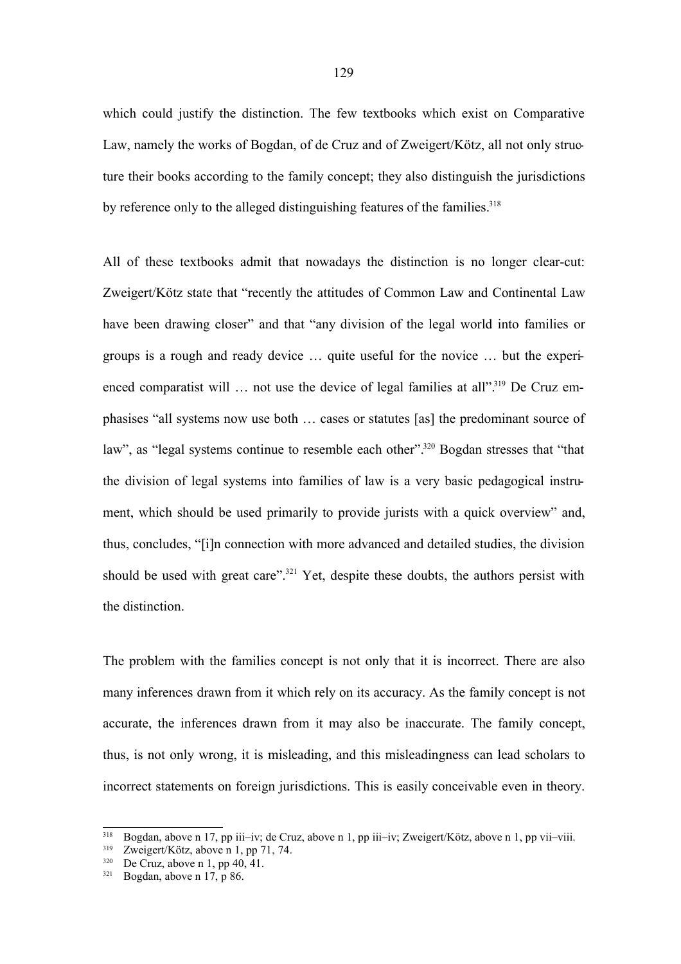which could justify the distinction. The few textbooks which exist on Comparative Law, namely the works of Bogdan, of de Cruz and of Zweigert/Kötz, all not only structure their books according to the family concept; they also distinguish the jurisdictions by reference only to the alleged distinguishing features of the families.<sup>318</sup>

All of these textbooks admit that nowadays the distinction is no longer clear-cut: Zweigert/Kötz state that "recently the attitudes of Common Law and Continental Law have been drawing closer" and that "any division of the legal world into families or groups is a rough and ready device … quite useful for the novice … but the experienced comparatist will ... not use the device of legal families at all".<sup>319</sup> De Cruz emphasises "all systems now use both … cases or statutes [as] the predominant source of law", as "legal systems continue to resemble each other".<sup>320</sup> Bogdan stresses that "that the division of legal systems into families of law is a very basic pedagogical instrument, which should be used primarily to provide jurists with a quick overview" and, thus, concludes, "[i]n connection with more advanced and detailed studies, the division should be used with great care".<sup>321</sup> Yet, despite these doubts, the authors persist with the distinction.

The problem with the families concept is not only that it is incorrect. There are also many inferences drawn from it which rely on its accuracy. As the family concept is not accurate, the inferences drawn from it may also be inaccurate. The family concept, thus, is not only wrong, it is misleading, and this misleadingness can lead scholars to incorrect statements on foreign jurisdictions. This is easily conceivable even in theory.

<sup>&</sup>lt;sup>318</sup> Bogdan, above n 17, pp iii–iv; de Cruz, above n 1, pp iii–iv; Zweigert/Kötz, above n 1, pp vii–viii.<br><sup>319</sup> Zweigert/Kötz, above n 1, pp 71, 74

Zweigert/Kötz, above n 1, pp 71, 74.

 $320$  De Cruz, above n 1, pp  $40, 41$ .

 $321$  Bogdan, above n 17, p 86.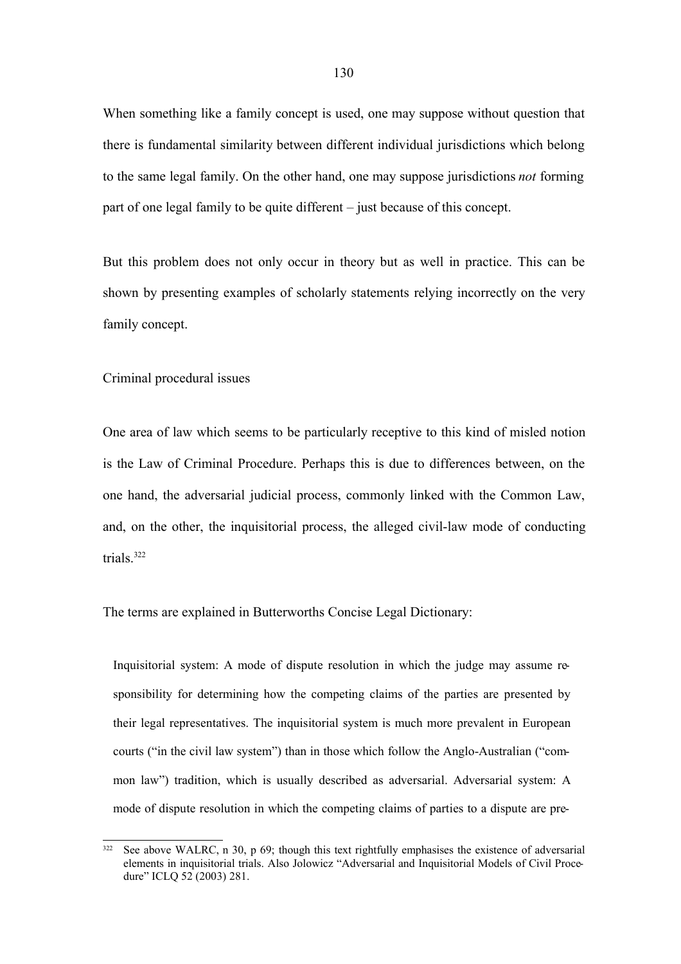When something like a family concept is used, one may suppose without question that there is fundamental similarity between different individual jurisdictions which belong to the same legal family. On the other hand, one may suppose jurisdictions *not* forming part of one legal family to be quite different – just because of this concept.

But this problem does not only occur in theory but as well in practice. This can be shown by presenting examples of scholarly statements relying incorrectly on the very family concept.

Criminal procedural issues

One area of law which seems to be particularly receptive to this kind of misled notion is the Law of Criminal Procedure. Perhaps this is due to differences between, on the one hand, the adversarial judicial process, commonly linked with the Common Law, and, on the other, the inquisitorial process, the alleged civil-law mode of conducting trials<sup>322</sup>

The terms are explained in Butterworths Concise Legal Dictionary:

Inquisitorial system: A mode of dispute resolution in which the judge may assume responsibility for determining how the competing claims of the parties are presented by their legal representatives. The inquisitorial system is much more prevalent in European courts ("in the civil law system") than in those which follow the Anglo-Australian ("common law") tradition, which is usually described as adversarial. Adversarial system: A mode of dispute resolution in which the competing claims of parties to a dispute are pre-

<sup>&</sup>lt;sup>322</sup> See above WALRC, n 30, p 69; though this text rightfully emphasises the existence of adversarial elements in inquisitorial trials. Also Jolowicz "Adversarial and Inquisitorial Models of Civil Procedure" ICLQ 52 (2003) 281.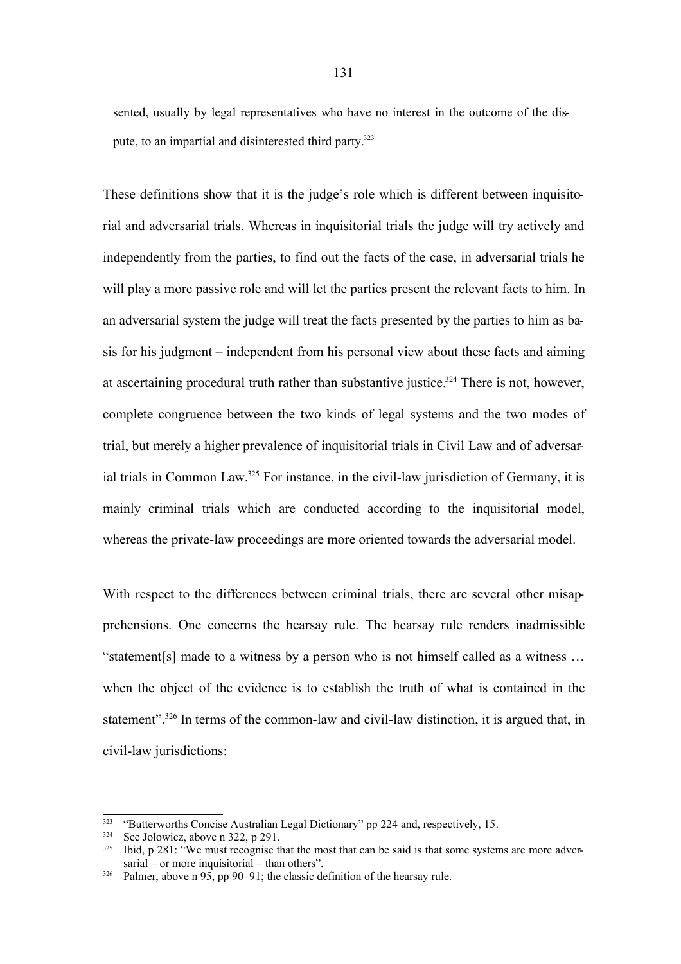sented, usually by legal representatives who have no interest in the outcome of the dispute, to an impartial and disinterested third party.<sup>323</sup>

These definitions show that it is the judge's role which is different between inquisitorial and adversarial trials. Whereas in inquisitorial trials the judge will try actively and independently from the parties, to find out the facts of the case, in adversarial trials he will play a more passive role and will let the parties present the relevant facts to him. In an adversarial system the judge will treat the facts presented by the parties to him as basis for his judgment – independent from his personal view about these facts and aiming at ascertaining procedural truth rather than substantive justice.<sup>324</sup> There is not, however, complete congruence between the two kinds of legal systems and the two modes of trial, but merely a higher prevalence of inquisitorial trials in Civil Law and of adversarial trials in Common Law.<sup>325</sup> For instance, in the civil-law jurisdiction of Germany, it is mainly criminal trials which are conducted according to the inquisitorial model, whereas the private-law proceedings are more oriented towards the adversarial model.

With respect to the differences between criminal trials, there are several other misapprehensions. One concerns the hearsay rule. The hearsay rule renders inadmissible "statement[s] made to a witness by a person who is not himself called as a witness … when the object of the evidence is to establish the truth of what is contained in the statement".<sup>326</sup> In terms of the common-law and civil-law distinction, it is argued that, in civil-law jurisdictions:

<sup>&</sup>lt;sup>323</sup> "Butterworths Concise Australian Legal Dictionary" pp 224 and, respectively, 15.<br><sup>324</sup> See Iolowicz, above n 322, n 291

See Jolowicz, above n 322, p 291.

<sup>325</sup> Ibid, p 281: "We must recognise that the most that can be said is that some systems are more adversarial – or more inquisitorial – than others".

 $326$  Palmer, above n 95, pp 90–91; the classic definition of the hearsay rule.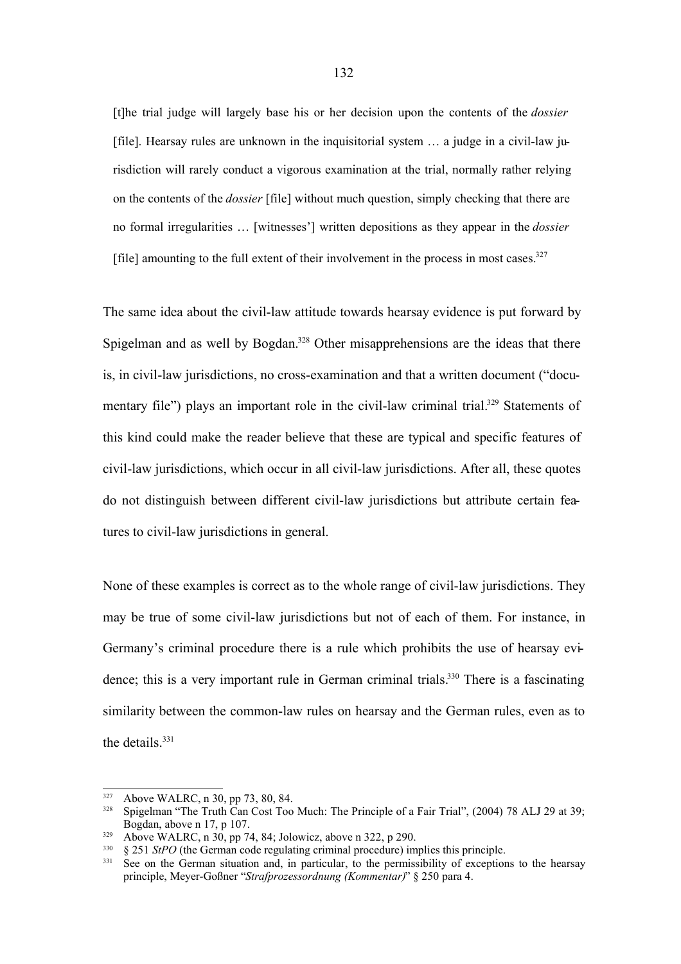[t]he trial judge will largely base his or her decision upon the contents of the *dossier* [file]. Hearsay rules are unknown in the inquisitorial system … a judge in a civil-law jurisdiction will rarely conduct a vigorous examination at the trial, normally rather relying on the contents of the *dossier* [file] without much question, simply checking that there are no formal irregularities … [witnesses'] written depositions as they appear in the *dossier* [file] amounting to the full extent of their involvement in the process in most cases. $327$ 

The same idea about the civil-law attitude towards hearsay evidence is put forward by Spigelman and as well by Bogdan.<sup>328</sup> Other misapprehensions are the ideas that there is, in civil-law jurisdictions, no cross-examination and that a written document ("documentary file") plays an important role in the civil-law criminal trial.<sup>329</sup> Statements of this kind could make the reader believe that these are typical and specific features of civil-law jurisdictions, which occur in all civil-law jurisdictions. After all, these quotes do not distinguish between different civil-law jurisdictions but attribute certain features to civil-law jurisdictions in general.

None of these examples is correct as to the whole range of civil-law jurisdictions. They may be true of some civil-law jurisdictions but not of each of them. For instance, in Germany's criminal procedure there is a rule which prohibits the use of hearsay evidence; this is a very important rule in German criminal trials.<sup>330</sup> There is a fascinating similarity between the common-law rules on hearsay and the German rules, even as to the details. 331

 $327$  Above WALRC, n 30, pp 73, 80, 84.<br> $328$  Spigelman "The Truth Can Cost Too.

<sup>328</sup> Spigelman "The Truth Can Cost Too Much: The Principle of a Fair Trial", (2004) 78 ALJ 29 at 39; Bogdan, above n 17, p 107.

<sup>&</sup>lt;sup>329</sup> Above WALRC, n 30, pp 74, 84; Jolowicz, above n 322, p 290.<br><sup>330</sup> 8 251 *StPO* (the German code regulating criminal procedure) im

<sup>&</sup>lt;sup>330</sup> § 251 *StPO* (the German code regulating criminal procedure) implies this principle.

See on the German situation and, in particular, to the permissibility of exceptions to the hearsay principle, Meyer-Goßner "*Strafprozessordnung (Kommentar)*" § 250 para 4.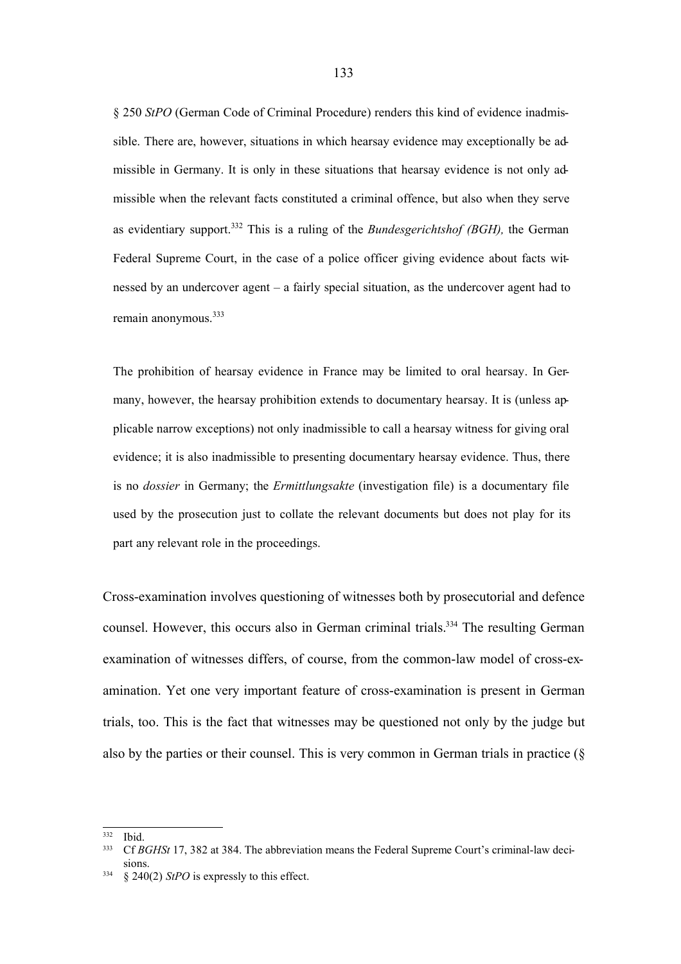§ 250 *StPO* (German Code of Criminal Procedure) renders this kind of evidence inadmissible. There are, however, situations in which hearsay evidence may exceptionally be admissible in Germany. It is only in these situations that hearsay evidence is not only admissible when the relevant facts constituted a criminal offence, but also when they serve as evidentiary support.<sup>332</sup> This is a ruling of the *Bundesgerichtshof (BGH),* the German Federal Supreme Court, in the case of a police officer giving evidence about facts witnessed by an undercover agent – a fairly special situation, as the undercover agent had to remain anonymous.<sup>333</sup>

The prohibition of hearsay evidence in France may be limited to oral hearsay. In Germany, however, the hearsay prohibition extends to documentary hearsay. It is (unless applicable narrow exceptions) not only inadmissible to call a hearsay witness for giving oral evidence; it is also inadmissible to presenting documentary hearsay evidence. Thus, there is no *dossier* in Germany; the *Ermittlungsakte* (investigation file) is a documentary file used by the prosecution just to collate the relevant documents but does not play for its part any relevant role in the proceedings.

Cross-examination involves questioning of witnesses both by prosecutorial and defence counsel. However, this occurs also in German criminal trials.<sup>334</sup> The resulting German examination of witnesses differs, of course, from the common-law model of cross-examination. Yet one very important feature of cross-examination is present in German trials, too. This is the fact that witnesses may be questioned not only by the judge but also by the parties or their counsel. This is very common in German trials in practice (§

<sup>332</sup> Ibid.

<sup>333</sup> Cf *BGHSt* 17, 382 at 384. The abbreviation means the Federal Supreme Court's criminal-law decisions.

<sup>334</sup> § 240(2) *StPO* is expressly to this effect.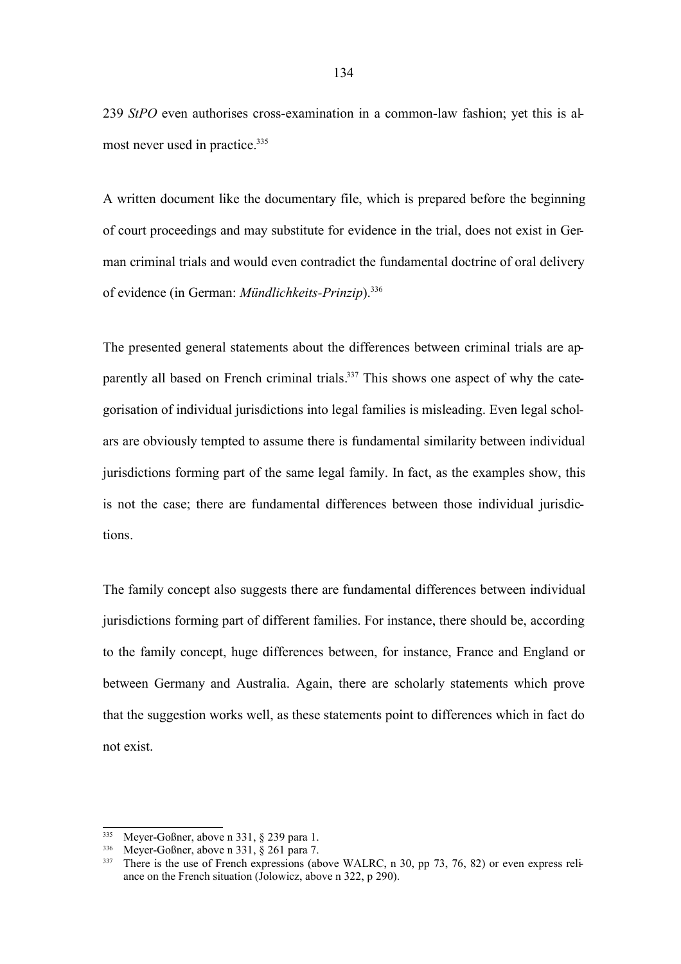239 *StPO* even authorises cross-examination in a common-law fashion; yet this is almost never used in practice.<sup>335</sup>

A written document like the documentary file, which is prepared before the beginning of court proceedings and may substitute for evidence in the trial, does not exist in German criminal trials and would even contradict the fundamental doctrine of oral delivery of evidence (in German: *Mündlichkeits-Prinzip*). 336

The presented general statements about the differences between criminal trials are apparently all based on French criminal trials.<sup>337</sup> This shows one aspect of why the categorisation of individual jurisdictions into legal families is misleading. Even legal scholars are obviously tempted to assume there is fundamental similarity between individual jurisdictions forming part of the same legal family. In fact, as the examples show, this is not the case; there are fundamental differences between those individual jurisdictions.

The family concept also suggests there are fundamental differences between individual jurisdictions forming part of different families. For instance, there should be, according to the family concept, huge differences between, for instance, France and England or between Germany and Australia. Again, there are scholarly statements which prove that the suggestion works well, as these statements point to differences which in fact do not exist.

<sup>335</sup> Meyer-Goßner, above n 331, § 239 para 1.

<sup>336</sup> Meyer-Goßner, above n 331, § 261 para 7.

<sup>&</sup>lt;sup>337</sup> There is the use of French expressions (above WALRC, n 30, pp 73, 76, 82) or even express reliance on the French situation (Jolowicz, above n 322, p 290).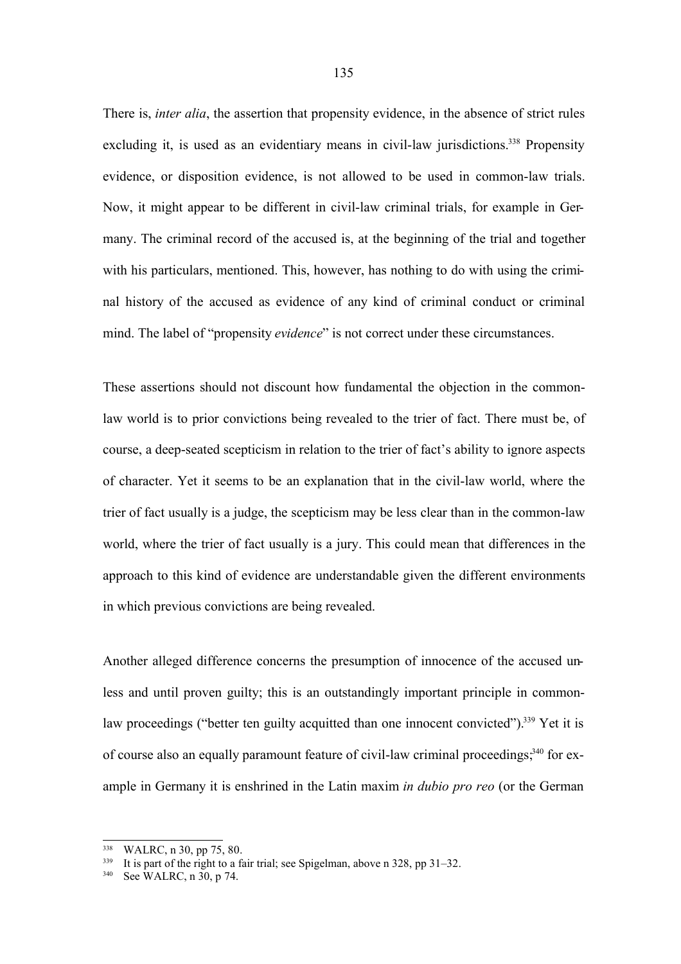There is, *inter alia*, the assertion that propensity evidence, in the absence of strict rules excluding it, is used as an evidentiary means in civil-law jurisdictions.<sup>338</sup> Propensity evidence, or disposition evidence, is not allowed to be used in common-law trials. Now, it might appear to be different in civil-law criminal trials, for example in Germany. The criminal record of the accused is, at the beginning of the trial and together with his particulars, mentioned. This, however, has nothing to do with using the criminal history of the accused as evidence of any kind of criminal conduct or criminal mind. The label of "propensity *evidence*" is not correct under these circumstances.

These assertions should not discount how fundamental the objection in the commonlaw world is to prior convictions being revealed to the trier of fact. There must be, of course, a deep-seated scepticism in relation to the trier of fact's ability to ignore aspects of character. Yet it seems to be an explanation that in the civil-law world, where the trier of fact usually is a judge, the scepticism may be less clear than in the common-law world, where the trier of fact usually is a jury. This could mean that differences in the approach to this kind of evidence are understandable given the different environments in which previous convictions are being revealed.

Another alleged difference concerns the presumption of innocence of the accused unless and until proven guilty; this is an outstandingly important principle in commonlaw proceedings ("better ten guilty acquitted than one innocent convicted").<sup>339</sup> Yet it is of course also an equally paramount feature of civil-law criminal proceedings,<sup>340</sup> for example in Germany it is enshrined in the Latin maxim *in dubio pro reo* (or the German

WALRC, n 30, pp 75, 80.

<sup>&</sup>lt;sup>339</sup> It is part of the right to a fair trial; see Spigelman, above n 328, pp 31–32.

See WALRC,  $n \overline{30}$ ,  $p \overline{74}$ .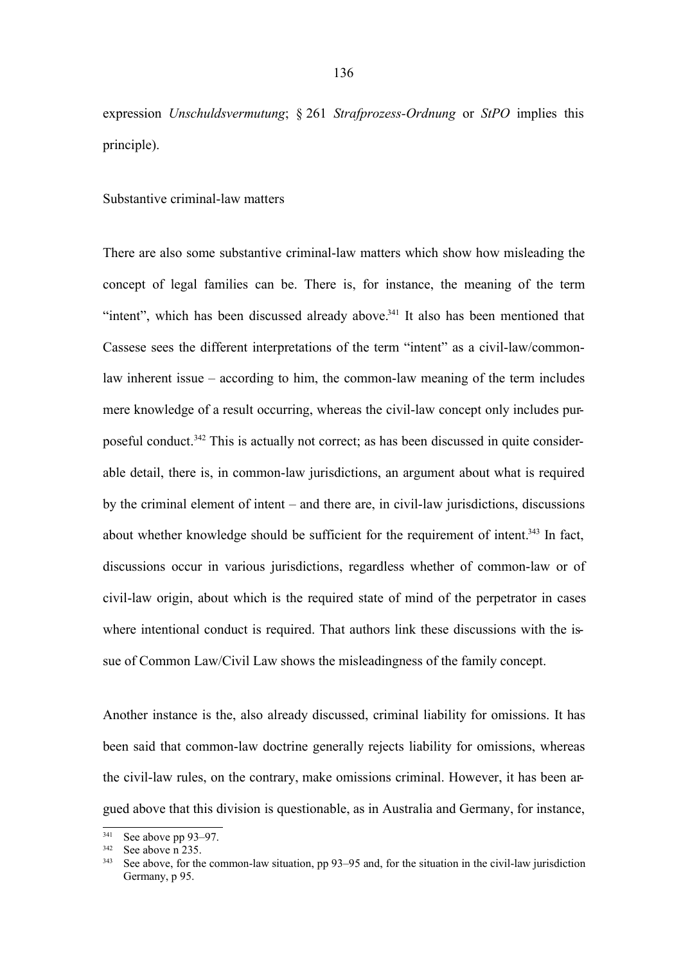expression *Unschuldsvermutung*; § 261 *Strafprozess-Ordnung* or *StPO* implies this principle).

Substantive criminal-law matters

There are also some substantive criminal-law matters which show how misleading the concept of legal families can be. There is, for instance, the meaning of the term "intent", which has been discussed already above. $341$  It also has been mentioned that Cassese sees the different interpretations of the term "intent" as a civil-law/commonlaw inherent issue – according to him, the common-law meaning of the term includes mere knowledge of a result occurring, whereas the civil-law concept only includes purposeful conduct.<sup>342</sup> This is actually not correct; as has been discussed in quite considerable detail, there is, in common-law jurisdictions, an argument about what is required by the criminal element of intent – and there are, in civil-law jurisdictions, discussions about whether knowledge should be sufficient for the requirement of intent.<sup> $343$ </sup> In fact, discussions occur in various jurisdictions, regardless whether of common-law or of civil-law origin, about which is the required state of mind of the perpetrator in cases where intentional conduct is required. That authors link these discussions with the issue of Common Law/Civil Law shows the misleadingness of the family concept.

Another instance is the, also already discussed, criminal liability for omissions. It has been said that common-law doctrine generally rejects liability for omissions, whereas the civil-law rules, on the contrary, make omissions criminal. However, it has been argued above that this division is questionable, as in Australia and Germany, for instance,

 $341$  See above pp 93–97.<br> $342$  See above p 235

See above n 235.

See above, for the common-law situation, pp 93–95 and, for the situation in the civil-law jurisdiction Germany, p 95.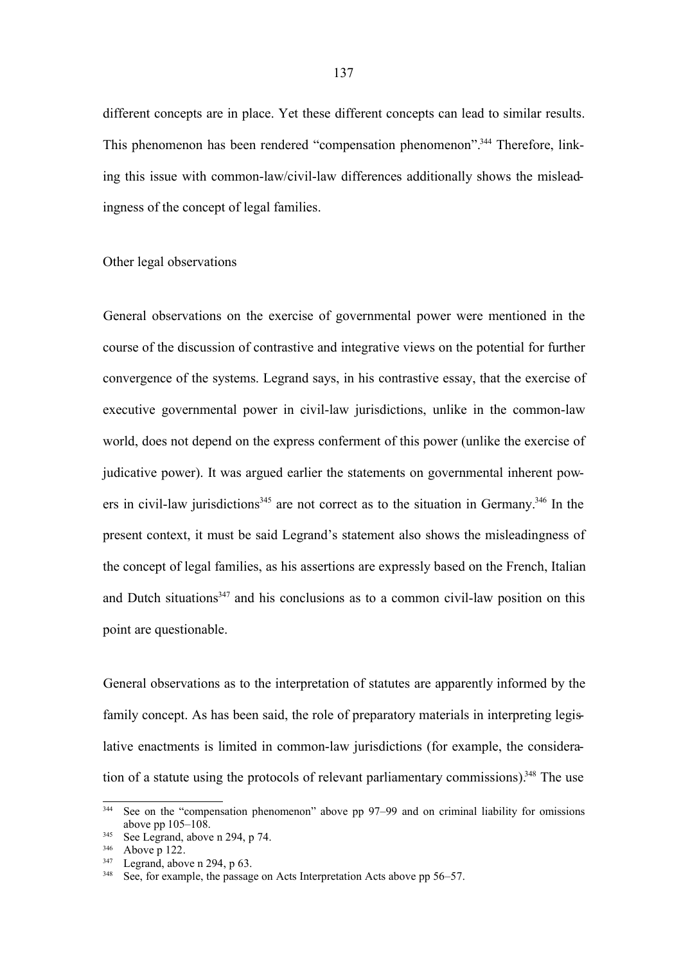different concepts are in place. Yet these different concepts can lead to similar results. This phenomenon has been rendered "compensation phenomenon".<sup>344</sup> Therefore, linking this issue with common-law/civil-law differences additionally shows the misleadingness of the concept of legal families.

## Other legal observations

General observations on the exercise of governmental power were mentioned in the course of the discussion of contrastive and integrative views on the potential for further convergence of the systems. Legrand says, in his contrastive essay, that the exercise of executive governmental power in civil-law jurisdictions, unlike in the common-law world, does not depend on the express conferment of this power (unlike the exercise of judicative power). It was argued earlier the statements on governmental inherent powers in civil-law jurisdictions<sup>345</sup> are not correct as to the situation in Germany.<sup>346</sup> In the present context, it must be said Legrand's statement also shows the misleadingness of the concept of legal families, as his assertions are expressly based on the French, Italian and Dutch situations<sup>347</sup> and his conclusions as to a common civil-law position on this point are questionable.

General observations as to the interpretation of statutes are apparently informed by the family concept. As has been said, the role of preparatory materials in interpreting legislative enactments is limited in common-law jurisdictions (for example, the consideration of a statute using the protocols of relevant parliamentary commissions).<sup>348</sup> The use

<sup>344</sup> See on the "compensation phenomenon" above pp 97–99 and on criminal liability for omissions above pp 105–108.

 $345$  See Legrand, above n 294, p 74.

<sup>&</sup>lt;sup>346</sup> Above p 122.

 $347$  Legrand, above n 294, p 63.

<sup>&</sup>lt;sup>348</sup> See, for example, the passage on Acts Interpretation Acts above pp 56–57.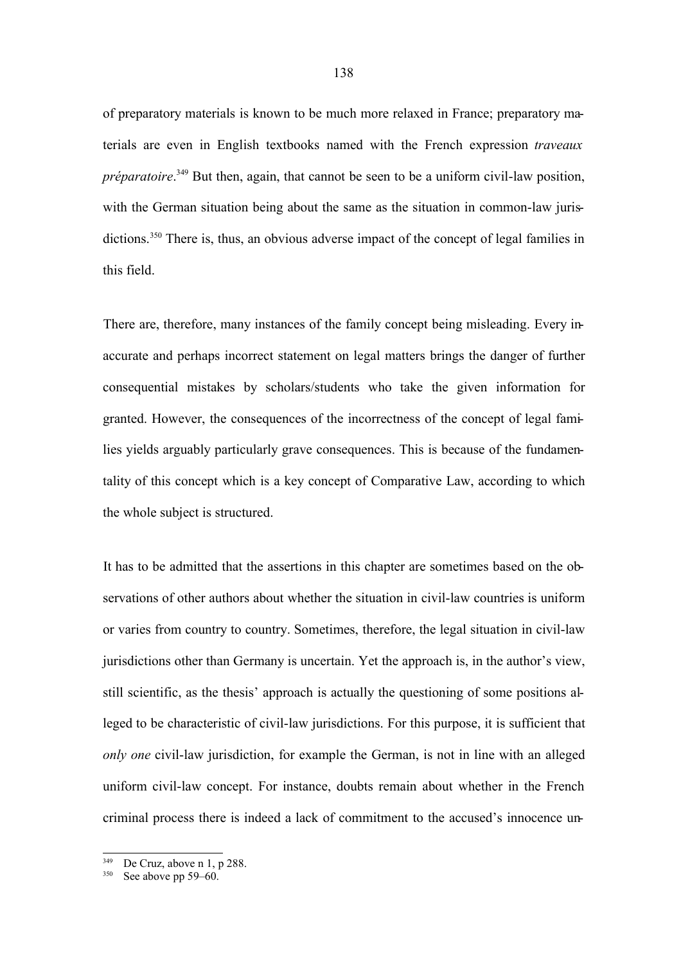of preparatory materials is known to be much more relaxed in France; preparatory materials are even in English textbooks named with the French expression *traveaux préparatoire*. <sup>349</sup> But then, again, that cannot be seen to be a uniform civil-law position, with the German situation being about the same as the situation in common-law jurisdictions.<sup>350</sup> There is, thus, an obvious adverse impact of the concept of legal families in this field.

There are, therefore, many instances of the family concept being misleading. Every inaccurate and perhaps incorrect statement on legal matters brings the danger of further consequential mistakes by scholars/students who take the given information for granted. However, the consequences of the incorrectness of the concept of legal families yields arguably particularly grave consequences. This is because of the fundamentality of this concept which is a key concept of Comparative Law, according to which the whole subject is structured.

It has to be admitted that the assertions in this chapter are sometimes based on the observations of other authors about whether the situation in civil-law countries is uniform or varies from country to country. Sometimes, therefore, the legal situation in civil-law jurisdictions other than Germany is uncertain. Yet the approach is, in the author's view, still scientific, as the thesis' approach is actually the questioning of some positions alleged to be characteristic of civil-law jurisdictions. For this purpose, it is sufficient that *only one* civil-law jurisdiction, for example the German, is not in line with an alleged uniform civil-law concept. For instance, doubts remain about whether in the French criminal process there is indeed a lack of commitment to the accused's innocence un-

<sup>349</sup> De Cruz, above n 1, p 288.

 $350$  See above pp 59–60.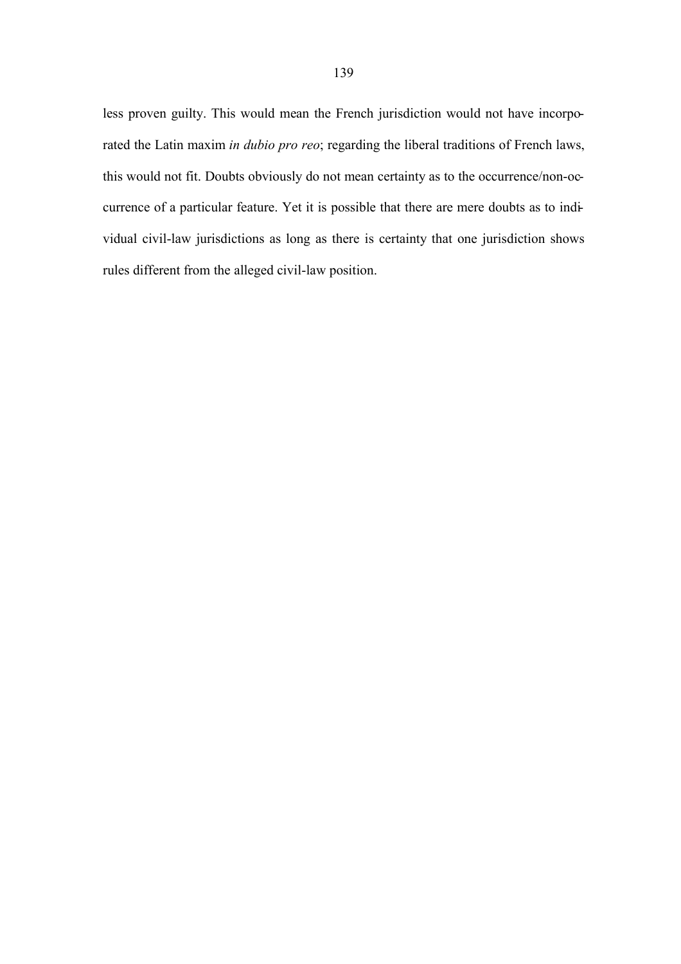less proven guilty. This would mean the French jurisdiction would not have incorporated the Latin maxim *in dubio pro reo*; regarding the liberal traditions of French laws, this would not fit. Doubts obviously do not mean certainty as to the occurrence/non-occurrence of a particular feature. Yet it is possible that there are mere doubts as to individual civil-law jurisdictions as long as there is certainty that one jurisdiction shows rules different from the alleged civil-law position.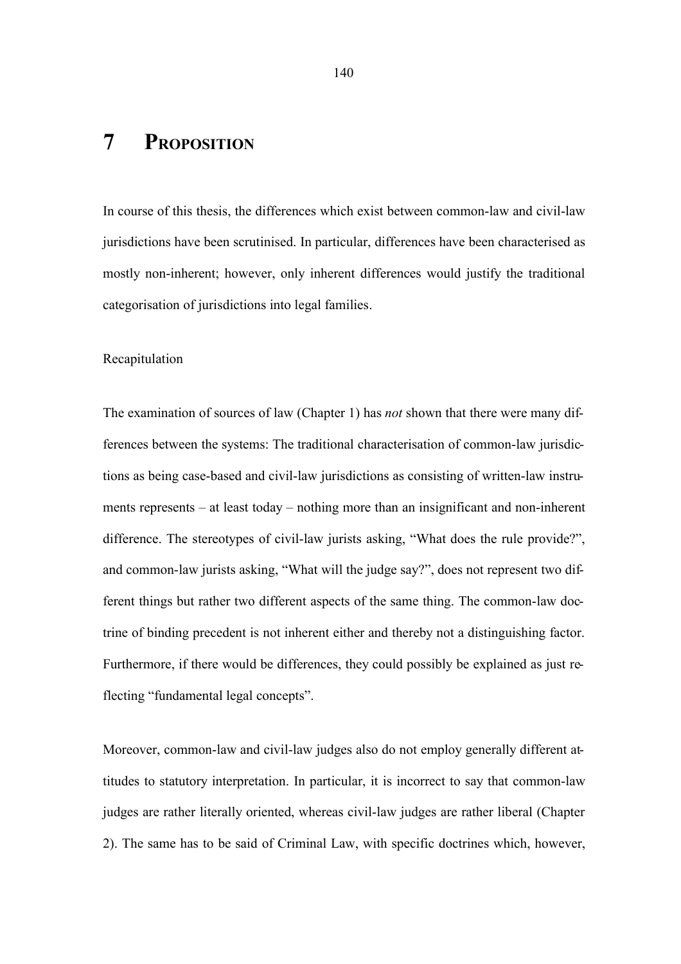## **7 PROPOSITION**

In course of this thesis, the differences which exist between common-law and civil-law jurisdictions have been scrutinised. In particular, differences have been characterised as mostly non-inherent; however, only inherent differences would justify the traditional categorisation of jurisdictions into legal families.

## Recapitulation

The examination of sources of law (Chapter 1) has *not* shown that there were many differences between the systems: The traditional characterisation of common-law jurisdictions as being case-based and civil-law jurisdictions as consisting of written-law instruments represents – at least today – nothing more than an insignificant and non-inherent difference. The stereotypes of civil-law jurists asking, "What does the rule provide?", and common-law jurists asking, "What will the judge say?", does not represent two different things but rather two different aspects of the same thing. The common-law doctrine of binding precedent is not inherent either and thereby not a distinguishing factor. Furthermore, if there would be differences, they could possibly be explained as just reflecting "fundamental legal concepts".

Moreover, common-law and civil-law judges also do not employ generally different attitudes to statutory interpretation. In particular, it is incorrect to say that common-law judges are rather literally oriented, whereas civil-law judges are rather liberal (Chapter 2). The same has to be said of Criminal Law, with specific doctrines which, however,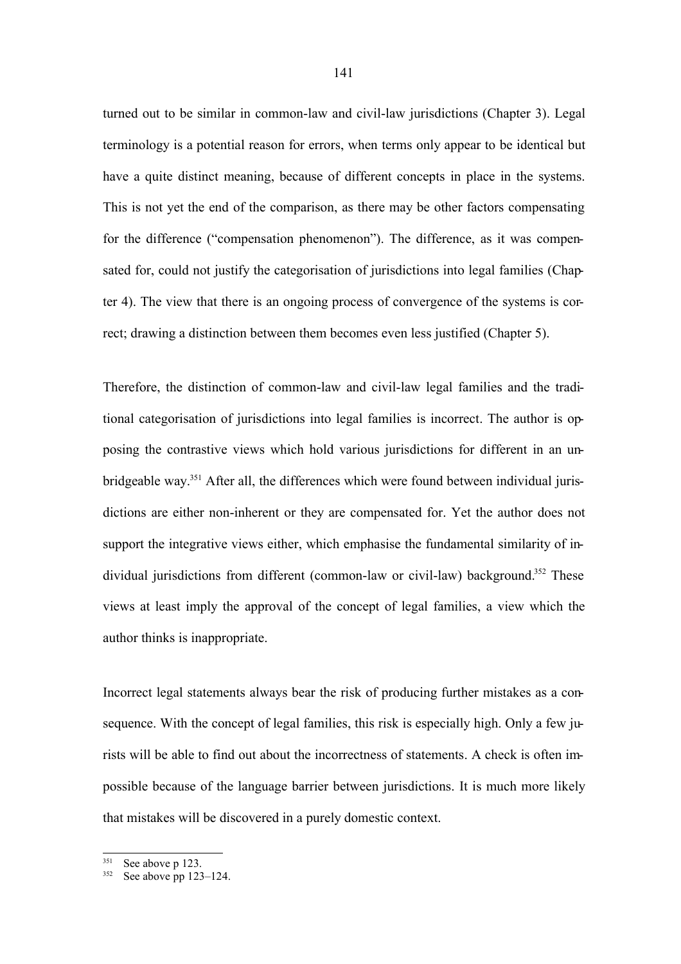turned out to be similar in common-law and civil-law jurisdictions (Chapter 3). Legal terminology is a potential reason for errors, when terms only appear to be identical but have a quite distinct meaning, because of different concepts in place in the systems. This is not yet the end of the comparison, as there may be other factors compensating for the difference ("compensation phenomenon"). The difference, as it was compensated for, could not justify the categorisation of jurisdictions into legal families (Chapter 4). The view that there is an ongoing process of convergence of the systems is correct; drawing a distinction between them becomes even less justified (Chapter 5).

Therefore, the distinction of common-law and civil-law legal families and the traditional categorisation of jurisdictions into legal families is incorrect. The author is opposing the contrastive views which hold various jurisdictions for different in an unbridgeable way.<sup>351</sup> After all, the differences which were found between individual jurisdictions are either non-inherent or they are compensated for. Yet the author does not support the integrative views either, which emphasise the fundamental similarity of individual jurisdictions from different (common-law or civil-law) background.<sup>352</sup> These views at least imply the approval of the concept of legal families, a view which the author thinks is inappropriate.

Incorrect legal statements always bear the risk of producing further mistakes as a consequence. With the concept of legal families, this risk is especially high. Only a few jurists will be able to find out about the incorrectness of statements. A check is often impossible because of the language barrier between jurisdictions. It is much more likely that mistakes will be discovered in a purely domestic context.

<sup>351</sup> See above p 123.

 $352$  See above pp 123–124.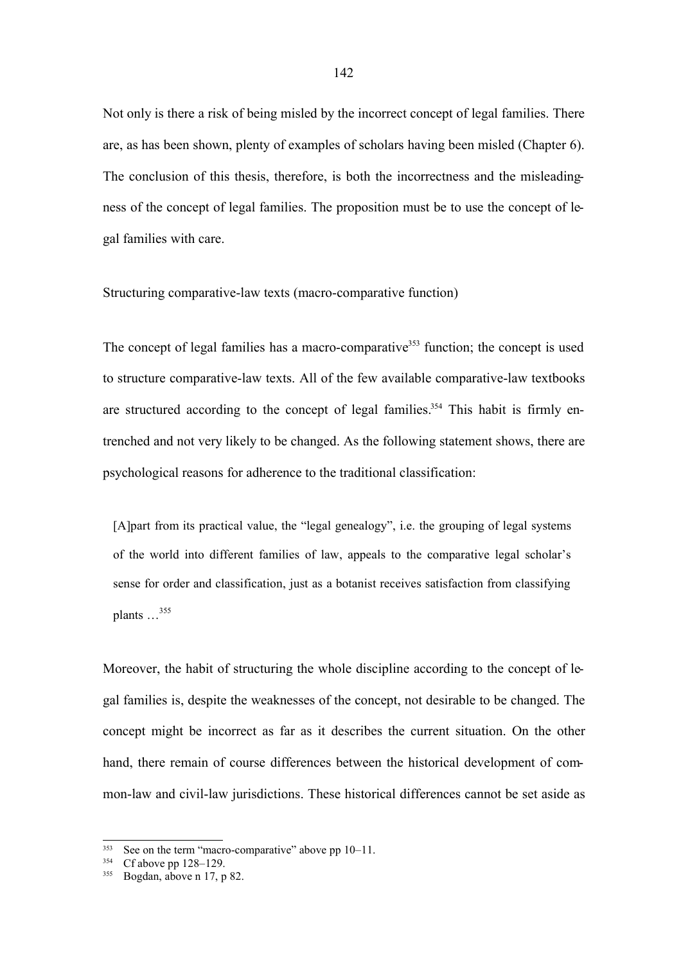Not only is there a risk of being misled by the incorrect concept of legal families. There are, as has been shown, plenty of examples of scholars having been misled (Chapter 6). The conclusion of this thesis, therefore, is both the incorrectness and the misleadingness of the concept of legal families. The proposition must be to use the concept of legal families with care.

Structuring comparative-law texts (macro-comparative function)

The concept of legal families has a macro-comparative<sup>353</sup> function; the concept is used to structure comparative-law texts. All of the few available comparative-law textbooks are structured according to the concept of legal families.<sup>354</sup> This habit is firmly entrenched and not very likely to be changed. As the following statement shows, there are psychological reasons for adherence to the traditional classification:

[A]part from its practical value, the "legal genealogy", i.e. the grouping of legal systems of the world into different families of law, appeals to the comparative legal scholar's sense for order and classification, just as a botanist receives satisfaction from classifying plants  $\ldots$ <sup>355</sup>

Moreover, the habit of structuring the whole discipline according to the concept of legal families is, despite the weaknesses of the concept, not desirable to be changed. The concept might be incorrect as far as it describes the current situation. On the other hand, there remain of course differences between the historical development of common-law and civil-law jurisdictions. These historical differences cannot be set aside as

<sup>&</sup>lt;sup>353</sup> See on the term "macro-comparative" above pp  $10-11$ .<br><sup>354</sup> Cf above pp  $128, 120$ 

 $Cf$  above pp  $128-129$ .

<sup>355</sup> Bogdan, above n 17, p 82.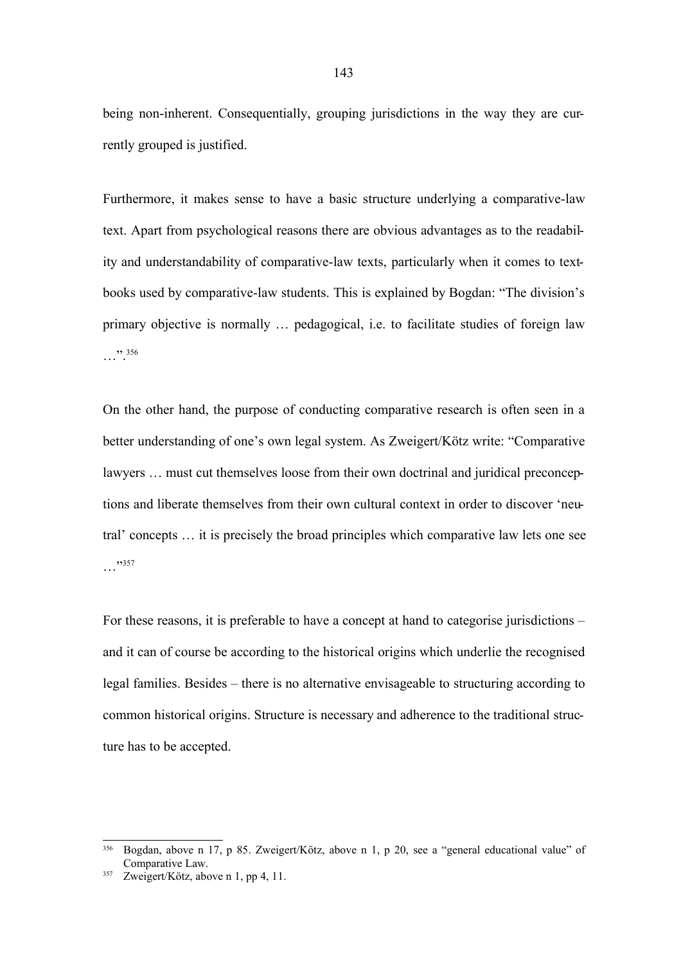being non-inherent. Consequentially, grouping jurisdictions in the way they are currently grouped is justified.

Furthermore, it makes sense to have a basic structure underlying a comparative-law text. Apart from psychological reasons there are obvious advantages as to the readability and understandability of comparative-law texts, particularly when it comes to textbooks used by comparative-law students. This is explained by Bogdan: "The division's primary objective is normally … pedagogical, i.e. to facilitate studies of foreign law  $\cdots$  356

On the other hand, the purpose of conducting comparative research is often seen in a better understanding of one's own legal system. As Zweigert/Kötz write: "Comparative lawyers … must cut themselves loose from their own doctrinal and juridical preconceptions and liberate themselves from their own cultural context in order to discover 'neutral' concepts … it is precisely the broad principles which comparative law lets one see …"<br>…

For these reasons, it is preferable to have a concept at hand to categorise jurisdictions – and it can of course be according to the historical origins which underlie the recognised legal families. Besides – there is no alternative envisageable to structuring according to common historical origins. Structure is necessary and adherence to the traditional structure has to be accepted.

<sup>356</sup> Bogdan, above n 17, p 85. Zweigert/Kötz, above n 1, p 20, see a "general educational value" of Comparative Law.

<sup>357</sup> Zweigert/Kötz, above n 1, pp 4, 11.